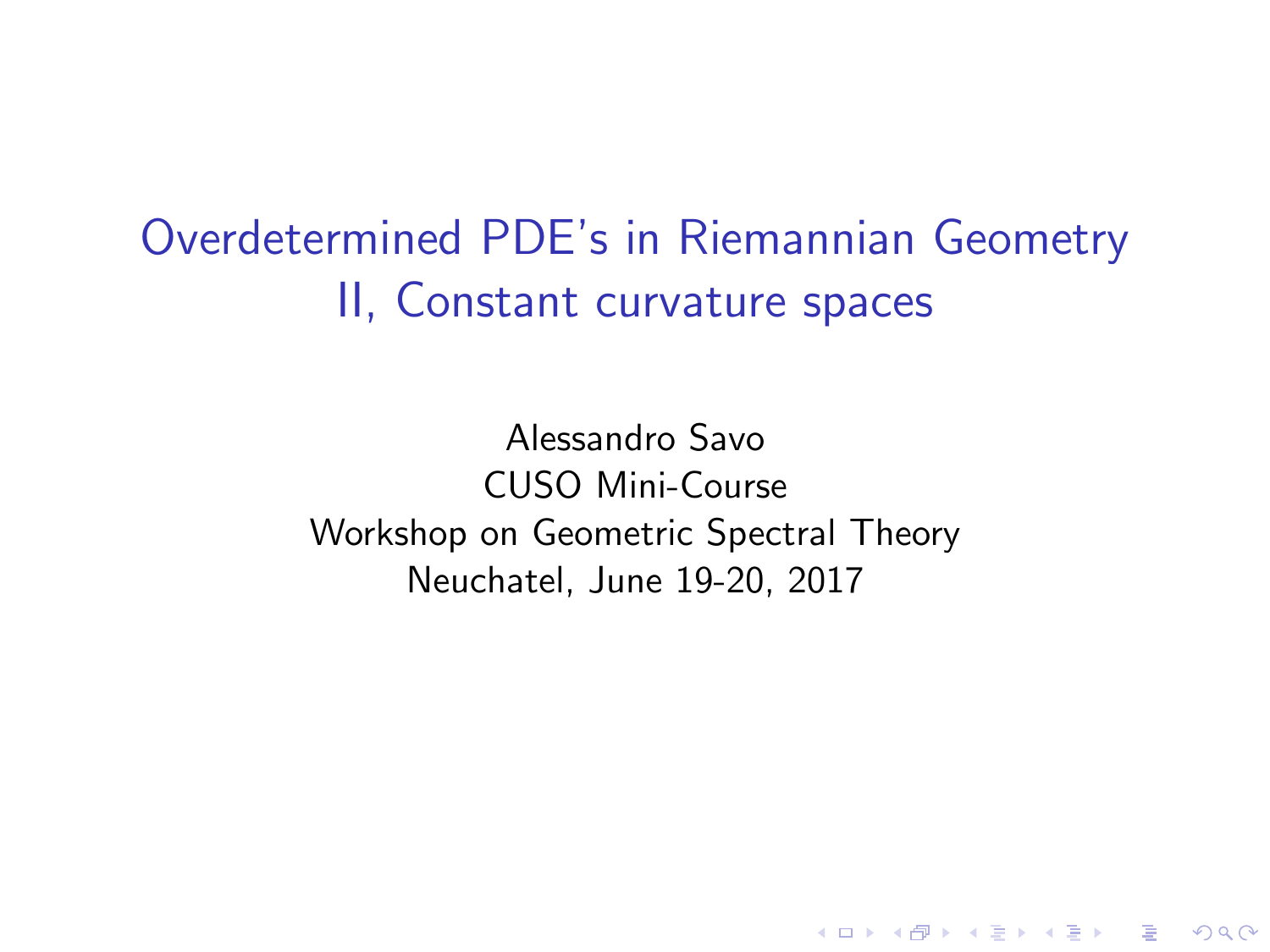Overdetermined PDE's in Riemannian Geometry II, Constant curvature spaces

> Alessandro Savo CUSO Mini-Course Workshop on Geometric Spectral Theory Neuchatel, June 19-20, 2017

> > **KORK STRATER STRAKER**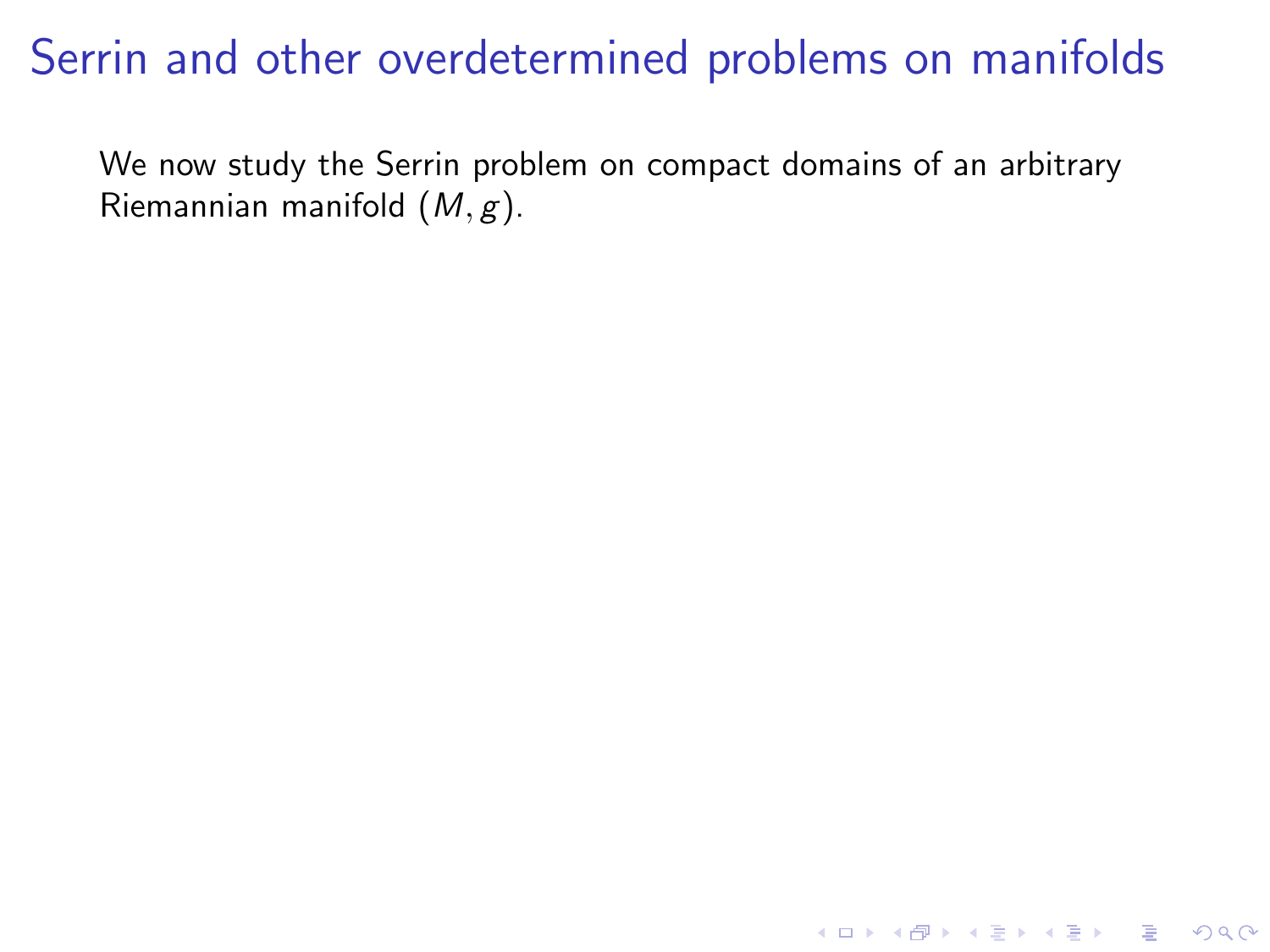## Serrin and other overdetermined problems on manifolds

We now study the Serrin problem on compact domains of an arbitrary Riemannian manifold  $(M, g)$ .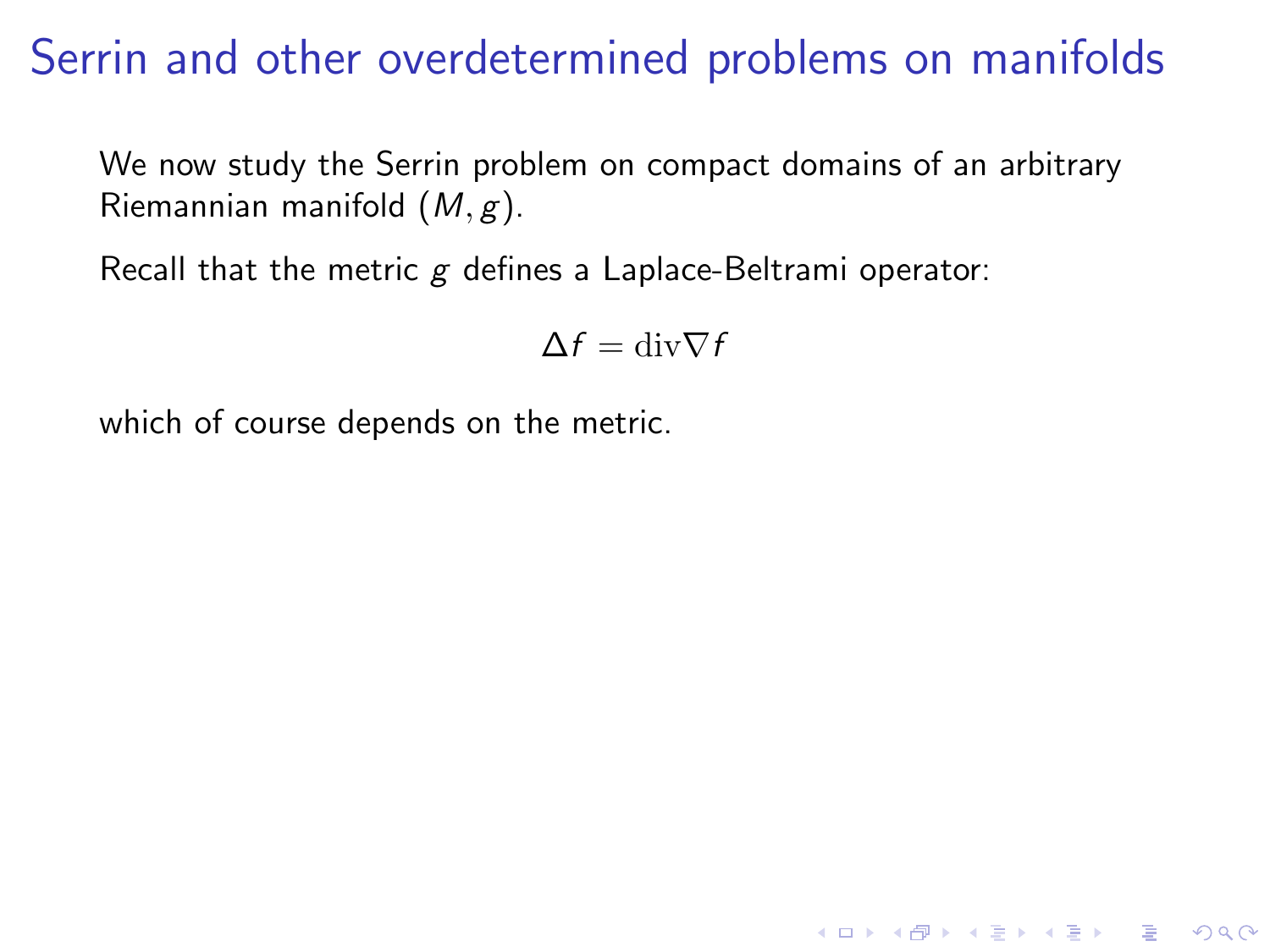## Serrin and other overdetermined problems on manifolds

We now study the Serrin problem on compact domains of an arbitrary Riemannian manifold  $(M, g)$ .

Recall that the metric  $g$  defines a Laplace-Beltrami operator:

$$
\Delta f = \mathrm{div} \nabla f
$$

**K ロ ▶ K @ ▶ K 할 X X 할 X 및 할 X X Q Q O** 

which of course depends on the metric.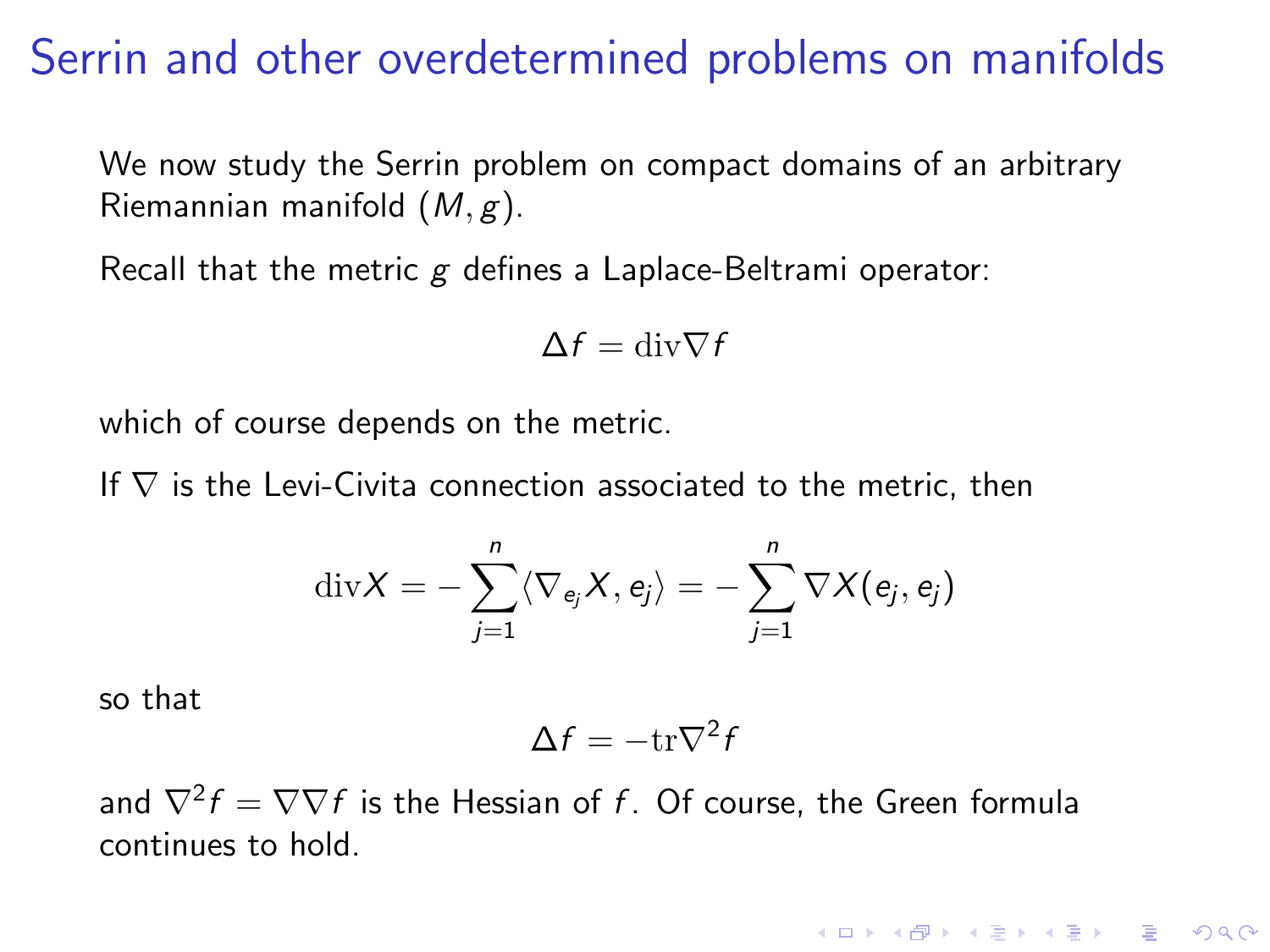### Serrin and other overdetermined problems on manifolds

We now study the Serrin problem on compact domains of an arbitrary Riemannian manifold  $(M, g)$ .

Recall that the metric g defines a Laplace-Beltrami operator:

$$
\Delta f = \text{div} \nabla f
$$

which of course depends on the metric.

If  $\nabla$  is the Levi-Civita connection associated to the metric, then

$$
\mathrm{div}X=-\sum_{j=1}^n\langle\nabla_{e_j}X,e_j\rangle=-\sum_{j=1}^n\nabla X(e_j,e_j)
$$

so that

$$
\Delta f = -\mathrm{tr}\nabla^2 f
$$

**KORKAR KERKER E VOOR** 

and  $\nabla^2 f = \nabla \nabla f$  is the Hessian of  $f$ . Of course, the Green formula continues to hold.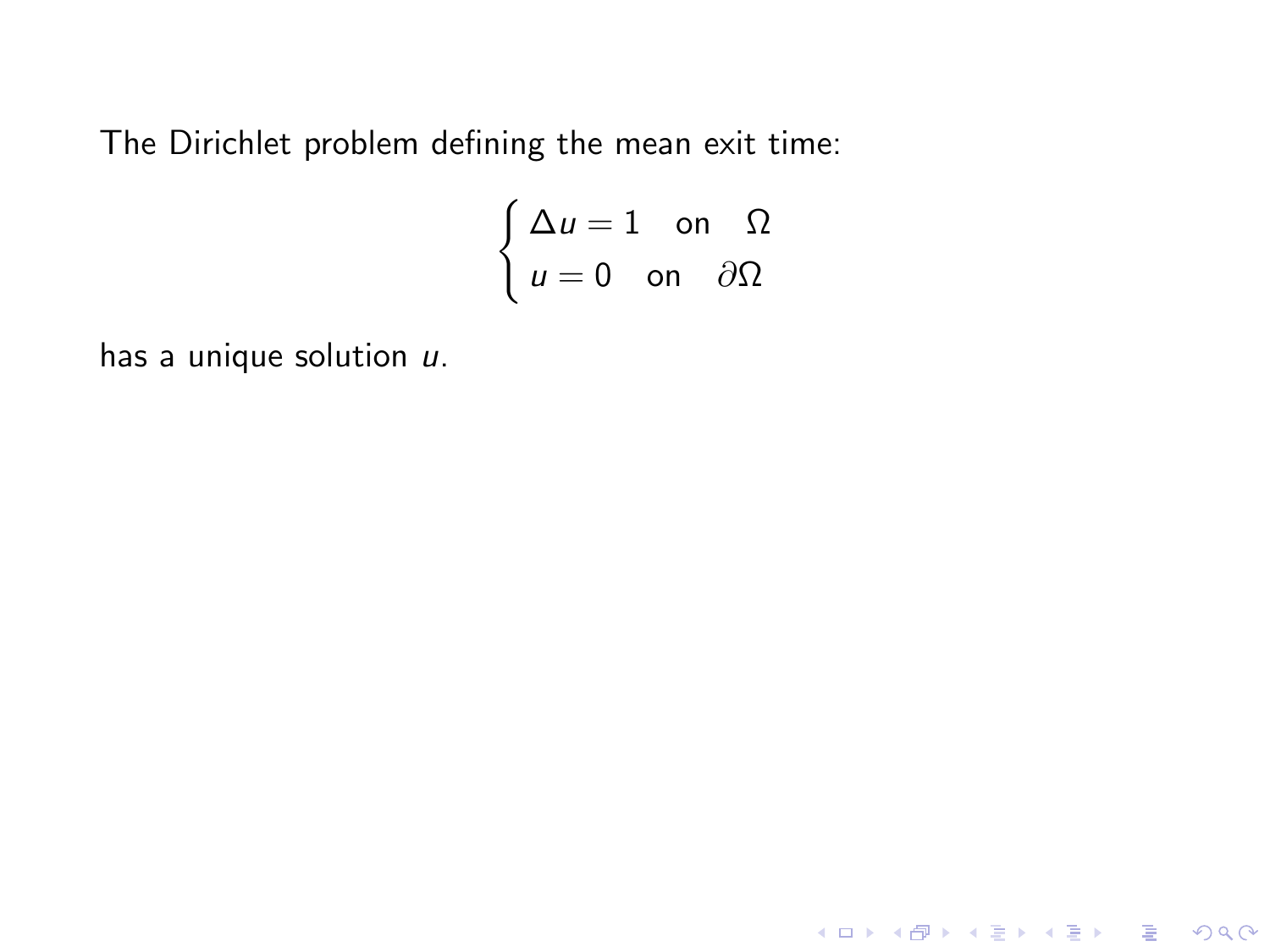The Dirichlet problem defining the mean exit time:

$$
\begin{cases} \Delta u = 1 & \text{on } \ \Omega \\ u = 0 & \text{on } \partial\Omega \end{cases}
$$

K ロ ▶ K @ ▶ K 할 ▶ K 할 ▶ ... 할 ... 9 Q Q ·

has a unique solution  $u$ .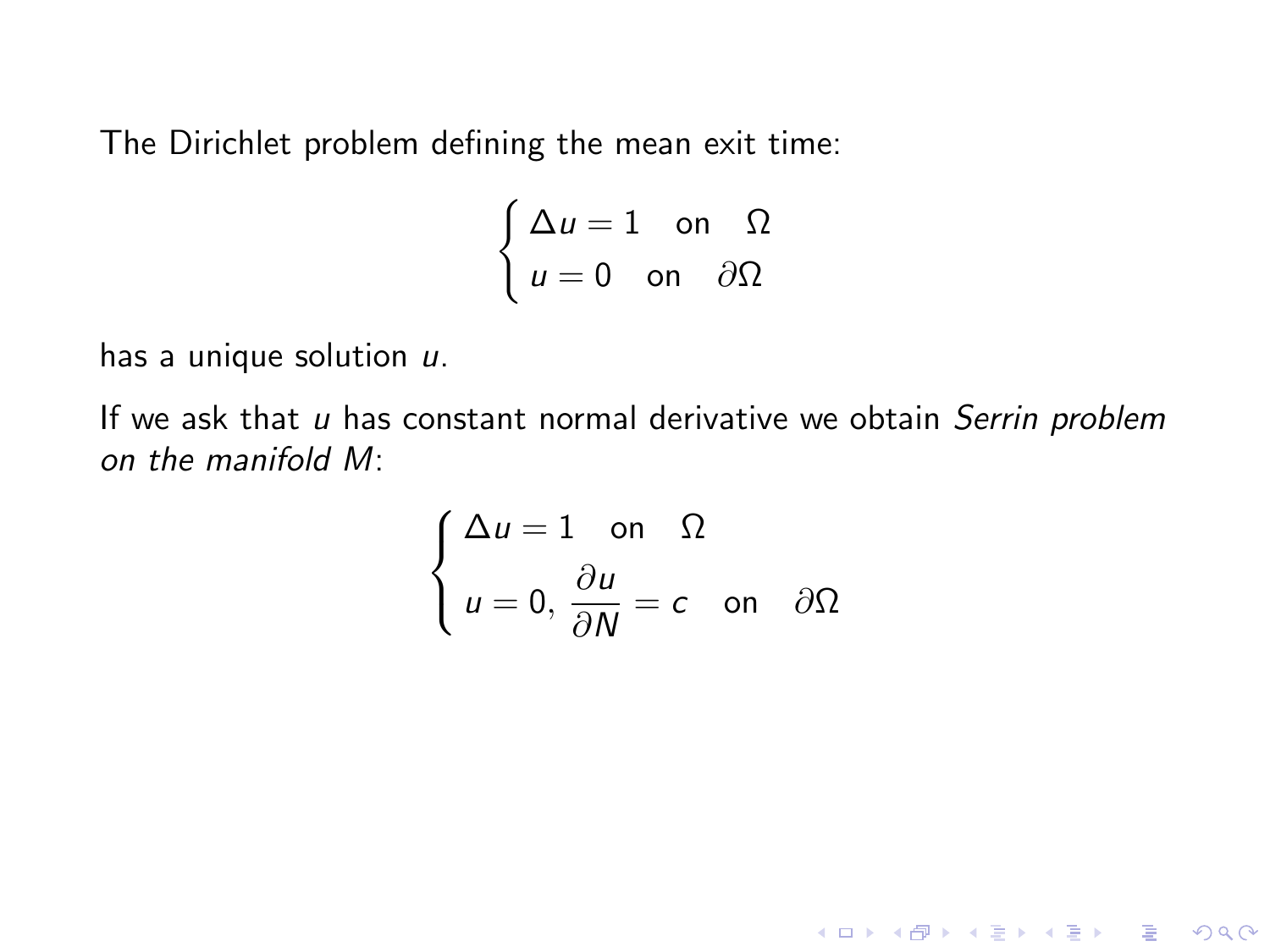The Dirichlet problem defining the mean exit time:

$$
\begin{cases} \Delta u = 1 & \text{on } \ \Omega \\ u = 0 & \text{on } \partial\Omega \end{cases}
$$

has a unique solution  $u$ .

If we ask that  $u$  has constant normal derivative we obtain Serrin problem on the manifold M:

$$
\begin{cases} \Delta u = 1 \quad \text{on} \quad \Omega \\ u = 0, \frac{\partial u}{\partial N} = c \quad \text{on} \quad \partial \Omega \end{cases}
$$

K ロ ▶ K @ ▶ K 할 ▶ K 할 ▶ | 할 | © 9 Q @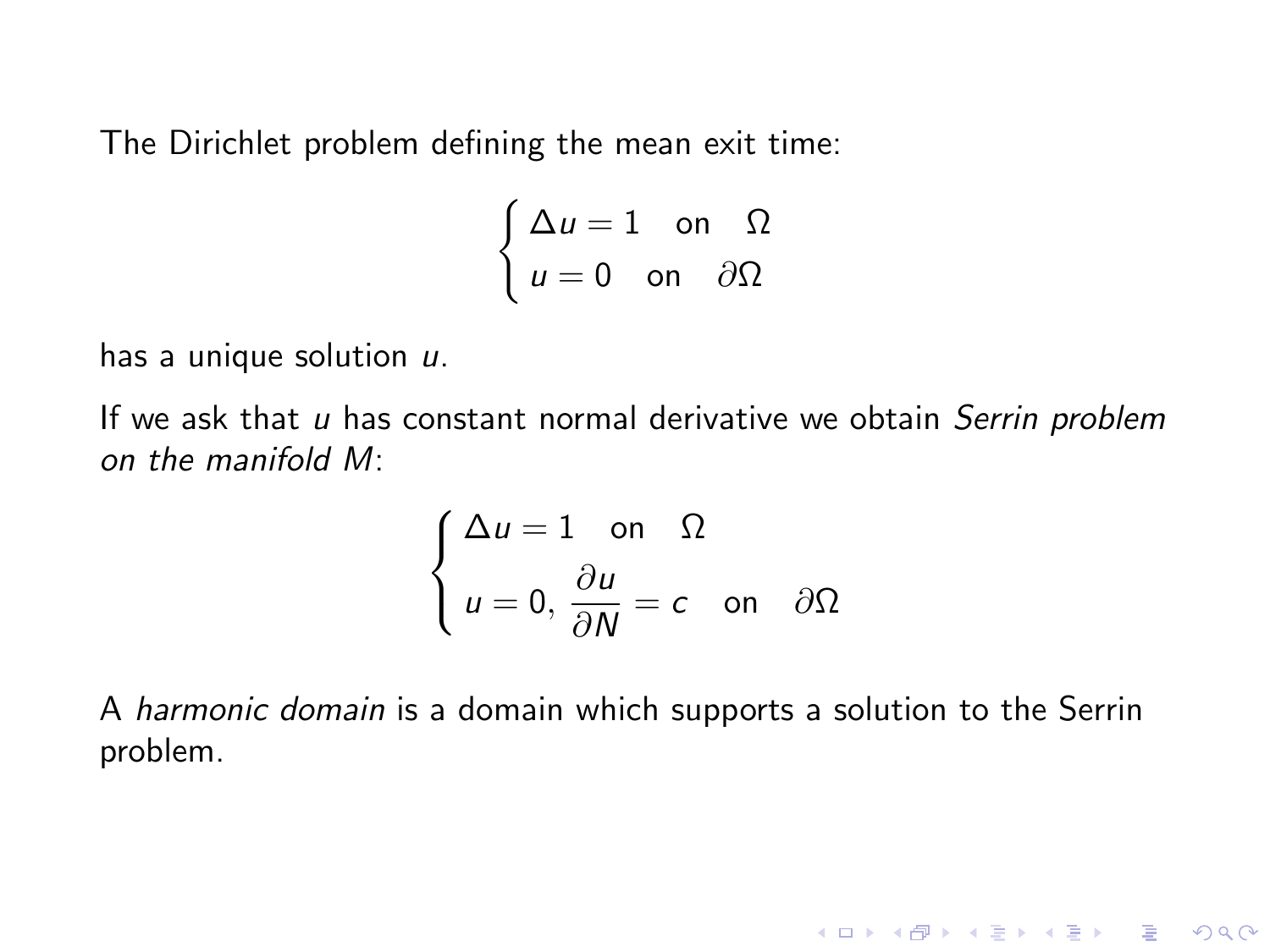The Dirichlet problem defining the mean exit time:

$$
\begin{cases} \Delta u = 1 & \text{on } \ \Omega \\ u = 0 & \text{on } \partial\Omega \end{cases}
$$

has a unique solution  $u$ .

If we ask that  $u$  has constant normal derivative we obtain Serrin problem on the manifold M:

$$
\begin{cases} \Delta u = 1 \quad \text{on} \quad \Omega \\ u = 0, \frac{\partial u}{\partial N} = c \quad \text{on} \quad \partial \Omega \end{cases}
$$

A harmonic domain is a domain which supports a solution to the Serrin problem.

K ロ ▶ K @ ▶ K 할 ▶ K 할 ▶ | 할 | © 9 Q @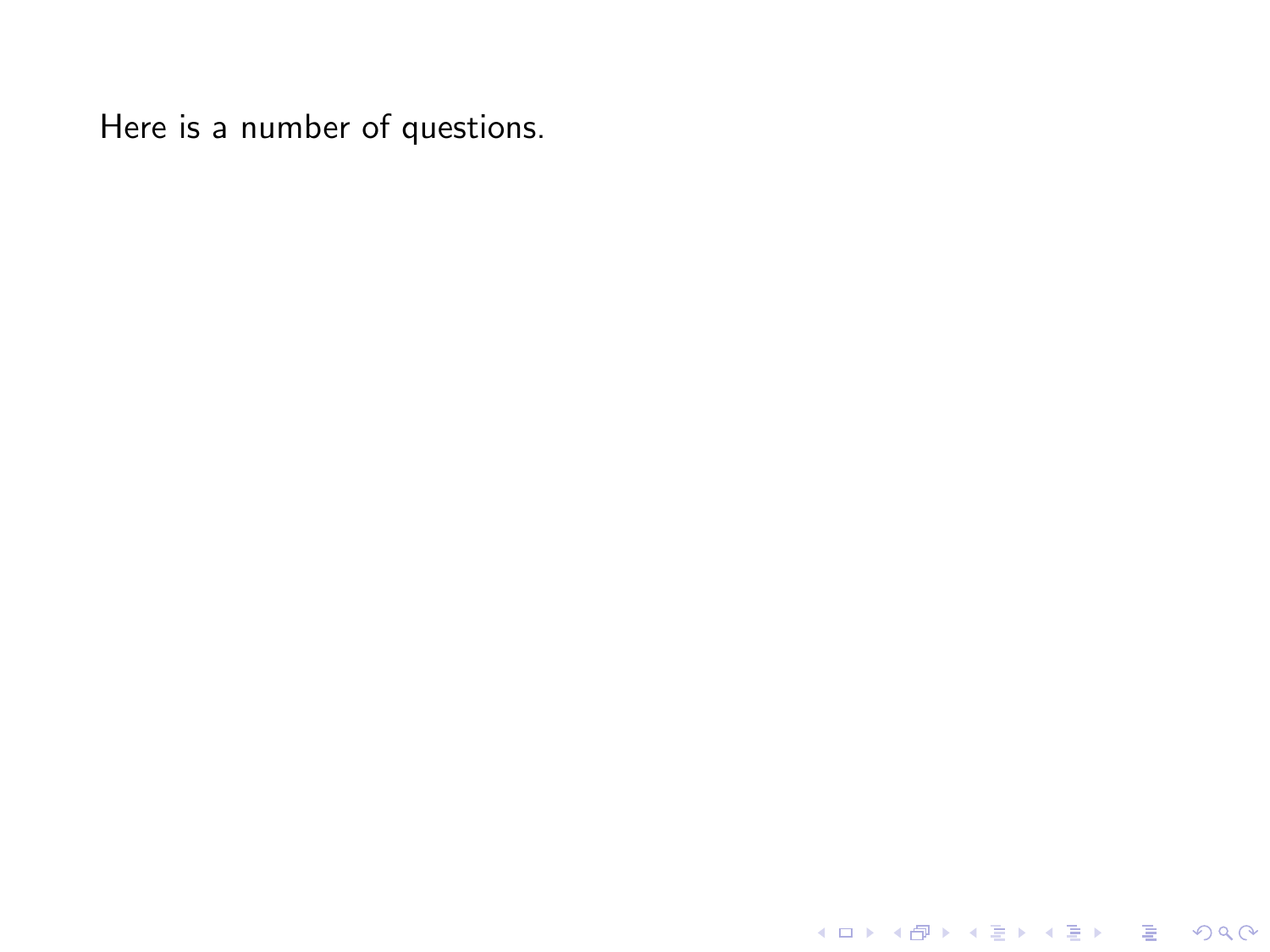K ロ ▶ K @ ▶ K 할 ▶ K 할 ▶ ... 할 ... 9 Q Q ·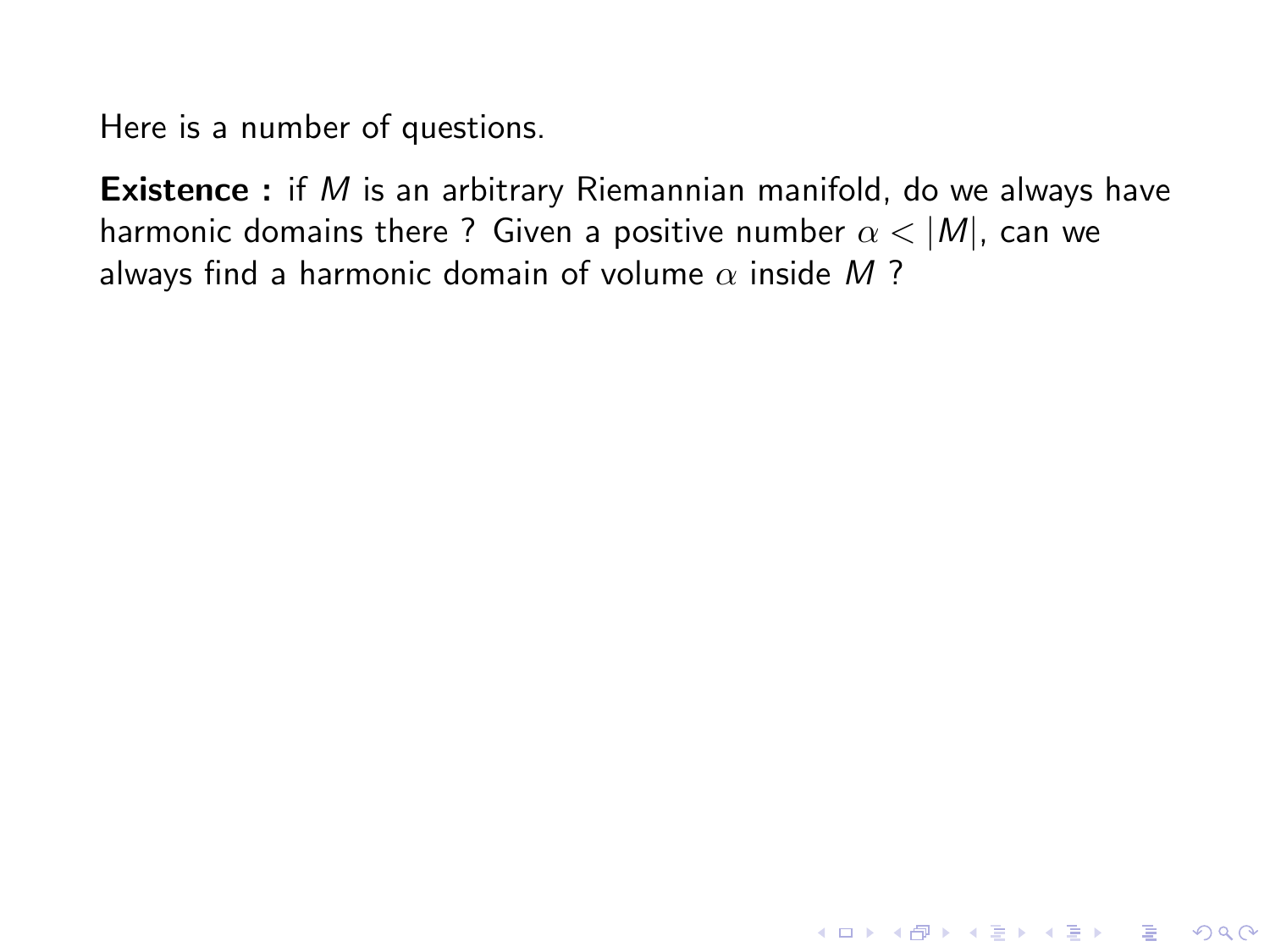**Existence** : if M is an arbitrary Riemannian manifold, do we always have harmonic domains there ? Given a positive number  $\alpha < |M|$ , can we always find a harmonic domain of volume  $\alpha$  inside M?

K ロ ▶ K @ ▶ K 할 ▶ K 할 ▶ | 할 | © 9 Q @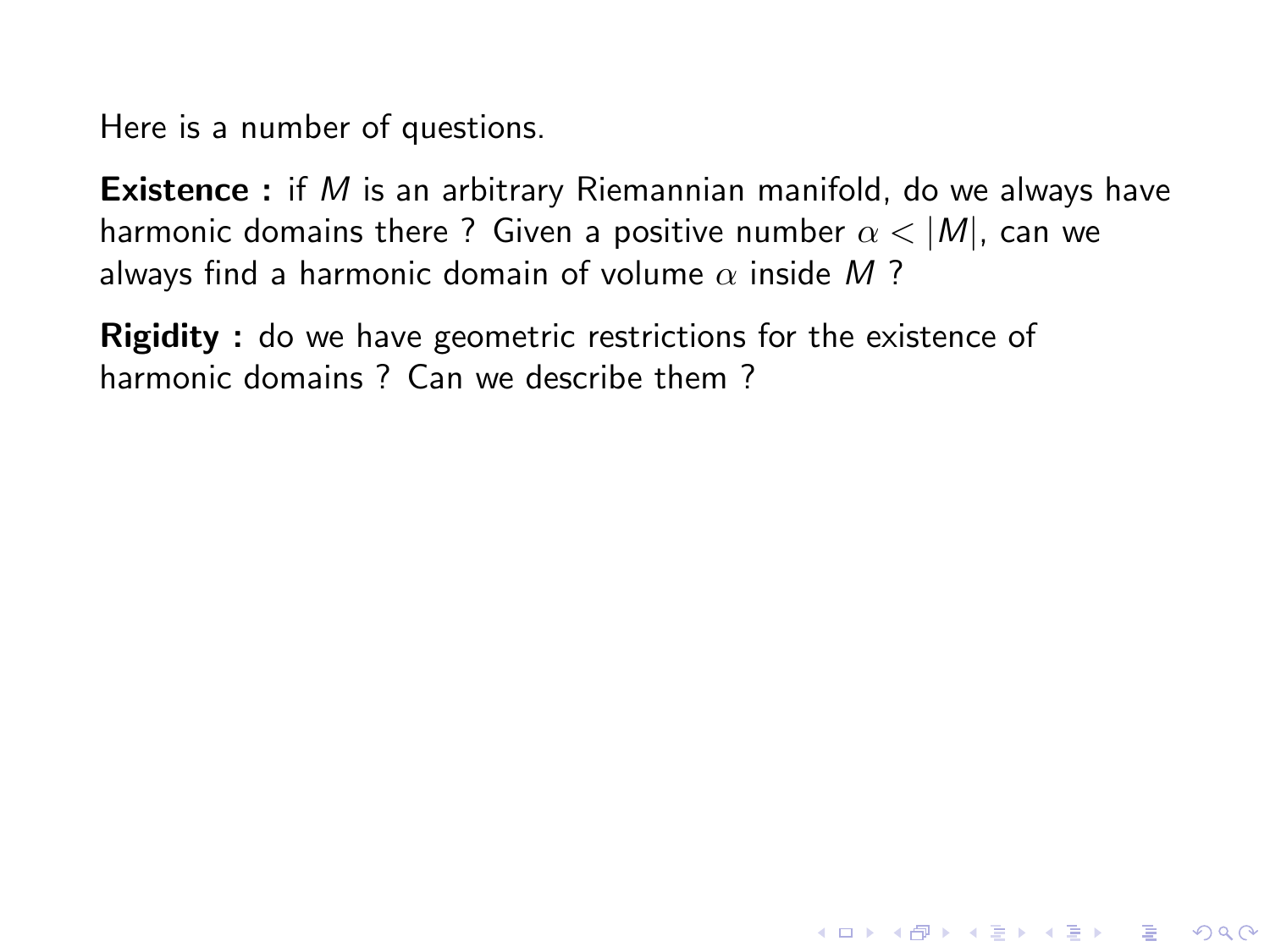**Existence** : if M is an arbitrary Riemannian manifold, do we always have harmonic domains there ? Given a positive number  $\alpha$  < |M|, can we always find a harmonic domain of volume  $\alpha$  inside M?

**KORK STRATER STRAKER** 

**Rigidity**: do we have geometric restrictions for the existence of harmonic domains ? Can we describe them ?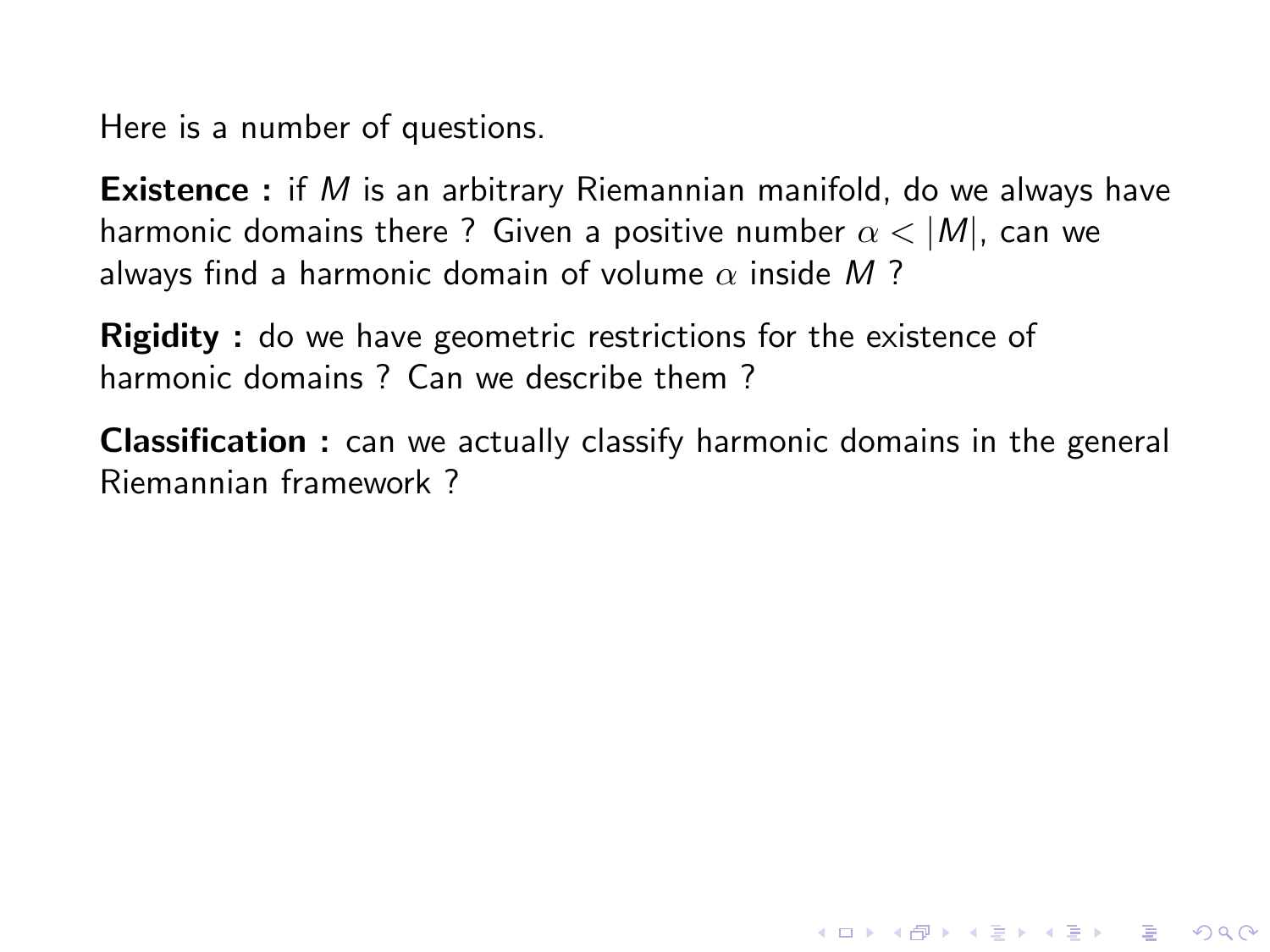**Existence** : if M is an arbitrary Riemannian manifold, do we always have harmonic domains there ? Given a positive number  $\alpha$  < |M|, can we always find a harmonic domain of volume  $\alpha$  inside M?

**Rigidity**: do we have geometric restrictions for the existence of harmonic domains ? Can we describe them ?

Classification : can we actually classify harmonic domains in the general Riemannian framework ?

**KORK STRATER STRAKER**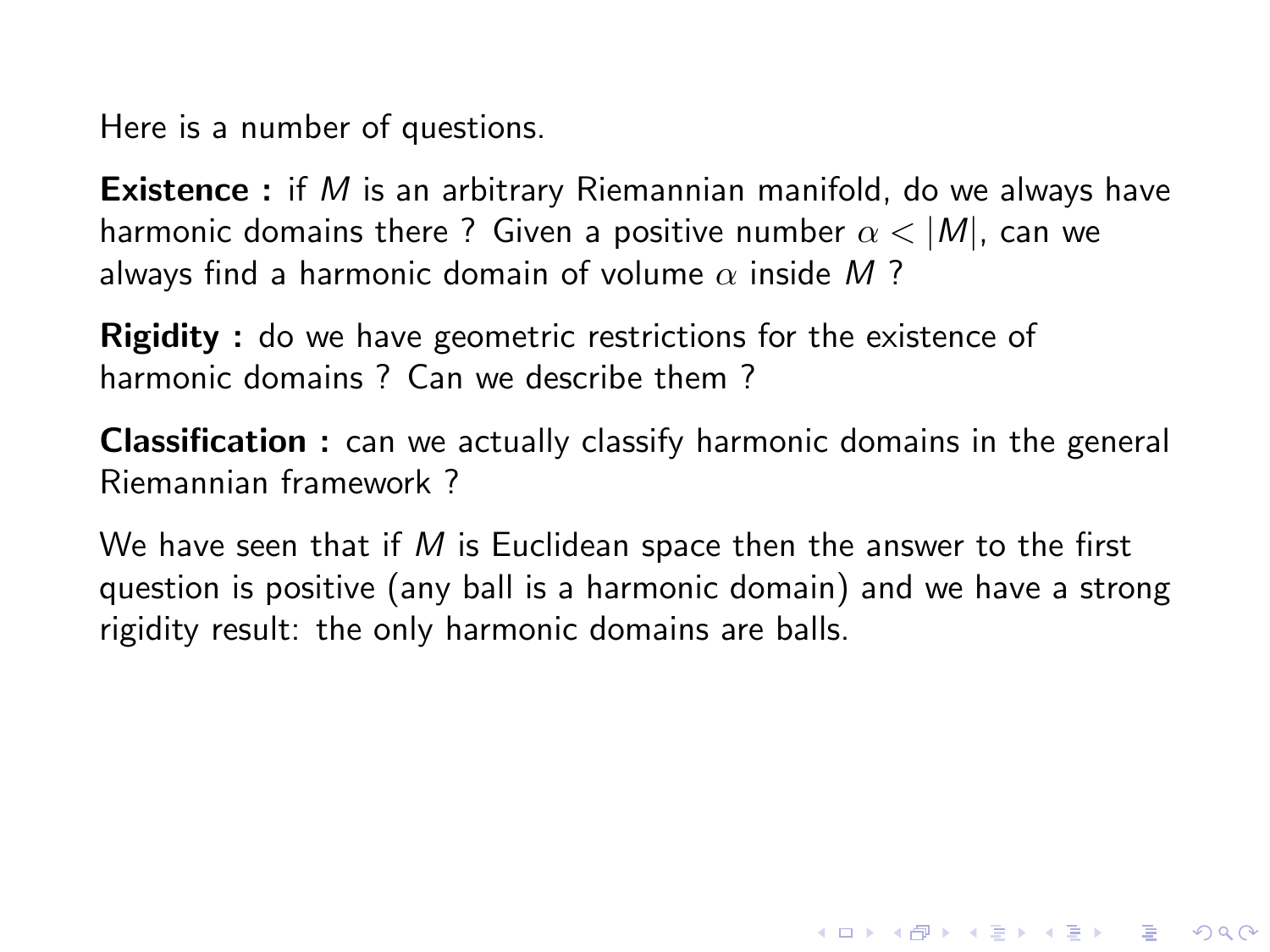**Existence** : if M is an arbitrary Riemannian manifold, do we always have harmonic domains there ? Given a positive number  $\alpha$  < |M|, can we always find a harmonic domain of volume  $\alpha$  inside M?

**Rigidity**: do we have geometric restrictions for the existence of harmonic domains ? Can we describe them ?

Classification : can we actually classify harmonic domains in the general Riemannian framework ?

We have seen that if  $M$  is Euclidean space then the answer to the first question is positive (any ball is a harmonic domain) and we have a strong rigidity result: the only harmonic domains are balls.

**KORK STRATER STRAKER**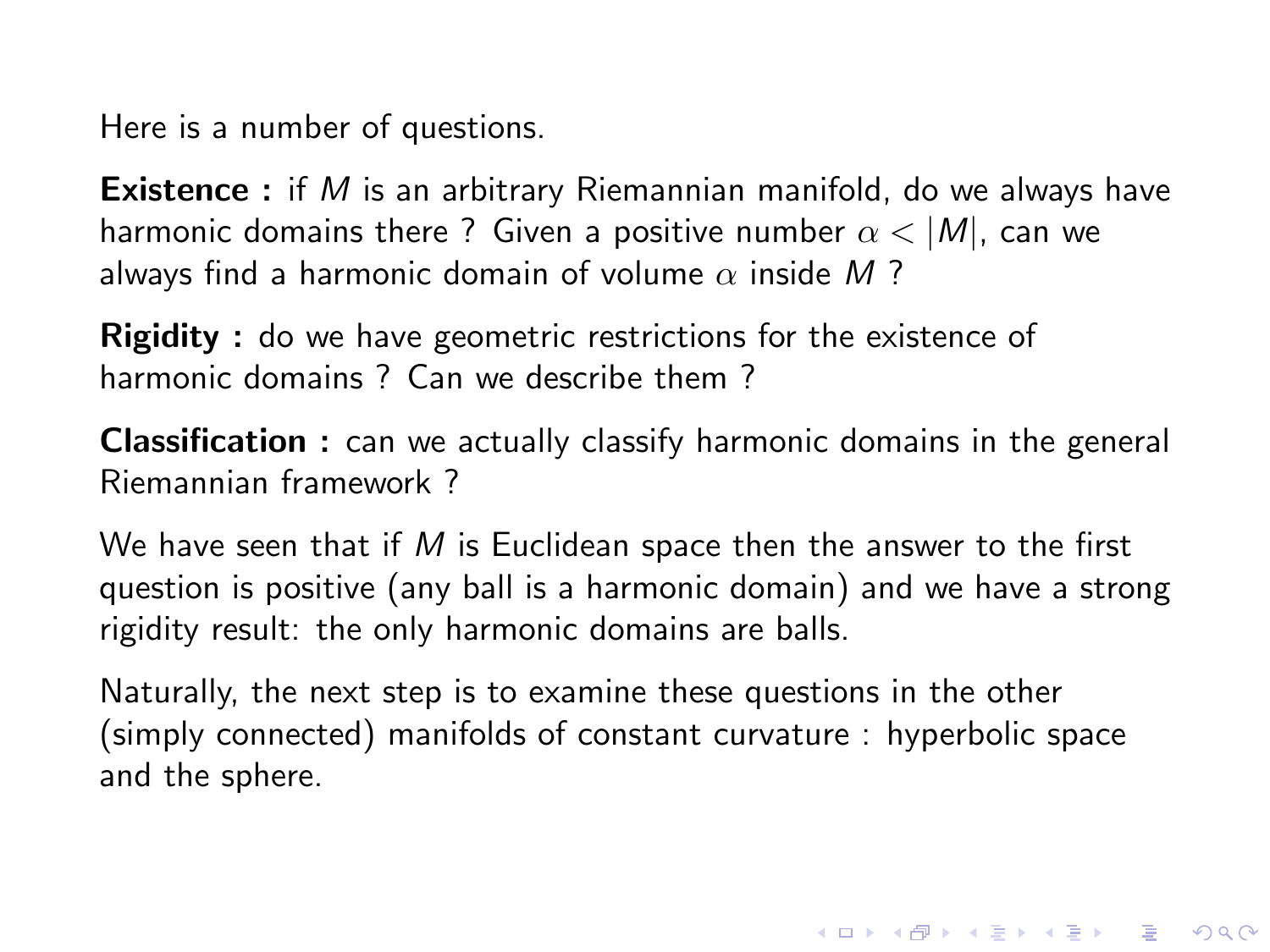**Existence** : if M is an arbitrary Riemannian manifold, do we always have harmonic domains there ? Given a positive number  $\alpha$  < |M|, can we always find a harmonic domain of volume  $\alpha$  inside M?

Rigidity : do we have geometric restrictions for the existence of harmonic domains ? Can we describe them ?

Classification : can we actually classify harmonic domains in the general Riemannian framework ?

We have seen that if  $M$  is Euclidean space then the answer to the first question is positive (any ball is a harmonic domain) and we have a strong rigidity result: the only harmonic domains are balls.

Naturally, the next step is to examine these questions in the other (simply connected) manifolds of constant curvature : hyperbolic space and the sphere.

**KORKAR KERKER E VOOR**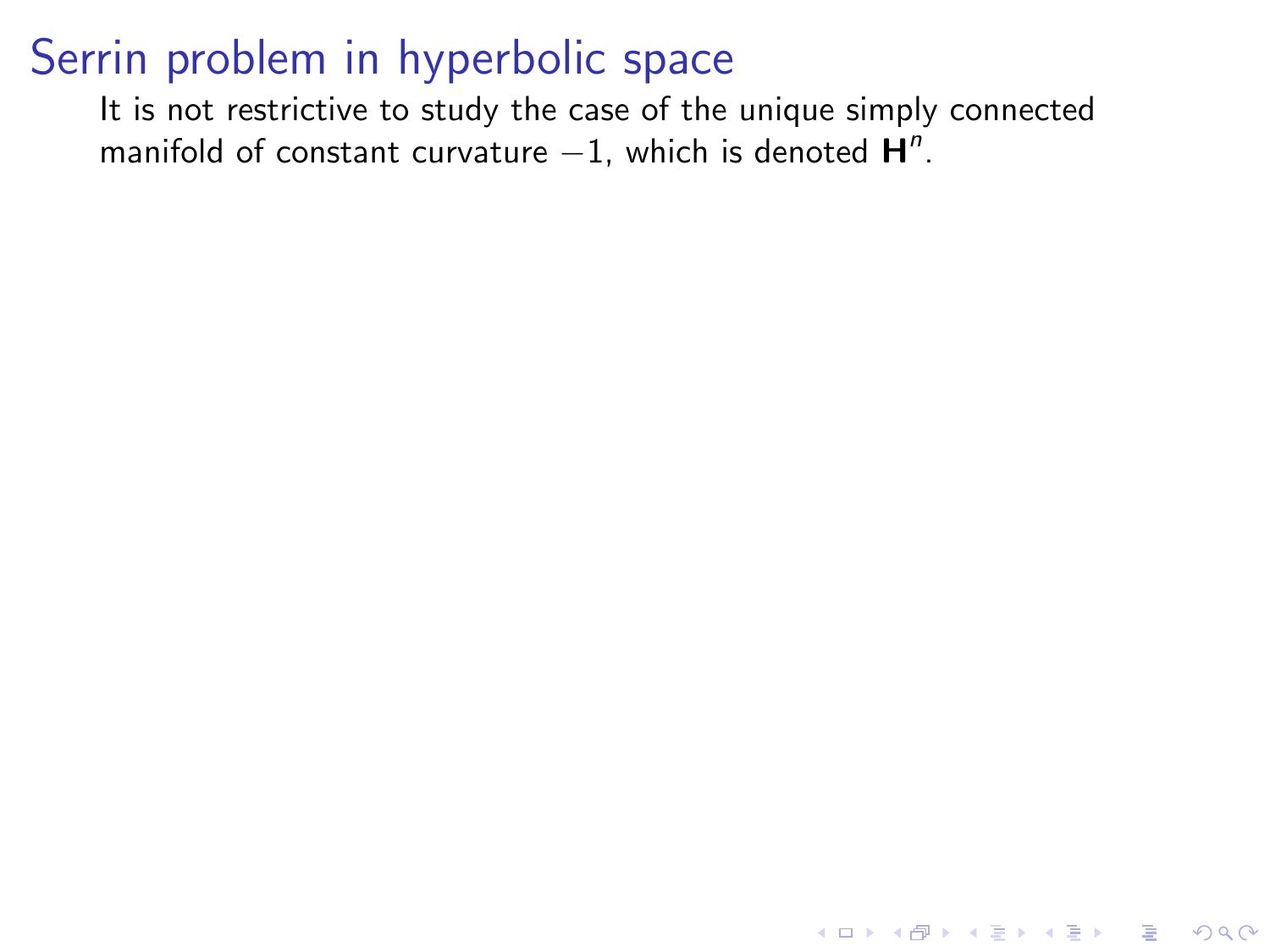It is not restrictive to study the case of the unique simply connected manifold of constant curvature  $-1$ , which is denoted  $H^n$ .

K ロ ▶ K @ ▶ K 할 ▶ K 할 ▶ | 할 | © 9 Q @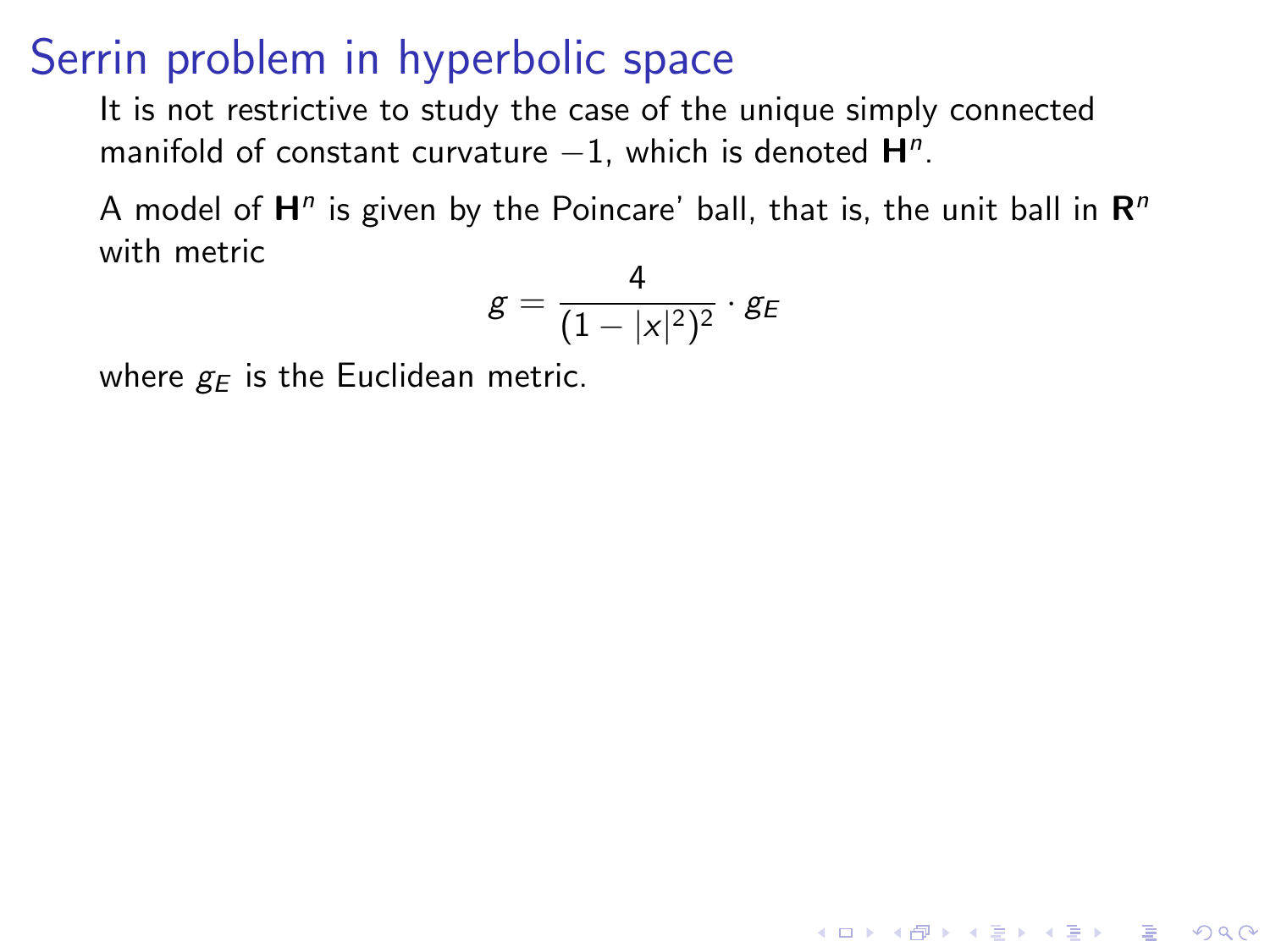It is not restrictive to study the case of the unique simply connected manifold of constant curvature  $-1$ , which is denoted  $H<sup>n</sup>$ .

A model of  $\mathsf{H}^n$  is given by the Poincare' ball, that is, the unit ball in  $\mathsf{R}^n$ with metric

$$
\mathsf{g} = \frac{4}{(1-|x|^2)^2} \cdot \mathsf{g}_E
$$

**KORK ERKER ADE YOUR** 

where  $g_F$  is the Euclidean metric.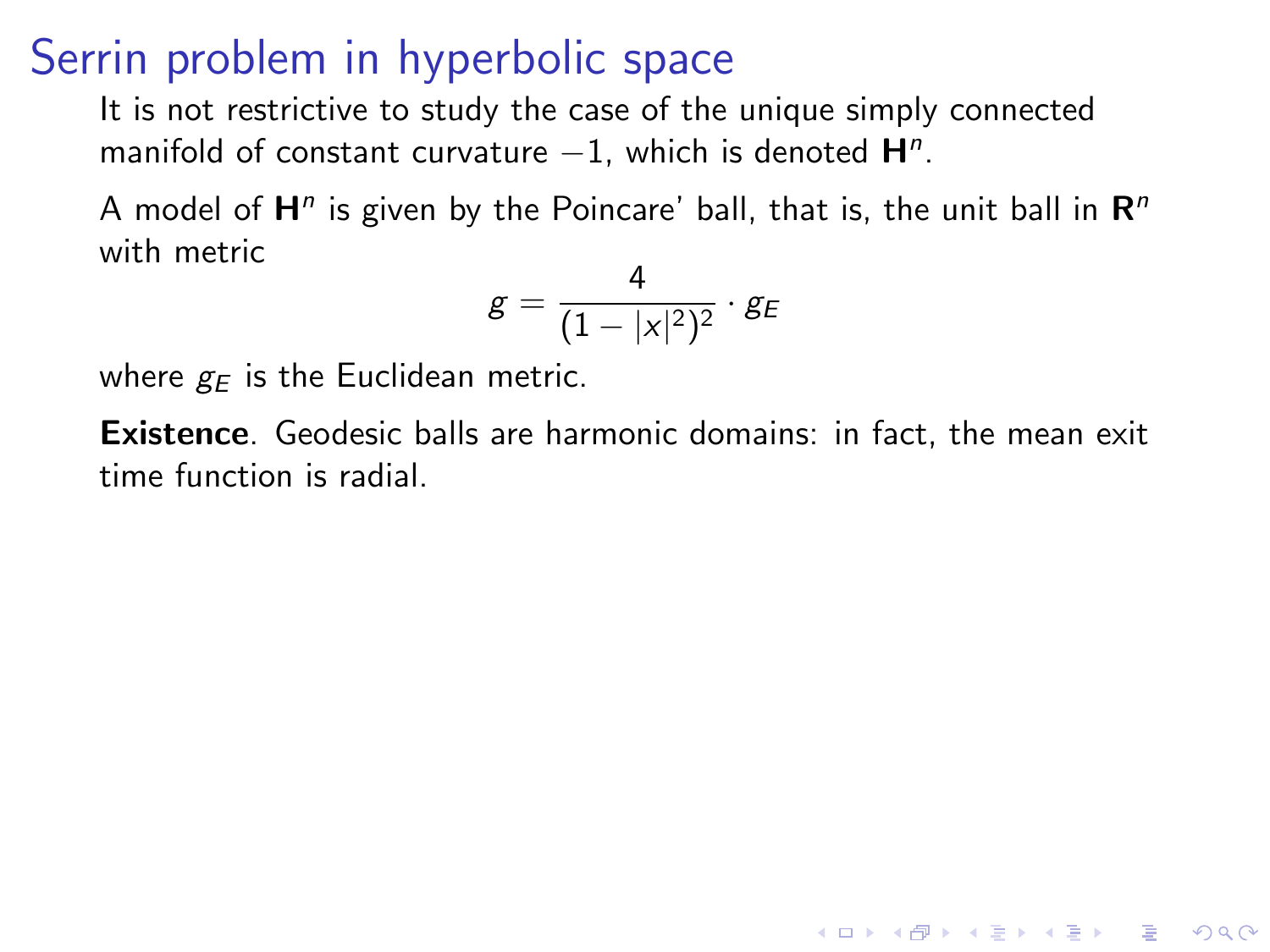<span id="page-15-0"></span>It is not restrictive to study the case of the unique simply connected manifold of constant curvature  $-1$ , which is denoted  $H<sup>n</sup>$ .

A model of  $\mathsf{H}^n$  is given by the Poincare' ball, that is, the unit ball in  $\mathsf{R}^n$ with metric

$$
g=\frac{4}{(1-|x|^2)^2}\cdot g_E
$$

where  $g_F$  is the Euclidean metric.

Existence. Geodesic balls are harmonic domains: in fact, the mean exit time function is radial.

**KORK ERKER ADE YOUR**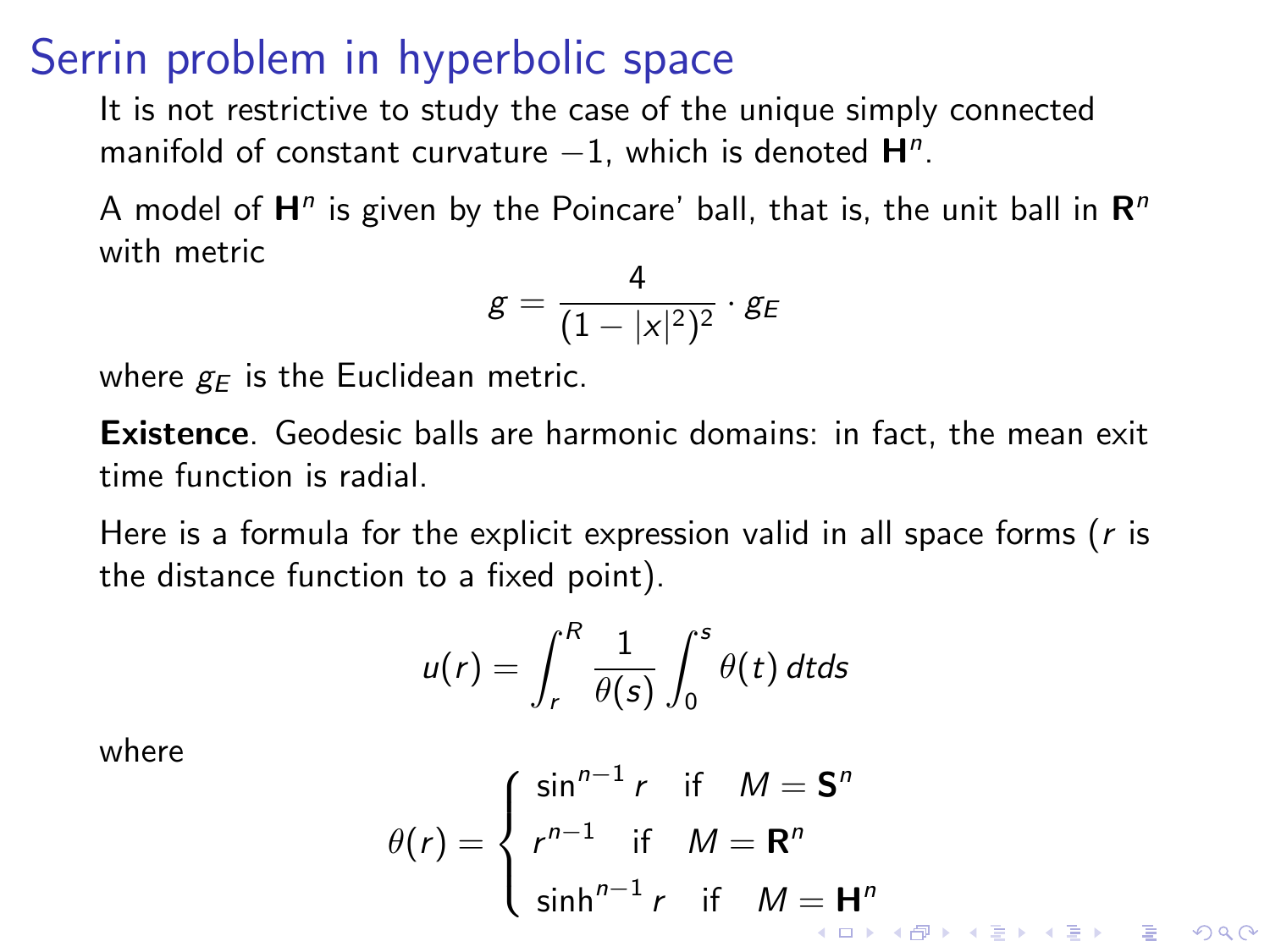It is not restrictive to study the case of the unique simply connected manifold of constant curvature  $-1$ , which is denoted  $H<sup>n</sup>$ .

A model of  $\mathsf{H}^n$  is given by the Poincare' ball, that is, the unit ball in  $\mathsf{R}^n$ with metric

$$
g=\frac{4}{(1-|x|^2)^2}\cdot g_E
$$

where  $g_F$  is the Euclidean metric.

Existence. Geodesic balls are harmonic domains: in fact, the mean exit time function is radial.

Here is a formula for the explicit expression valid in all space forms ( $r$  is the distance function to a fixed point).

$$
u(r) = \int_r^R \frac{1}{\theta(s)} \int_0^s \theta(t) dt ds
$$

where

$$
\theta(r) = \begin{cases} \sin^{n-1} r & \text{if } M = \mathbf{S}^n \\ r^{n-1} & \text{if } M = \mathbf{R}^n \\ \sinh^{n-1} r & \text{if } M = \mathbf{H}^n \end{cases}
$$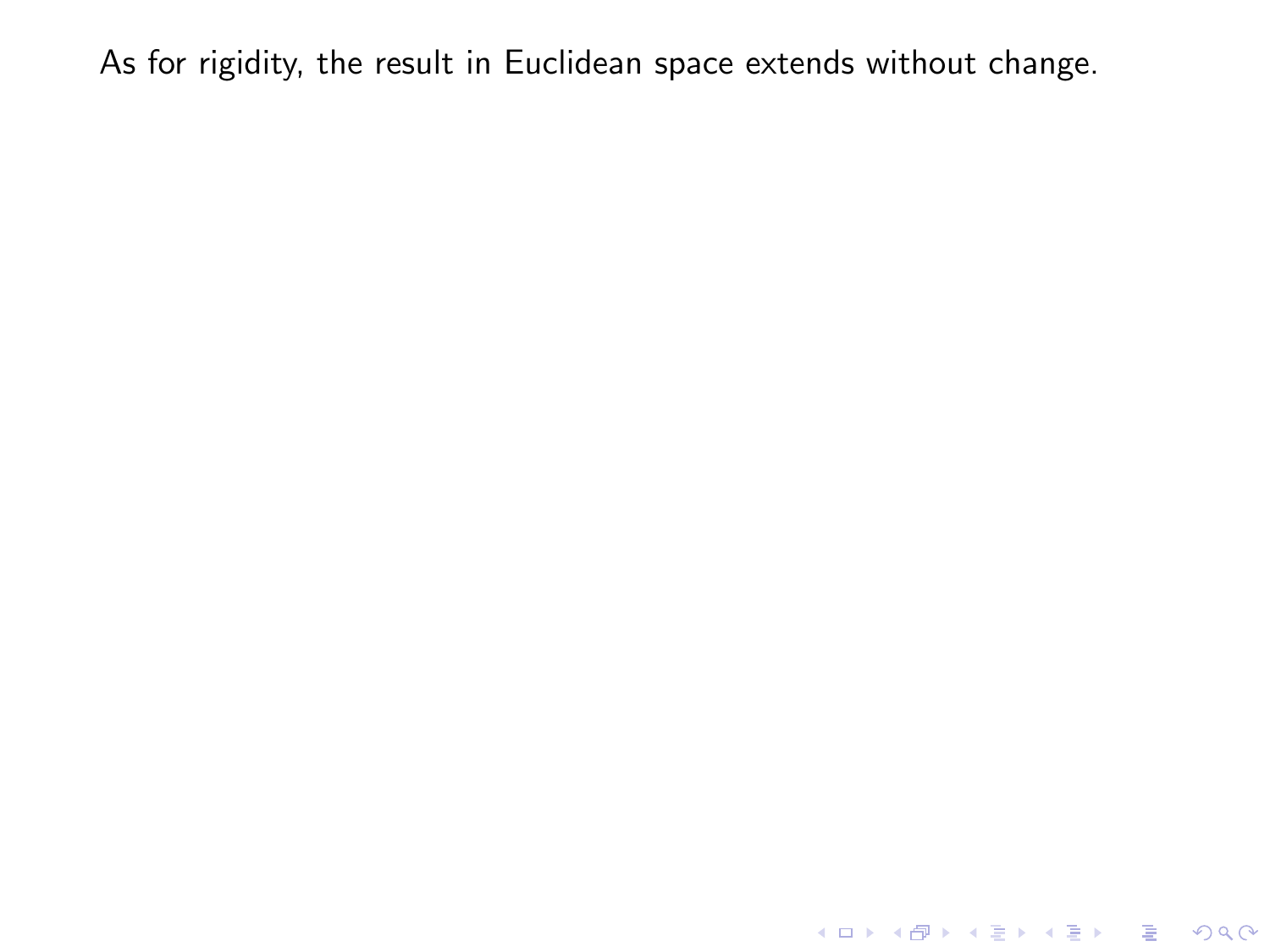<span id="page-17-0"></span>K ロ ▶ K @ ▶ K 할 ▶ K 할 ▶ ... 할 ... 9 Q Q ·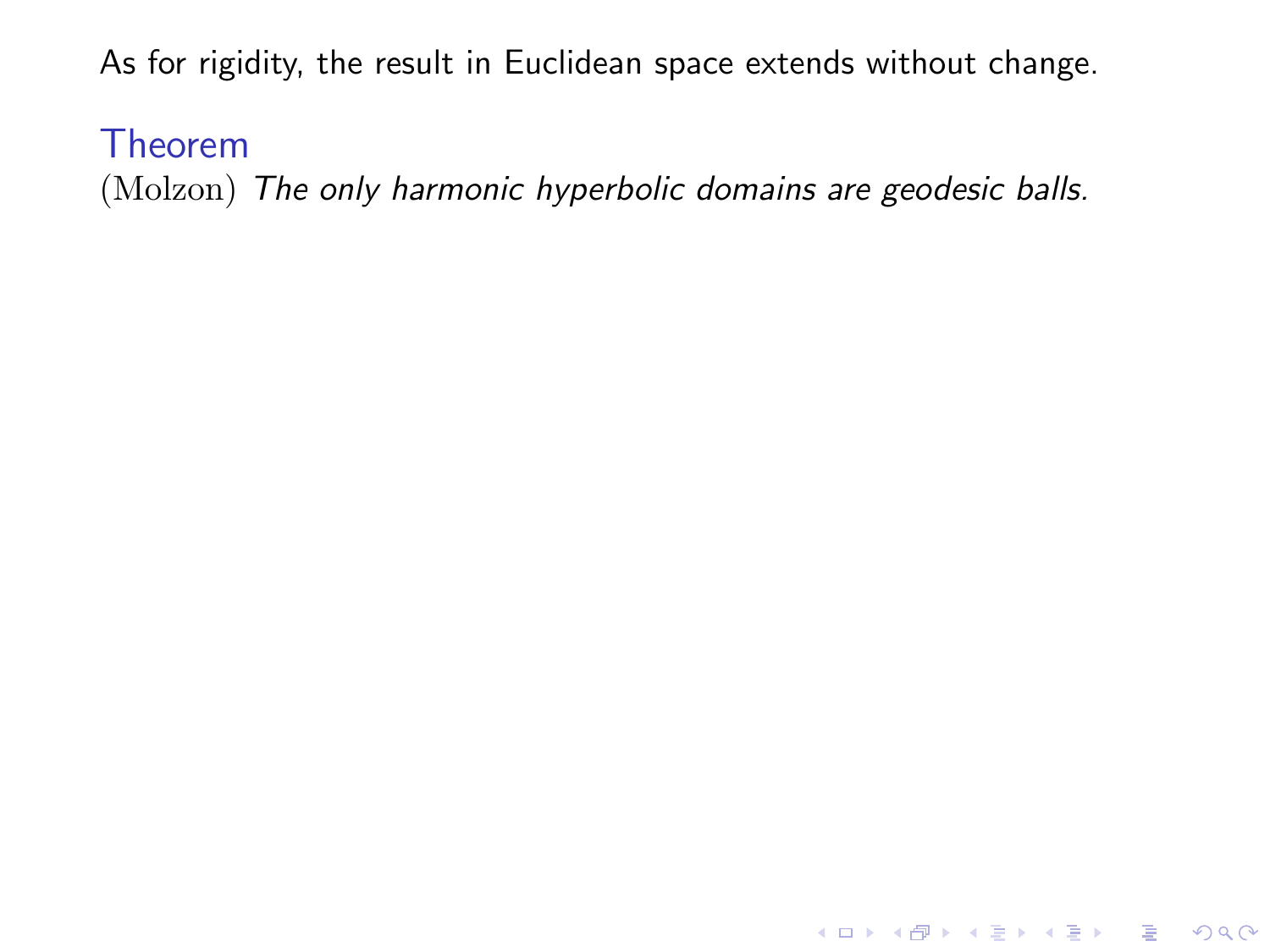#### Theorem

(Molzon) The only harmonic hyperbolic domains are geodesic balls.

KO KKOK KEK KEK LE I KORO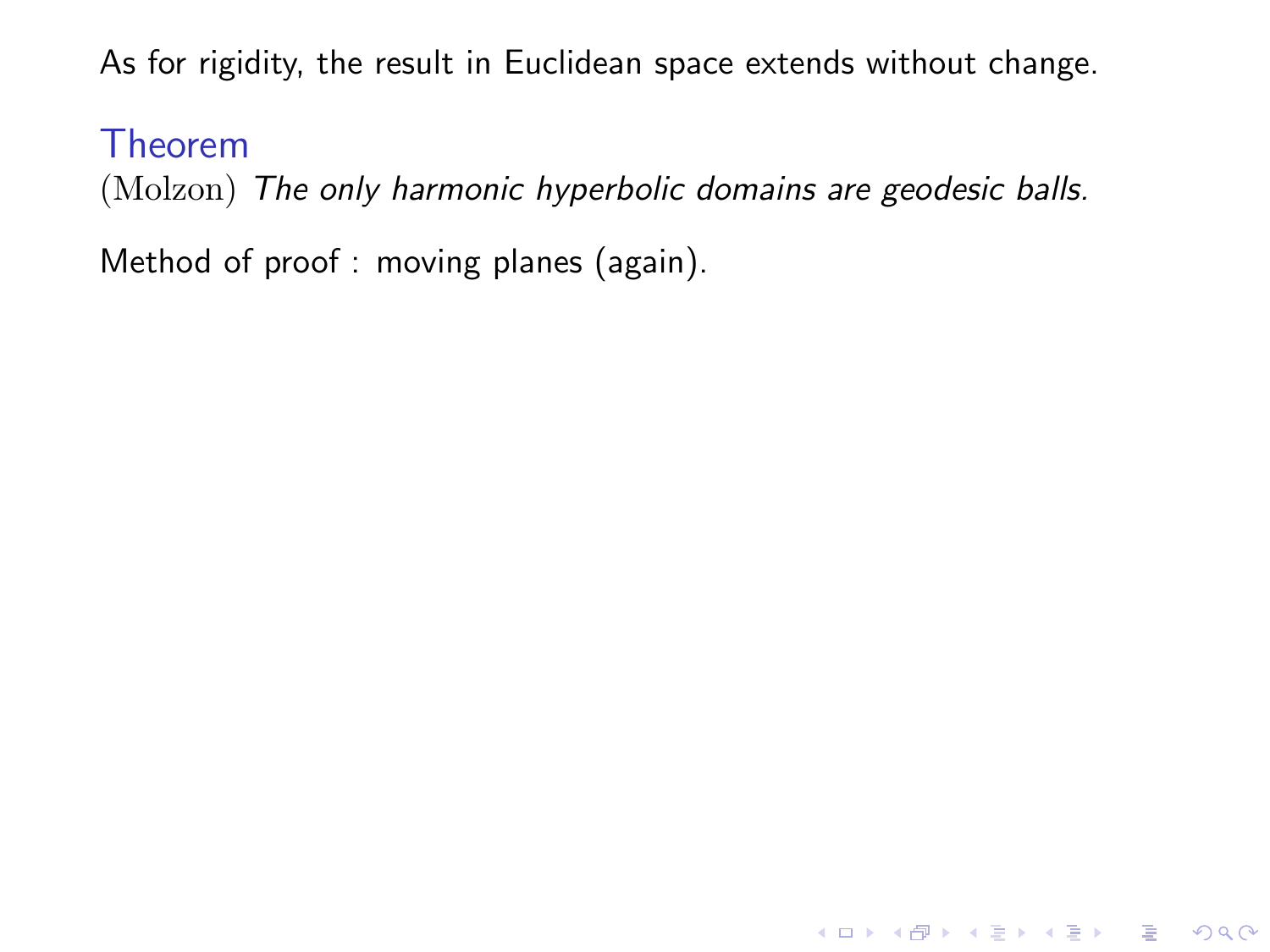Theorem

(Molzon) The only harmonic hyperbolic domains are geodesic balls.

**K ロ ▶ K @ ▶ K 할 X X 할 X 및 할 X X Q Q O** 

Method of proof : moving planes (again).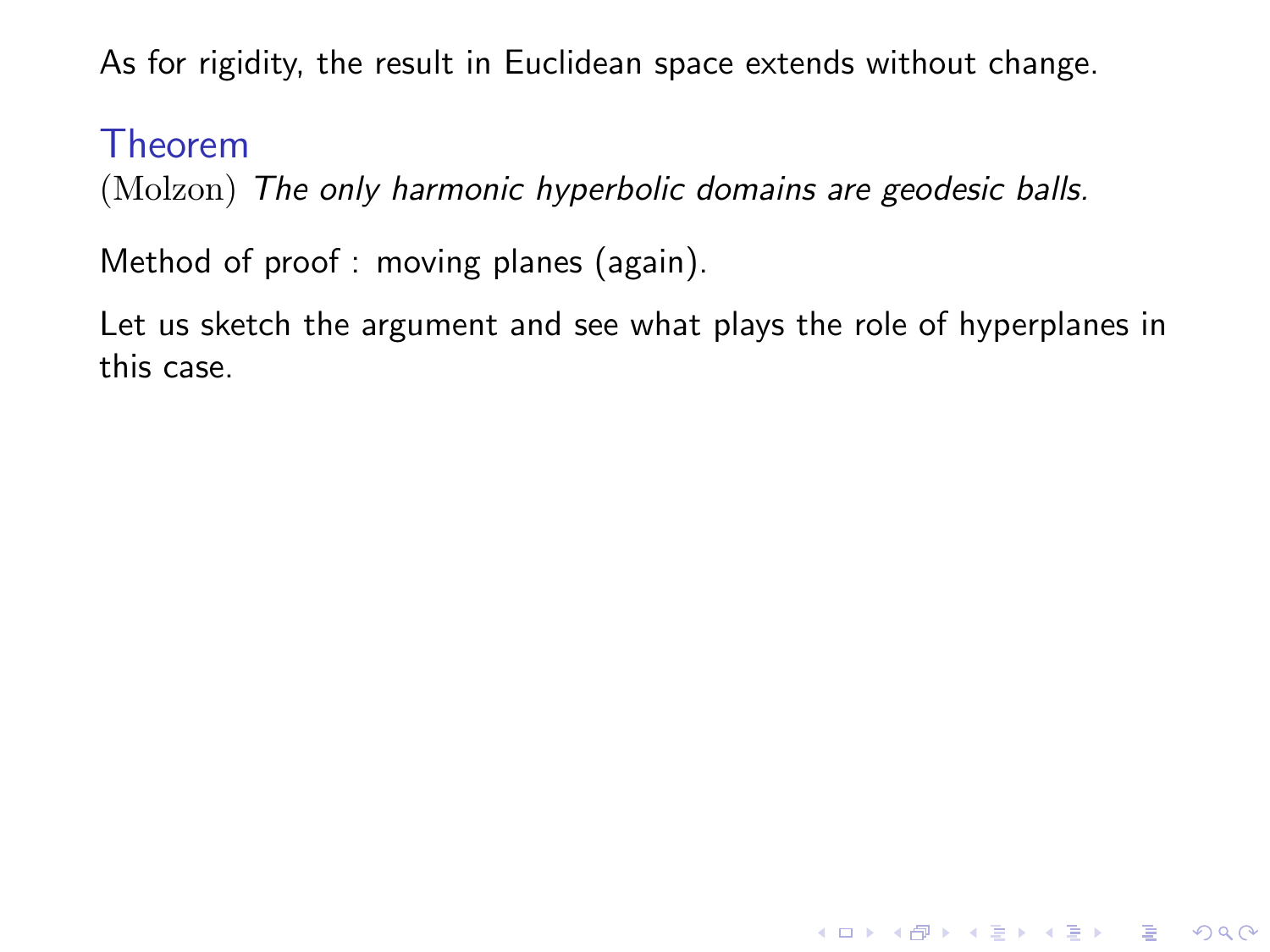#### Theorem

(Molzon) The only harmonic hyperbolic domains are geodesic balls.

Method of proof : moving planes (again).

Let us sketch the argument and see what plays the role of hyperplanes in this case.

K ロ ▶ K @ ▶ K 할 > K 할 > 1 할 > 1 이익어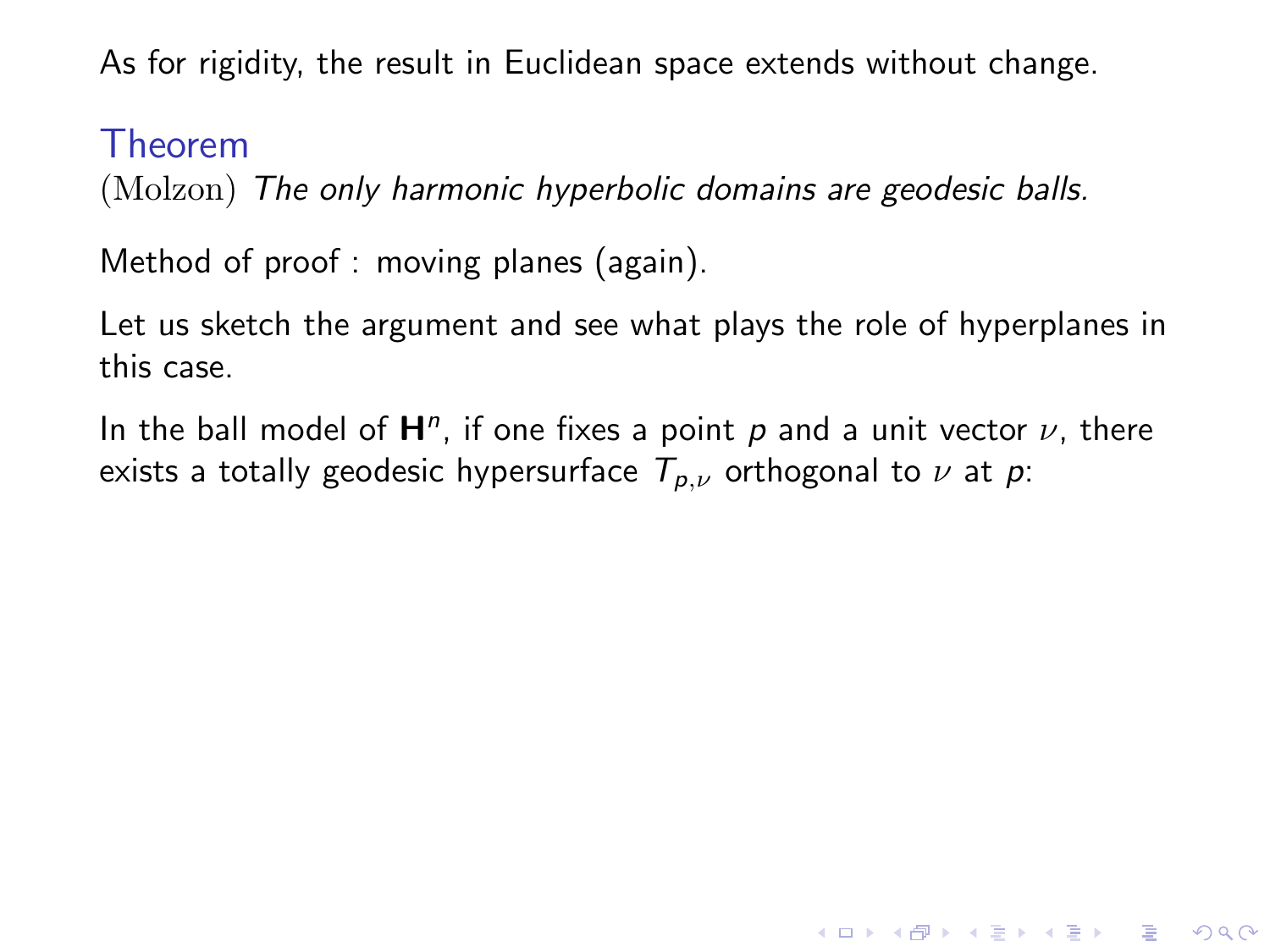#### Theorem

(Molzon) The only harmonic hyperbolic domains are geodesic balls.

Method of proof : moving planes (again).

Let us sketch the argument and see what plays the role of hyperplanes in this case.

In the ball model of  $H<sup>n</sup>$ , if one fixes a point p and a unit vector  $\nu$ , there exists a totally geodesic hypersurface  $T_{p,\nu}$  orthogonal to  $\nu$  at p:

**KORKAR KERKER E VOOR**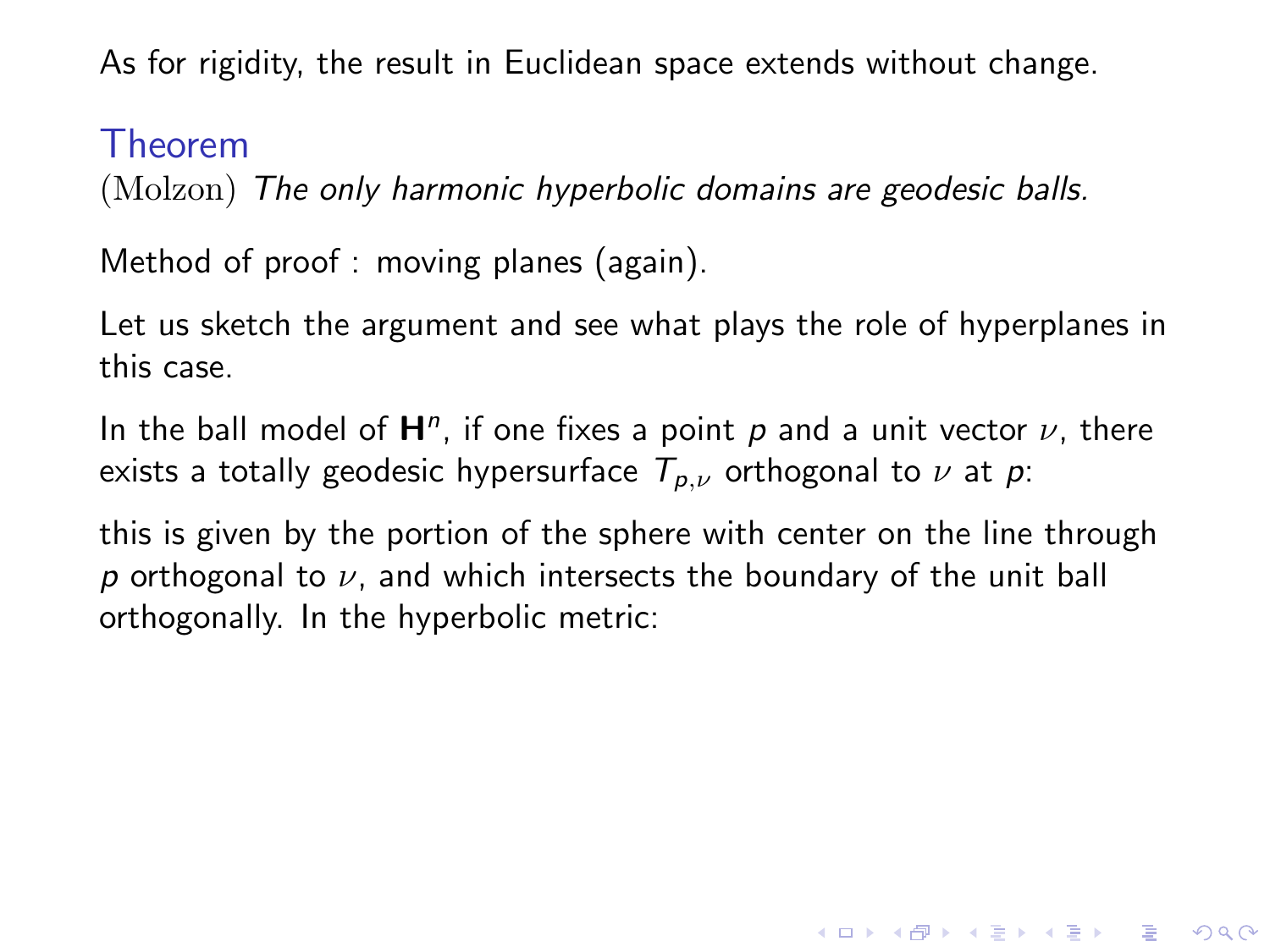#### Theorem

(Molzon) The only harmonic hyperbolic domains are geodesic balls.

Method of proof : moving planes (again).

Let us sketch the argument and see what plays the role of hyperplanes in this case.

In the ball model of  $H<sup>n</sup>$ , if one fixes a point p and a unit vector  $\nu$ , there exists a totally geodesic hypersurface  $T_{p,\nu}$  orthogonal to  $\nu$  at p:

this is given by the portion of the sphere with center on the line through p orthogonal to  $\nu$ , and which intersects the boundary of the unit ball orthogonally. In the hyperbolic metric:

**KORKAR KERKER E VOOR**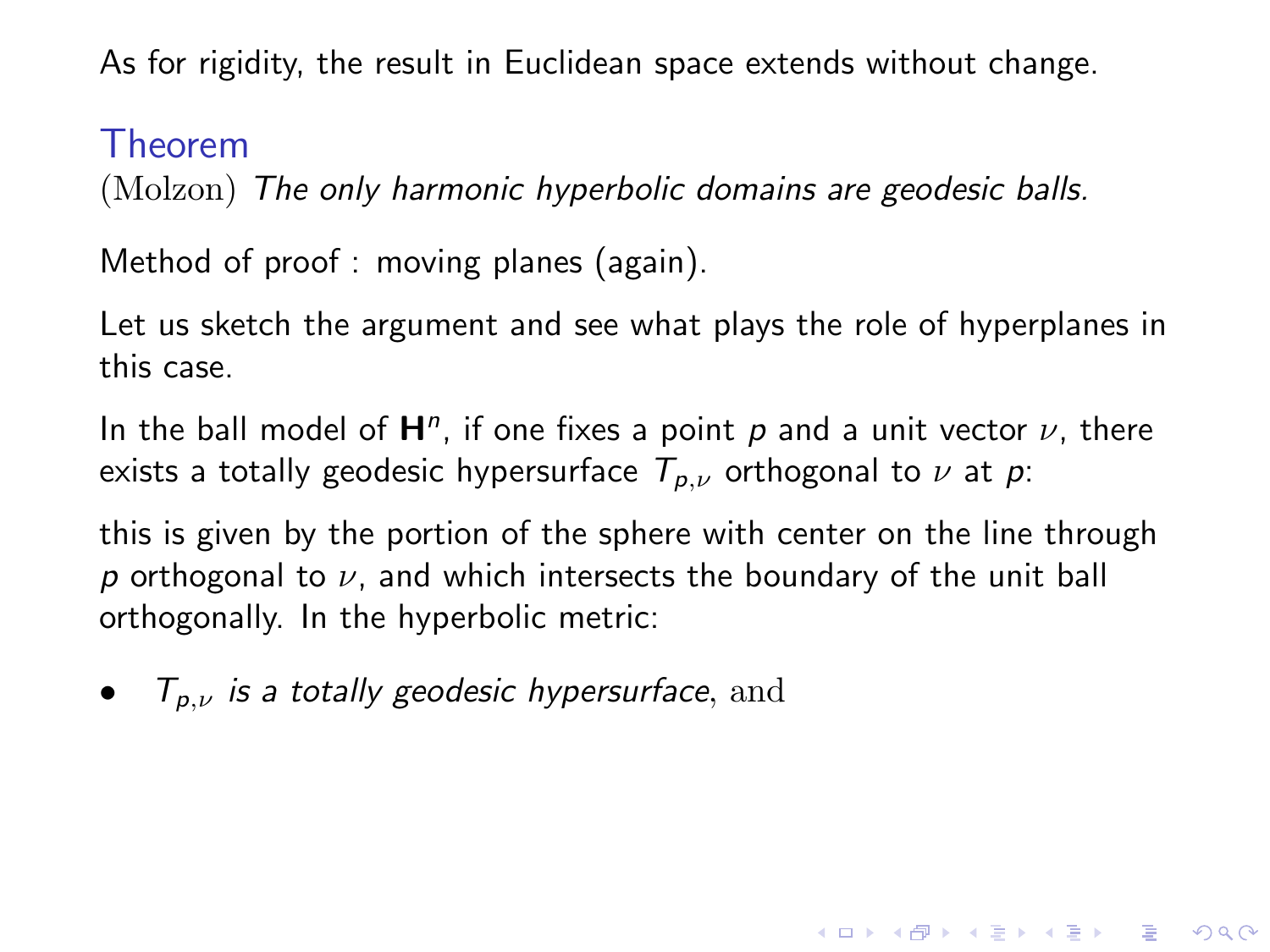#### Theorem

(Molzon) The only harmonic hyperbolic domains are geodesic balls.

Method of proof : moving planes (again).

Let us sketch the argument and see what plays the role of hyperplanes in this case.

In the ball model of  $H<sup>n</sup>$ , if one fixes a point p and a unit vector  $\nu$ , there exists a totally geodesic hypersurface  $T_{p,\nu}$  orthogonal to  $\nu$  at p:

this is given by the portion of the sphere with center on the line through p orthogonal to  $\nu$ , and which intersects the boundary of the unit ball orthogonally. In the hyperbolic metric:

**KORKAR KERKER E VOOR** 

•  $T_{p,\nu}$  is a totally geodesic hypersurface, and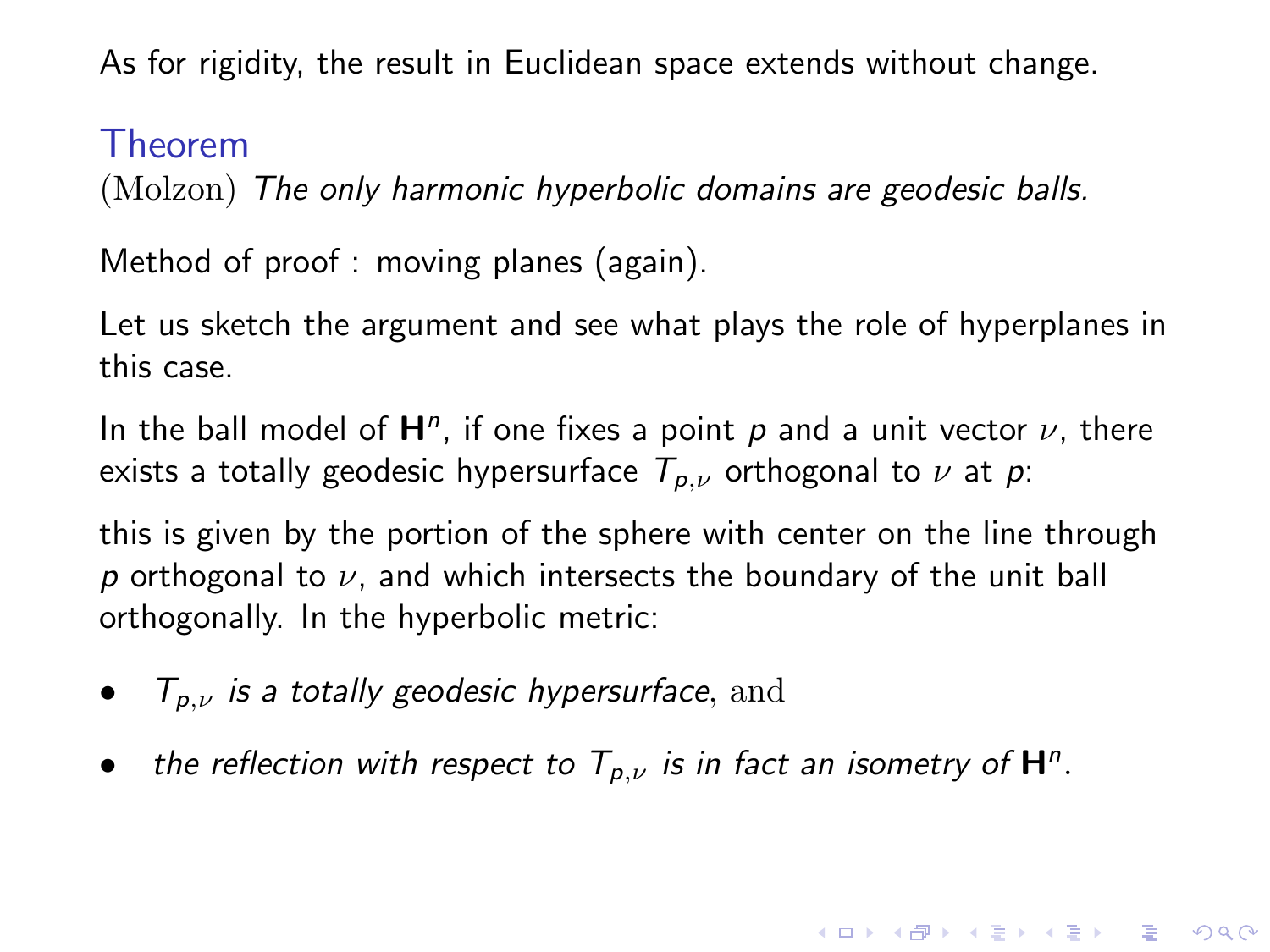#### Theorem

(Molzon) The only harmonic hyperbolic domains are geodesic balls.

Method of proof : moving planes (again).

Let us sketch the argument and see what plays the role of hyperplanes in this case.

In the ball model of  $H<sup>n</sup>$ , if one fixes a point p and a unit vector  $\nu$ , there exists a totally geodesic hypersurface  $T_{p,\nu}$  orthogonal to  $\nu$  at  $p$ :

this is given by the portion of the sphere with center on the line through  $p$  orthogonal to  $\nu$ , and which intersects the boundary of the unit ball orthogonally. In the hyperbolic metric:

4 D > 4 P + 4 B + 4 B + B + 9 Q O

- $\mathcal{T}_{p,\nu}$  is a totally geodesic hypersurface, and
- the reflection with respect to  $T_{p,\nu}$  is in fact an isometry of  $\mathsf{H}^n$ .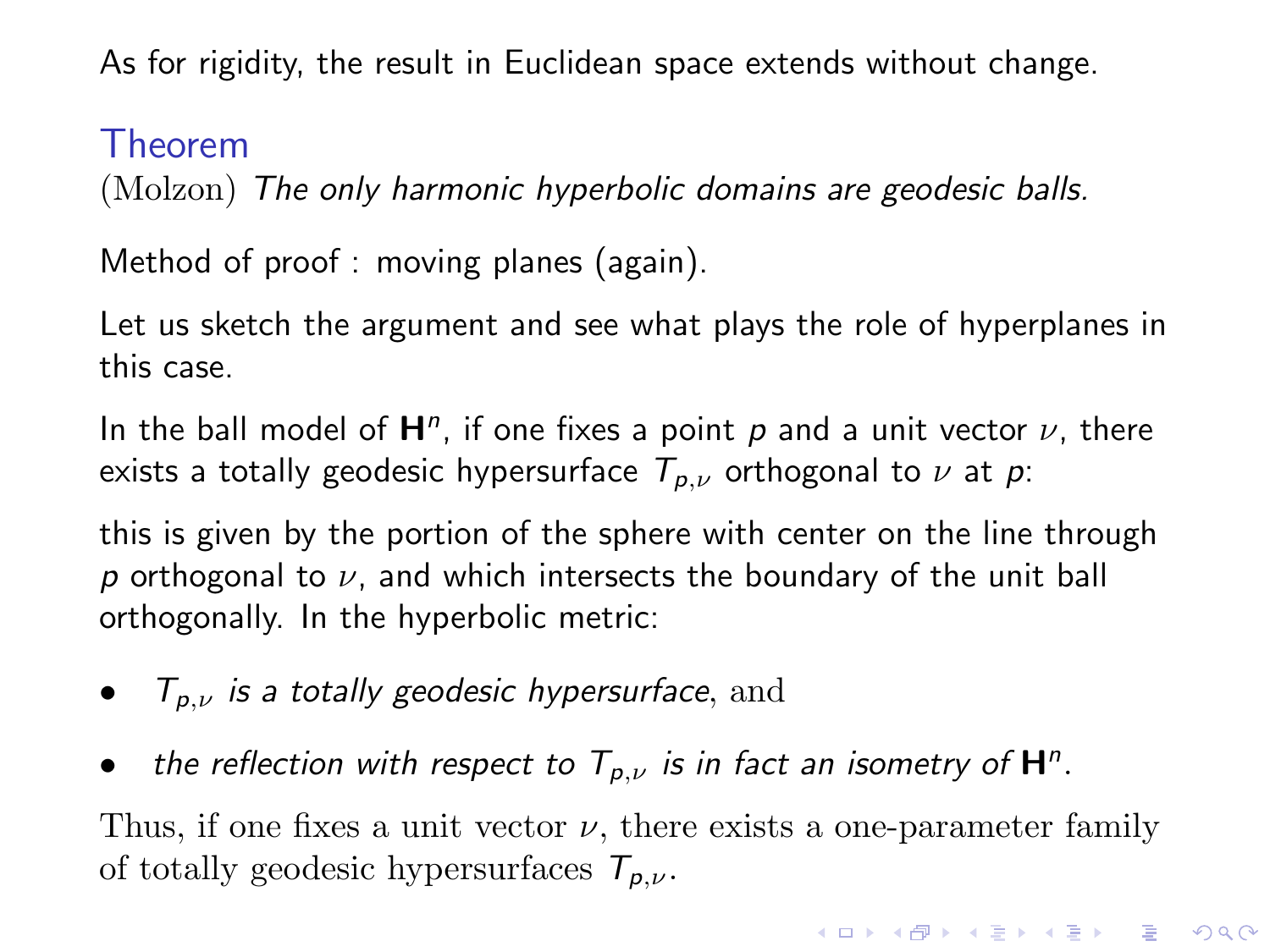#### Theorem

(Molzon) The only harmonic hyperbolic domains are geodesic balls.

Method of proof : moving planes (again).

Let us sketch the argument and see what plays the role of hyperplanes in this case.

In the ball model of  $H<sup>n</sup>$ , if one fixes a point p and a unit vector  $\nu$ , there exists a totally geodesic hypersurface  $T_{p,\nu}$  orthogonal to  $\nu$  at  $p$ :

this is given by the portion of the sphere with center on the line through p orthogonal to  $\nu$ , and which intersects the boundary of the unit ball orthogonally. In the hyperbolic metric:

- $\mathcal{T}_{p,\nu}$  is a totally geodesic hypersurface, and
- the reflection with respect to  $T_{p,\nu}$  is in fact an isometry of  $\mathsf{H}^n$ .

Thus, if one fixes a unit vector  $\nu$ , there exists a one-parameter family of totally geodesic hypersurfaces  $T_{p,\nu}$ .

4 D > 4 P + 4 B + 4 B + B + 9 Q O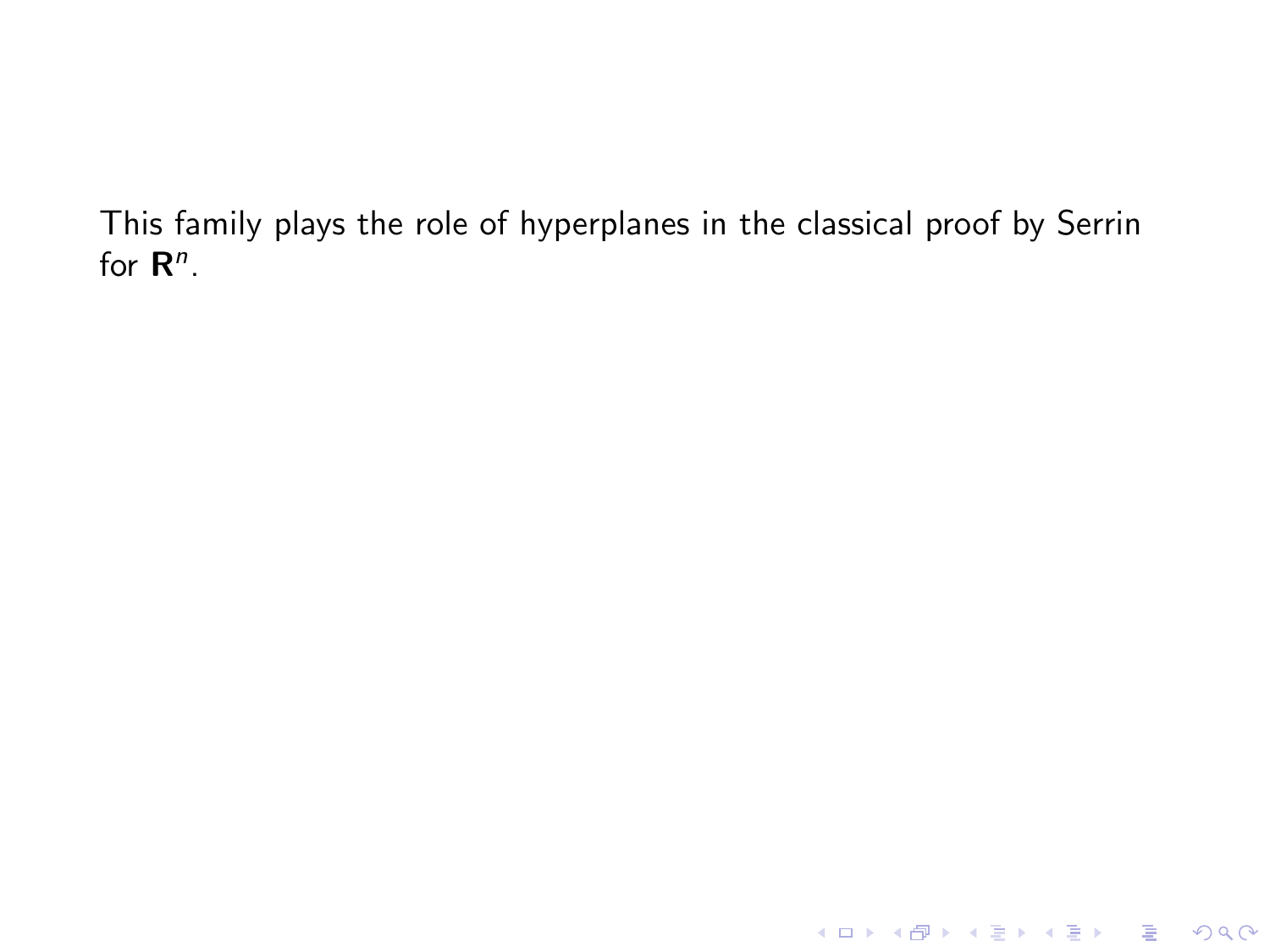K ロ ▶ K @ ▶ K 할 ▶ K 할 ▶ ... 할 ... 9 Q Q ·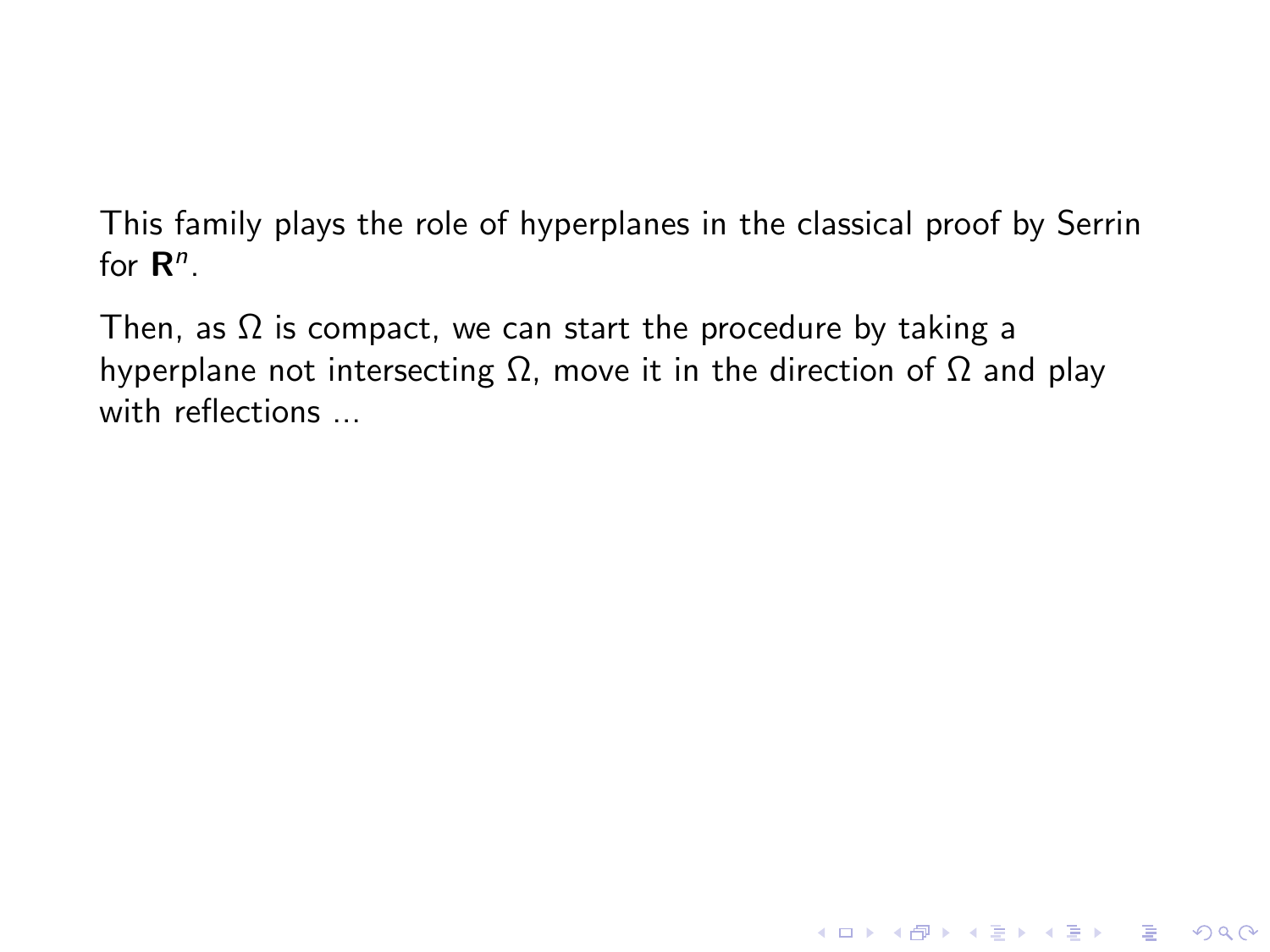Then, as  $\Omega$  is compact, we can start the procedure by taking a hyperplane not intersecting  $Ω$ , move it in the direction of  $Ω$  and play with reflections ...

**KORK STRATER STRAKES**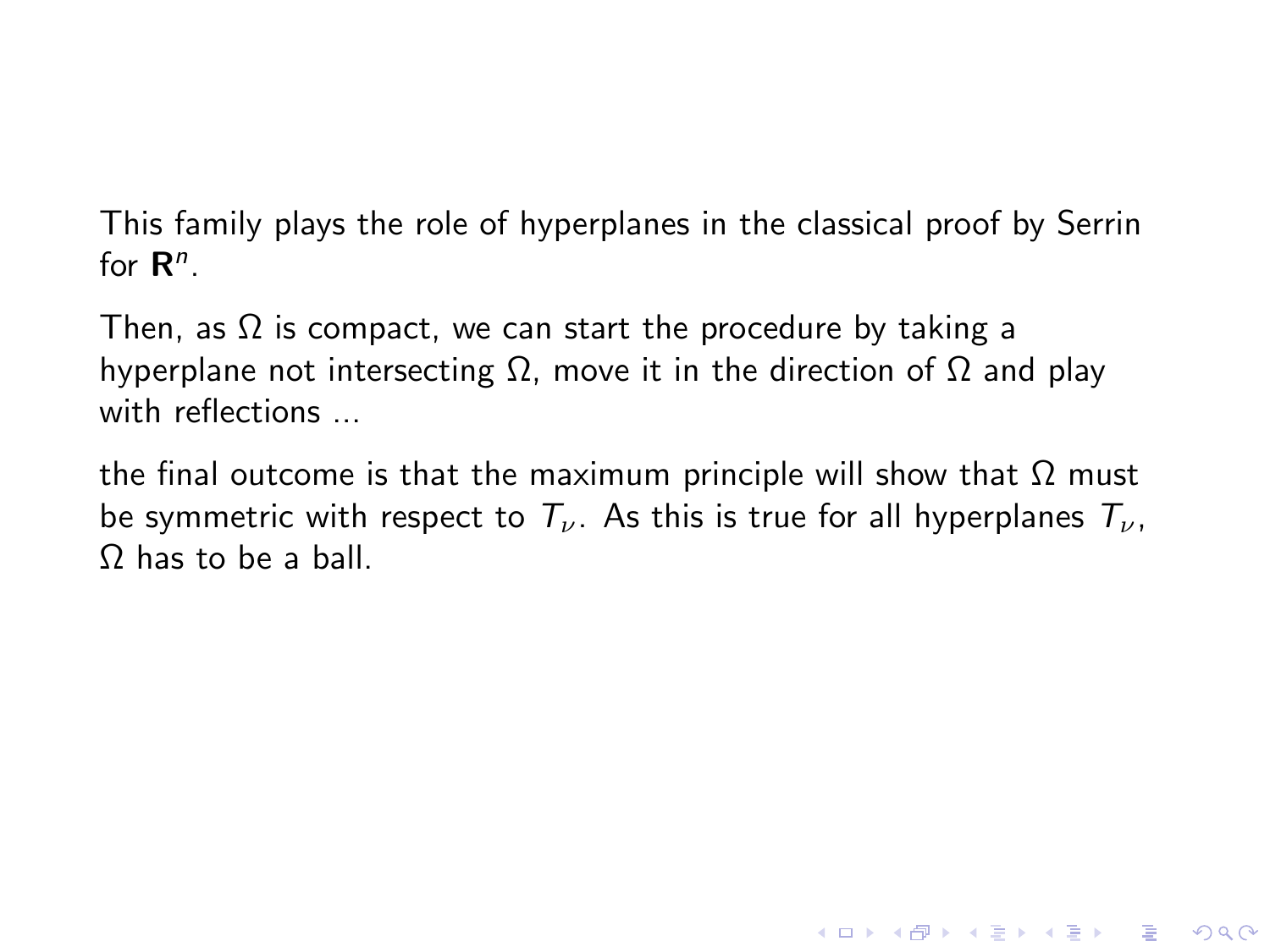Then, as  $\Omega$  is compact, we can start the procedure by taking a hyperplane not intersecting  $\Omega$ , move it in the direction of  $\Omega$  and play with reflections ...

the final outcome is that the maximum principle will show that  $Ω$  must be symmetric with respect to  $T_{\nu}$ . As this is true for all hyperplanes  $T_{\nu}$ , Ω has to be a ball.

**KORKA SERKER ORA**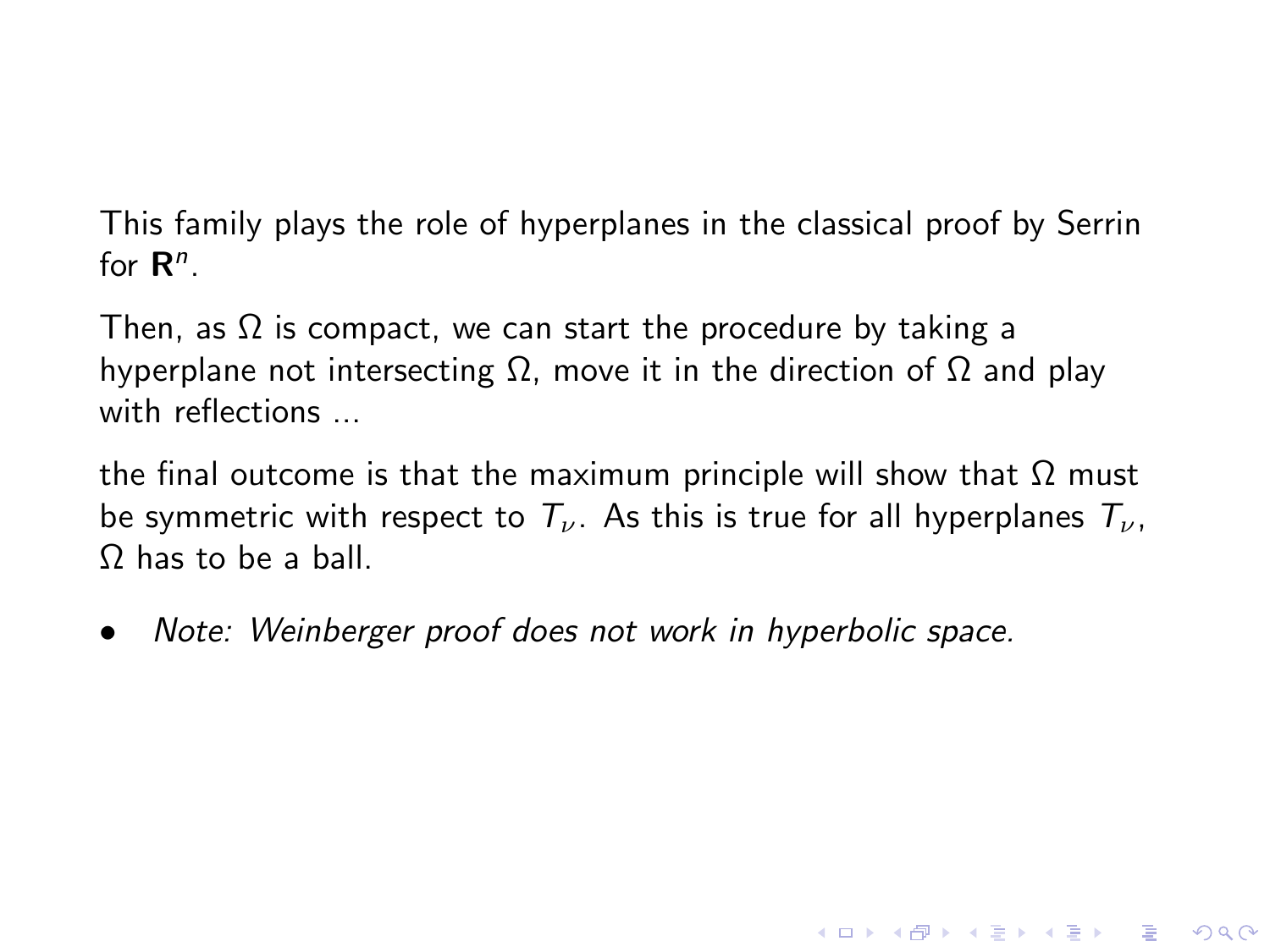Then, as  $\Omega$  is compact, we can start the procedure by taking a hyperplane not intersecting  $\Omega$ , move it in the direction of  $\Omega$  and play with reflections ...

the final outcome is that the maximum principle will show that  $Ω$  must be symmetric with respect to  $T_{\nu}$ . As this is true for all hyperplanes  $T_{\nu}$ , Ω has to be a ball.

**KORKA SERKER ORA** 

• Note: Weinberger proof does not work in hyperbolic space.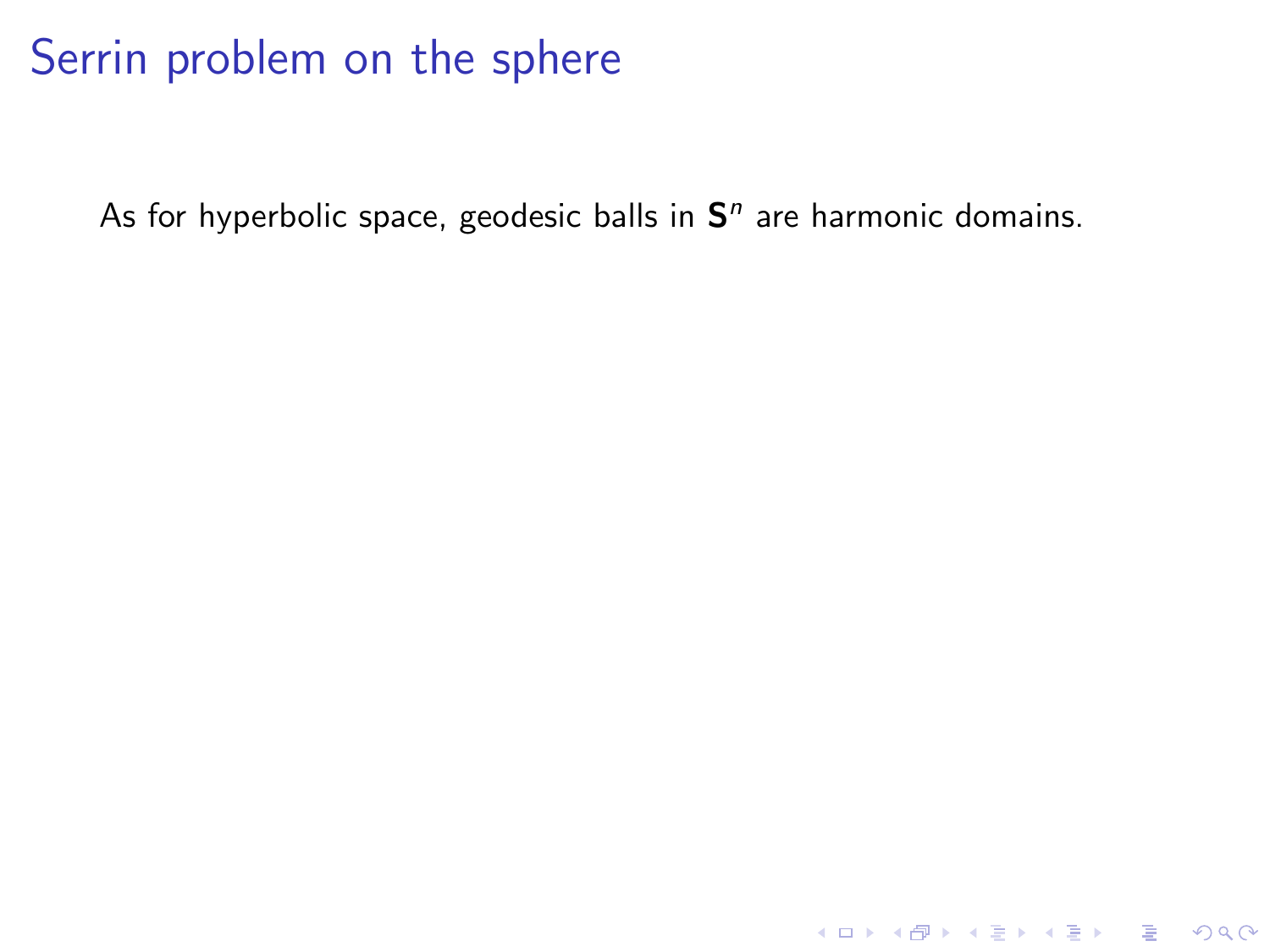As for hyperbolic space, geodesic balls in  $S<sup>n</sup>$  are harmonic domains.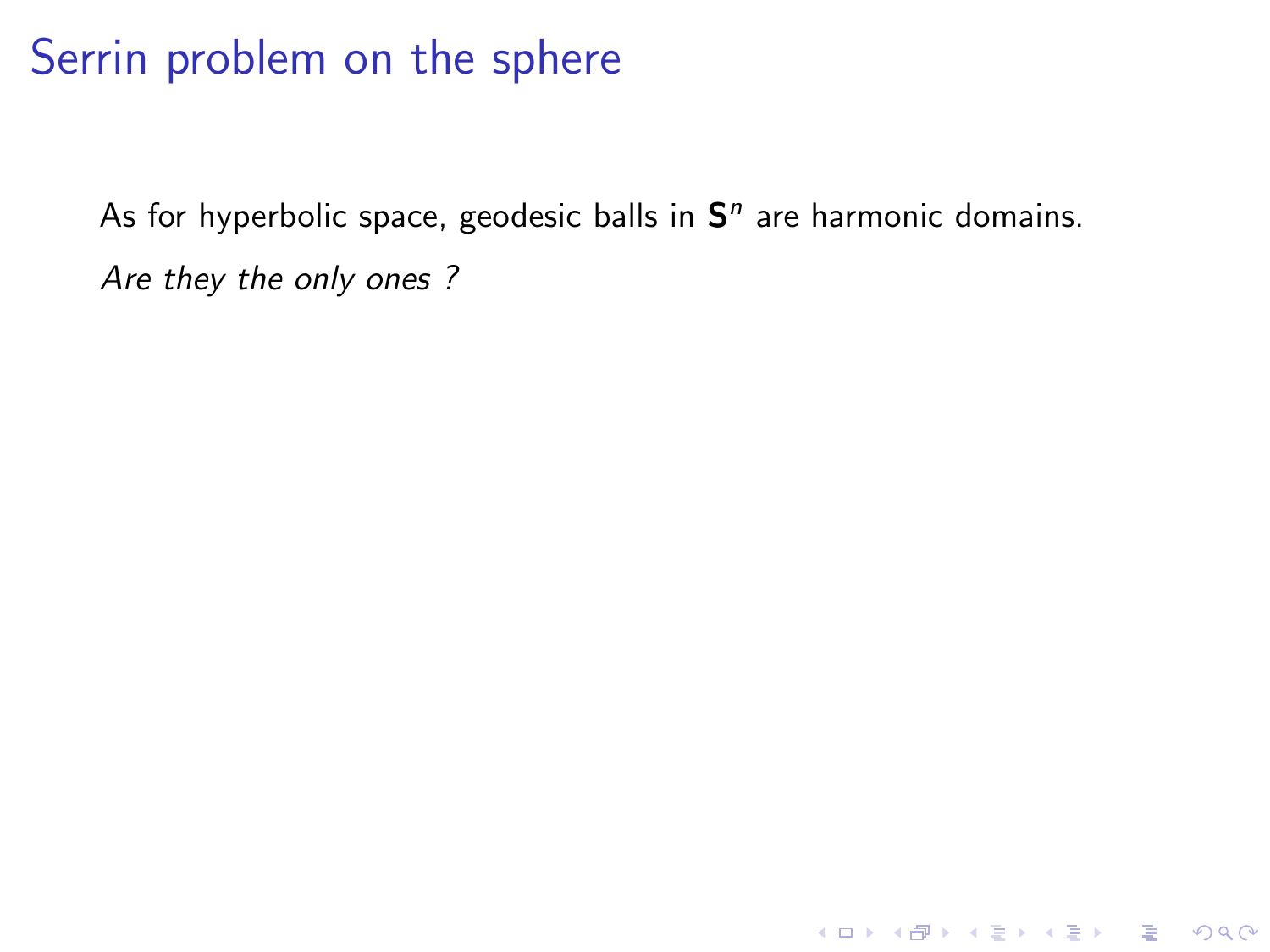As for hyperbolic space, geodesic balls in  $S<sup>n</sup>$  are harmonic domains. Are they the only ones ?

KO KKOK KEK KEK LE I DAG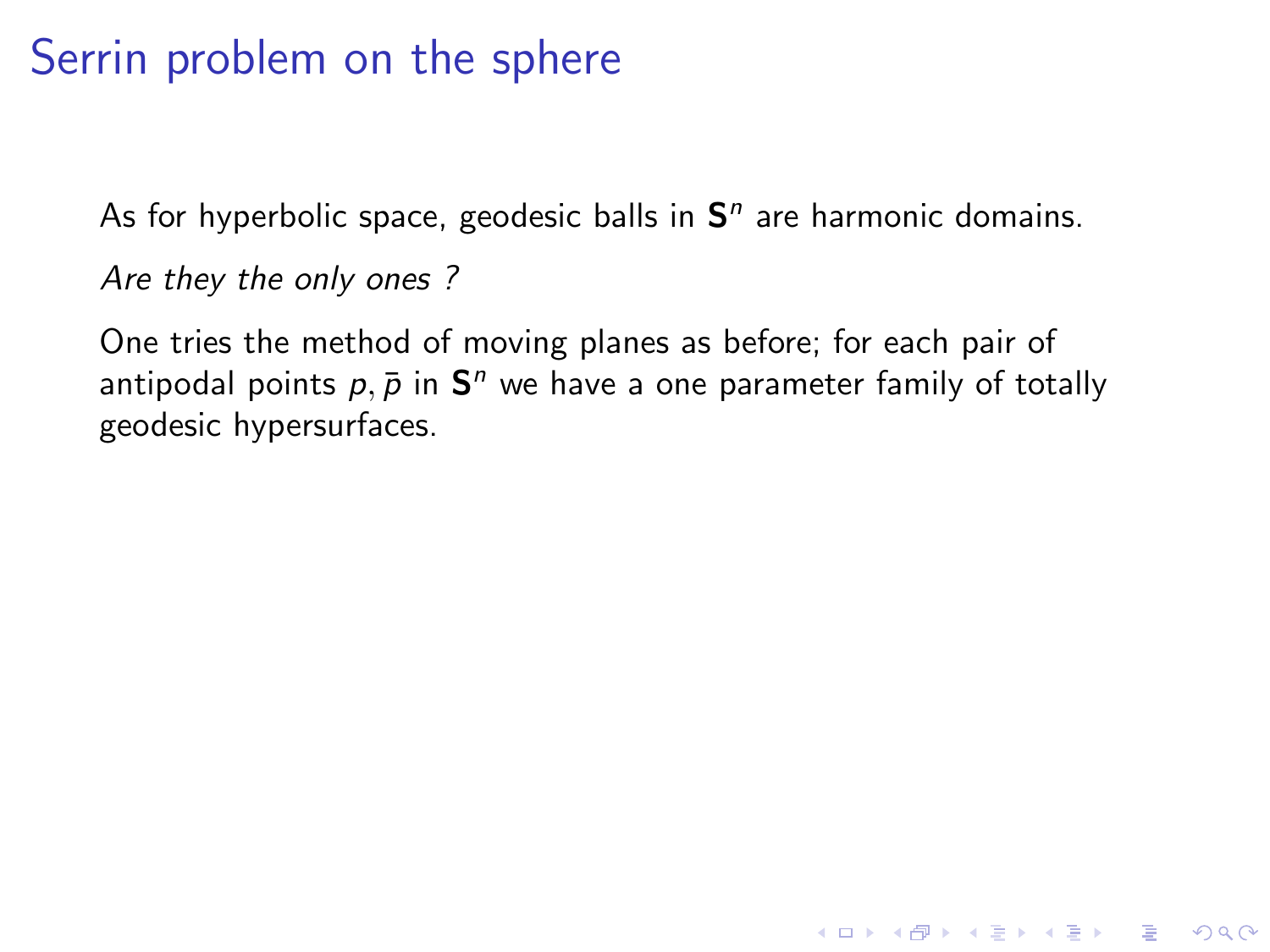As for hyperbolic space, geodesic balls in  $S<sup>n</sup>$  are harmonic domains.

Are they the only ones ?

One tries the method of moving planes as before; for each pair of antipodal points  $p,\bar{p}$  in  $\mathbf{S}^n$  we have a one parameter family of totally geodesic hypersurfaces.

**KORKA SERKER ORA**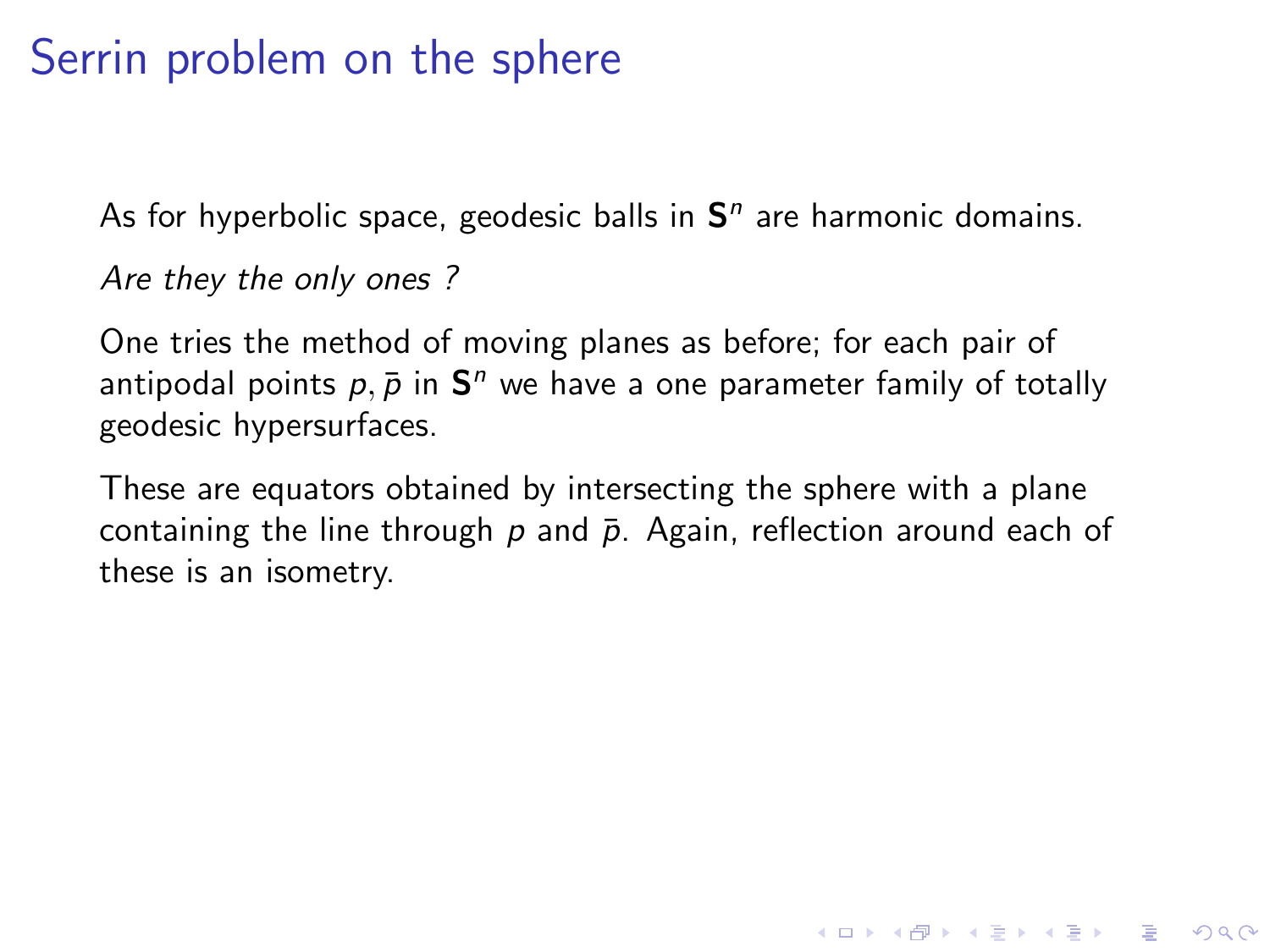As for hyperbolic space, geodesic balls in  $S<sup>n</sup>$  are harmonic domains.

Are they the only ones ?

One tries the method of moving planes as before; for each pair of antipodal points  $p,\bar{p}$  in  $\mathbf{S}^n$  we have a one parameter family of totally geodesic hypersurfaces.

These are equators obtained by intersecting the sphere with a plane containing the line through  $p$  and  $\bar{p}$ . Again, reflection around each of these is an isometry.

**KORKA SERKER ORA**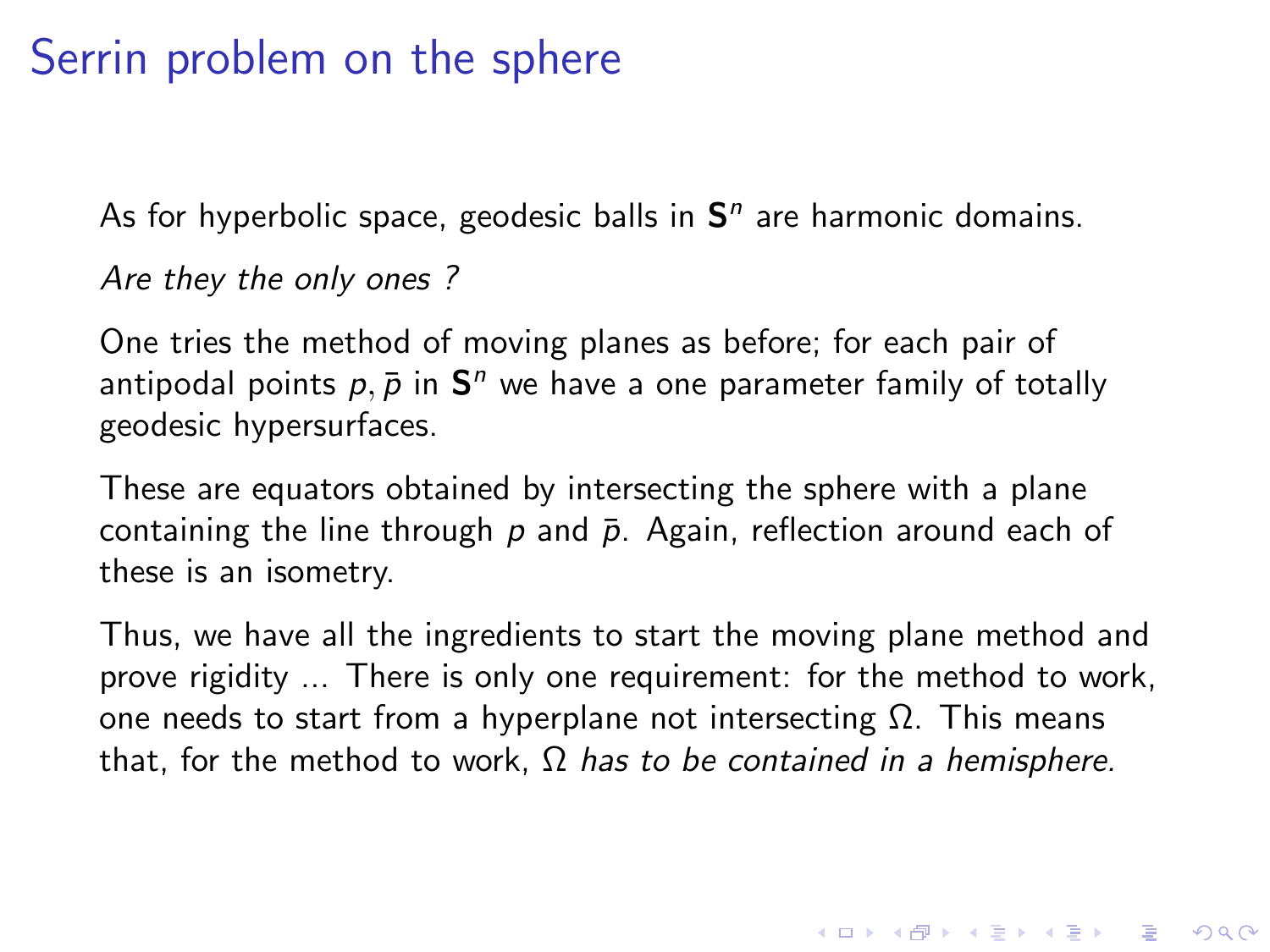As for hyperbolic space, geodesic balls in  $S<sup>n</sup>$  are harmonic domains.

Are they the only ones ?

One tries the method of moving planes as before; for each pair of antipodal points  $p,\bar{p}$  in  $\mathbf{S}^n$  we have a one parameter family of totally geodesic hypersurfaces.

These are equators obtained by intersecting the sphere with a plane containing the line through  $p$  and  $\bar{p}$ . Again, reflection around each of these is an isometry.

Thus, we have all the ingredients to start the moving plane method and prove rigidity ... There is only one requirement: for the method to work, one needs to start from a hyperplane not intersecting  $\Omega$ . This means that, for the method to work,  $Ω$  has to be contained in a hemisphere.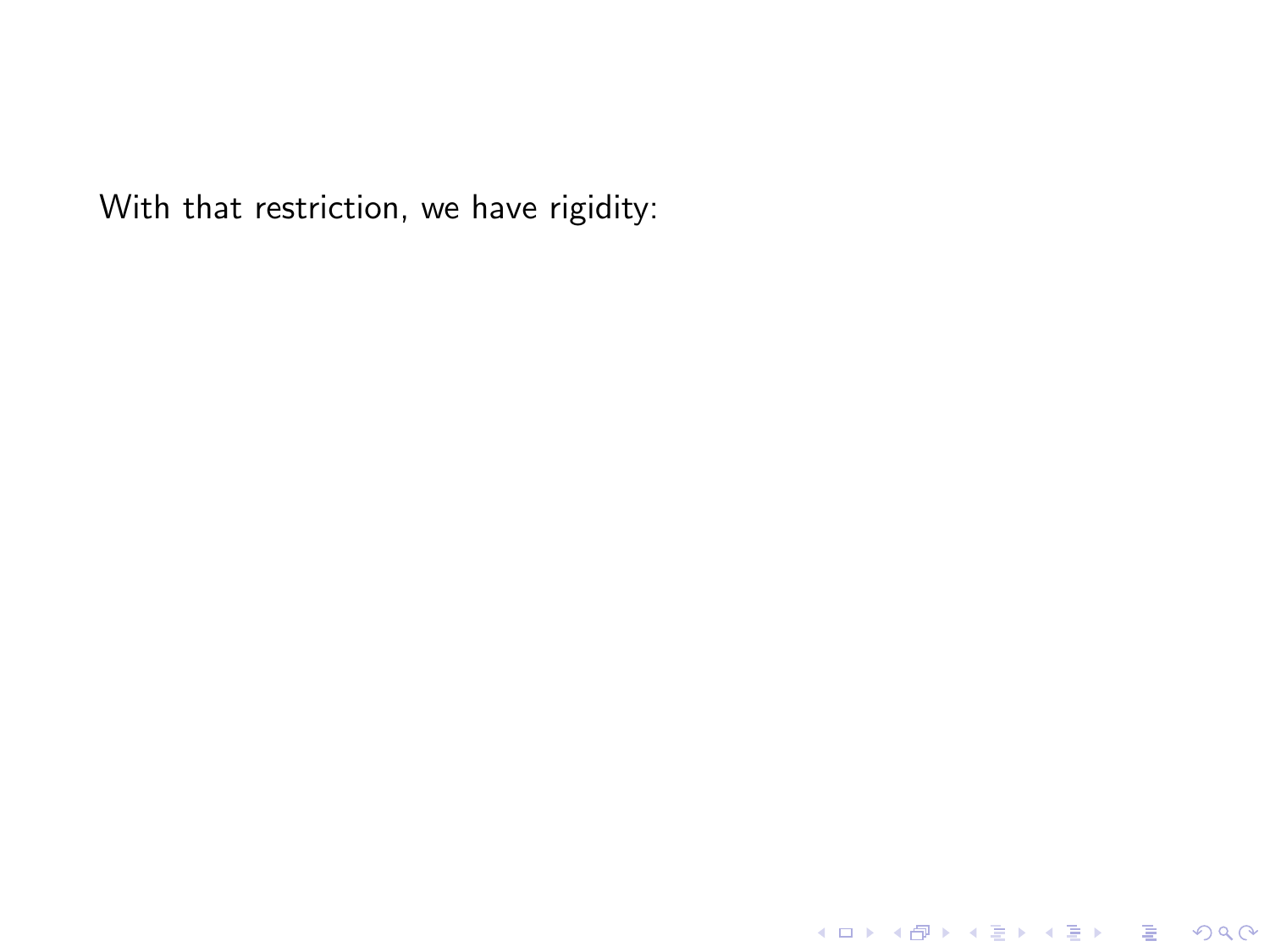With that restriction, we have rigidity:

**KO > K @ > K 할 > K 할 > L 할 > 10 K O Q O**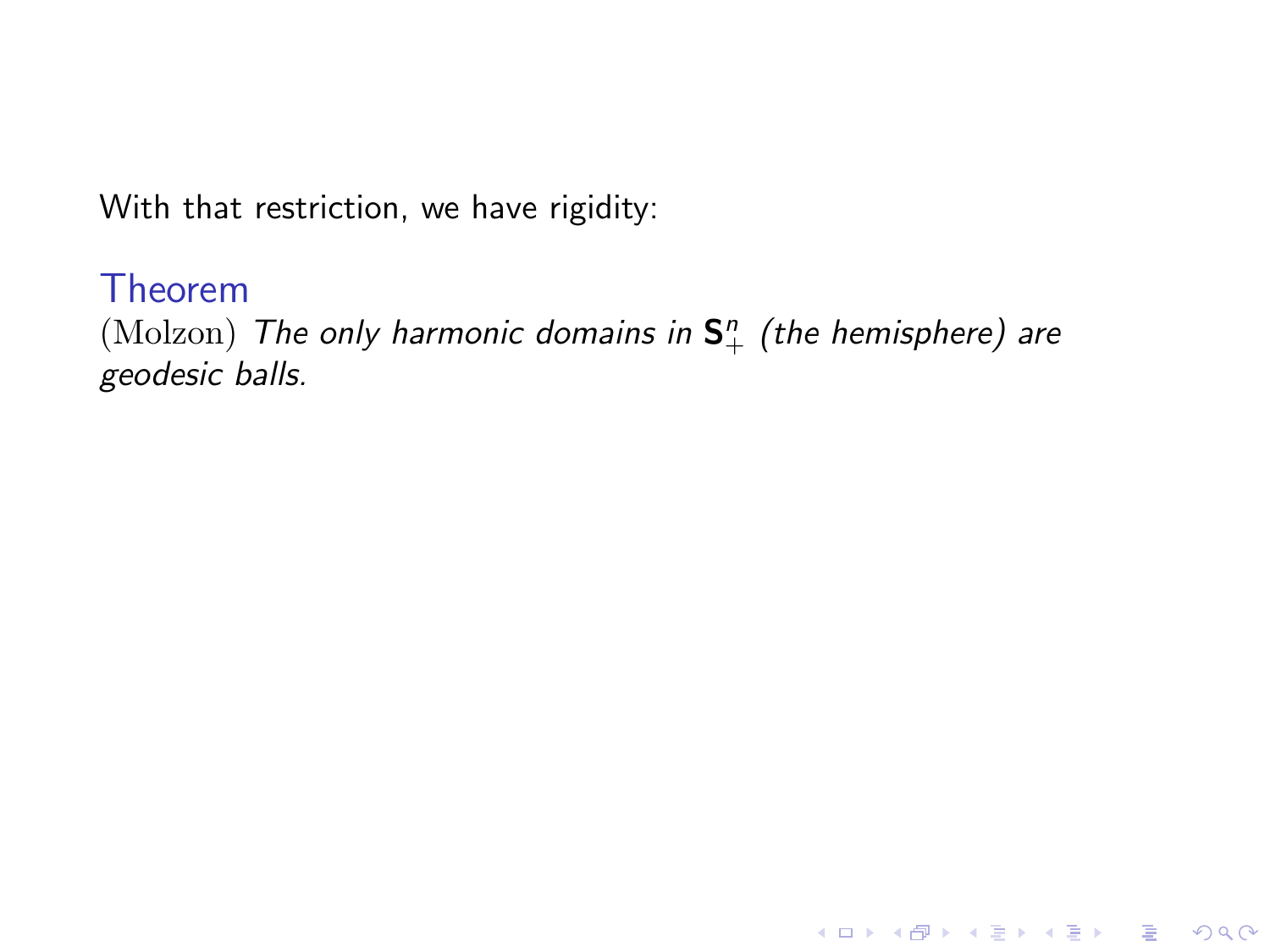#### Theorem

 $\pmod{\text{The only harmonic domains in } \mathsf{S}_+^n}$  (the hemisphere) are geodesic balls.

K ロ ▶ K @ ▶ K 할 ▶ K 할 ▶ | 할 | © 9 Q @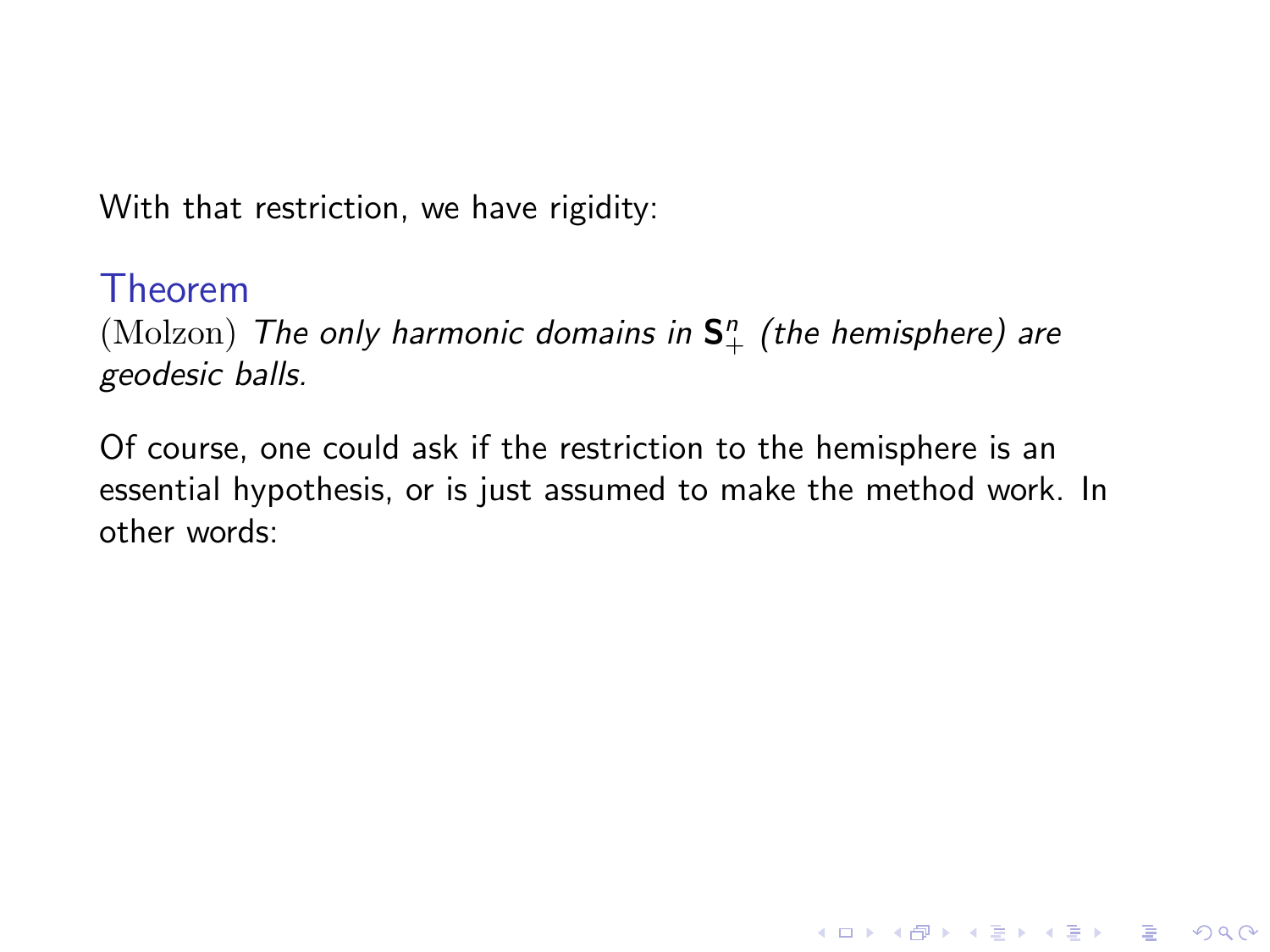#### Theorem

 $\pmod{\text{The only harmonic domains in } \mathsf{S}_+^n}$  (the hemisphere) are geodesic balls.

Of course, one could ask if the restriction to the hemisphere is an essential hypothesis, or is just assumed to make the method work. In other words:

**KORK ERKER ADE YOUR**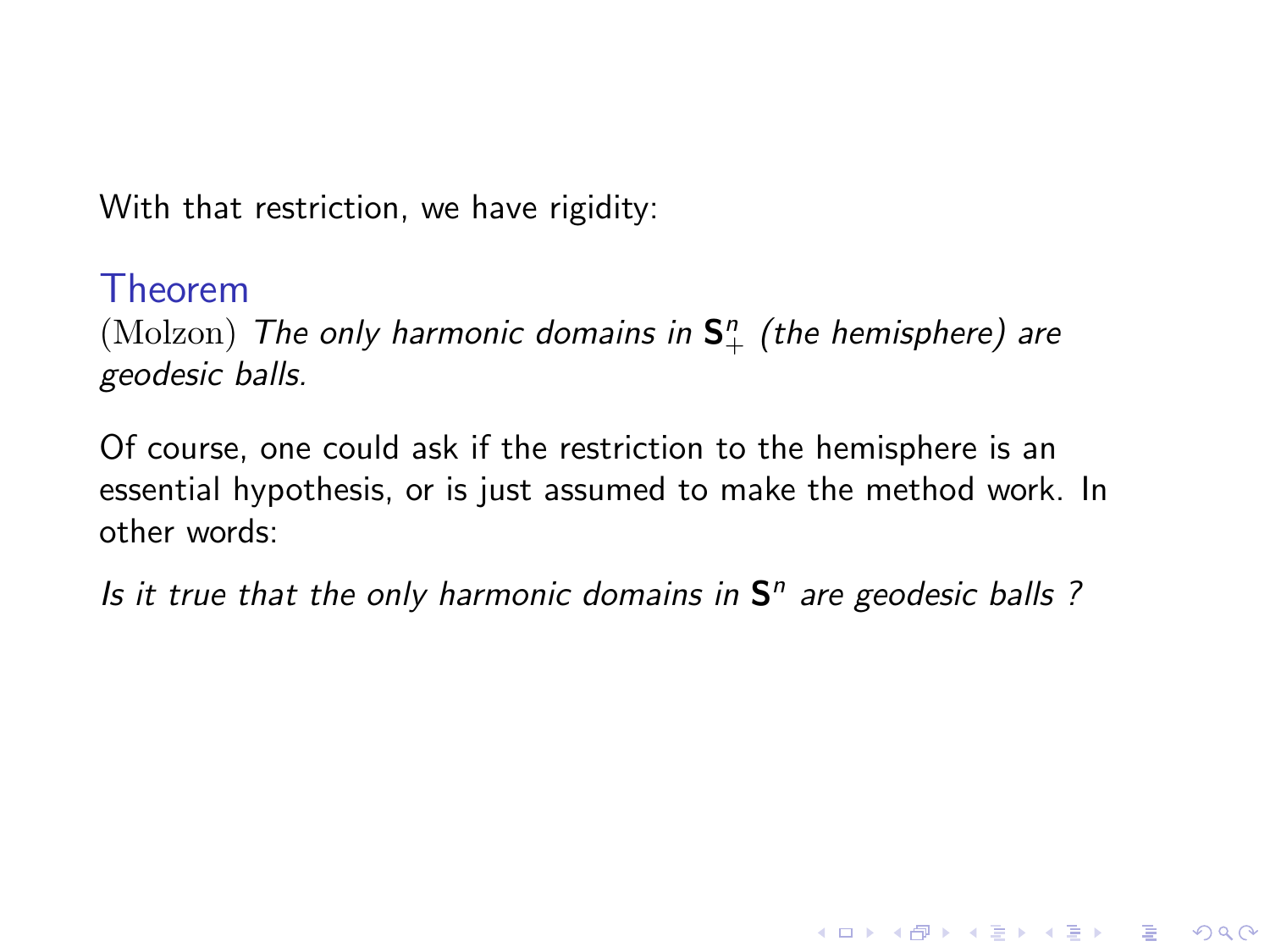#### Theorem

 $\pmod{\text{The only harmonic domains in } \mathsf{S}_+^n}$  (the hemisphere) are geodesic balls.

Of course, one could ask if the restriction to the hemisphere is an essential hypothesis, or is just assumed to make the method work. In other words:

Is it true that the only harmonic domains in  $S<sup>n</sup>$  are geodesic balls ?

**KORK ERKER ADE YOUR**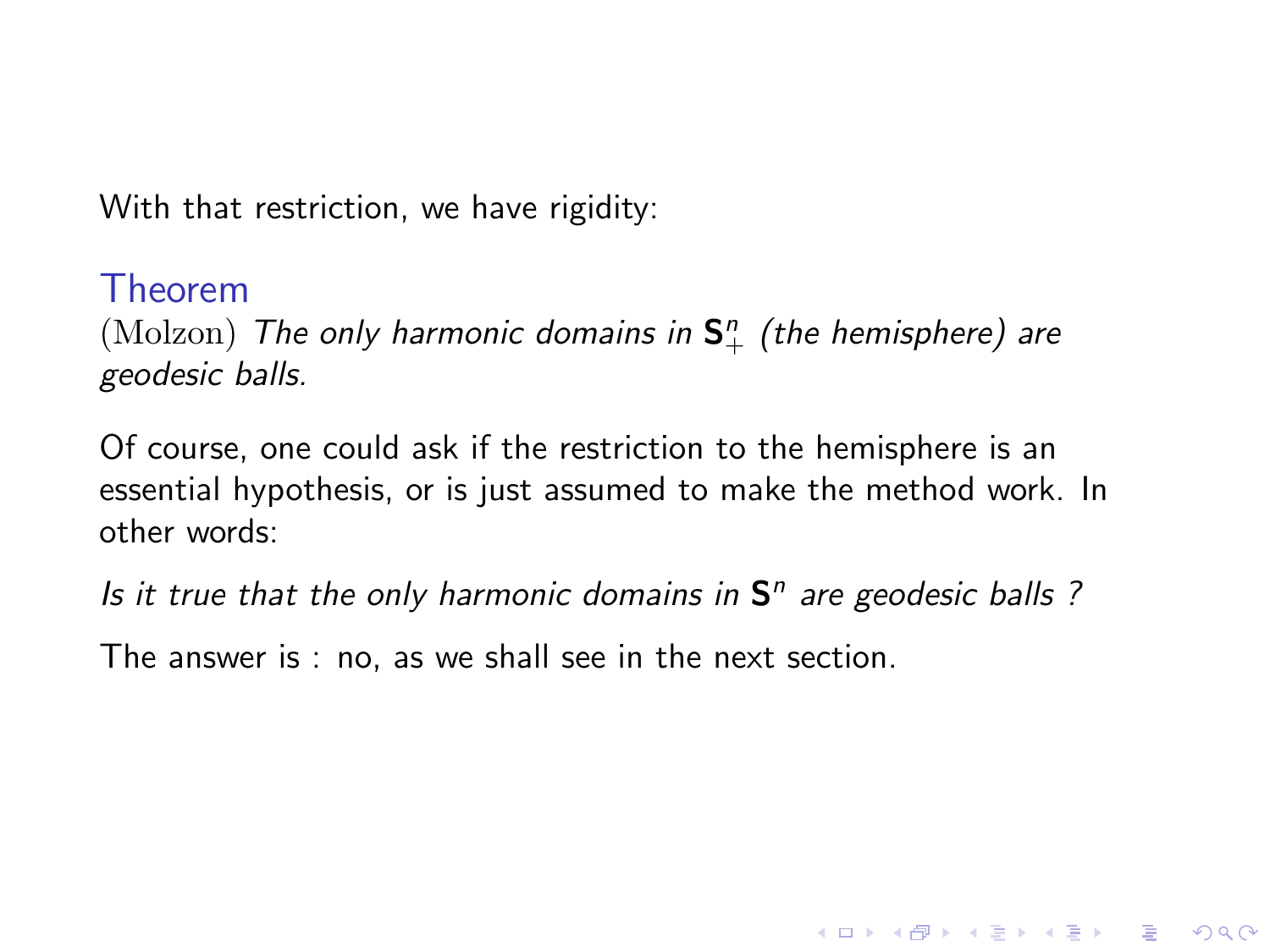#### Theorem

 $\pmod{\text{The only harmonic domains in } \mathsf{S}_+^n}$  (the hemisphere) are geodesic balls.

Of course, one could ask if the restriction to the hemisphere is an essential hypothesis, or is just assumed to make the method work. In other words:

Is it true that the only harmonic domains in  $S<sup>n</sup>$  are geodesic balls ?

**KORK ERKER ADE YOUR** 

The answer is : no, as we shall see in the next section.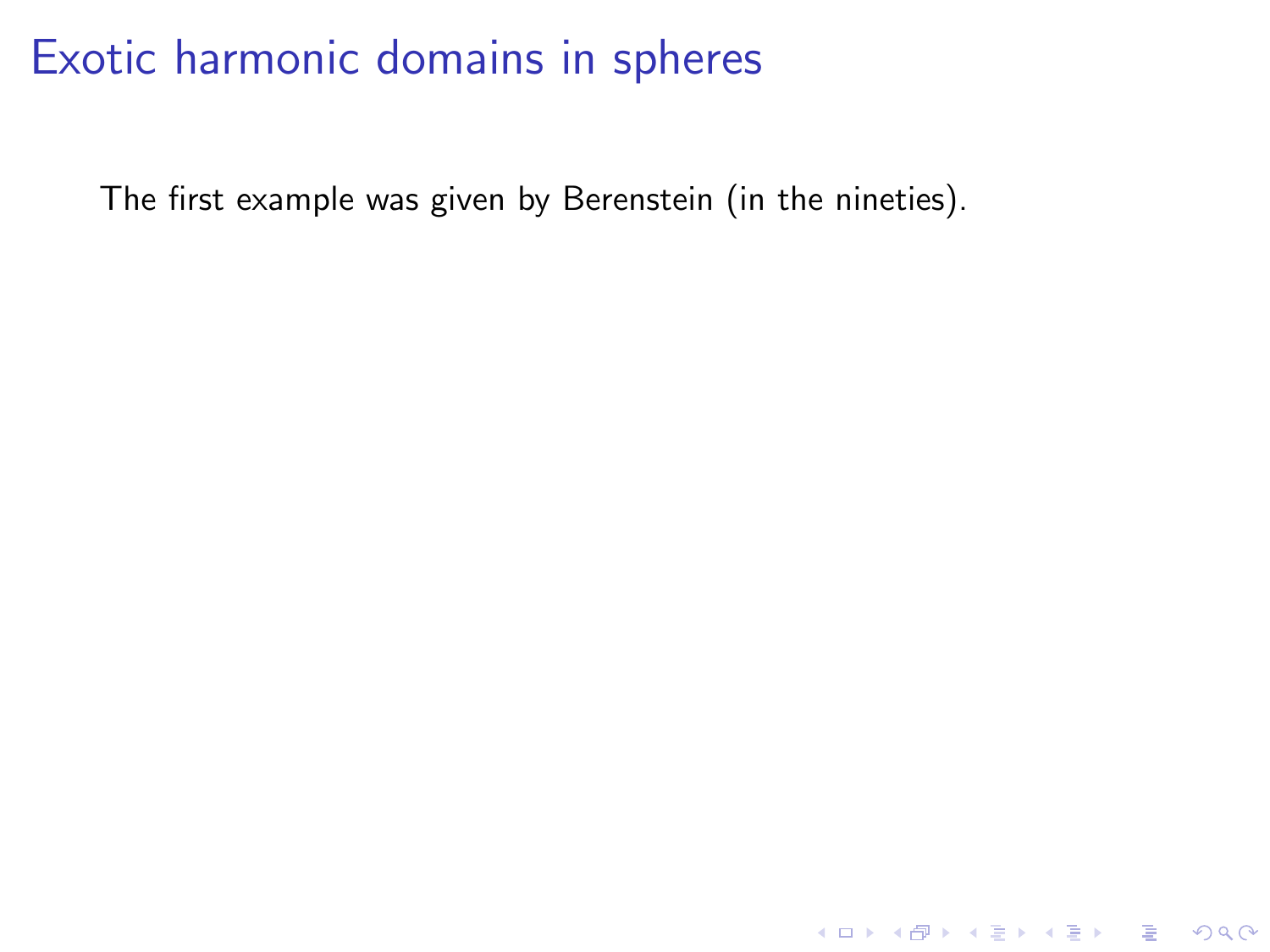The first example was given by Berenstein (in the nineties).

K ロ ▶ K @ ▶ K 할 ▶ K 할 ▶ | 할 | ⊙Q @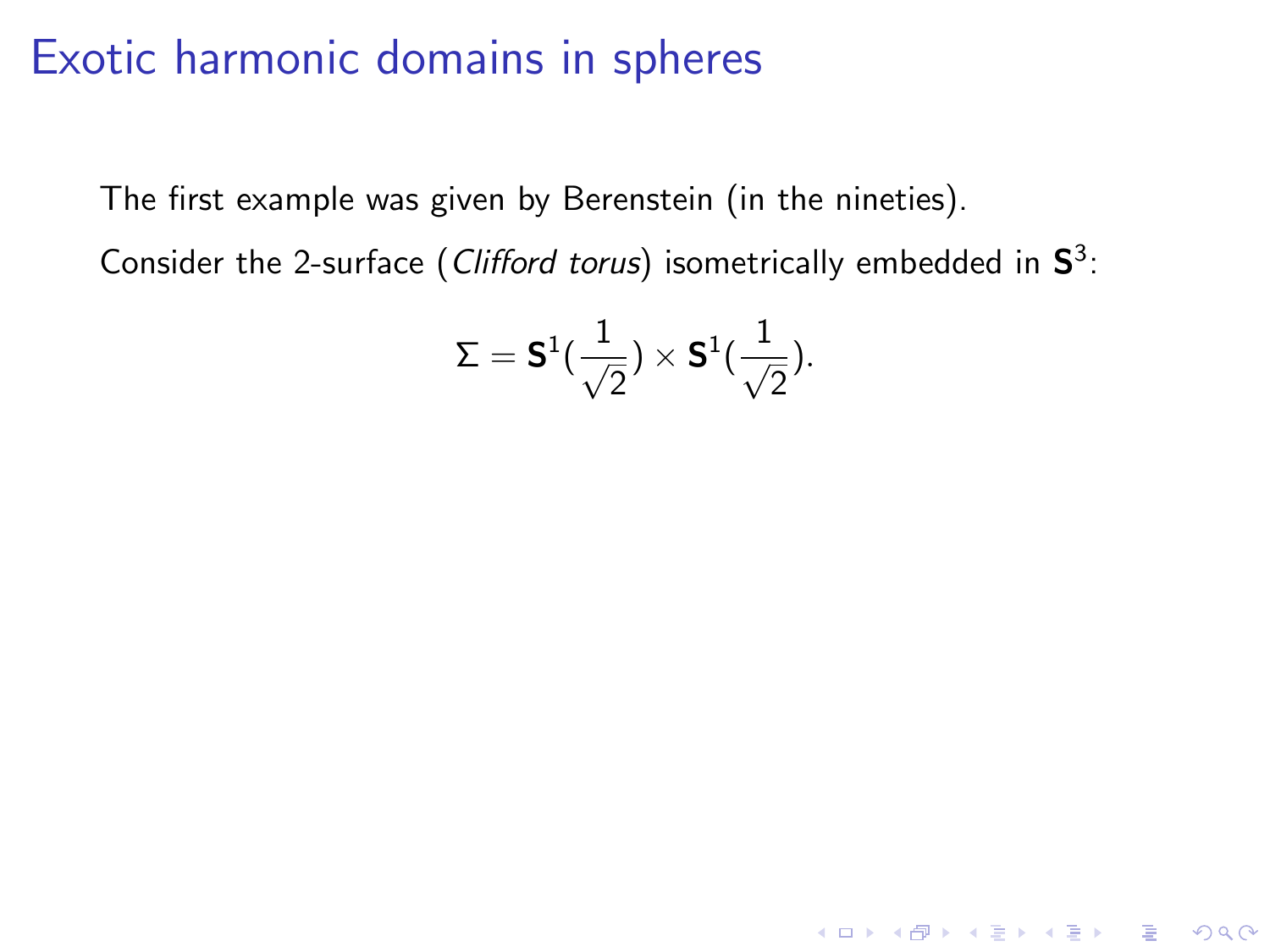The first example was given by Berenstein (in the nineties).

Consider the 2-surface (Clifford torus) isometrically embedded in  $S^3$ :

$$
\Sigma = \textbf{S}^1(\frac{1}{\sqrt{2}}) \times \textbf{S}^1(\frac{1}{\sqrt{2}}).
$$

K ロ ▶ K @ ▶ K 할 > K 할 > 1 할 > 1 이익어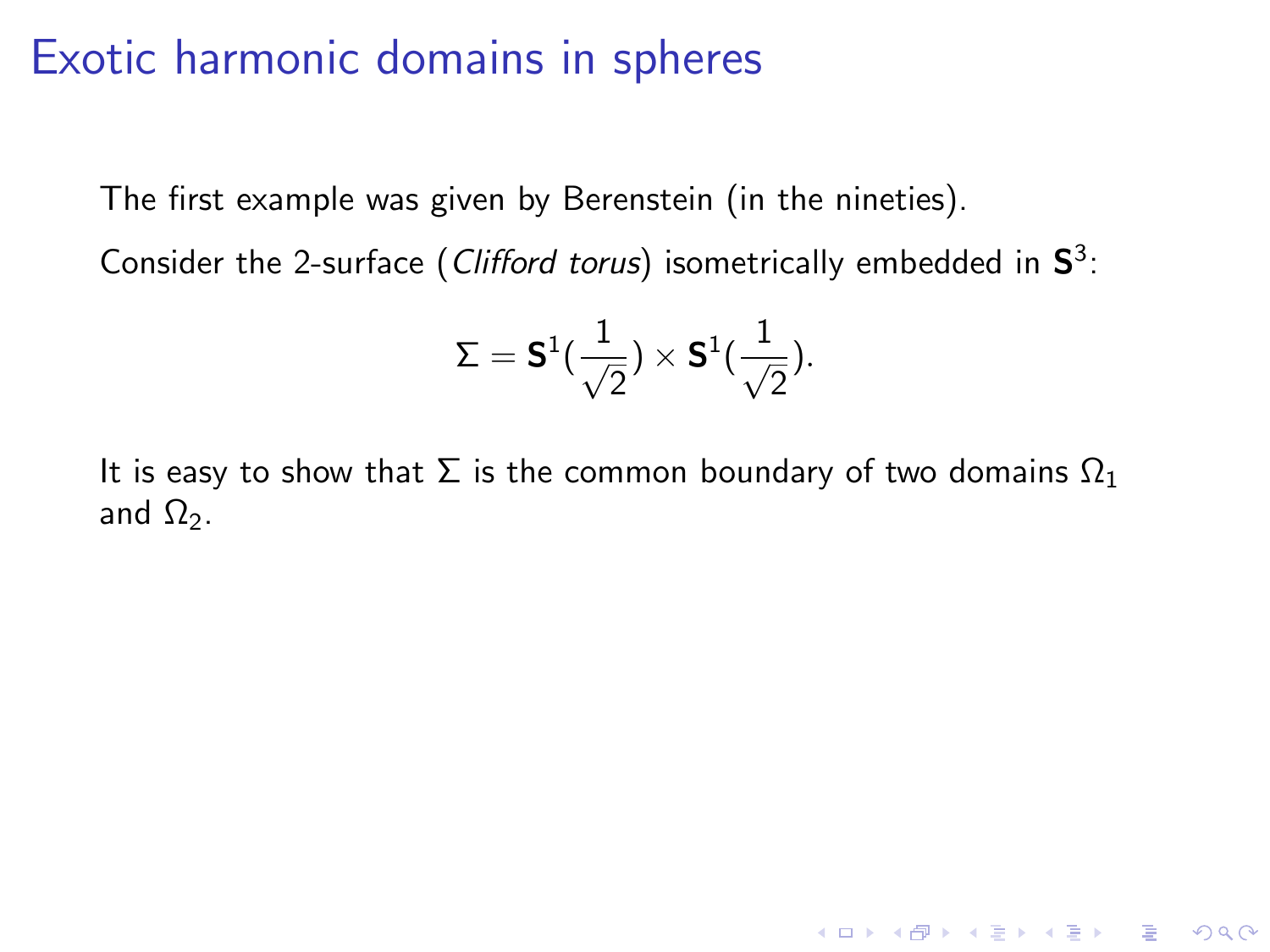The first example was given by Berenstein (in the nineties).

Consider the 2-surface (Clifford torus) isometrically embedded in  $S^3$ :

$$
\Sigma = \textbf{S}^1(\frac{1}{\sqrt{2}}) \times \textbf{S}^1(\frac{1}{\sqrt{2}}).
$$

K ロ ▶ K @ ▶ K 할 > K 할 > 1 할 > 1 이익어

It is easy to show that  $\Sigma$  is the common boundary of two domains  $\Omega_1$ and  $\Omega_2$ .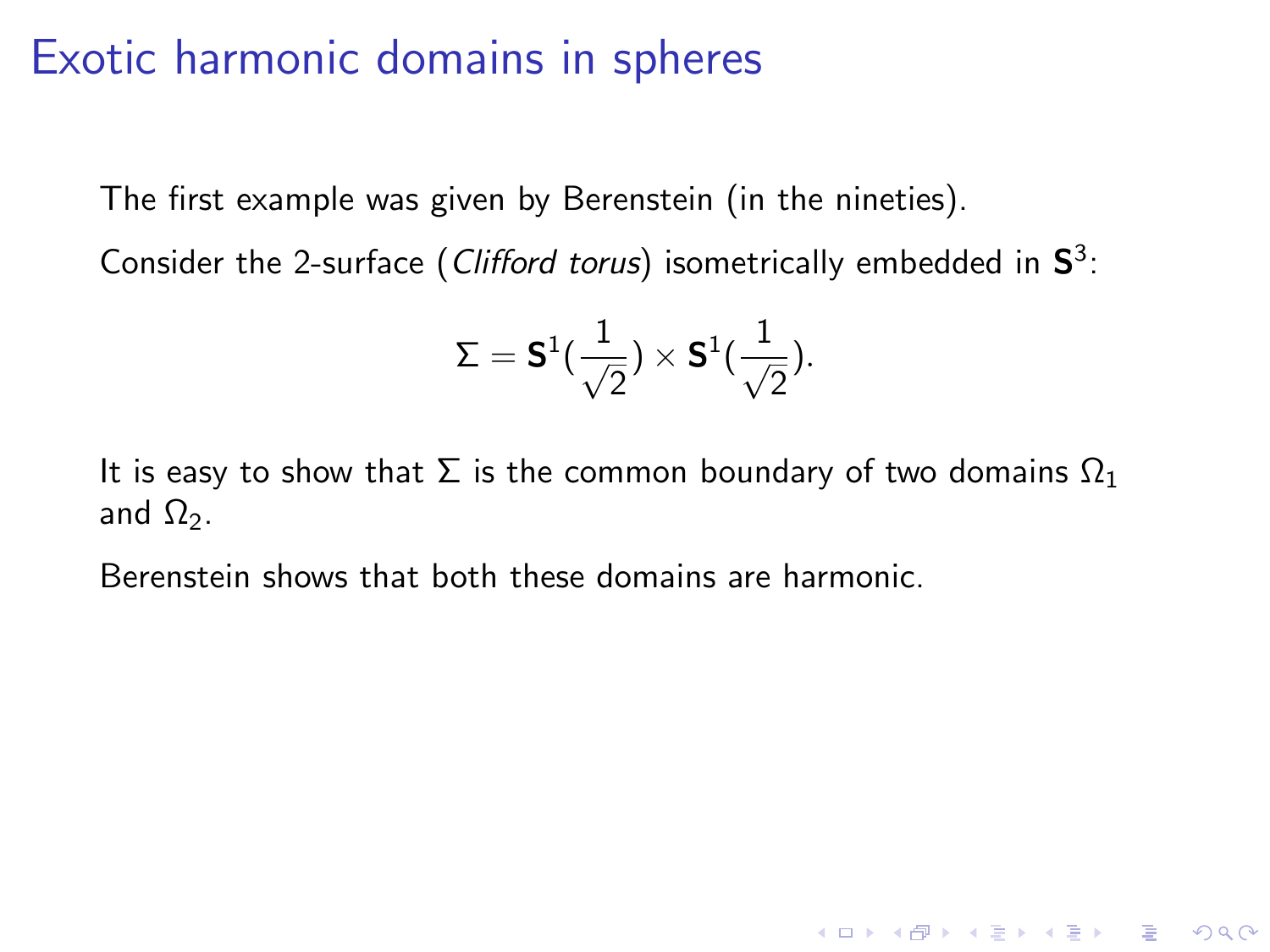The first example was given by Berenstein (in the nineties).

Consider the 2-surface (Clifford torus) isometrically embedded in  $S^3$ :

$$
\Sigma = \textbf{S}^1(\frac{1}{\sqrt{2}}) \times \textbf{S}^1(\frac{1}{\sqrt{2}}).
$$

It is easy to show that  $\Sigma$  is the common boundary of two domains  $\Omega_1$ and  $\Omega_2$ .

**KORK ERKER ADE YOUR** 

Berenstein shows that both these domains are harmonic.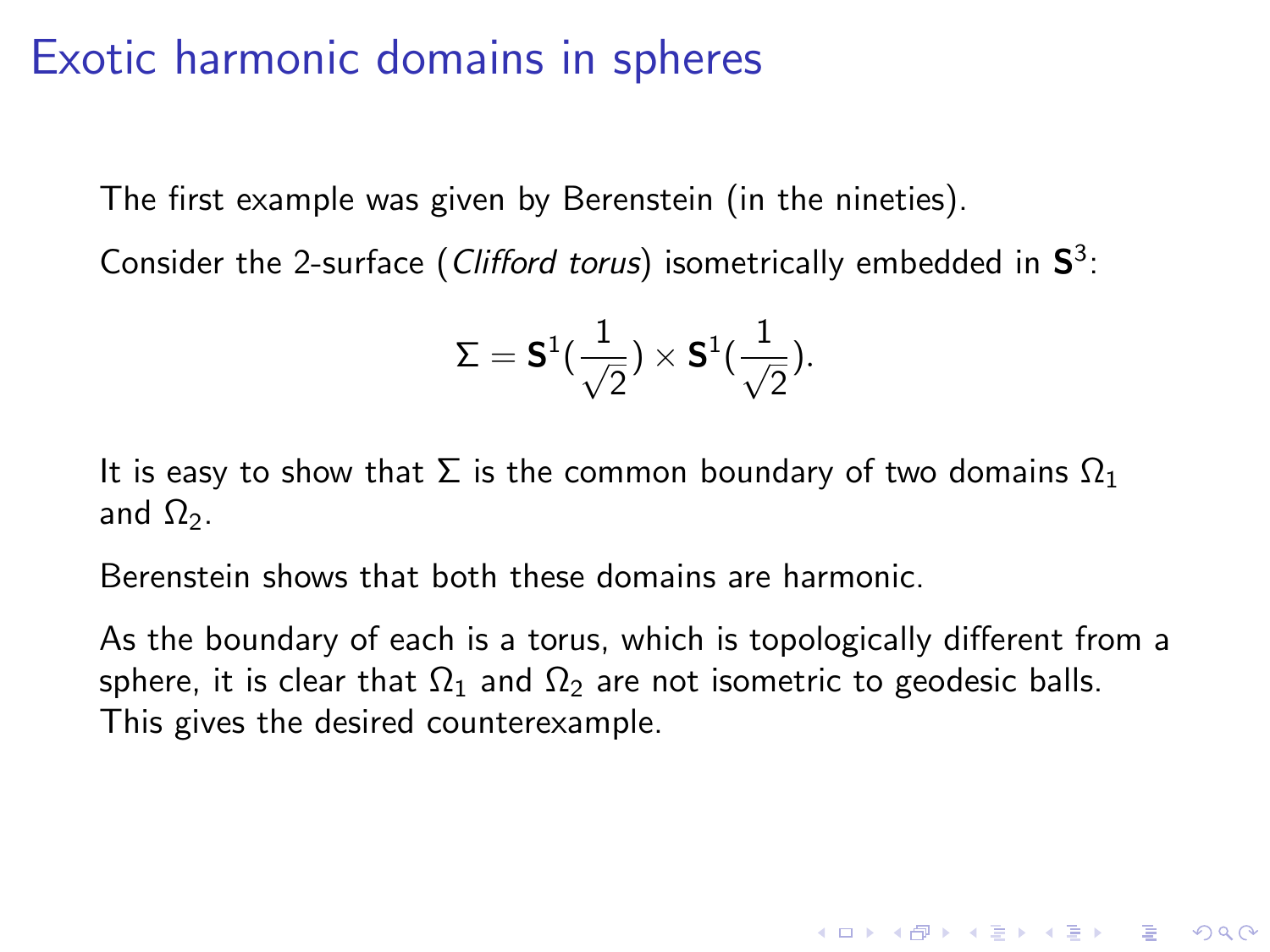The first example was given by Berenstein (in the nineties).

Consider the 2-surface (Clifford torus) isometrically embedded in  $S^3$ :

$$
\Sigma = \textbf{S}^1(\frac{1}{\sqrt{2}}) \times \textbf{S}^1(\frac{1}{\sqrt{2}}).
$$

It is easy to show that  $\Sigma$  is the common boundary of two domains  $\Omega_1$ and  $\Omega_2$ .

Berenstein shows that both these domains are harmonic.

As the boundary of each is a torus, which is topologically different from a sphere, it is clear that  $\Omega_1$  and  $\Omega_2$  are not isometric to geodesic balls. This gives the desired counterexample.

**KORK ERKER ADE YOUR**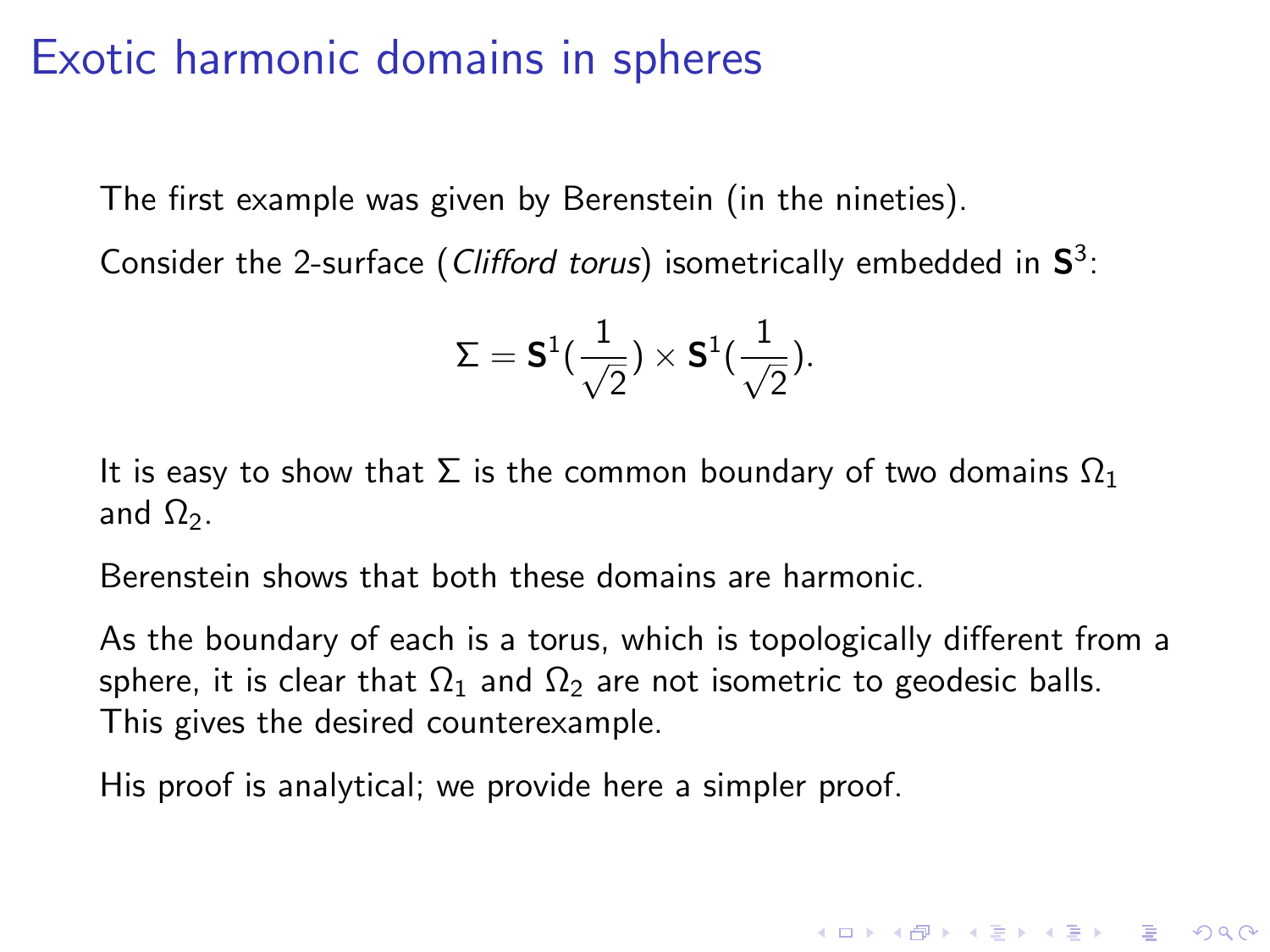The first example was given by Berenstein (in the nineties).

Consider the 2-surface (Clifford torus) isometrically embedded in  $S^3$ :

$$
\Sigma = \textbf{S}^1(\frac{1}{\sqrt{2}}) \times \textbf{S}^1(\frac{1}{\sqrt{2}}).
$$

It is easy to show that  $\Sigma$  is the common boundary of two domains  $\Omega_1$ and  $\Omega_2$ .

Berenstein shows that both these domains are harmonic.

As the boundary of each is a torus, which is topologically different from a sphere, it is clear that  $\Omega_1$  and  $\Omega_2$  are not isometric to geodesic balls. This gives the desired counterexample.

**K ロ ▶ K @ ▶ K 할 X X 할 X → 할 X → 9 Q Q ^** 

His proof is analytical; we provide here a simpler proof.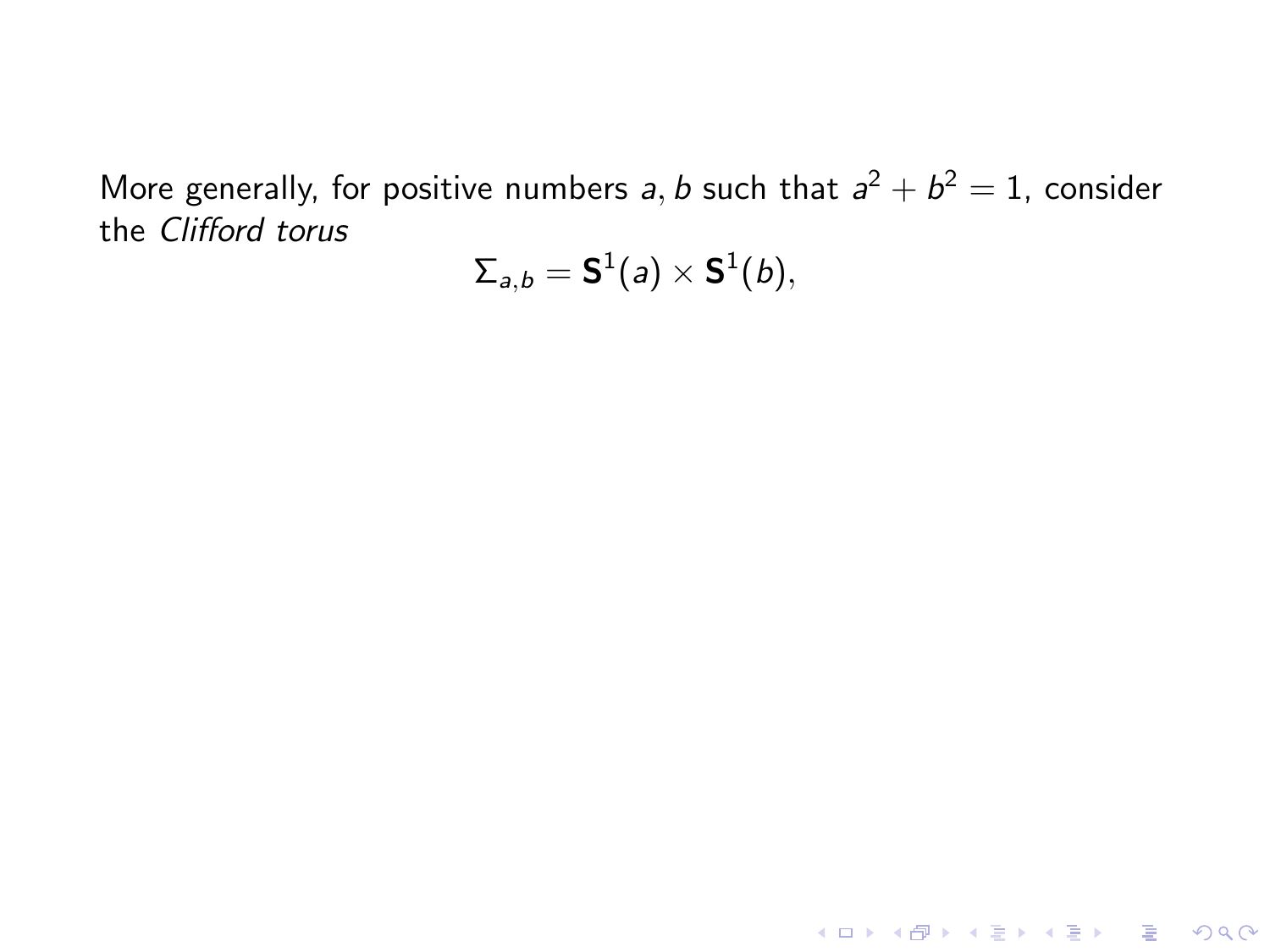More generally, for positive numbers a, b such that  $a^2 + b^2 = 1$ , consider the Clifford torus

$$
\Sigma_{\scriptscriptstyle{\overline{a}}, b} = {\sf S}^1(a) \times {\sf S}^1(b),
$$

K ロ ▶ K @ ▶ K 할 ▶ K 할 ▶ | 할 | K 9 Q Q ·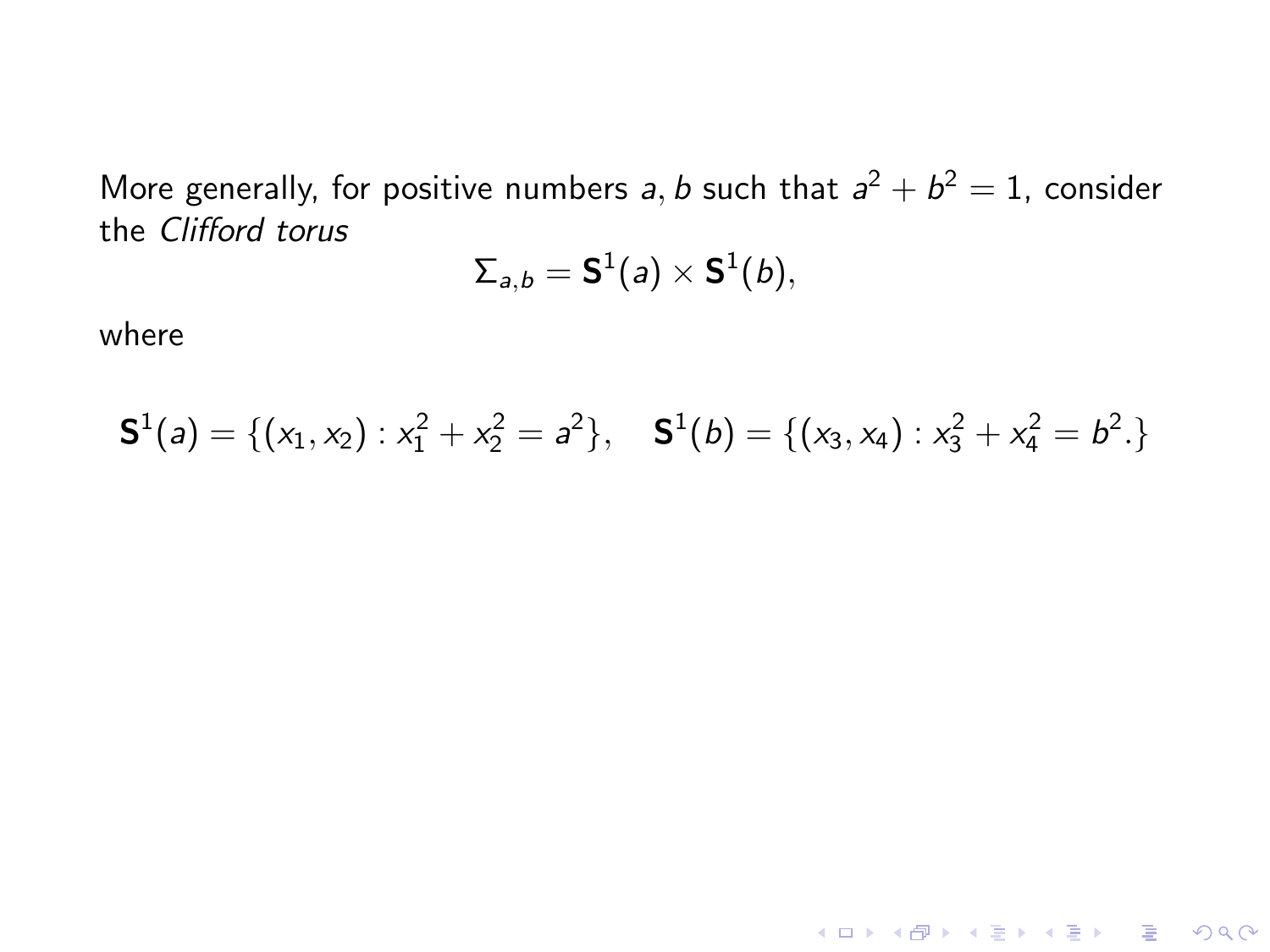More generally, for positive numbers a, b such that  $a^2 + b^2 = 1$ , consider the Clifford torus

$$
\Sigma_{a,b} = \mathbf{S}^1(a) \times \mathbf{S}^1(b),
$$

where

$$
\mathbf{S}^{1}(a) = \{ (x_1, x_2) : x_1^2 + x_2^2 = a^2 \}, \quad \mathbf{S}^{1}(b) = \{ (x_3, x_4) : x_3^2 + x_4^2 = b^2 \}
$$

KID KARA KE KIEK LE I KORO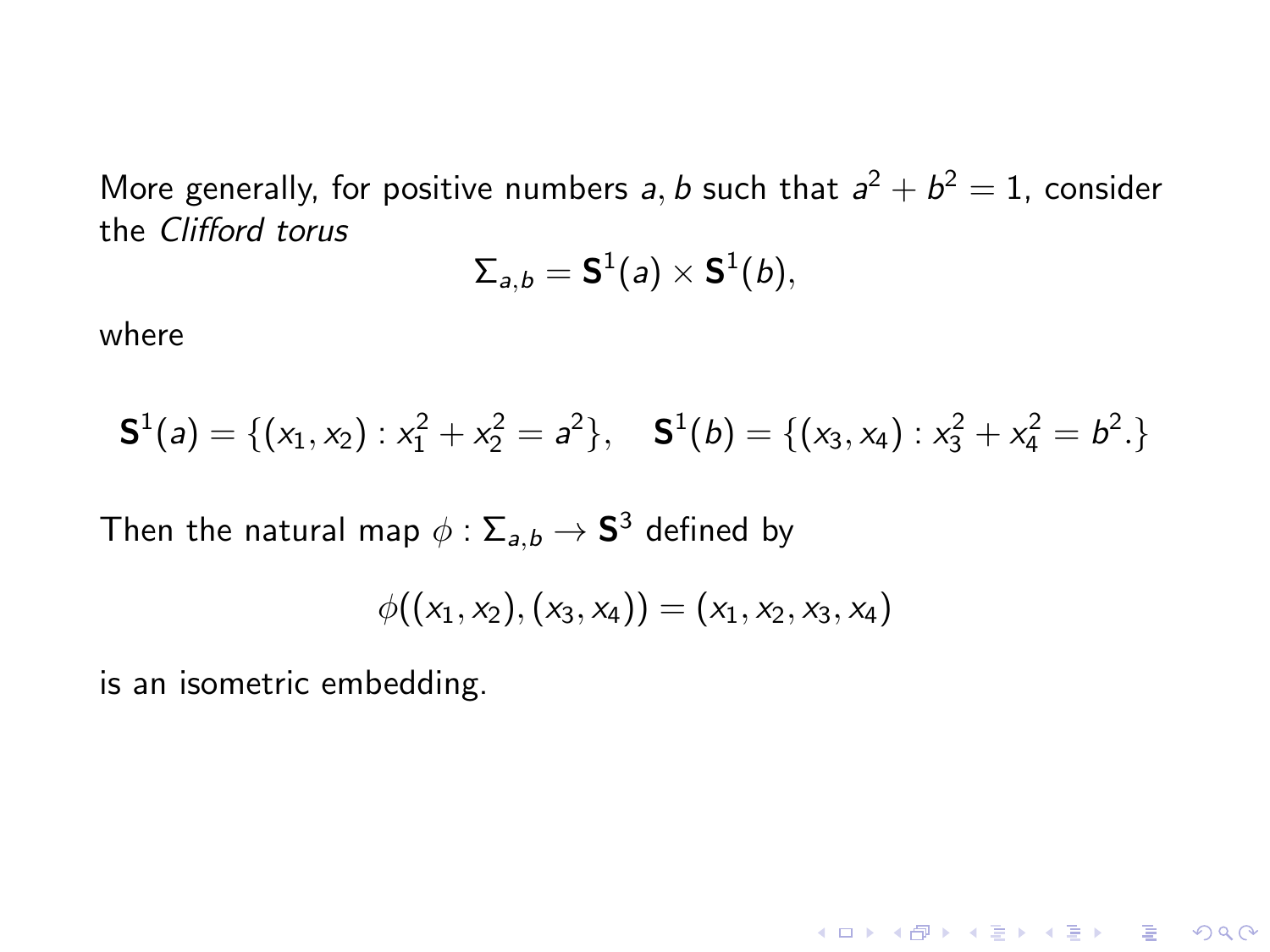More generally, for positive numbers a, b such that  $a^2 + b^2 = 1$ , consider the Clifford torus

$$
\Sigma_{a,b} = \mathbf{S}^1(a) \times \mathbf{S}^1(b),
$$

where

$$
\mathbf{S}^{1}(a) = \{ (x_1, x_2) : x_1^2 + x_2^2 = a^2 \}, \quad \mathbf{S}^{1}(b) = \{ (x_3, x_4) : x_3^2 + x_4^2 = b^2 \}
$$

Then the natural map  $\phi: \Sigma_{\mathsf{a},\mathsf{b}} \to \mathsf{S}^3$  defined by

$$
\phi((x_1,x_2),(x_3,x_4))=(x_1,x_2,x_3,x_4)
$$

is an isometric embedding.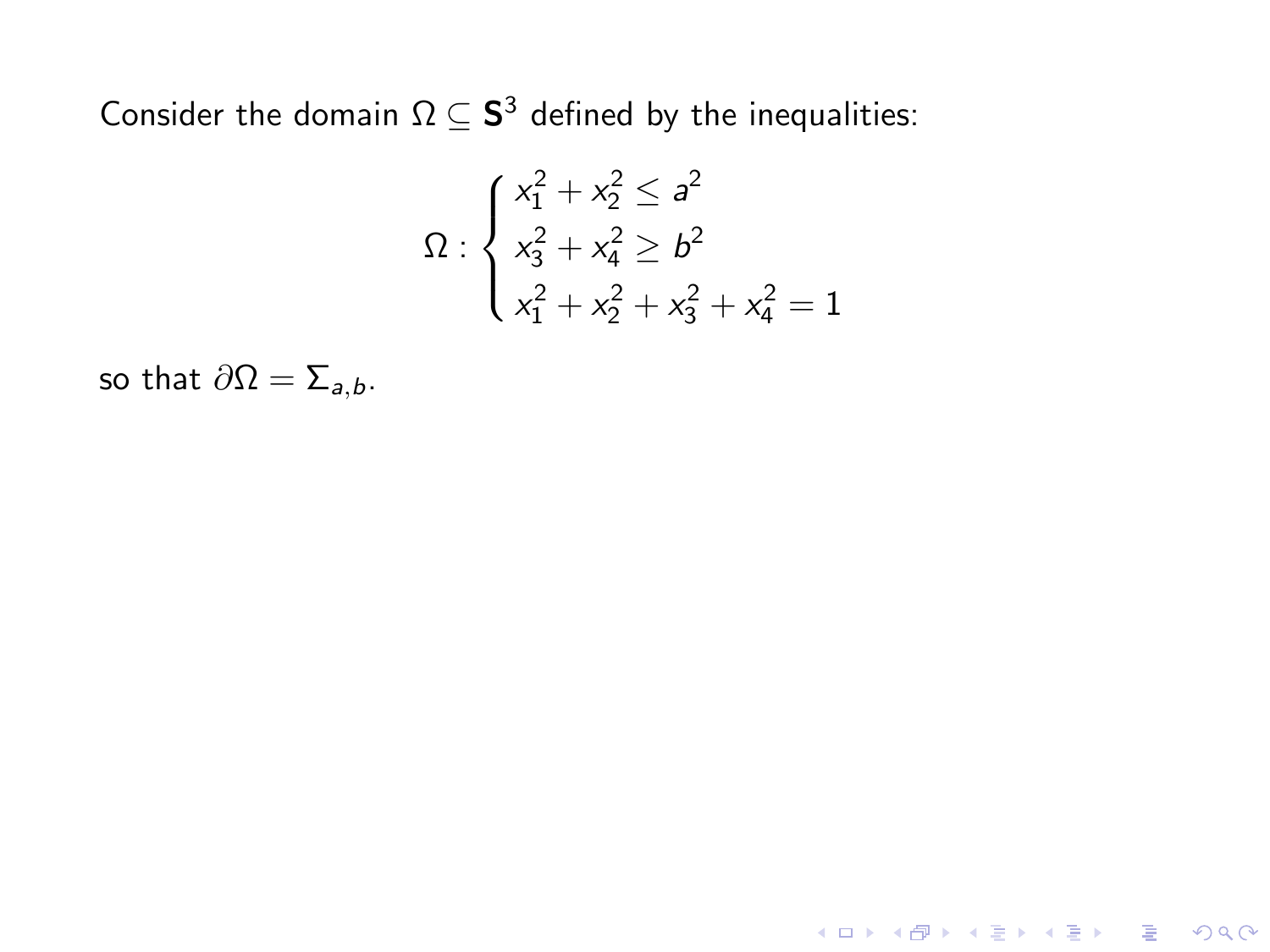$$
\Omega: \begin{cases} x_1^2 + x_2^2 \le a^2 \\ x_3^2 + x_4^2 \ge b^2 \\ x_1^2 + x_2^2 + x_3^2 + x_4^2 = 1 \end{cases}
$$

**K ロ ▶ K 레 ▶ K 로 ▶ K 로 ▶ - 로 - K 이 이 이 이** 

so that  $\partial \Omega = \sum_{a,b}$ .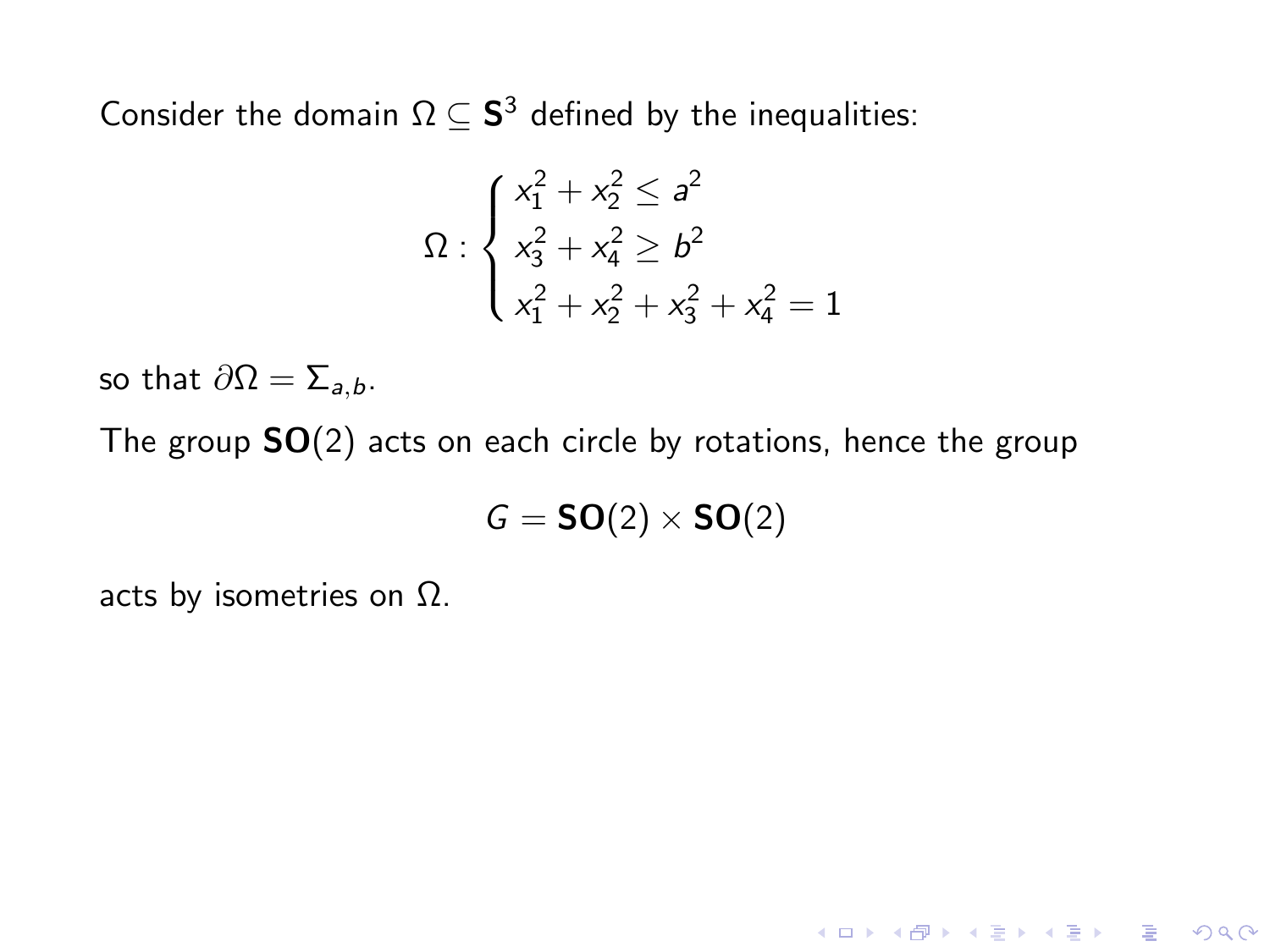$$
\Omega: \begin{cases} x_1^2 + x_2^2 \le a^2 \\ x_3^2 + x_4^2 \ge b^2 \\ x_1^2 + x_2^2 + x_3^2 + x_4^2 = 1 \end{cases}
$$

so that  $\partial \Omega = \sum_{a,b}$ .

The group  $SO(2)$  acts on each circle by rotations, hence the group

$$
G = \text{SO}(2) \times \text{SO}(2)
$$

acts by isometries on  $\Omega$ .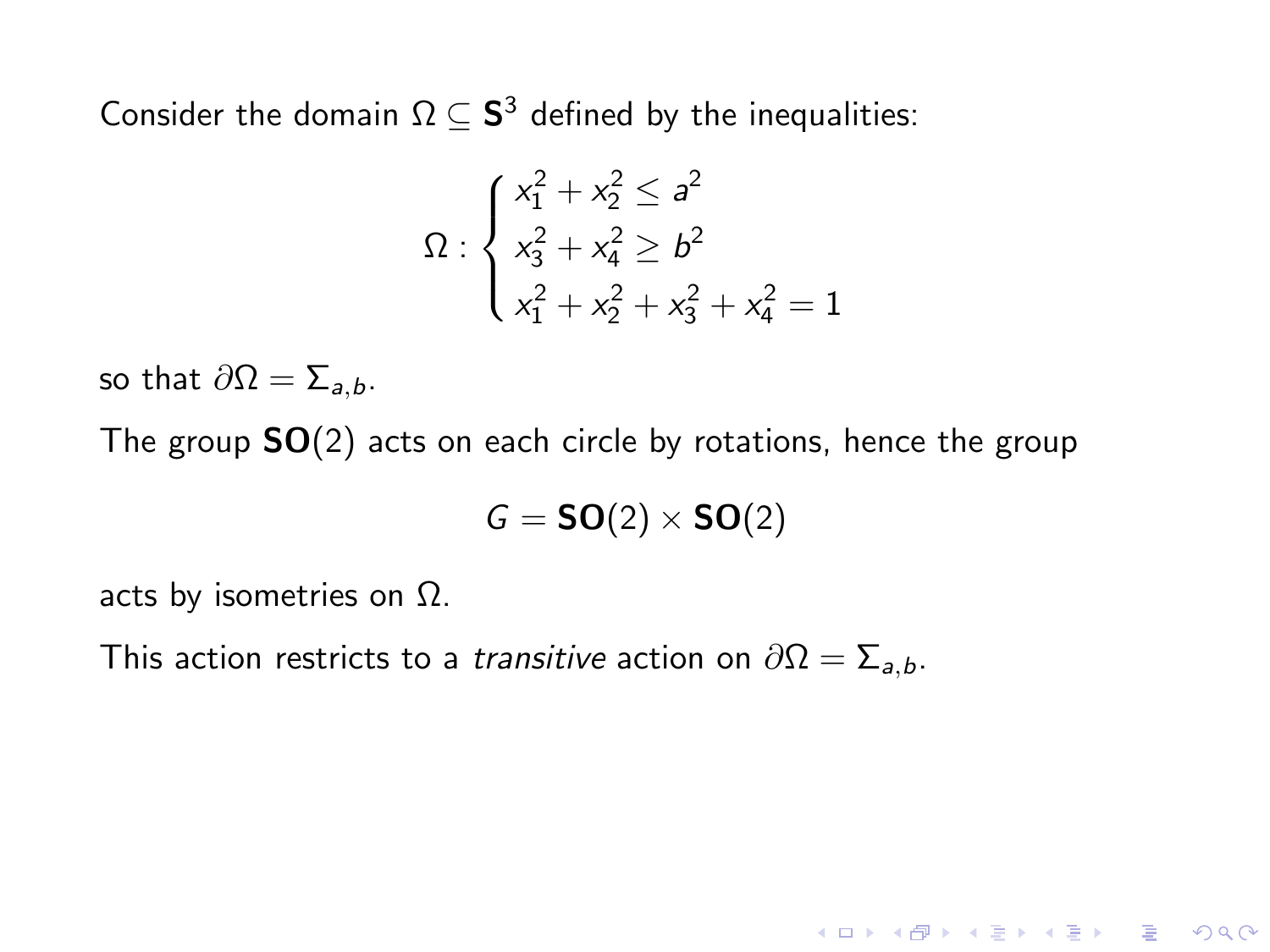$$
\Omega: \begin{cases} x_1^2 + x_2^2 \le a^2 \\ x_3^2 + x_4^2 \ge b^2 \\ x_1^2 + x_2^2 + x_3^2 + x_4^2 = 1 \end{cases}
$$

so that  $\partial \Omega = \sum_{a,b}$ .

The group  $SO(2)$  acts on each circle by rotations, hence the group

$$
G = SO(2) \times SO(2)
$$

acts by isometries on  $\Omega$ .

This action restricts to a *transitive* action on  $\partial\Omega = \sum_{a,b}$ .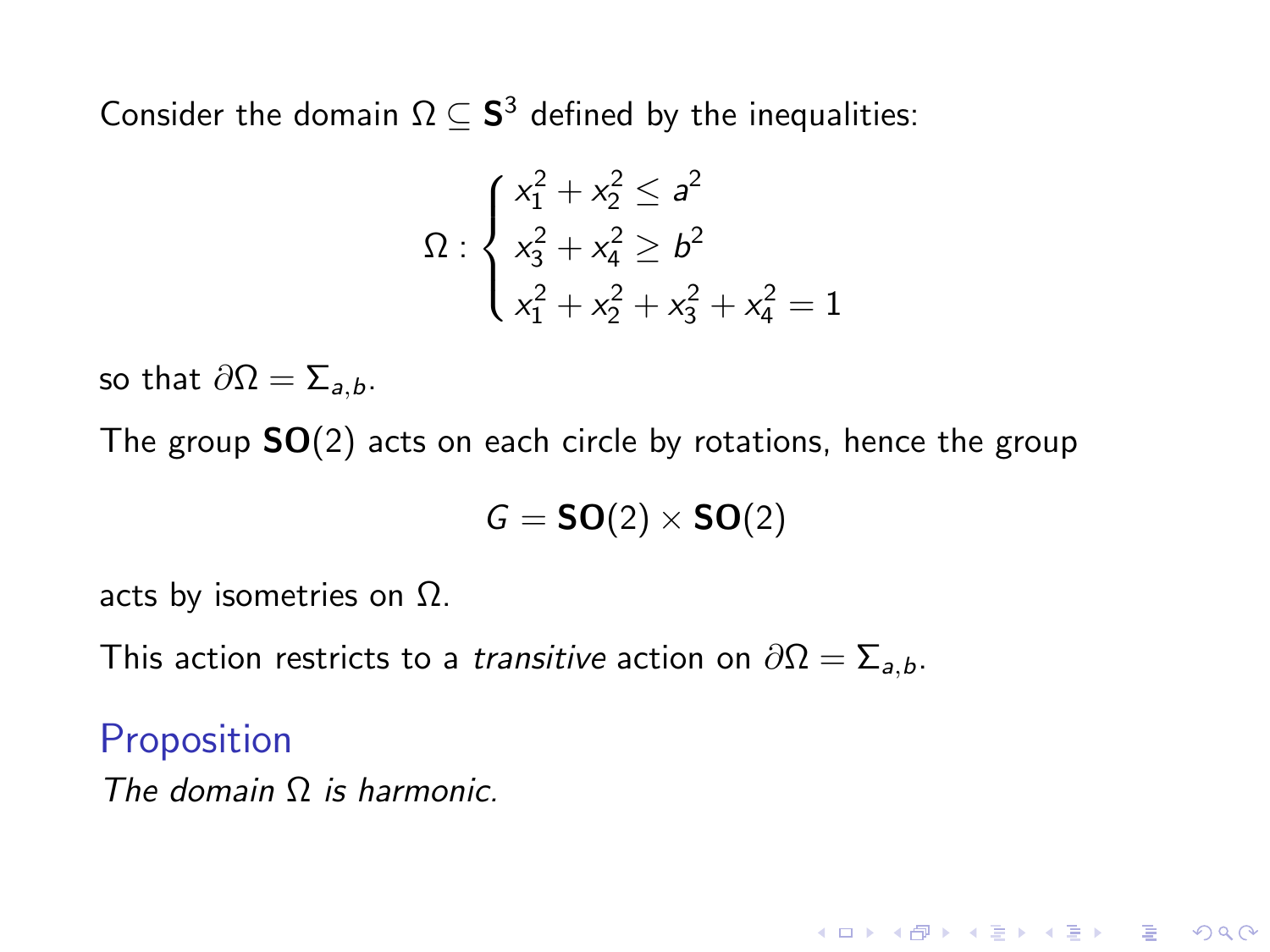$$
\Omega: \begin{cases} x_1^2 + x_2^2 \le a^2 \\ x_3^2 + x_4^2 \ge b^2 \\ x_1^2 + x_2^2 + x_3^2 + x_4^2 = 1 \end{cases}
$$

so that  $\partial \Omega = \sum_{a,b}$ .

The group  $SO(2)$  acts on each circle by rotations, hence the group

$$
G = SO(2) \times SO(2)
$$

**KORK ERKER ADE YOUR** 

acts by isometries on  $\Omega$ .

This action restricts to a *transitive* action on  $\partial\Omega = \sum_{a,b}$ .

Proposition

The domain Ω is harmonic.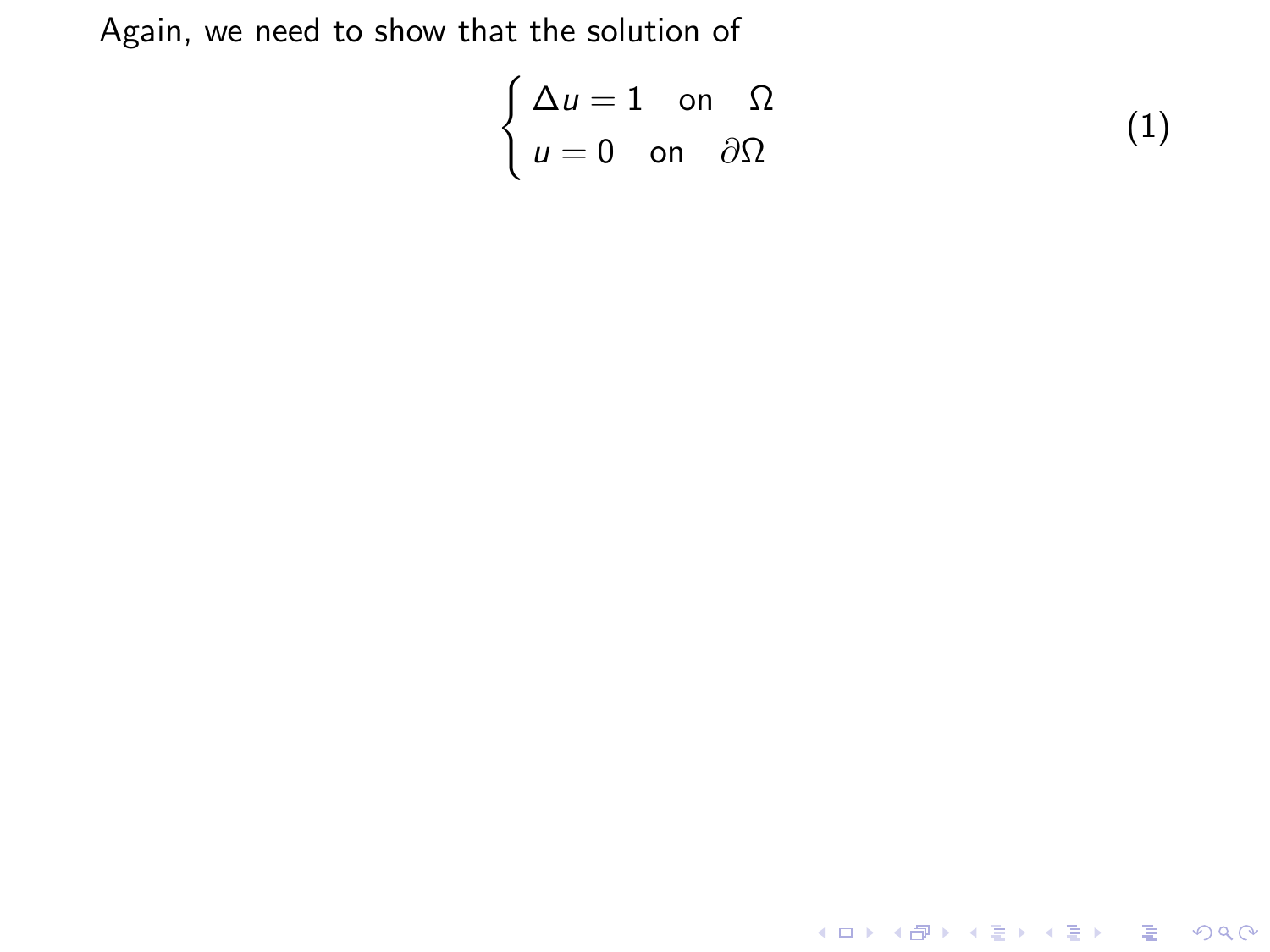<span id="page-53-0"></span>
$$
\begin{cases} \Delta u = 1 & \text{on } \Omega \\ u = 0 & \text{on } \partial\Omega \end{cases}
$$
 (1)

K ロ X K 메 X K B X X B X X D X O Q Q O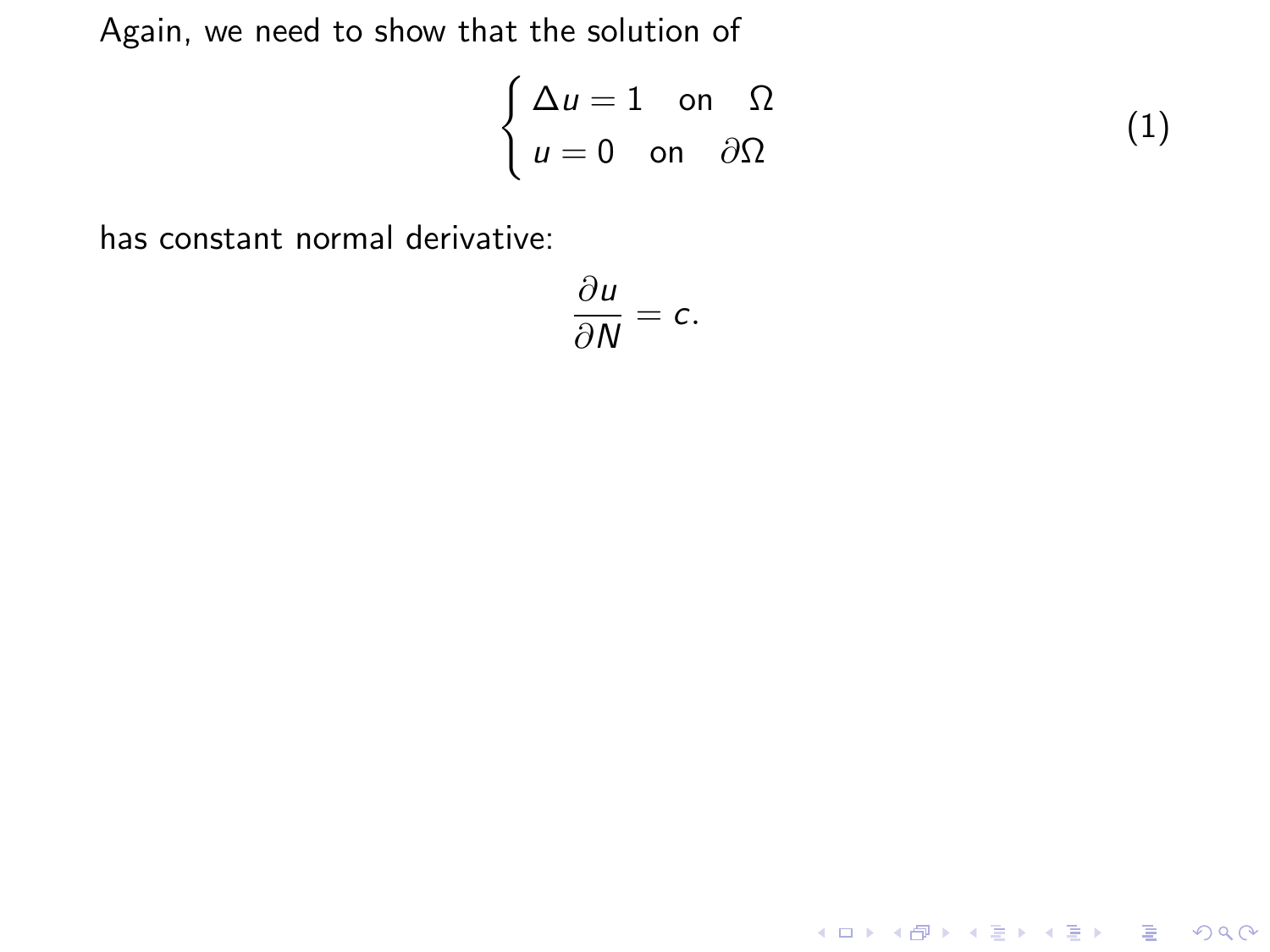$$
\begin{cases} \Delta u = 1 & \text{on } \Omega \\ u = 0 & \text{on } \partial\Omega \end{cases}
$$
 (1)

**K ロ K イロ K K モ K K モ K エ エ エ イ の Q Q C** 

has constant normal derivative:

$$
\frac{\partial u}{\partial N}=c.
$$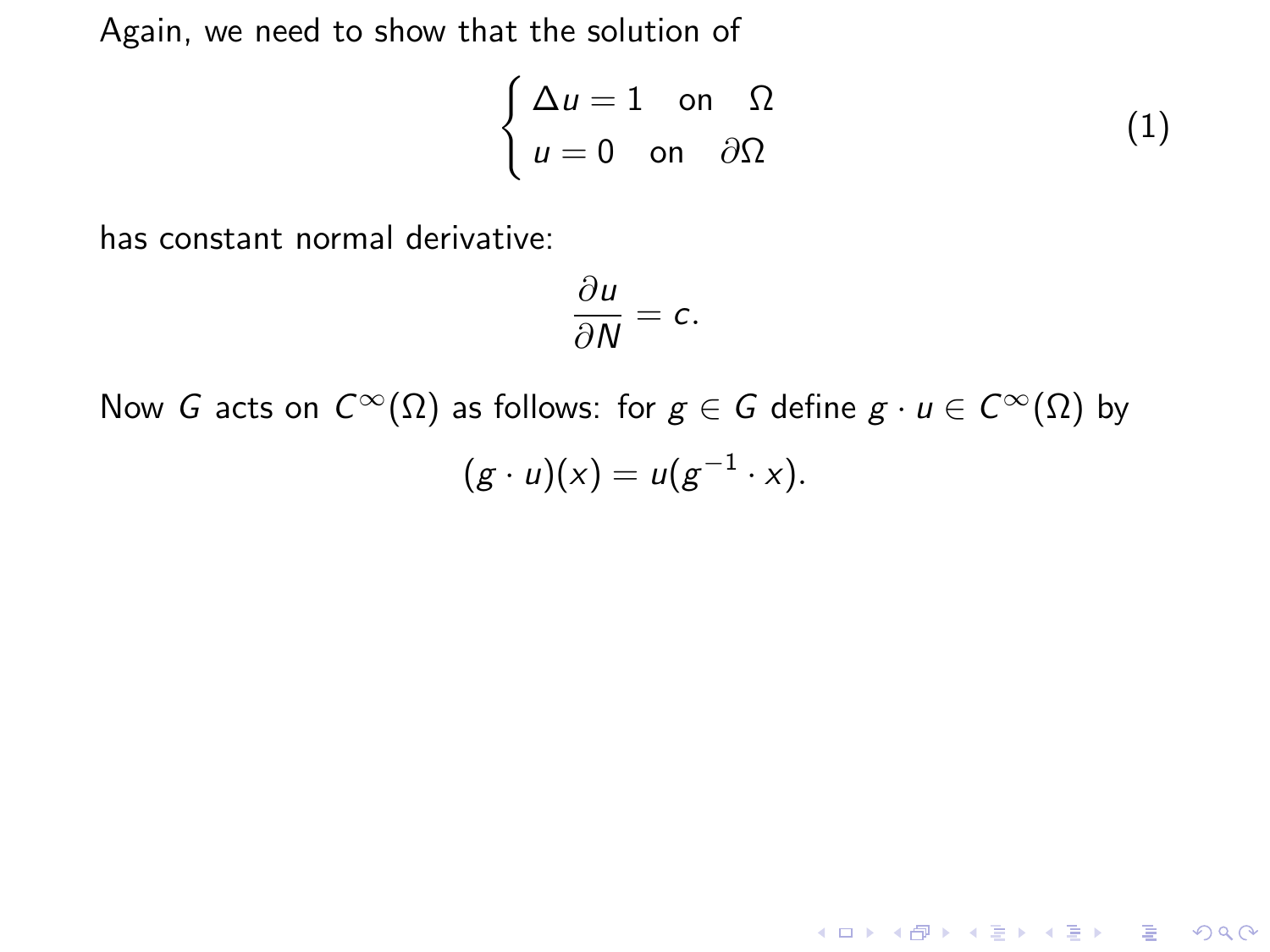$$
\begin{cases} \Delta u = 1 & \text{on } \Omega \\ u = 0 & \text{on } \partial\Omega \end{cases}
$$
 (1)

**K ロ ▶ K @ ▶ K 할 X X 할 X → 할 X → 9 Q Q ^** 

has constant normal derivative:

$$
\frac{\partial u}{\partial N}=c.
$$

Now G acts on  $C^{\infty}(\Omega)$  as follows: for  $g \in G$  define  $g \cdot u \in C^{\infty}(\Omega)$  by  $(g \cdot u)(x) = u(g^{-1} \cdot x).$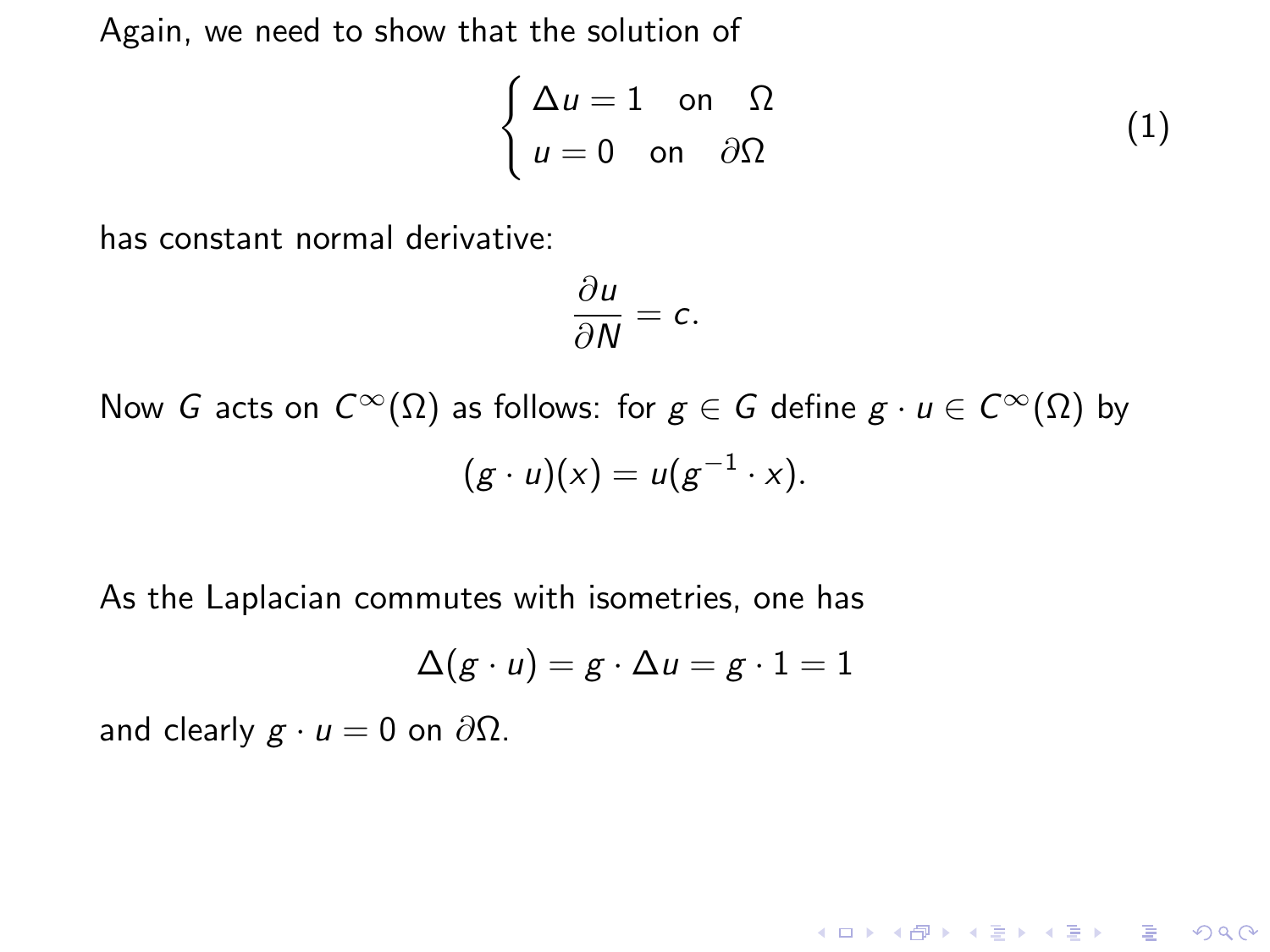$$
\begin{cases} \Delta u = 1 & \text{on } \Omega \\ u = 0 & \text{on } \partial\Omega \end{cases}
$$
 (1)

has constant normal derivative:

$$
\frac{\partial u}{\partial N}=c.
$$

Now G acts on  $C^{\infty}(\Omega)$  as follows: for  $g \in G$  define  $g \cdot u \in C^{\infty}(\Omega)$  by  $(g \cdot u)(x) = u(g^{-1} \cdot x).$ 

As the Laplacian commutes with isometries, one has

$$
\Delta(g \cdot u) = g \cdot \Delta u = g \cdot 1 = 1
$$

and clearly  $g \cdot u = 0$  on  $\partial \Omega$ .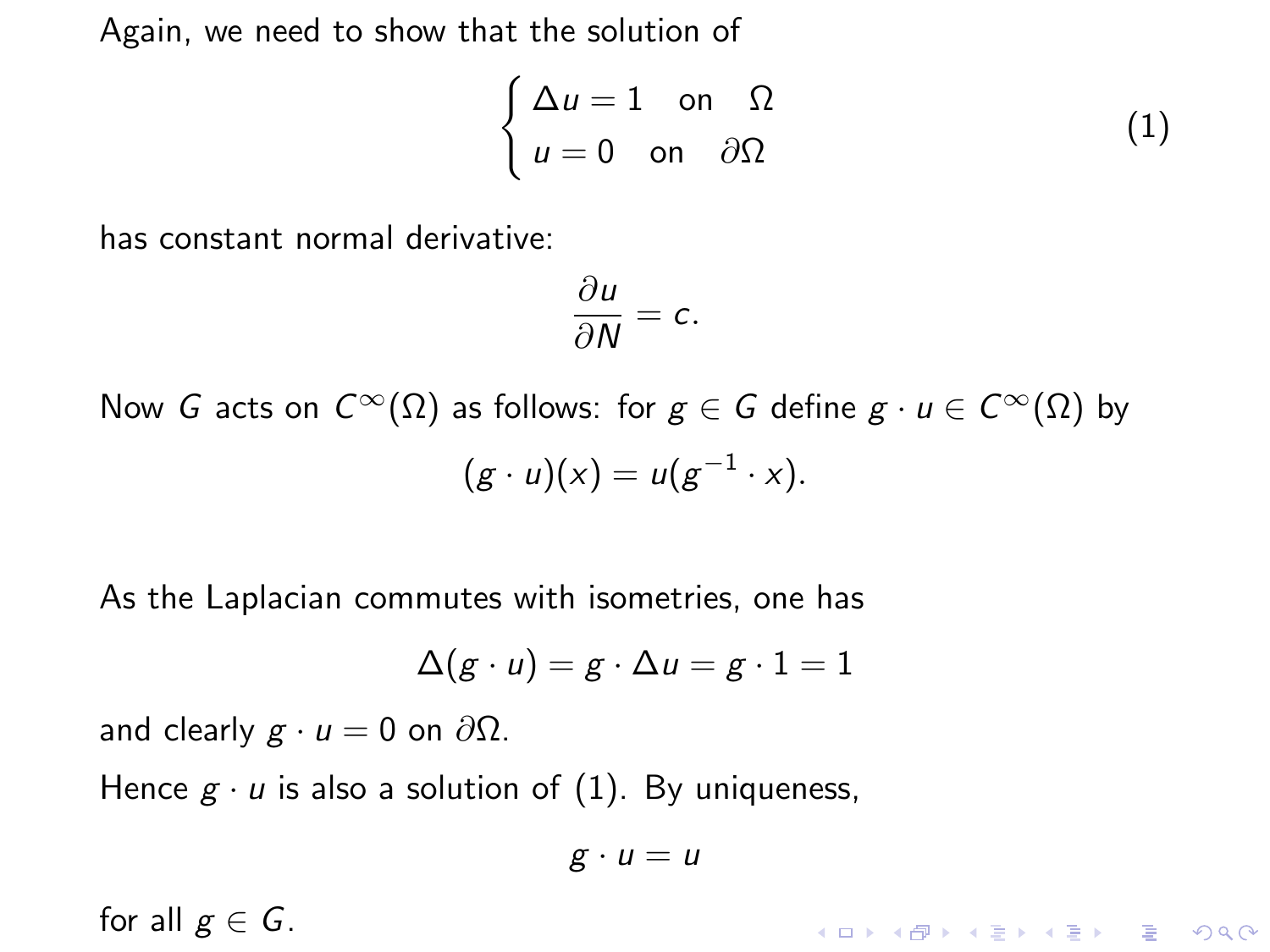$$
\begin{cases} \Delta u = 1 & \text{on } \Omega \\ u = 0 & \text{on } \partial\Omega \end{cases}
$$
 (1)

has constant normal derivative:

$$
\frac{\partial u}{\partial N}=c.
$$

Now G acts on  $C^{\infty}(\Omega)$  as follows: for  $g \in G$  define  $g \cdot u \in C^{\infty}(\Omega)$  by  $(g \cdot u)(x) = u(g^{-1} \cdot x).$ 

As the Laplacian commutes with isometries, one has

$$
\Delta(g\cdot u)=g\cdot\Delta u=g\cdot 1=1
$$

and clearly  $g \cdot u = 0$  on  $\partial \Omega$ .

Hence  $g \cdot u$  is also a solution of [\(1\)](#page-53-0). By uniqueness,

$$
g\cdot u=u
$$

for all  $g \in G$ .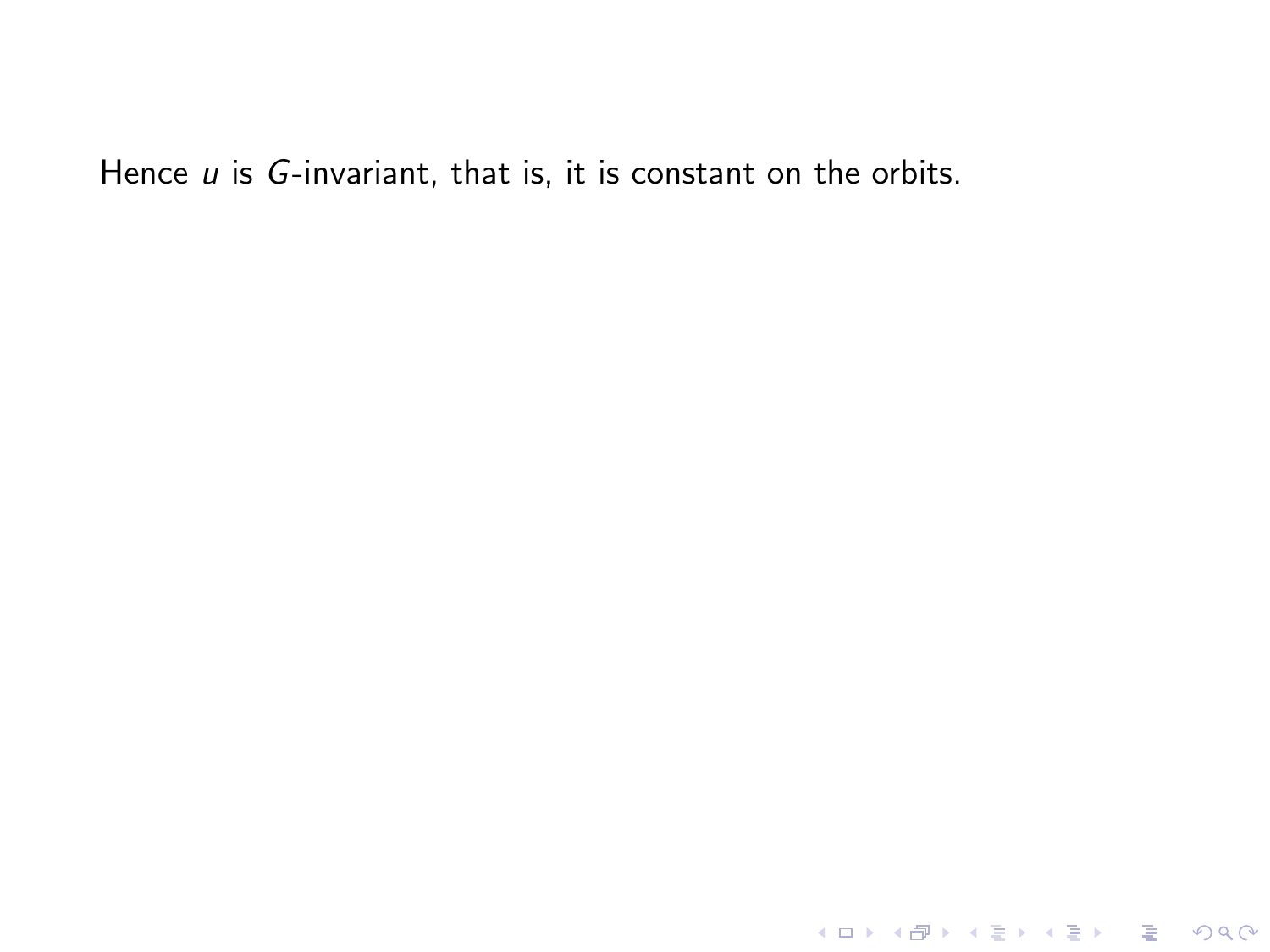KOX KOX KEX KEX E 1990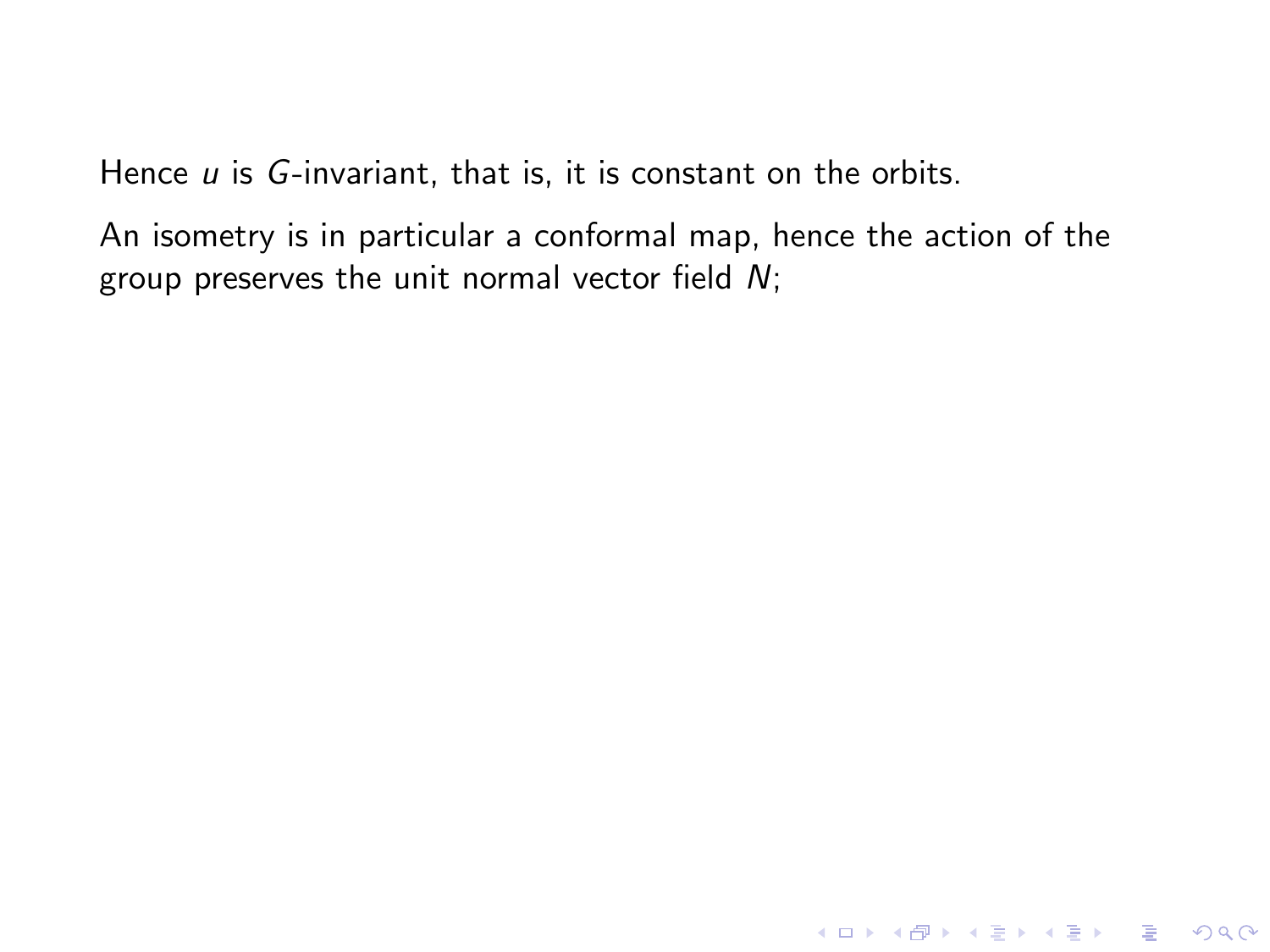An isometry is in particular a conformal map, hence the action of the group preserves the unit normal vector field  $N$ ;

K ロ ▶ K @ ▶ K 할 ▶ K 할 ▶ | 할 | © 9 Q @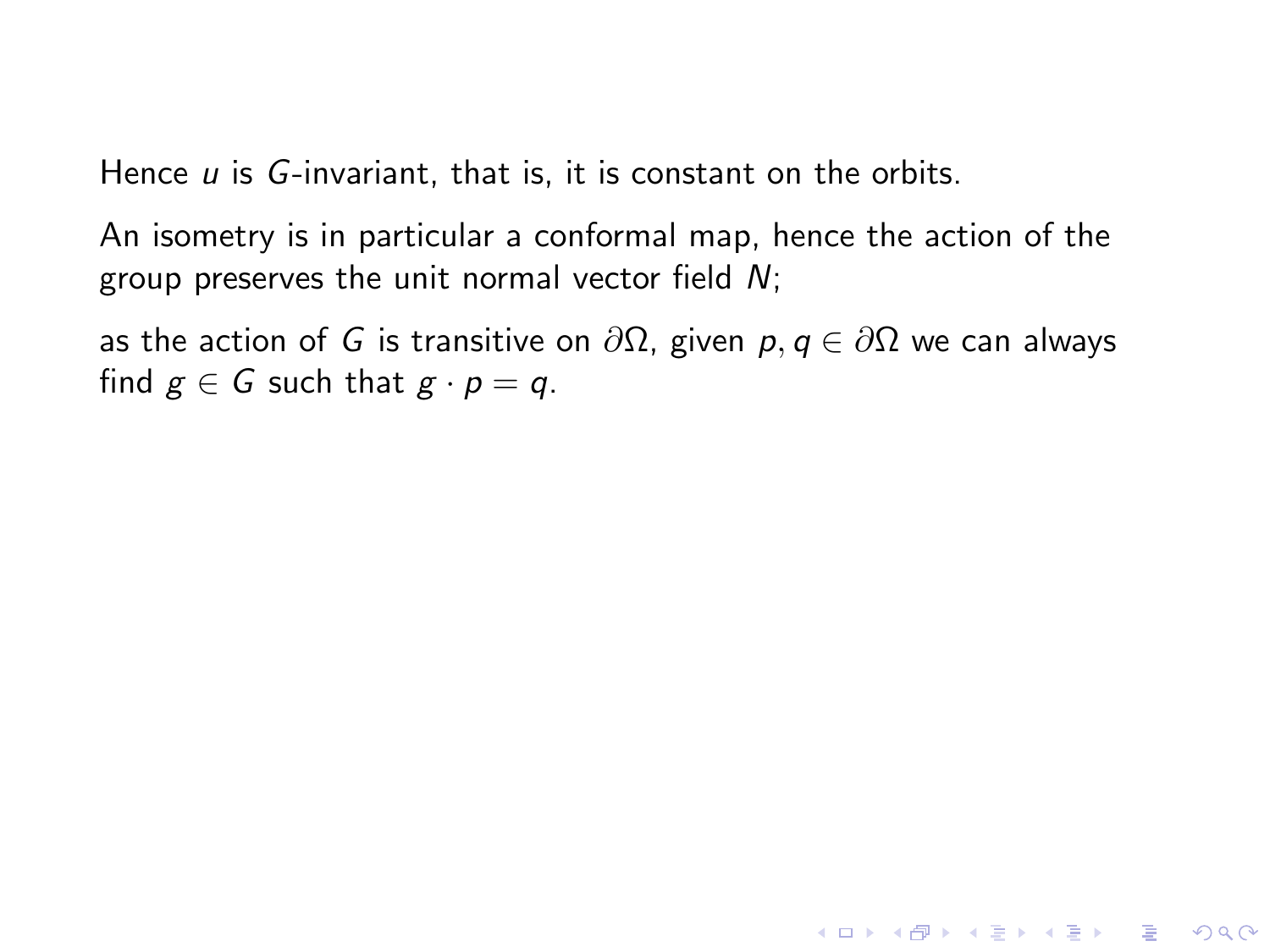An isometry is in particular a conformal map, hence the action of the group preserves the unit normal vector field  $N$ ;

as the action of *G* is transitive on  $\partial\Omega$ , given *p*, *q* ∈  $\partial\Omega$  we can always find  $g \in G$  such that  $g \cdot p = q$ .

**KORK STRATER STRAKES**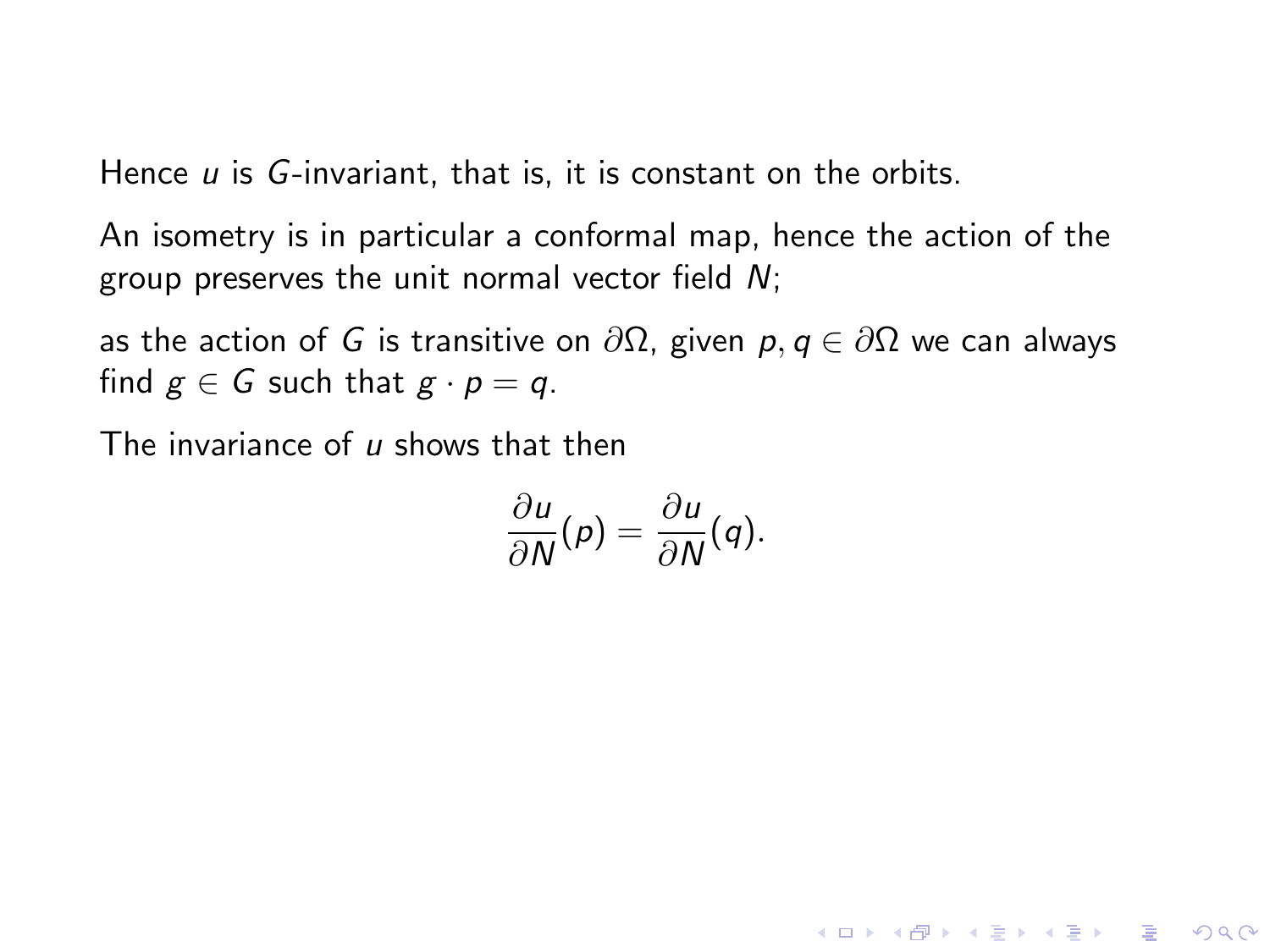An isometry is in particular a conformal map, hence the action of the group preserves the unit normal vector field  $N$ ;

as the action of *G* is transitive on  $\partial\Omega$ , given *p*, *q* ∈  $\partial\Omega$  we can always find  $g \in G$  such that  $g \cdot p = q$ .

The invariance of  $\mu$  shows that then

$$
\frac{\partial u}{\partial N}(p) = \frac{\partial u}{\partial N}(q).
$$

**KORKA SERKER ORA**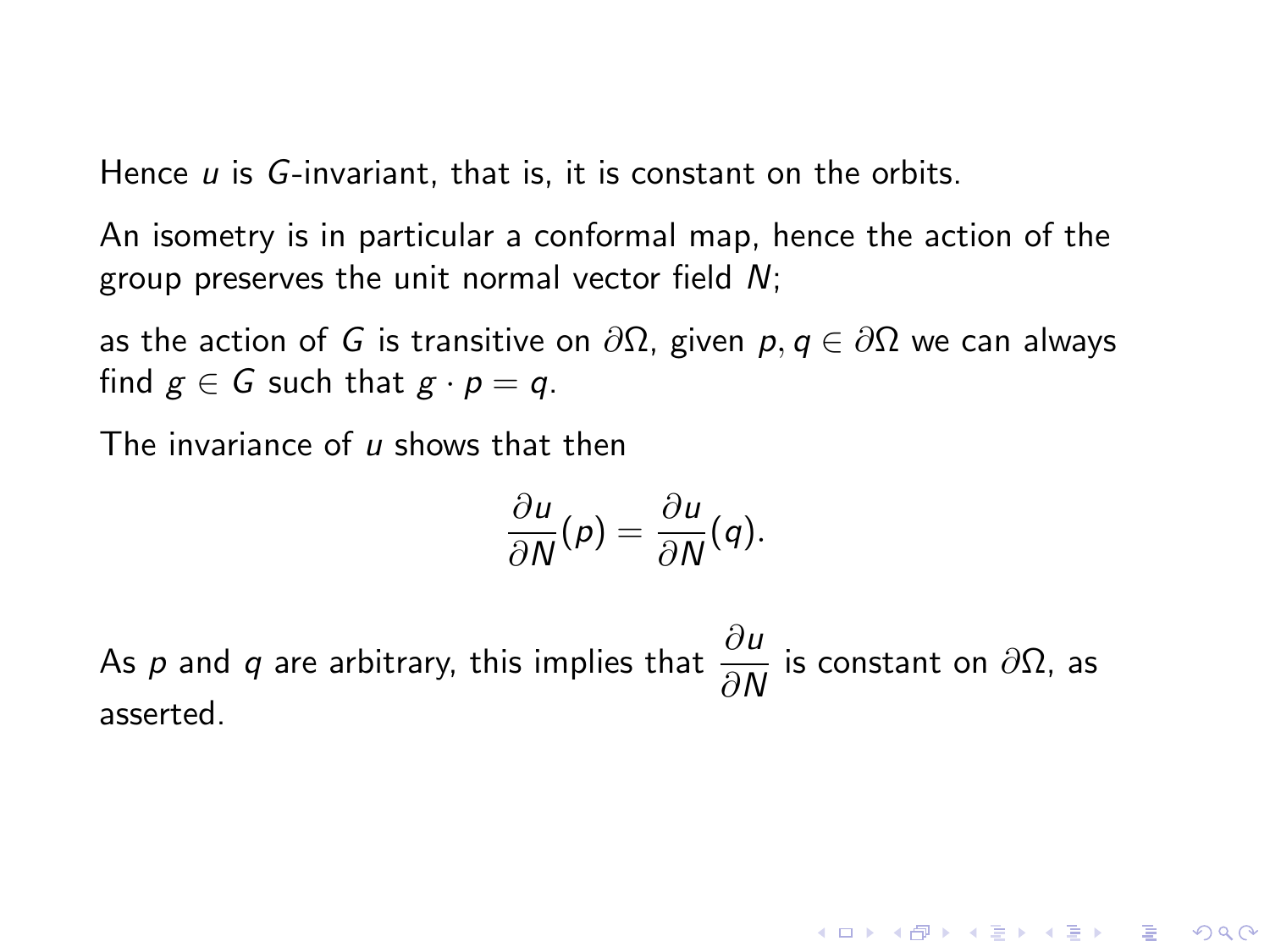An isometry is in particular a conformal map, hence the action of the group preserves the unit normal vector field N;

as the action of G is transitive on  $\partial\Omega$ , given  $p, q \in \partial\Omega$  we can always find  $g \in G$  such that  $g \cdot p = q$ .

The invariance of  $\mu$  shows that then

$$
\frac{\partial u}{\partial N}(p) = \frac{\partial u}{\partial N}(q).
$$

As  $p$  and  $q$  are arbitrary, this implies that  $\frac{\partial u}{\partial N}$  is constant on  $\partial \Omega$ , as asserted.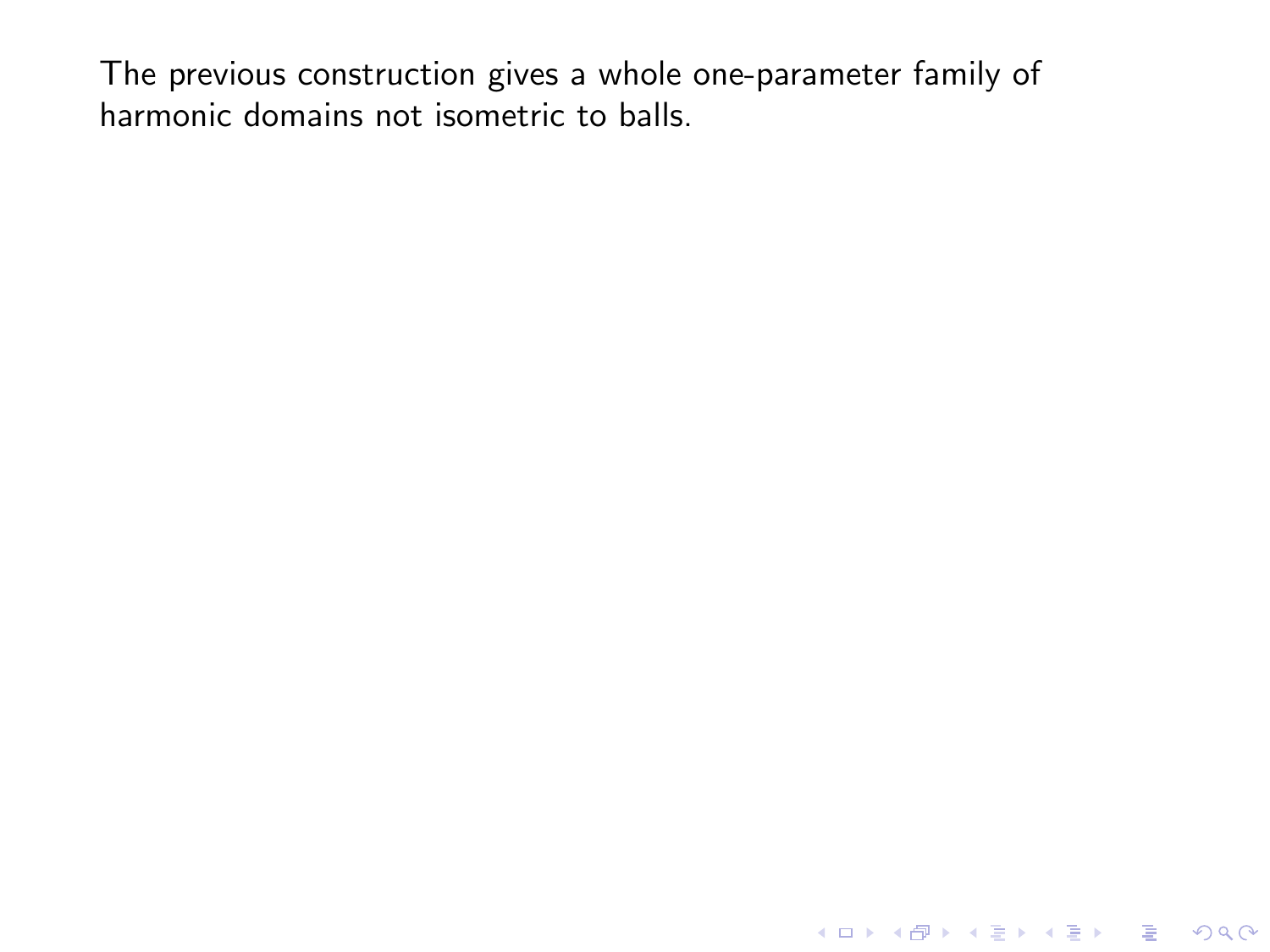K ロ ▶ K @ ▶ K 할 ▶ K 할 ▶ | 할 | ⊙Q @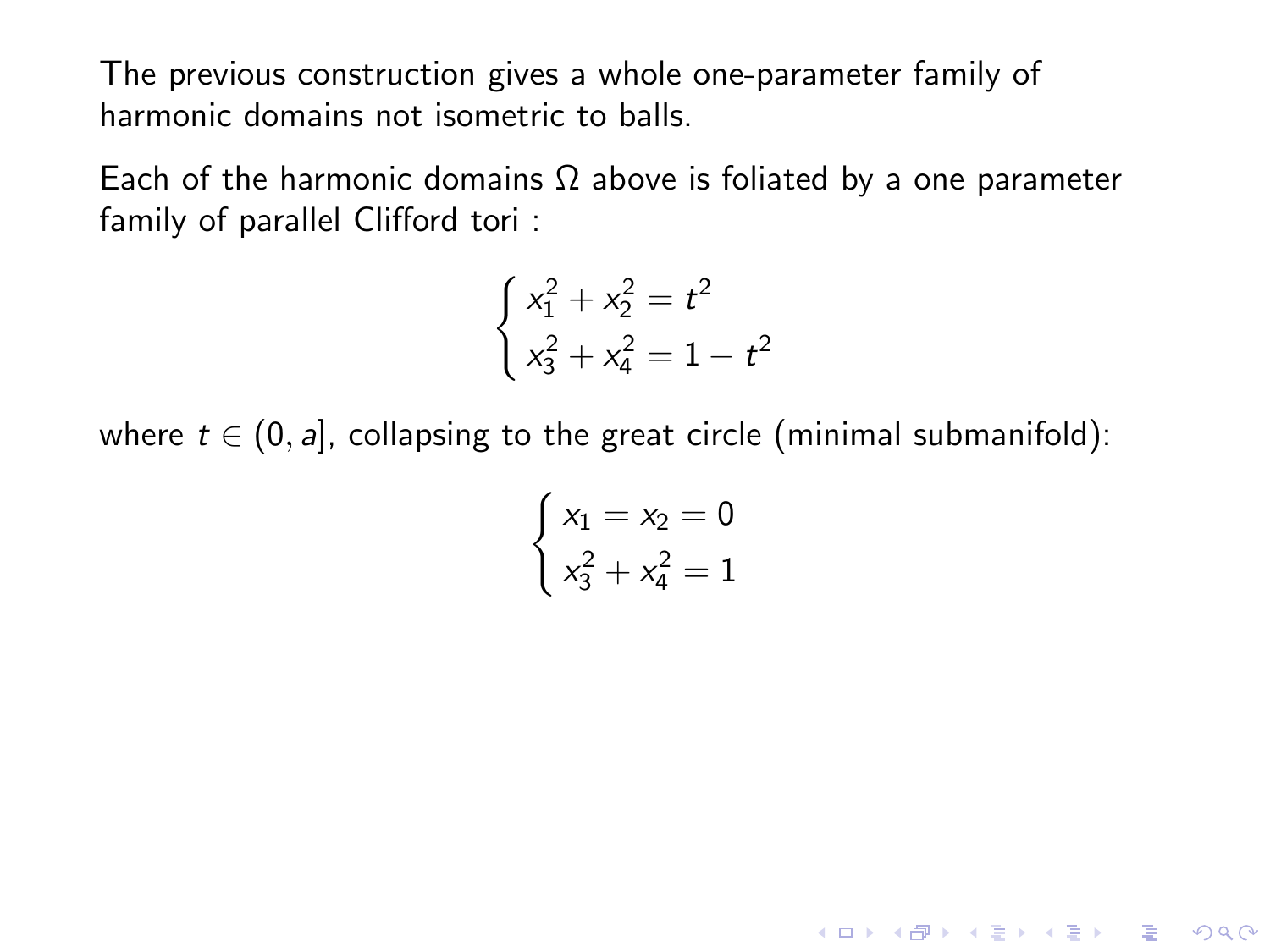Each of the harmonic domains  $\Omega$  above is foliated by a one parameter family of parallel Clifford tori :

$$
\begin{cases}\n x_1^2 + x_2^2 = t^2 \\
 x_3^2 + x_4^2 = 1 - t^2\n\end{cases}
$$

where  $t \in (0, a]$ , collapsing to the great circle (minimal submanifold):

$$
\begin{cases} x_1 = x_2 = 0\\ x_3^2 + x_4^2 = 1 \end{cases}
$$

K ロ ▶ K @ ▶ K 할 ▶ K 할 ▶ | 할 | © 9 Q @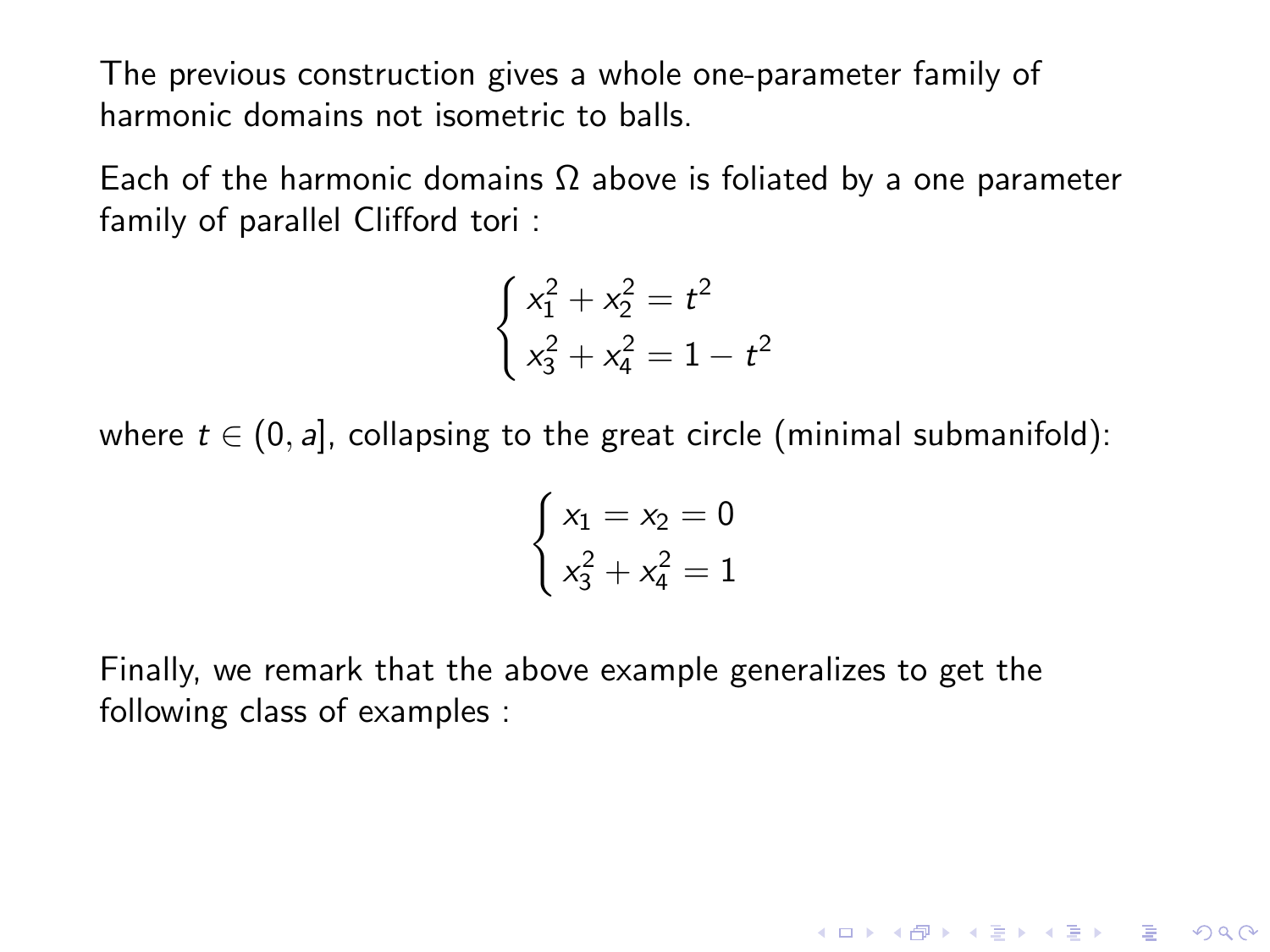Each of the harmonic domains  $\Omega$  above is foliated by a one parameter family of parallel Clifford tori :

$$
\begin{cases}\nx_1^2 + x_2^2 = t^2 \\
x_3^2 + x_4^2 = 1 - t^2\n\end{cases}
$$

where  $t \in (0, a]$ , collapsing to the great circle (minimal submanifold):

$$
\begin{cases} x_1 = x_2 = 0\\ x_3^2 + x_4^2 = 1 \end{cases}
$$

**KORKA SERKER ORA** 

Finally, we remark that the above example generalizes to get the following class of examples :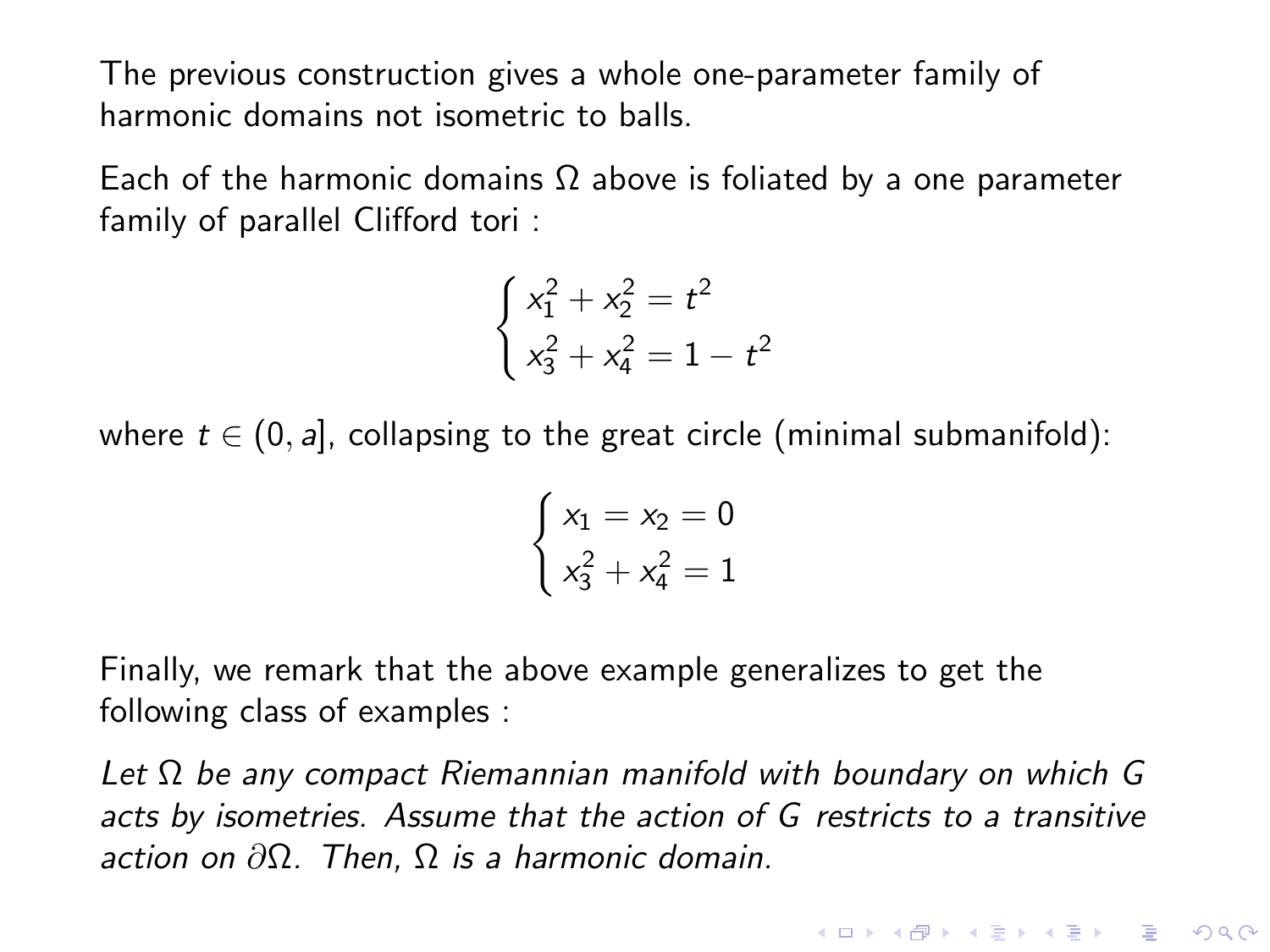Each of the harmonic domains  $\Omega$  above is foliated by a one parameter family of parallel Clifford tori :

$$
\begin{cases}\nx_1^2 + x_2^2 = t^2 \\
x_3^2 + x_4^2 = 1 - t^2\n\end{cases}
$$

where  $t \in (0, a]$ , collapsing to the great circle (minimal submanifold):

$$
\begin{cases} x_1 = x_2 = 0\\ x_3^2 + x_4^2 = 1 \end{cases}
$$

Finally, we remark that the above example generalizes to get the following class of examples :

Let  $\Omega$  be any compact Riemannian manifold with boundary on which G acts by isometries. Assume that the action of G restricts to a transitive action on  $\partial \Omega$ . Then,  $\Omega$  is a harmonic domain.

**K ロ ▶ K @ ▶ K 할 X X 할 X → 할 X → 9 Q Q ^**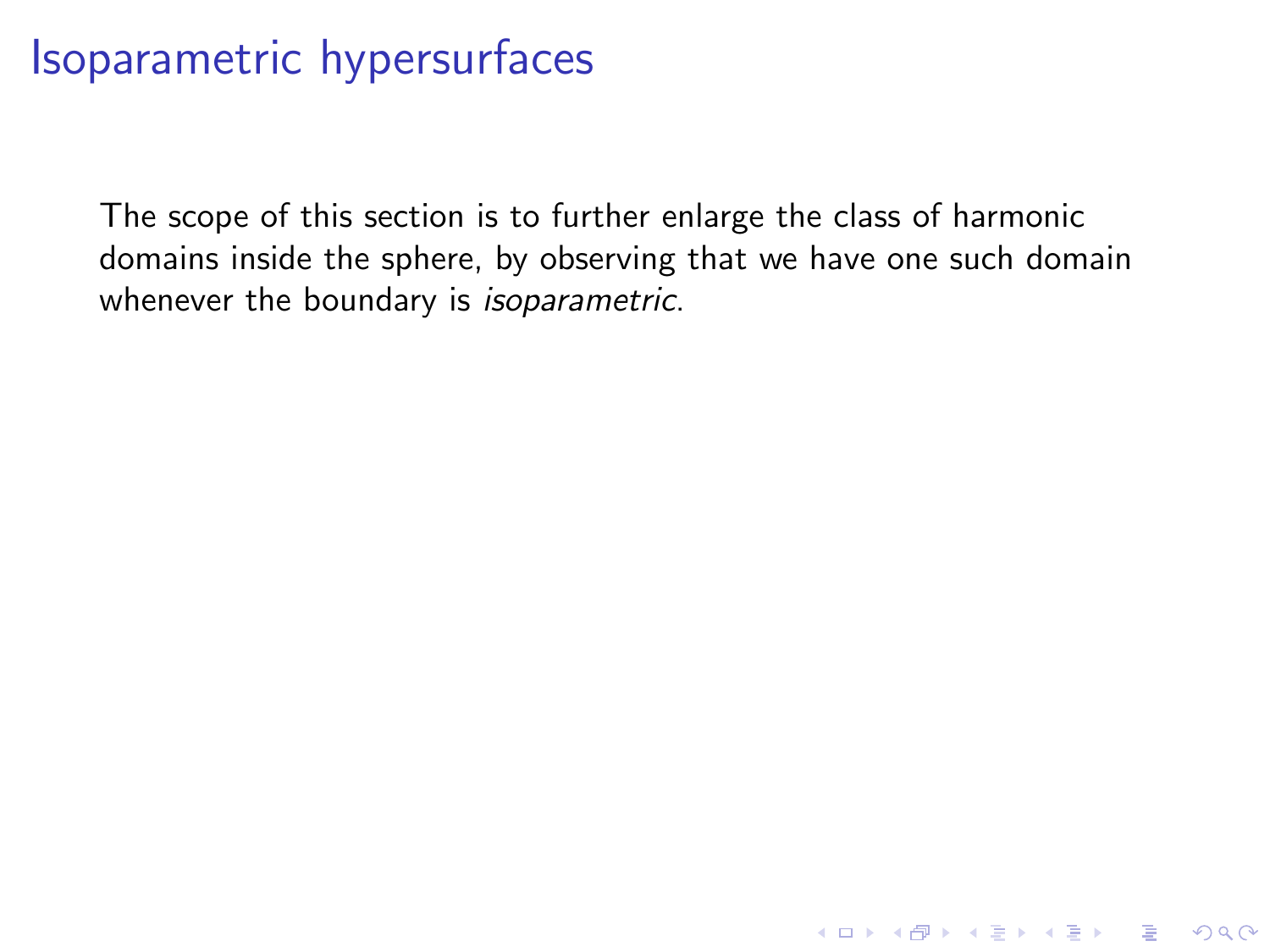The scope of this section is to further enlarge the class of harmonic domains inside the sphere, by observing that we have one such domain whenever the boundary is *isoparametric*.

K ロ ▶ K @ ▶ K 할 > K 할 > 1 할 > 1 이익어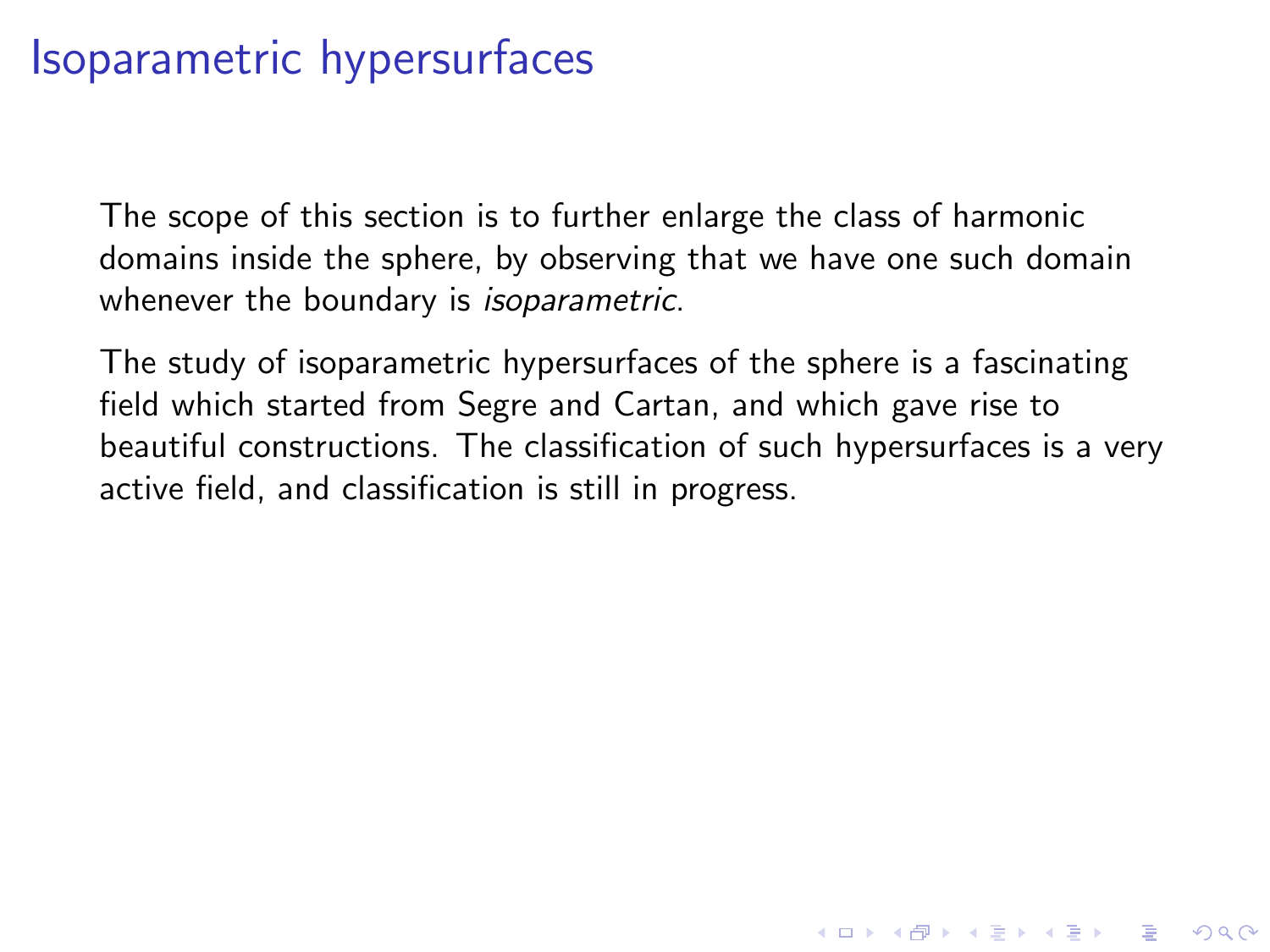The scope of this section is to further enlarge the class of harmonic domains inside the sphere, by observing that we have one such domain whenever the boundary is *isoparametric*.

The study of isoparametric hypersurfaces of the sphere is a fascinating field which started from Segre and Cartan, and which gave rise to beautiful constructions. The classification of such hypersurfaces is a very active field, and classification is still in progress.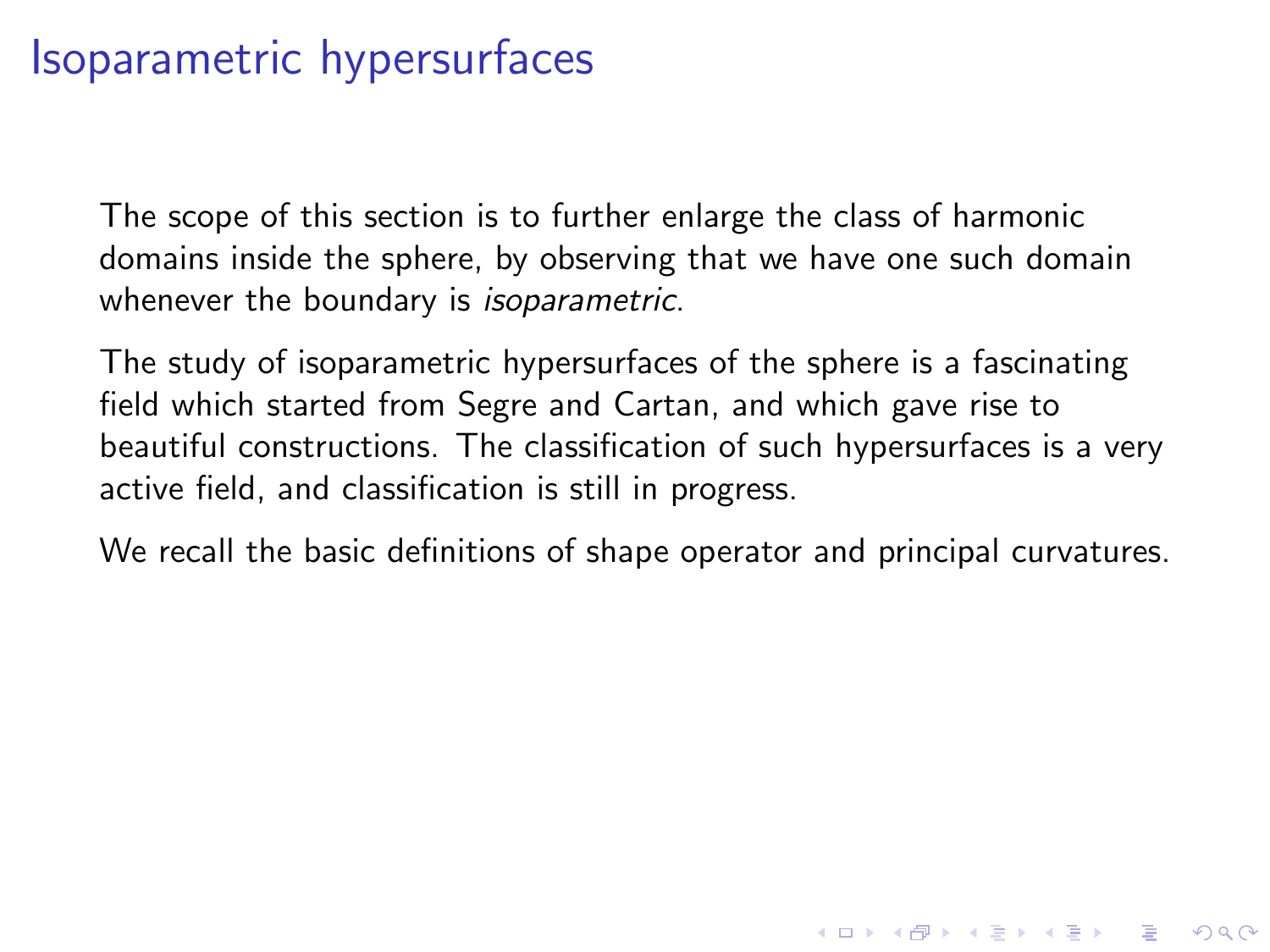The scope of this section is to further enlarge the class of harmonic domains inside the sphere, by observing that we have one such domain whenever the boundary is *isoparametric*.

The study of isoparametric hypersurfaces of the sphere is a fascinating field which started from Segre and Cartan, and which gave rise to beautiful constructions. The classification of such hypersurfaces is a very active field, and classification is still in progress.

We recall the basic definitions of shape operator and principal curvatures.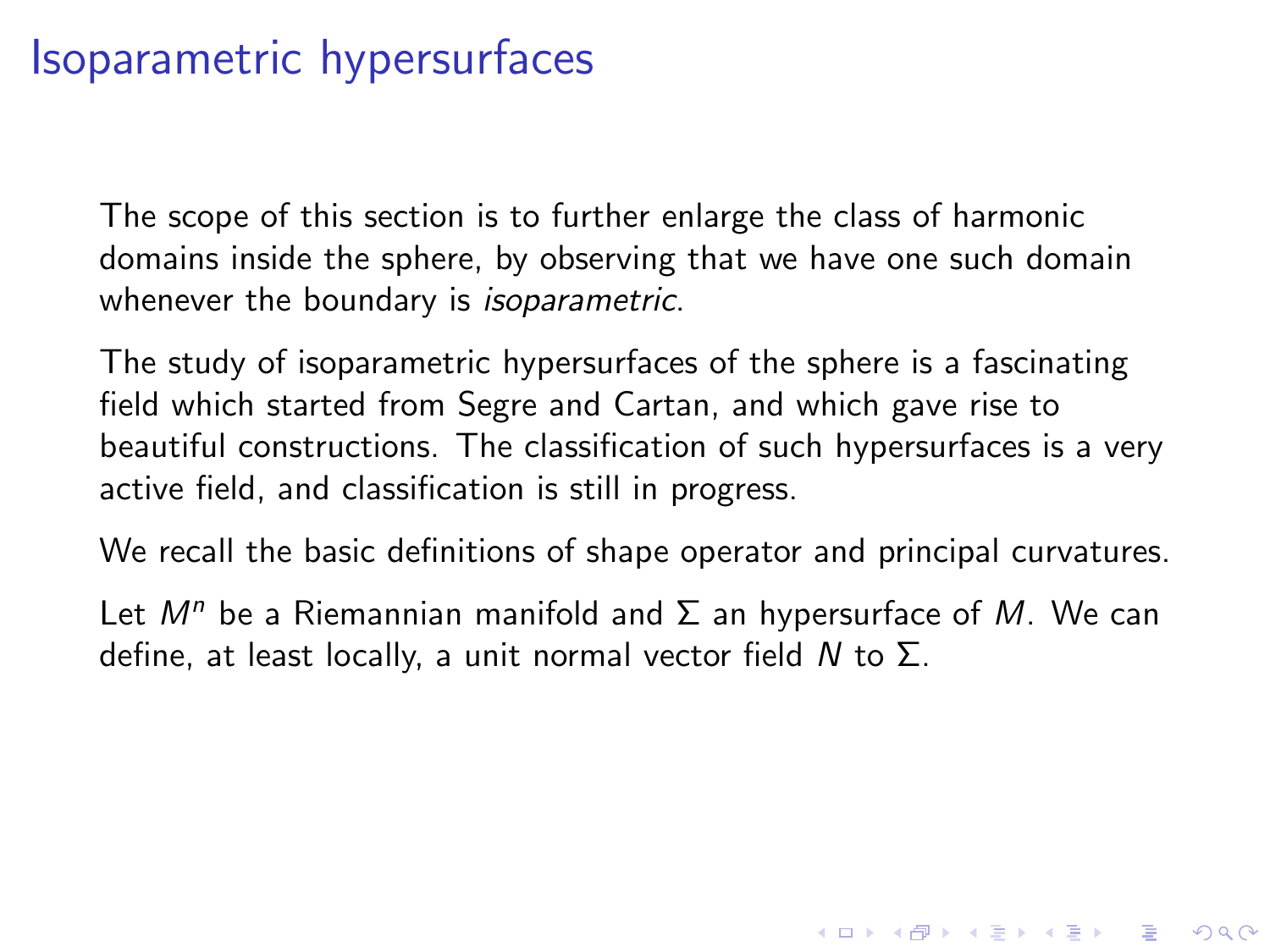The scope of this section is to further enlarge the class of harmonic domains inside the sphere, by observing that we have one such domain whenever the boundary is *isoparametric*.

The study of isoparametric hypersurfaces of the sphere is a fascinating field which started from Segre and Cartan, and which gave rise to beautiful constructions. The classification of such hypersurfaces is a very active field, and classification is still in progress.

We recall the basic definitions of shape operator and principal curvatures.

Let  $M^n$  be a Riemannian manifold and  $\Sigma$  an hypersurface of M. We can define, at least locally, a unit normal vector field N to  $\Sigma$ .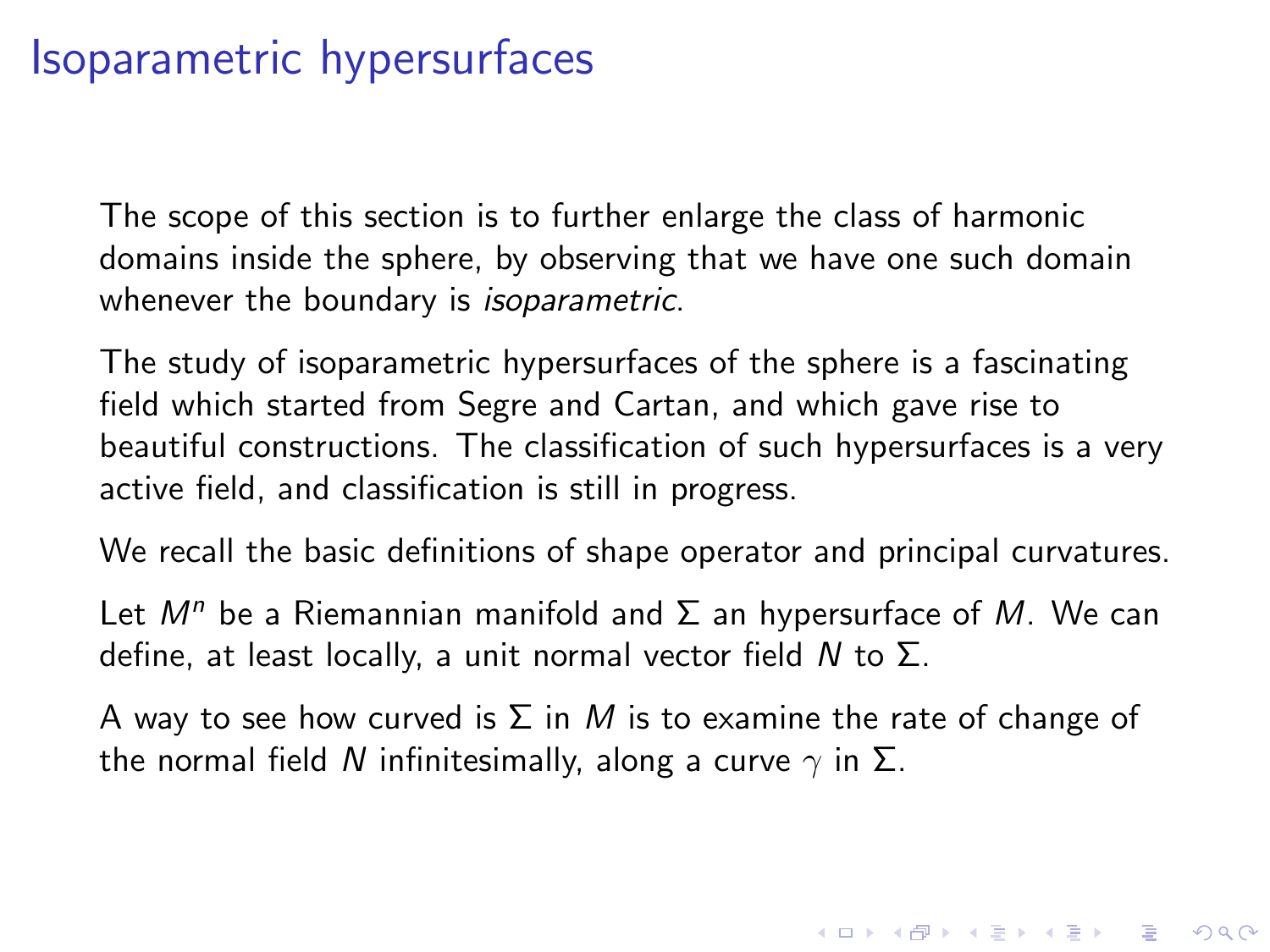The scope of this section is to further enlarge the class of harmonic domains inside the sphere, by observing that we have one such domain whenever the boundary is *isoparametric*.

The study of isoparametric hypersurfaces of the sphere is a fascinating field which started from Segre and Cartan, and which gave rise to beautiful constructions. The classification of such hypersurfaces is a very active field, and classification is still in progress.

We recall the basic definitions of shape operator and principal curvatures.

Let  $M^n$  be a Riemannian manifold and  $\Sigma$  an hypersurface of M. We can define, at least locally, a unit normal vector field  $N$  to  $\Sigma$ .

A way to see how curved is  $\Sigma$  in M is to examine the rate of change of the normal field N infinitesimally, along a curve  $\gamma$  in  $\Sigma$ .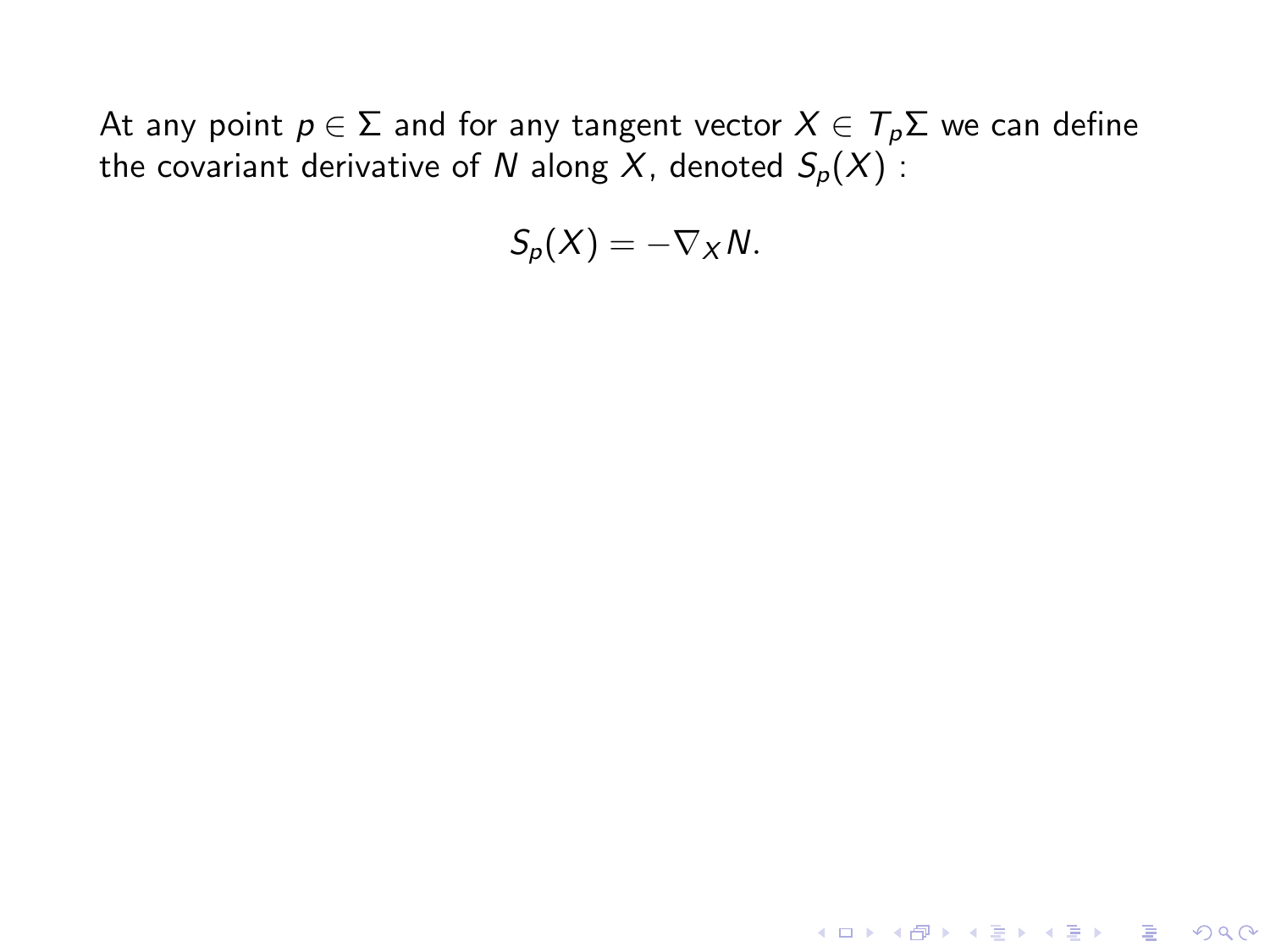At any point  $p \in \Sigma$  and for any tangent vector  $X \in \mathcal{T}_p \Sigma$  we can define the covariant derivative of N along X, denoted  $S_p(X)$ :

$$
S_p(X)=-\nabla_X N.
$$

K ロ ▶ K @ ▶ K 할 ▶ K 할 ▶ | 할 | © 9 Q @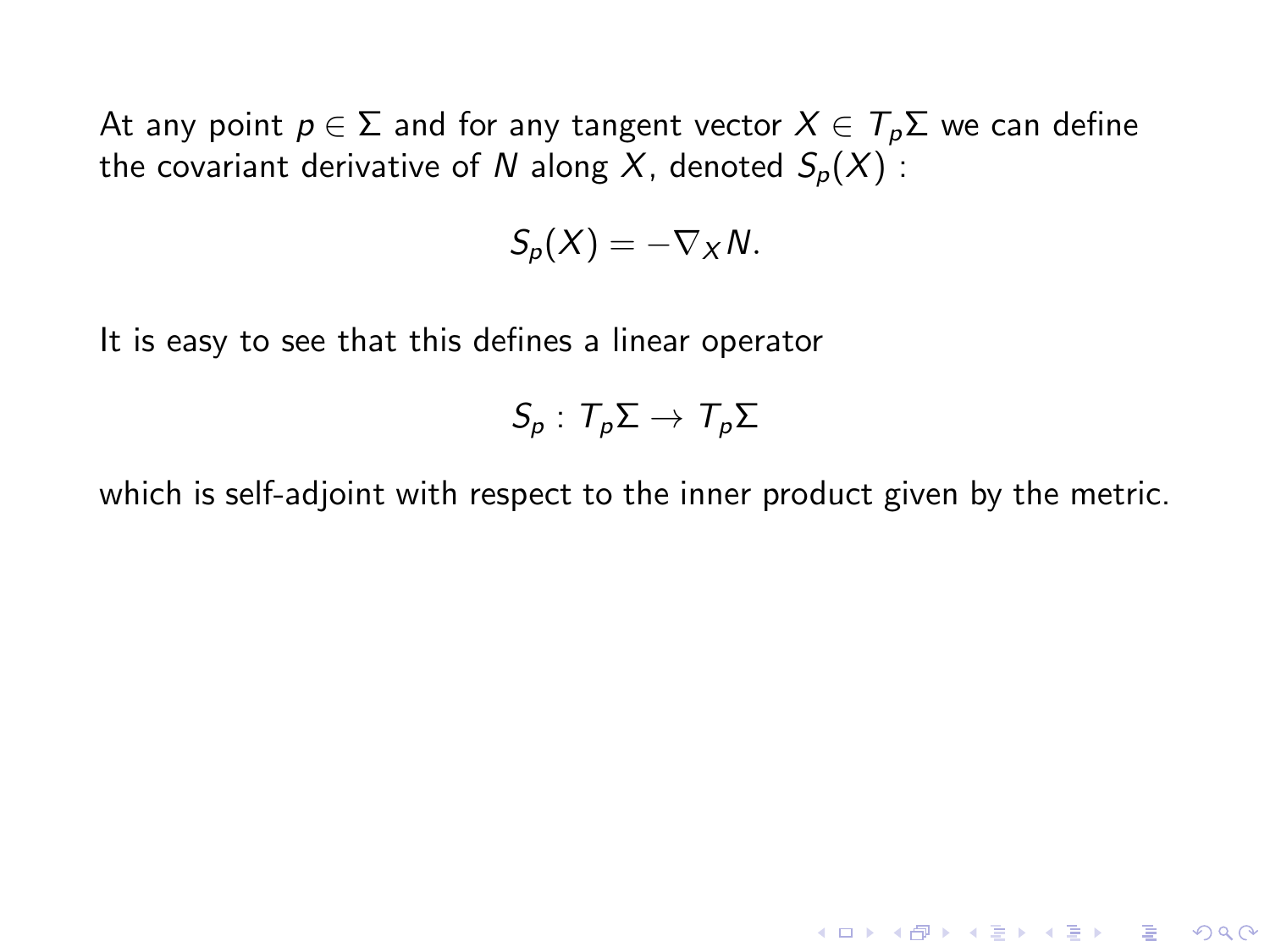At any point  $p \in \Sigma$  and for any tangent vector  $X \in T_p \Sigma$  we can define the covariant derivative of N along X, denoted  $S_p(X)$ :

$$
S_p(X)=-\nabla_X N.
$$

It is easy to see that this defines a linear operator

$$
S_p: T_p\Sigma \to T_p\Sigma
$$

which is self-adjoint with respect to the inner product given by the metric.

**KORK ERKER ADE YOUR**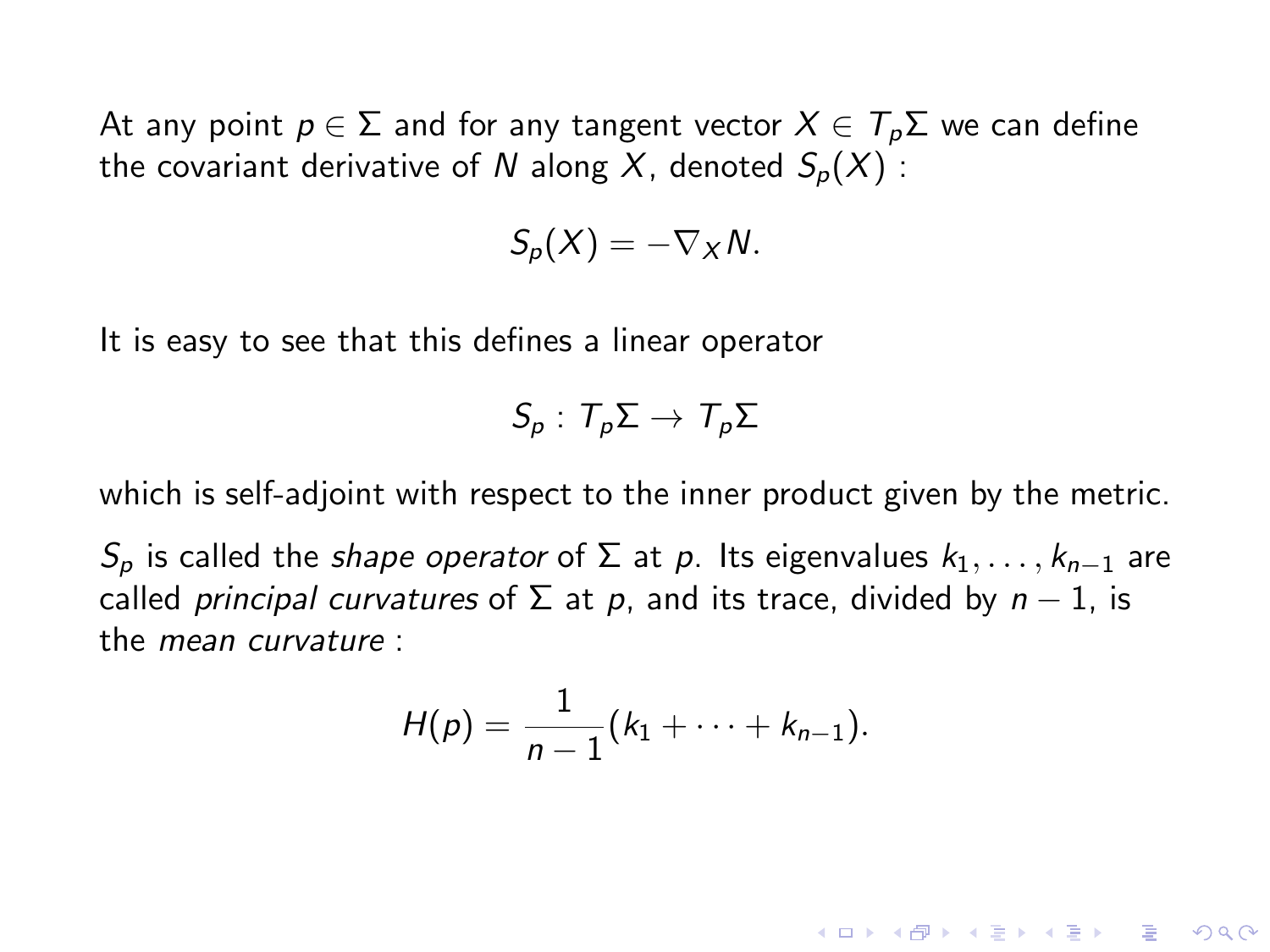At any point  $p \in \Sigma$  and for any tangent vector  $X \in T_p \Sigma$  we can define the covariant derivative of N along X, denoted  $S_p(X)$ :

$$
S_p(X)=-\nabla_X N.
$$

It is easy to see that this defines a linear operator

$$
S_p: T_p\Sigma \to T_p\Sigma
$$

which is self-adjoint with respect to the inner product given by the metric.

 $S_p$  is called the *shape operator* of  $\Sigma$  at p. Its eigenvalues  $k_1, \ldots, k_{n-1}$  are called *principal curvatures* of  $\Sigma$  at p, and its trace, divided by  $n - 1$ , is the mean curvature :

$$
H(p) = \frac{1}{n-1}(k_1 + \cdots + k_{n-1}).
$$

**KORK ERKER ADE YOUR**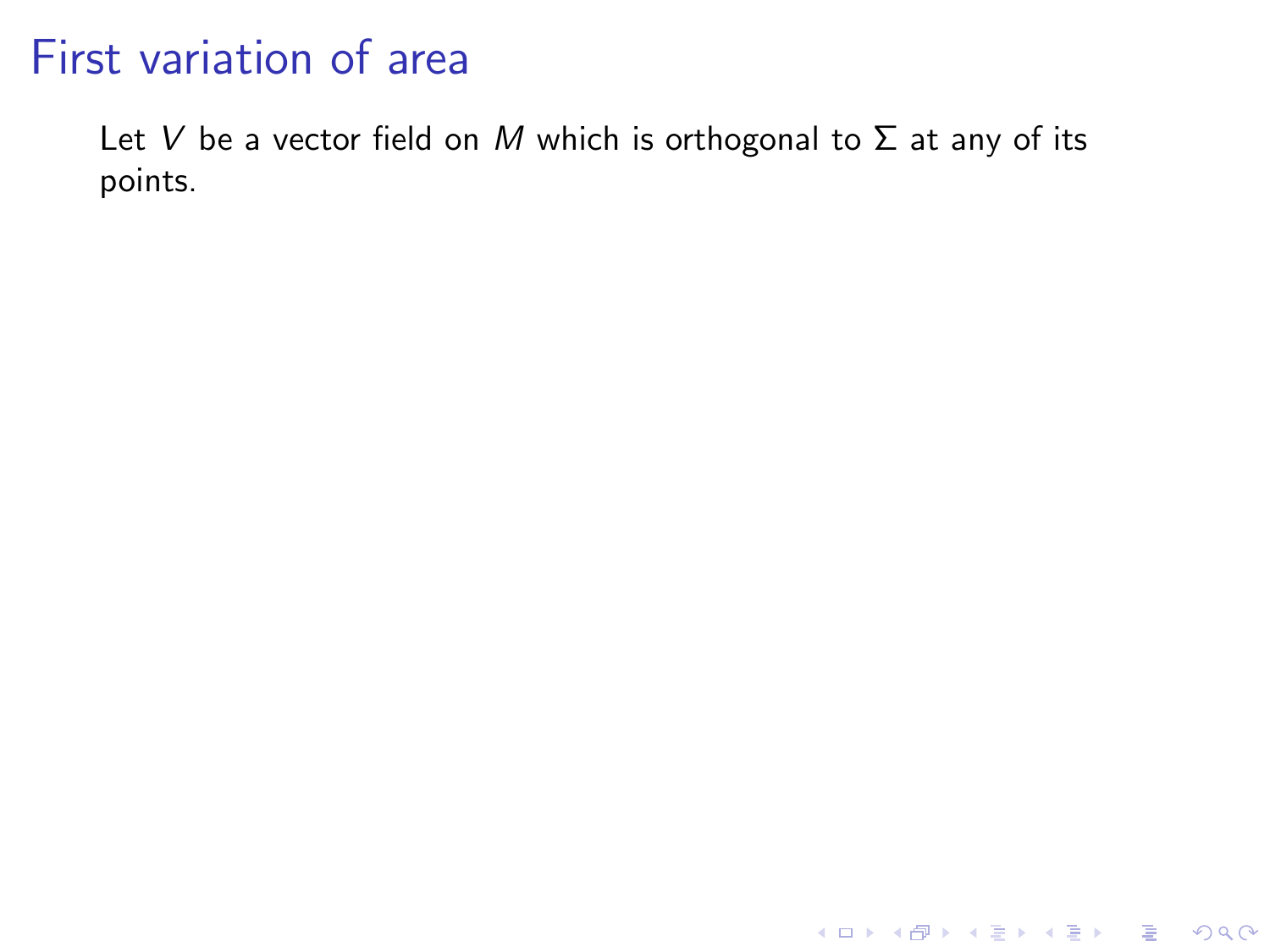Let V be a vector field on M which is orthogonal to  $\Sigma$  at any of its points.

KID KAR KE KE KE A BI YA GI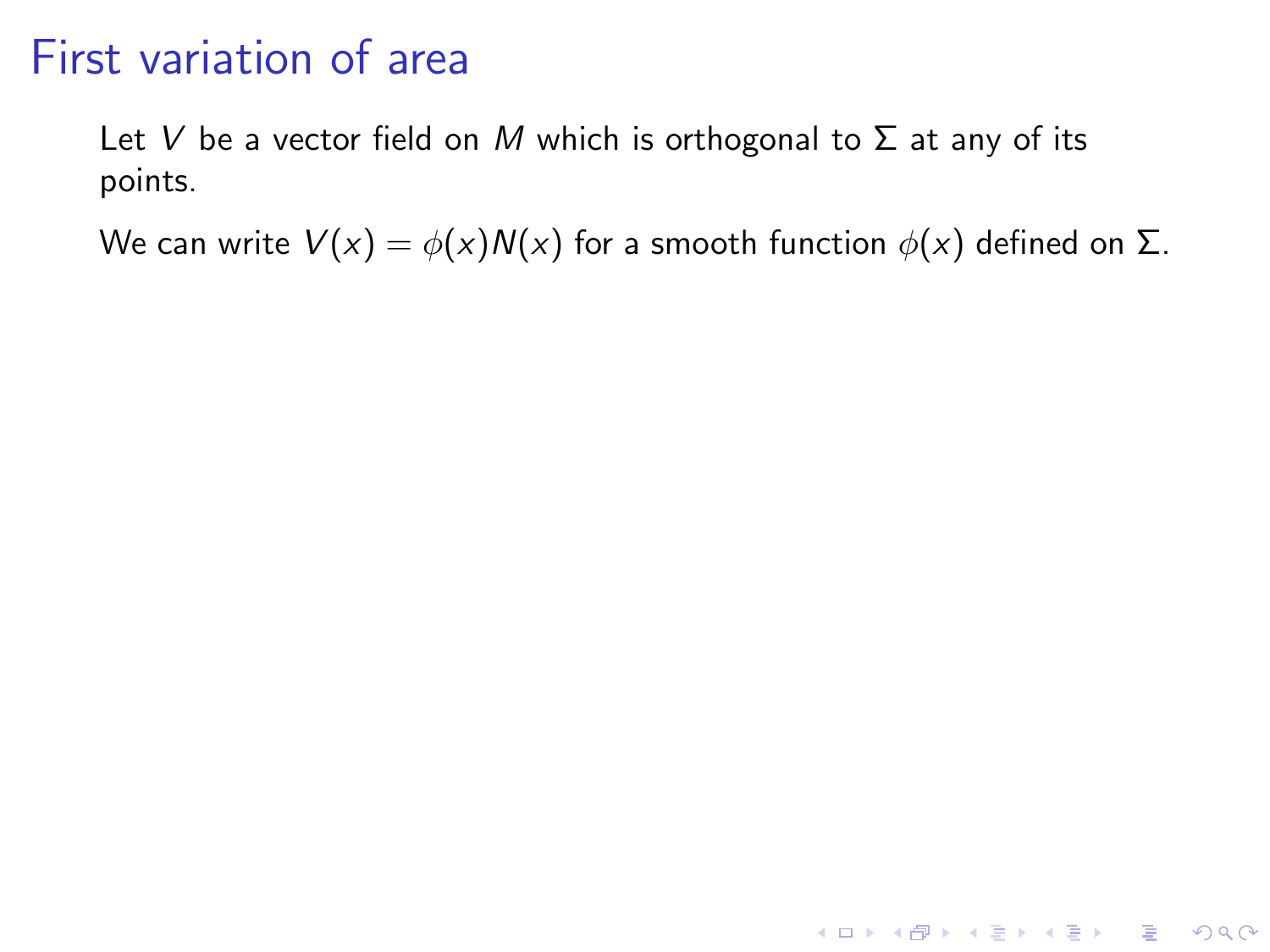Let V be a vector field on M which is orthogonal to  $\Sigma$  at any of its points.

We can write  $V(x) = \phi(x)N(x)$  for a smooth function  $\phi(x)$  defined on  $\Sigma$ .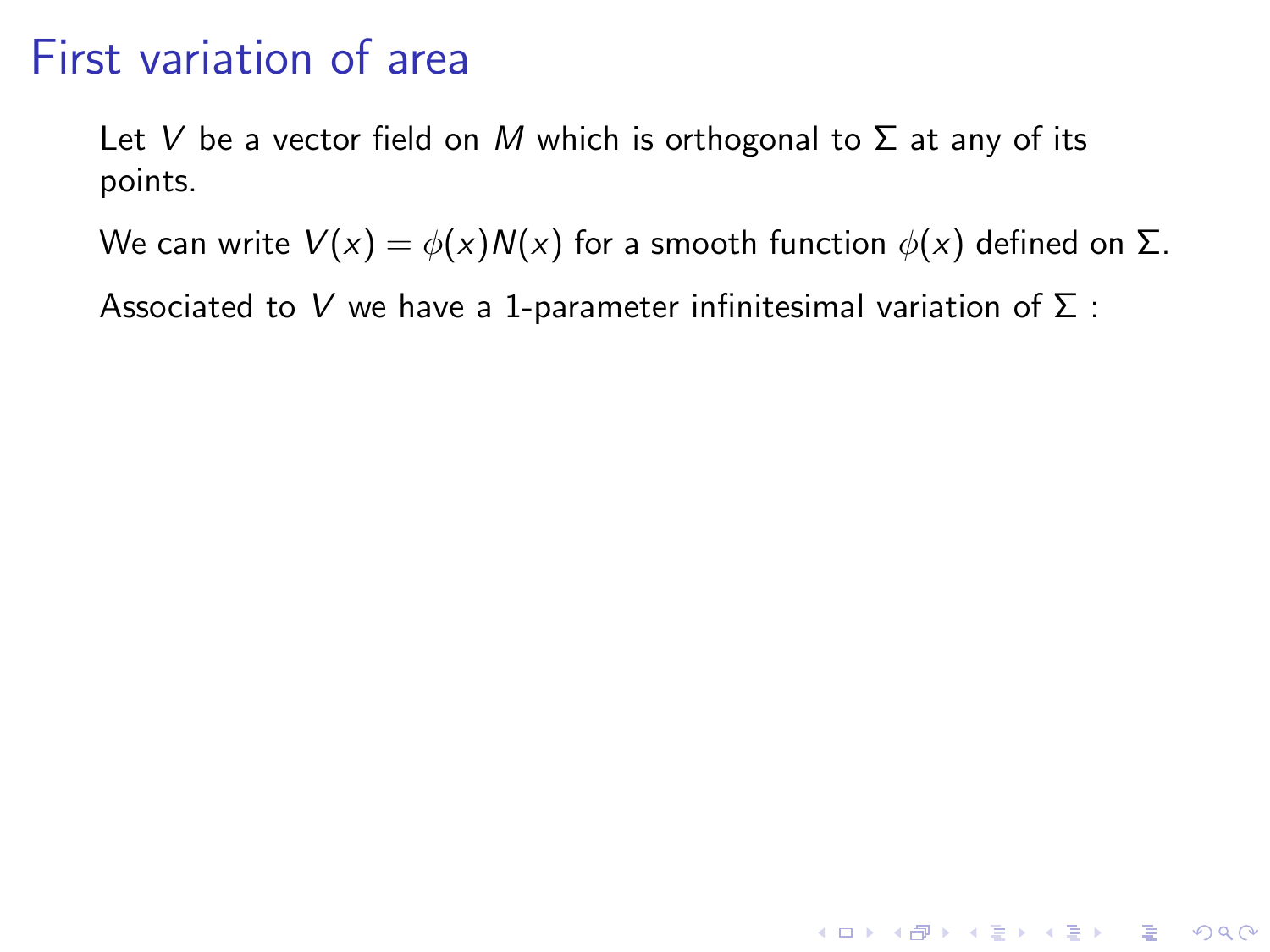Let V be a vector field on M which is orthogonal to  $\Sigma$  at any of its points.

We can write  $V(x) = \phi(x)N(x)$  for a smooth function  $\phi(x)$  defined on  $\Sigma$ .

**K ロ ▶ K @ ▶ K 할 X X 할 X → 할 X → 9 Q Q ^** 

Associated to V we have a 1-parameter infinitesimal variation of  $\Sigma$  :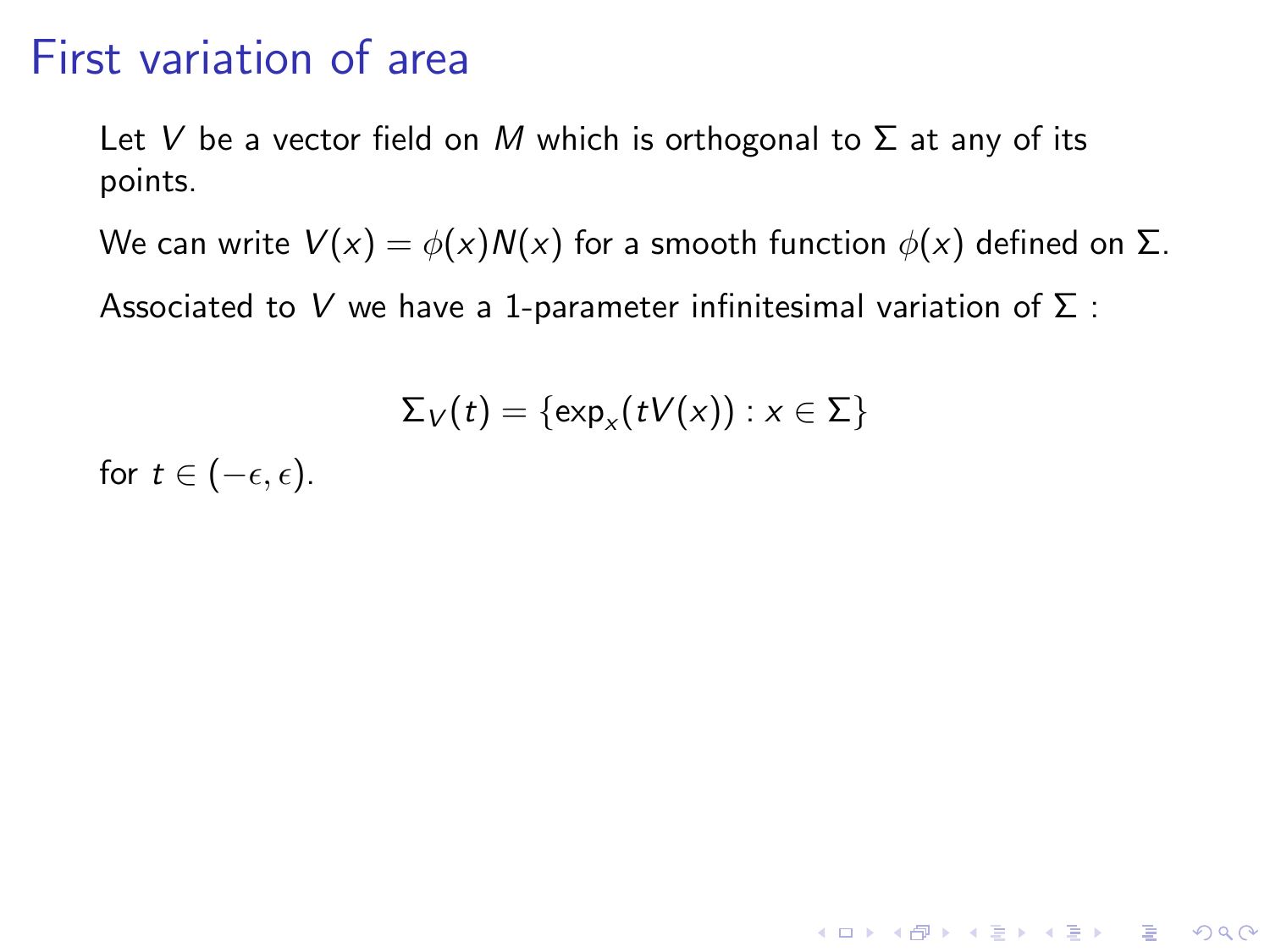Let V be a vector field on M which is orthogonal to  $\Sigma$  at any of its points.

We can write  $V(x) = \phi(x)N(x)$  for a smooth function  $\phi(x)$  defined on  $\Sigma$ .

Associated to V we have a 1-parameter infinitesimal variation of  $\Sigma$  :

$$
\Sigma_V(t) = \{\exp_x(tV(x)) : x \in \Sigma\}
$$

**K ロ ▶ K @ ▶ K 할 X X 할 X → 할 X → 9 Q Q ^** 

for  $t \in (-\epsilon, \epsilon)$ .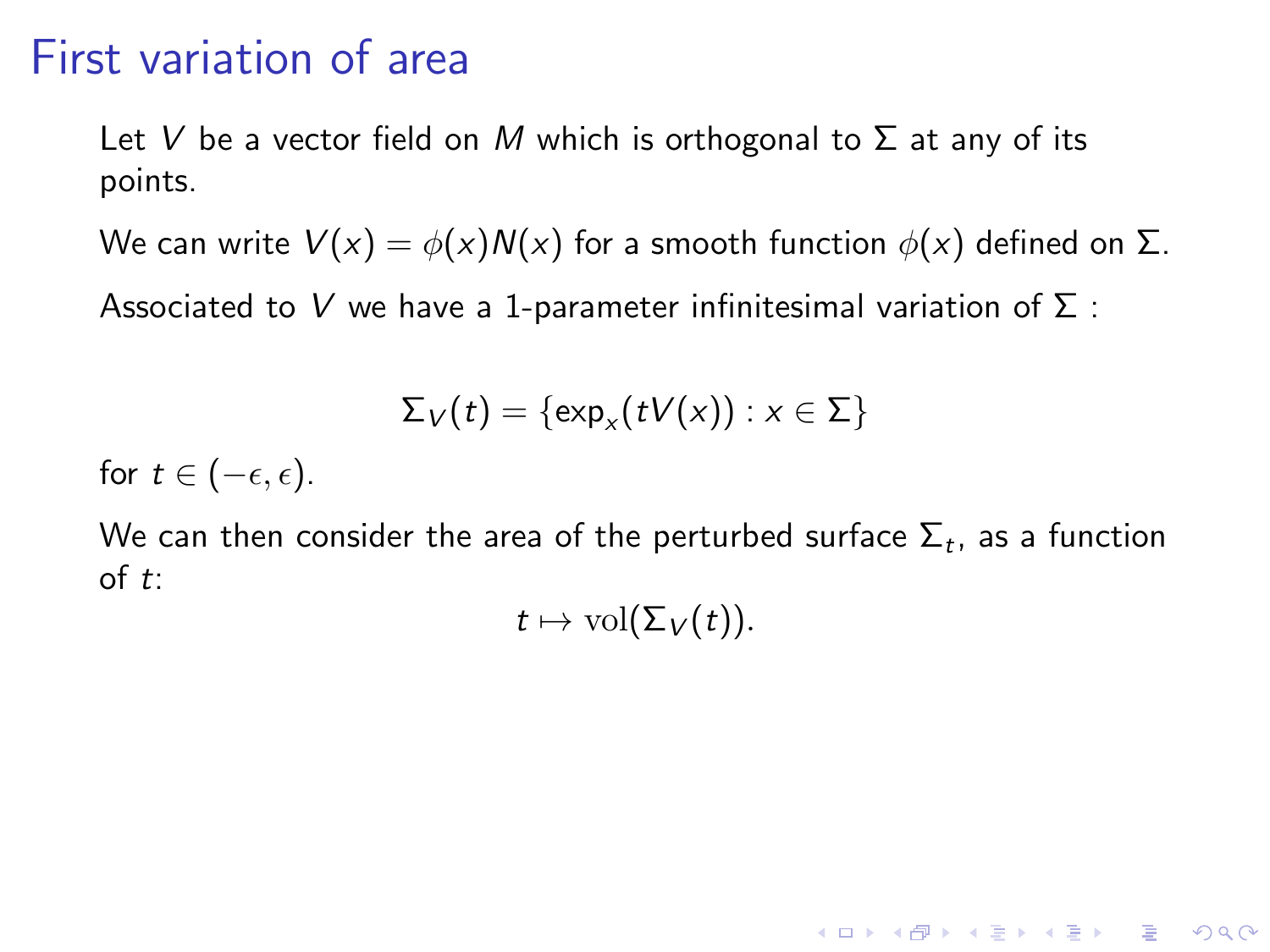Let V be a vector field on M which is orthogonal to  $\Sigma$  at any of its points.

We can write  $V(x) = \phi(x)N(x)$  for a smooth function  $\phi(x)$  defined on  $\Sigma$ .

Associated to V we have a 1-parameter infinitesimal variation of  $\Sigma$  :

$$
\Sigma_V(t) = \{ \exp_x(tV(x)) : x \in \Sigma \}
$$

for  $t \in (-\epsilon, \epsilon)$ .

We can then consider the area of the perturbed surface  $\Sigma_t$ , as a function of t:

 $t \mapsto \text{vol}(\Sigma_V(t)).$ 

**K ロ ▶ K @ ▶ K 할 X X 할 X → 할 X → 9 Q Q ^**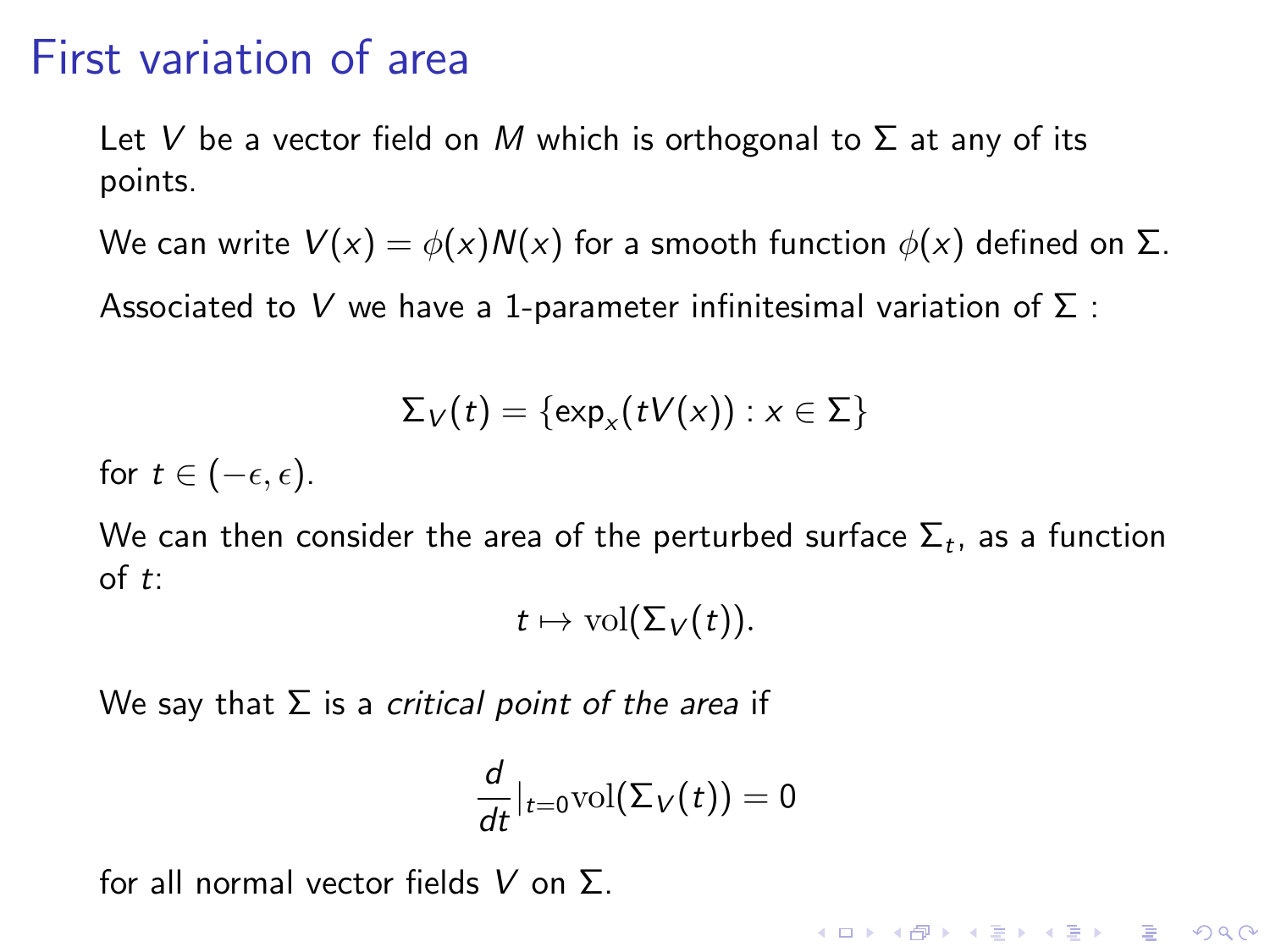Let V be a vector field on M which is orthogonal to  $\Sigma$  at any of its points.

We can write  $V(x) = \phi(x)N(x)$  for a smooth function  $\phi(x)$  defined on  $\Sigma$ .

Associated to V we have a 1-parameter infinitesimal variation of  $\Sigma$  :

$$
\Sigma_V(t) = \{\exp_x(tV(x)) : x \in \Sigma\}
$$

for  $t \in (-\epsilon, \epsilon)$ .

We can then consider the area of the perturbed surface  $\Sigma_t$ , as a function of t:

 $t \mapsto \text{vol}(\Sigma_V(t)).$ 

We say that  $\Sigma$  is a critical point of the area if

$$
\frac{d}{dt}|_{t=0}\text{vol}(\Sigma_V(t))=0
$$

for all normal vector fields  $V$  on  $\Sigma$ .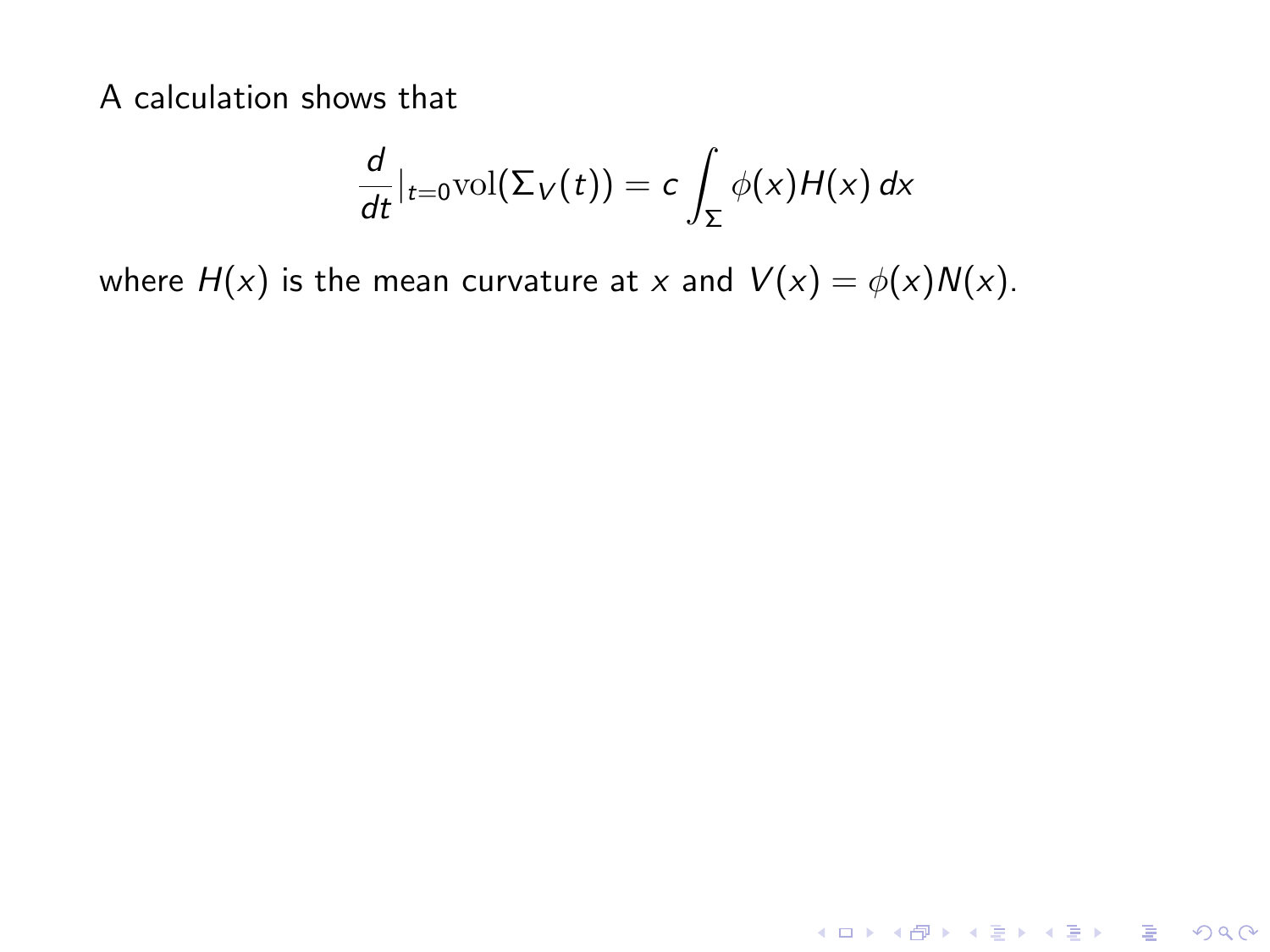$$
\frac{d}{dt}|_{t=0}\text{vol}(\Sigma_V(t))=c\int_{\Sigma}\phi(x)H(x)\,dx
$$

**K ロ ▶ K 레 ▶ K 로 ▶ K 로 ▶ - 로 - K 이 Q Q @** 

where  $H(x)$  is the mean curvature at x and  $V(x) = \phi(x)N(x)$ .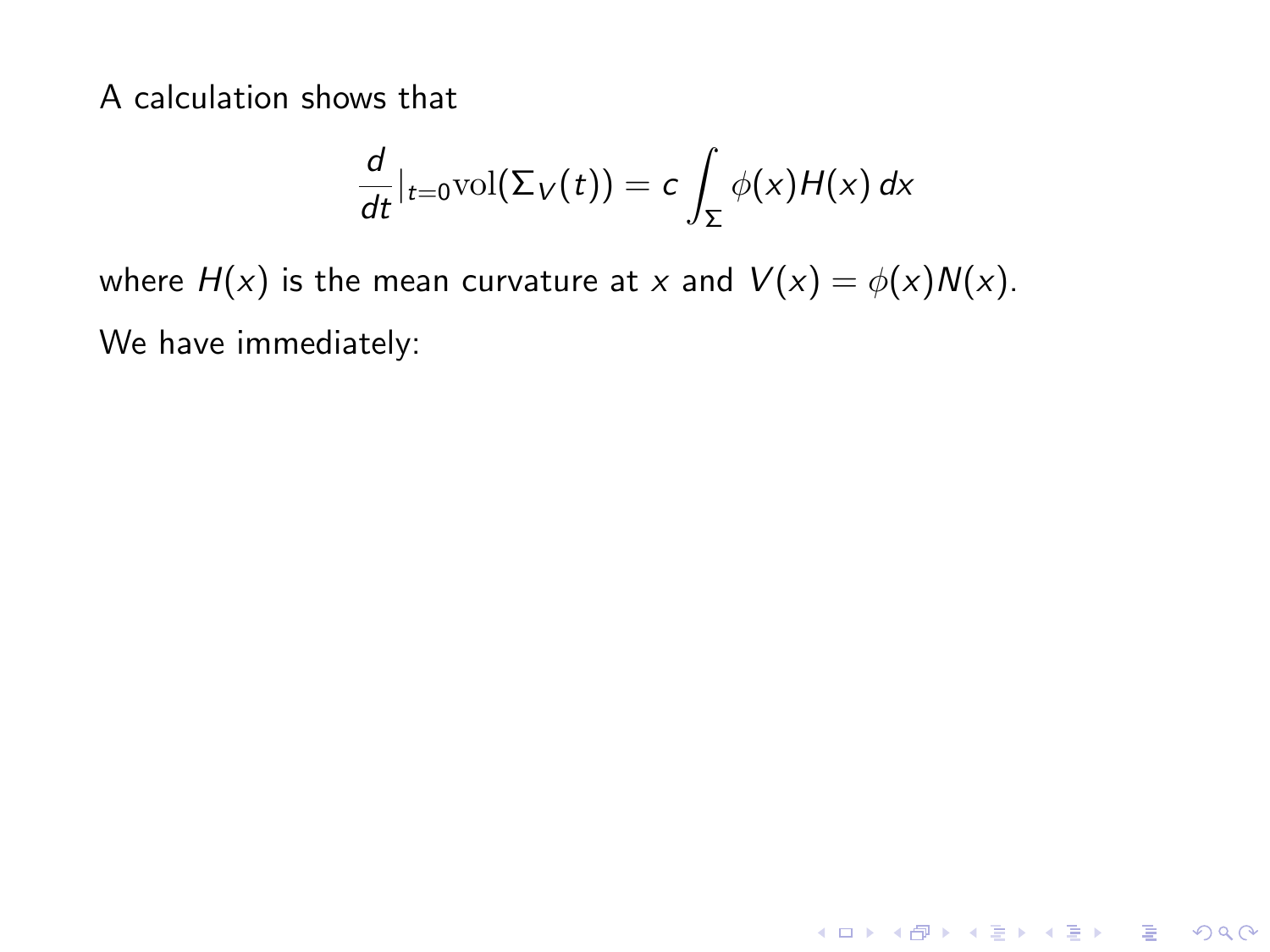$$
\frac{d}{dt}|_{t=0}\text{vol}(\Sigma_V(t))=c\int_{\Sigma}\phi(x)H(x)\,dx
$$

K ロ K K (P) K (E) K (E) X (E) X (P) K (P)

where  $H(x)$  is the mean curvature at x and  $V(x) = \phi(x)N(x)$ . We have immediately: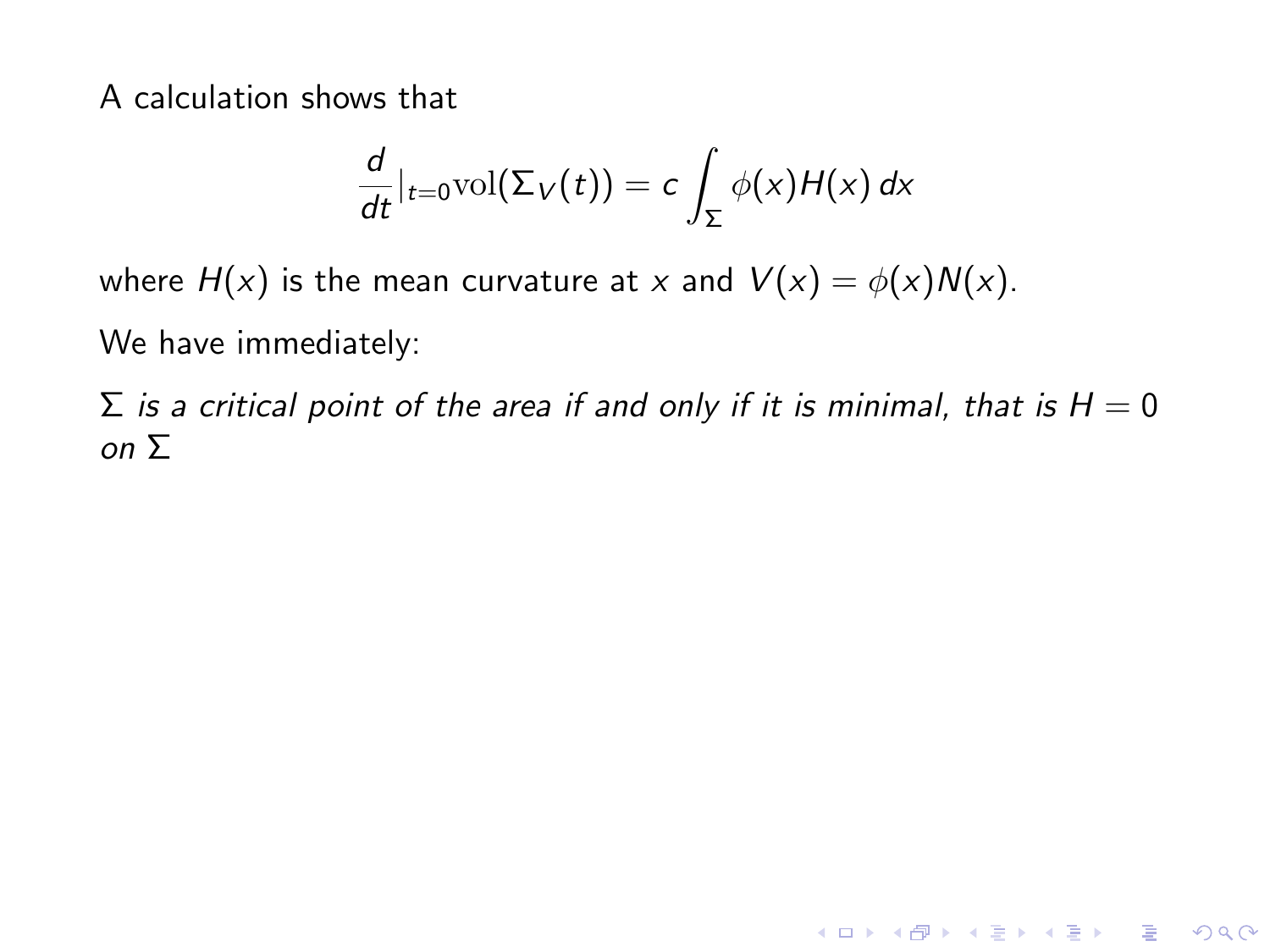$$
\frac{d}{dt}|_{t=0}\text{vol}(\Sigma_V(t))=c\int_{\Sigma}\phi(x)H(x)\,dx
$$

where  $H(x)$  is the mean curvature at x and  $V(x) = \phi(x)N(x)$ . We have immediately:

 $\Sigma$  is a critical point of the area if and only if it is minimal, that is  $H = 0$ on Σ

K ロ ▶ K @ ▶ K 할 ▶ K 할 ▶ | 할 | © 9 Q @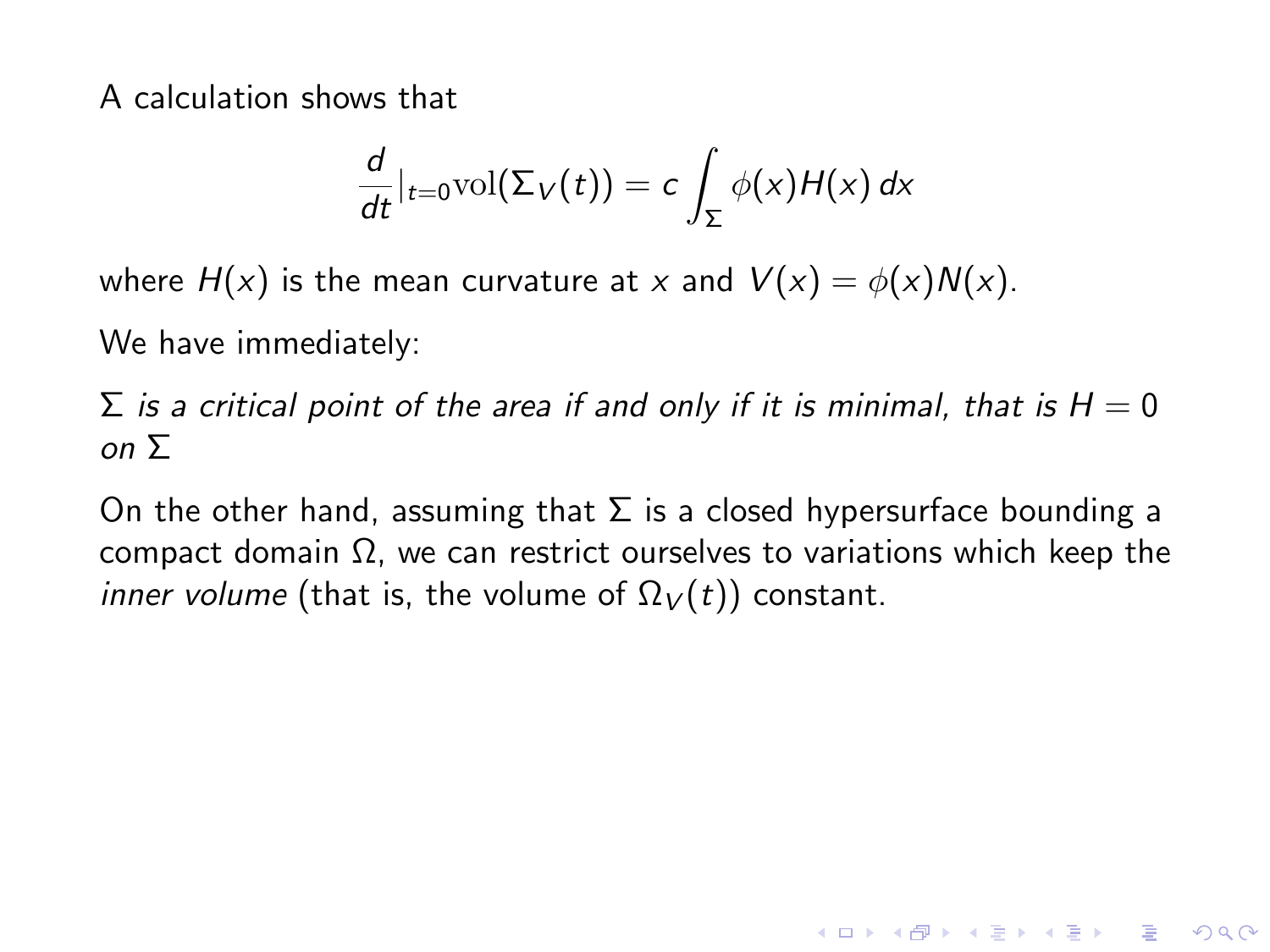$$
\frac{d}{dt}|_{t=0}\text{vol}(\Sigma_V(t))=c\int_{\Sigma}\phi(x)H(x)\,dx
$$

where  $H(x)$  is the mean curvature at x and  $V(x) = \phi(x)N(x)$ .

We have immediately:

 $\Sigma$  is a critical point of the area if and only if it is minimal, that is  $H = 0$ on Σ

On the other hand, assuming that  $\Sigma$  is a closed hypersurface bounding a compact domain Ω, we can restrict ourselves to variations which keep the *inner volume* (that is, the volume of  $\Omega_V(t)$ ) constant.

**KORK ERKER ADE YOUR**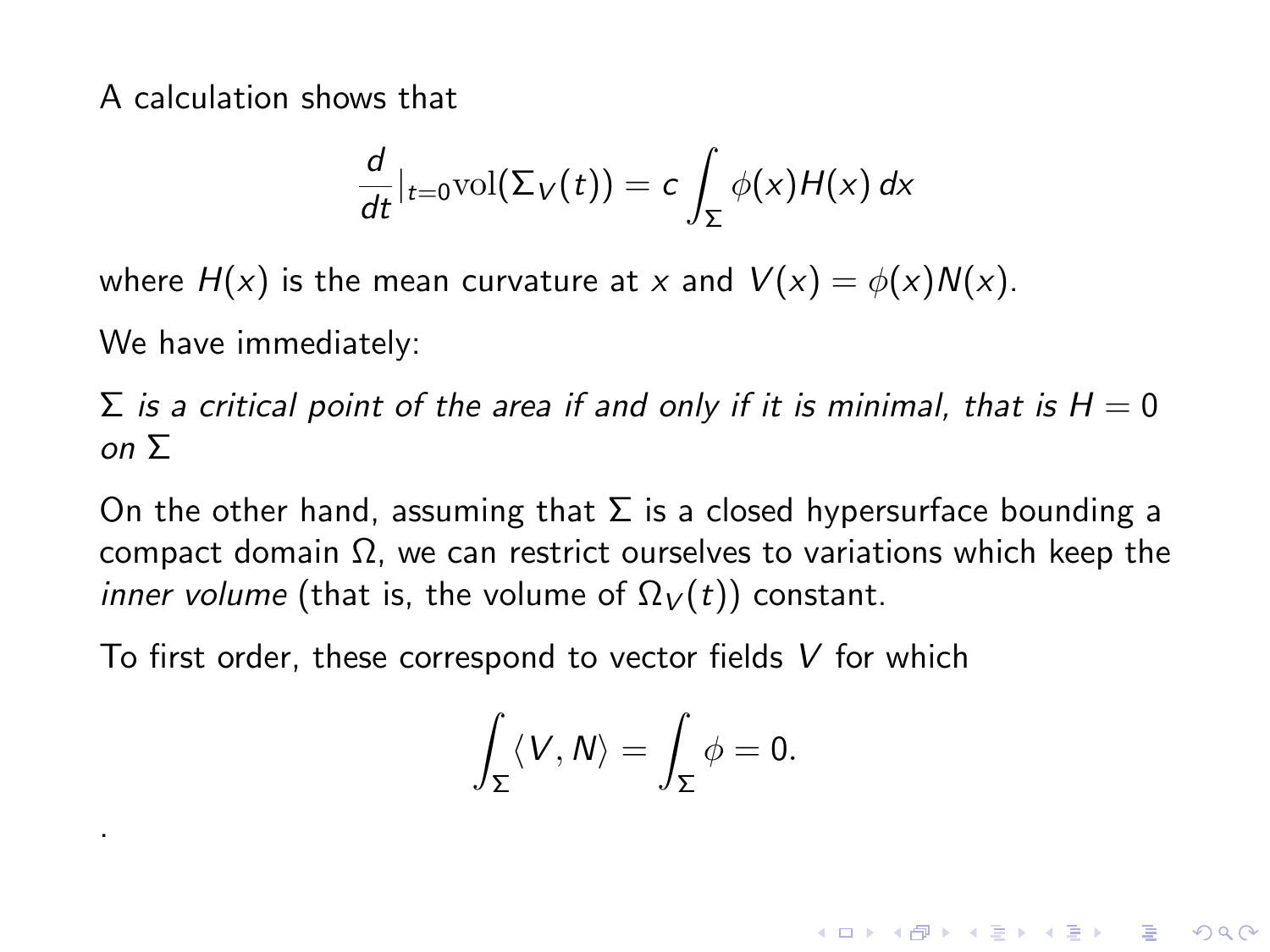$$
\frac{d}{dt}|_{t=0}\text{vol}(\Sigma_V(t))=c\int_{\Sigma}\phi(x)H(x)\,dx
$$

where  $H(x)$  is the mean curvature at x and  $V(x) = \phi(x)N(x)$ .

We have immediately:

.

 $\Sigma$  is a critical point of the area if and only if it is minimal, that is  $H = 0$ on Σ

On the other hand, assuming that  $\Sigma$  is a closed hypersurface bounding a compact domain Ω, we can restrict ourselves to variations which keep the *inner volume* (that is, the volume of  $\Omega_V(t)$ ) constant.

To first order, these correspond to vector fields V for which

$$
\int_{\Sigma}\langle V,N\rangle=\int_{\Sigma}\phi=0.
$$

**KORK ERKER ADE YOUR**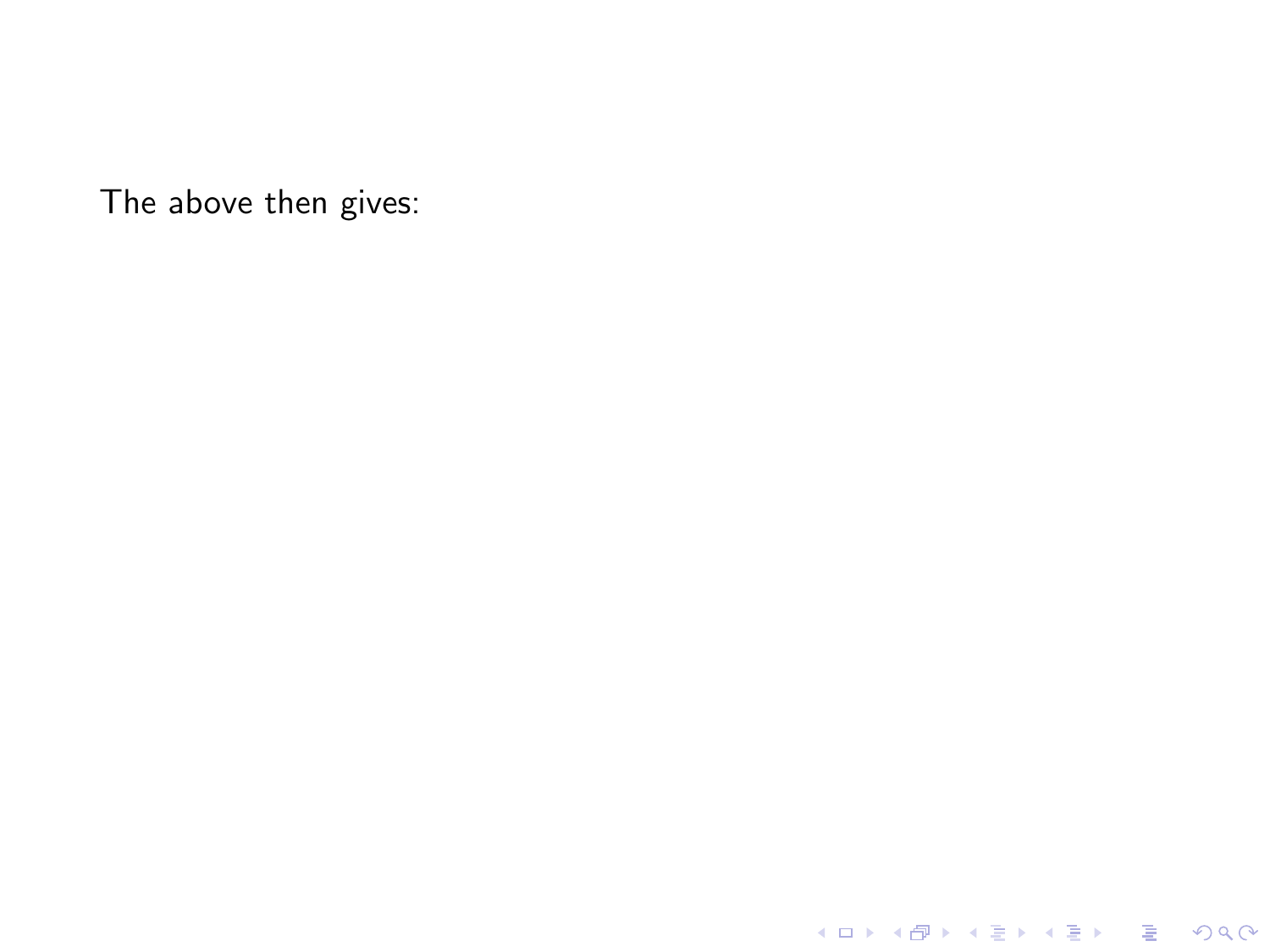K ロ X K 메 X K B X X B X X D X O Q Q O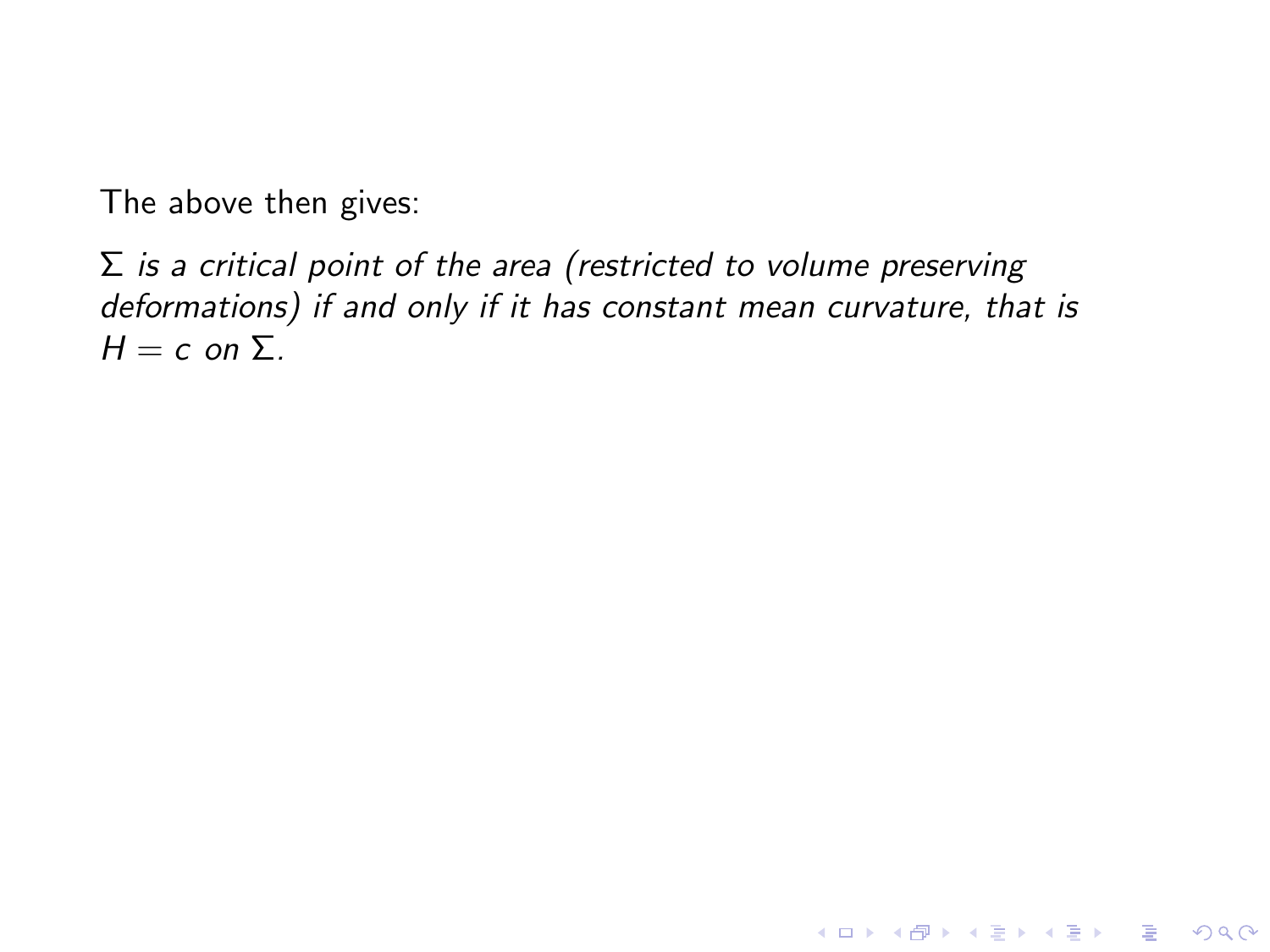$\Sigma$  is a critical point of the area (restricted to volume preserving deformations) if and only if it has constant mean curvature, that is  $H = c$  on  $\Sigma$ .

K ロ ▶ K @ ▶ K 할 ▶ K 할 ▶ | 할 | © 9 Q @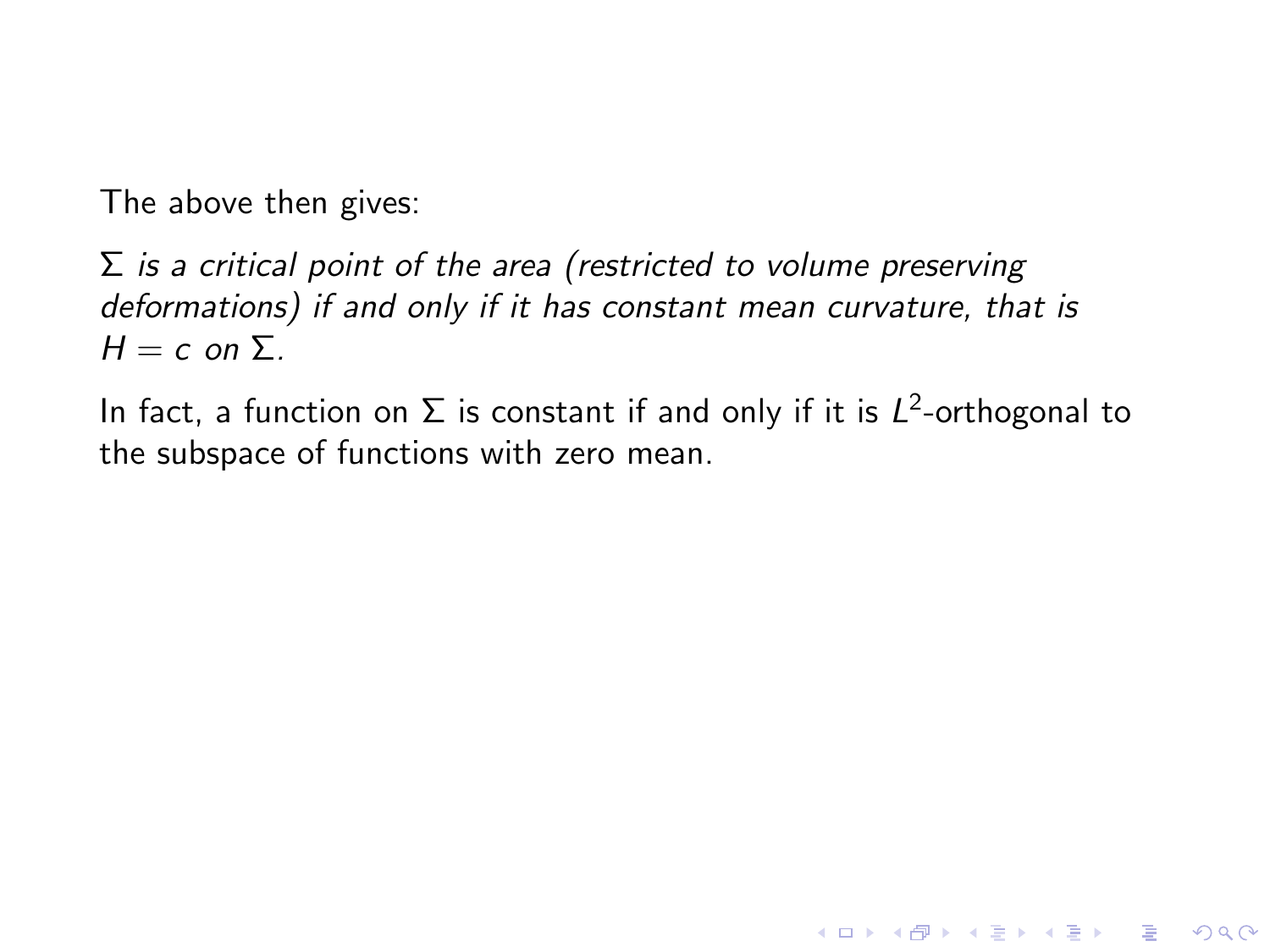$\Sigma$  is a critical point of the area (restricted to volume preserving deformations) if and only if it has constant mean curvature, that is  $H = c$  on  $\Sigma$ .

In fact, a function on  $\Sigma$  is constant if and only if it is  $L^2$ -orthogonal to the subspace of functions with zero mean.

**KORKA SERKER ORA**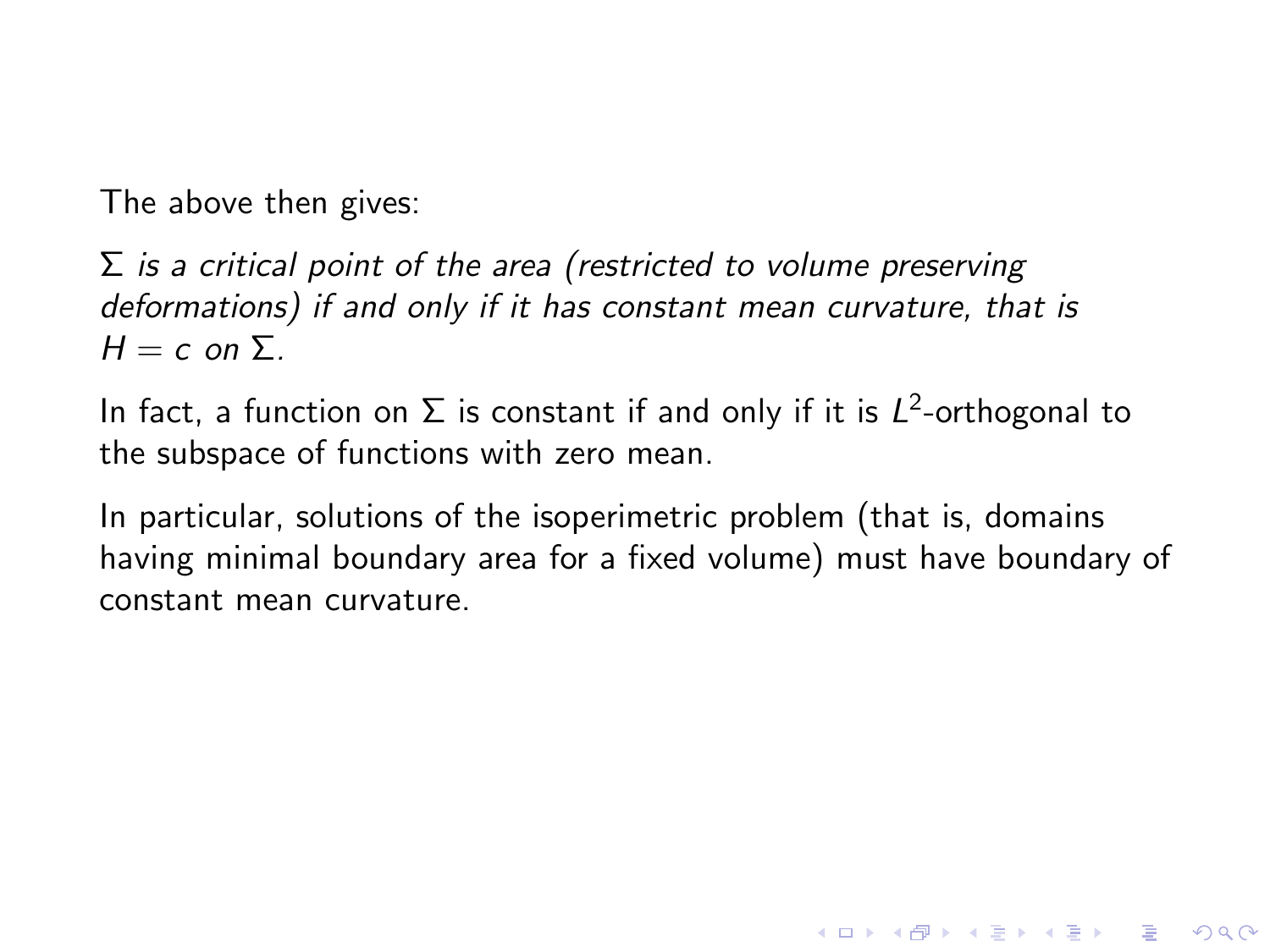$\Sigma$  is a critical point of the area (restricted to volume preserving deformations) if and only if it has constant mean curvature, that is  $H = c$  on  $\Sigma$ .

In fact, a function on  $\Sigma$  is constant if and only if it is  $L^2$ -orthogonal to the subspace of functions with zero mean.

In particular, solutions of the isoperimetric problem (that is, domains having minimal boundary area for a fixed volume) must have boundary of constant mean curvature.

**KORK ERKER ADE YOUR**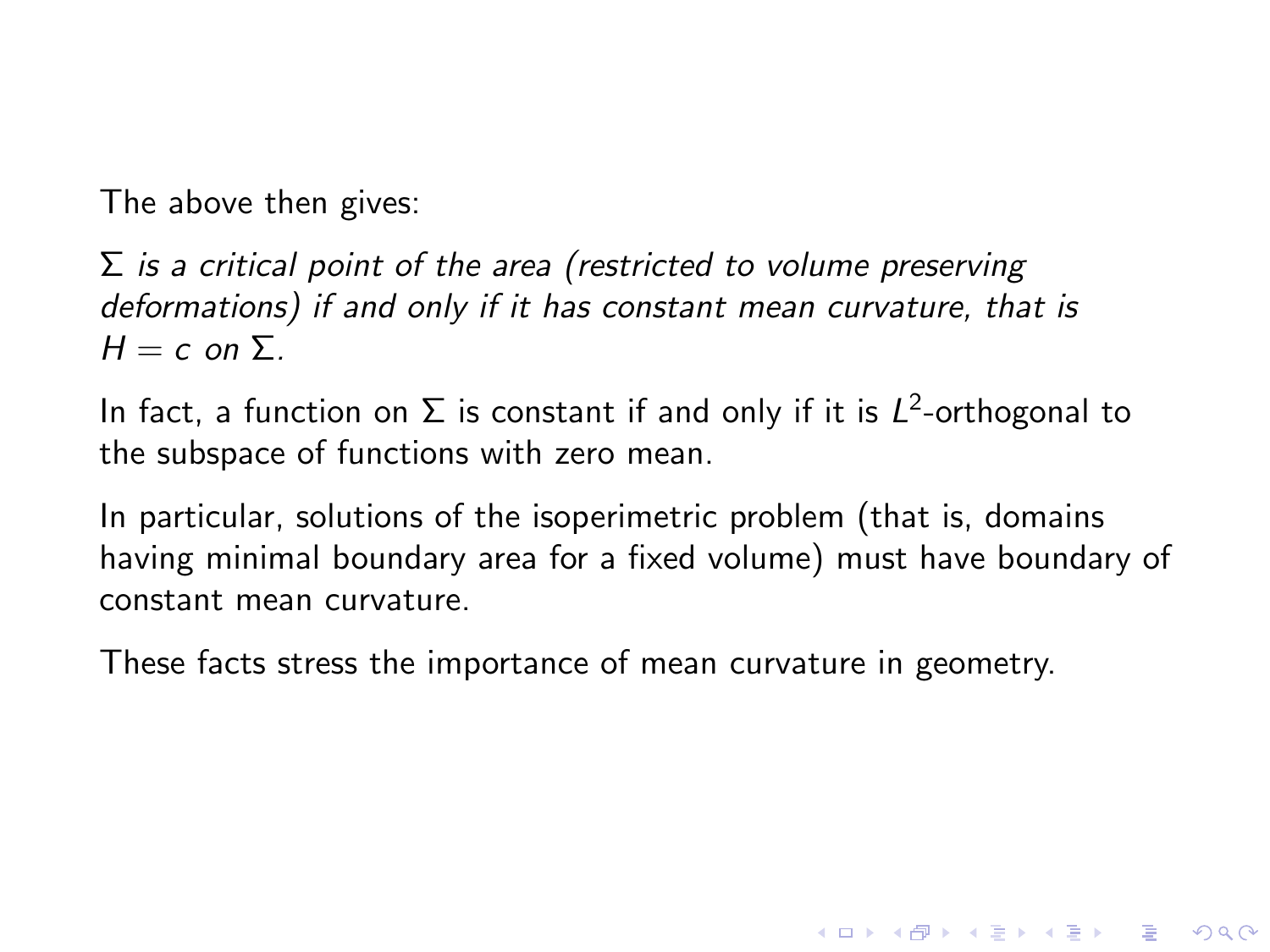$\Sigma$  is a critical point of the area (restricted to volume preserving deformations) if and only if it has constant mean curvature, that is  $H = c$  on  $\Sigma$ .

In fact, a function on  $\Sigma$  is constant if and only if it is  $L^2$ -orthogonal to the subspace of functions with zero mean.

In particular, solutions of the isoperimetric problem (that is, domains having minimal boundary area for a fixed volume) must have boundary of constant mean curvature.

**KORKA SERKER ORA** 

These facts stress the importance of mean curvature in geometry.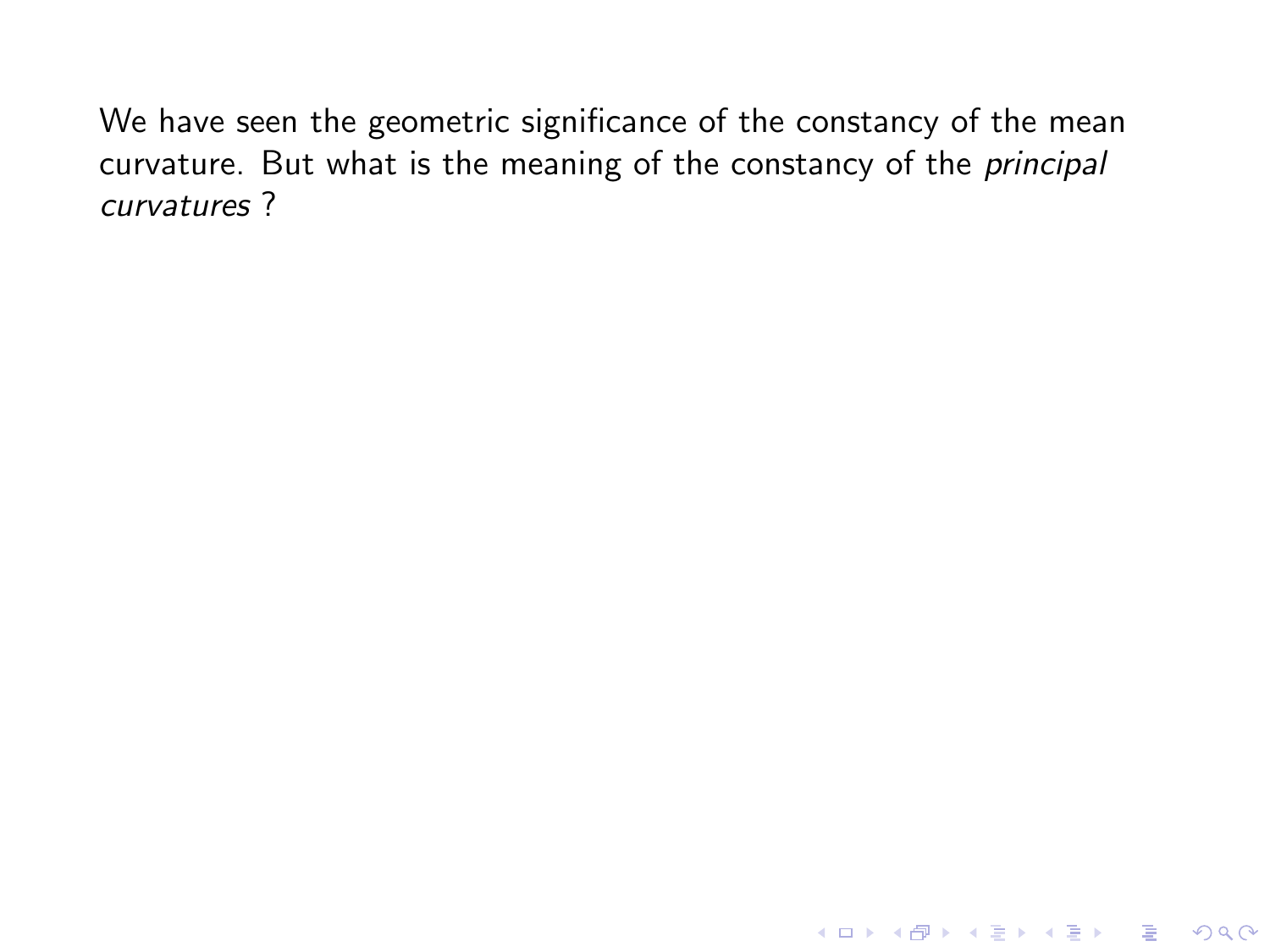K ロ ▶ K @ ▶ K 할 ▶ K 할 ▶ | 할 | © 9 Q @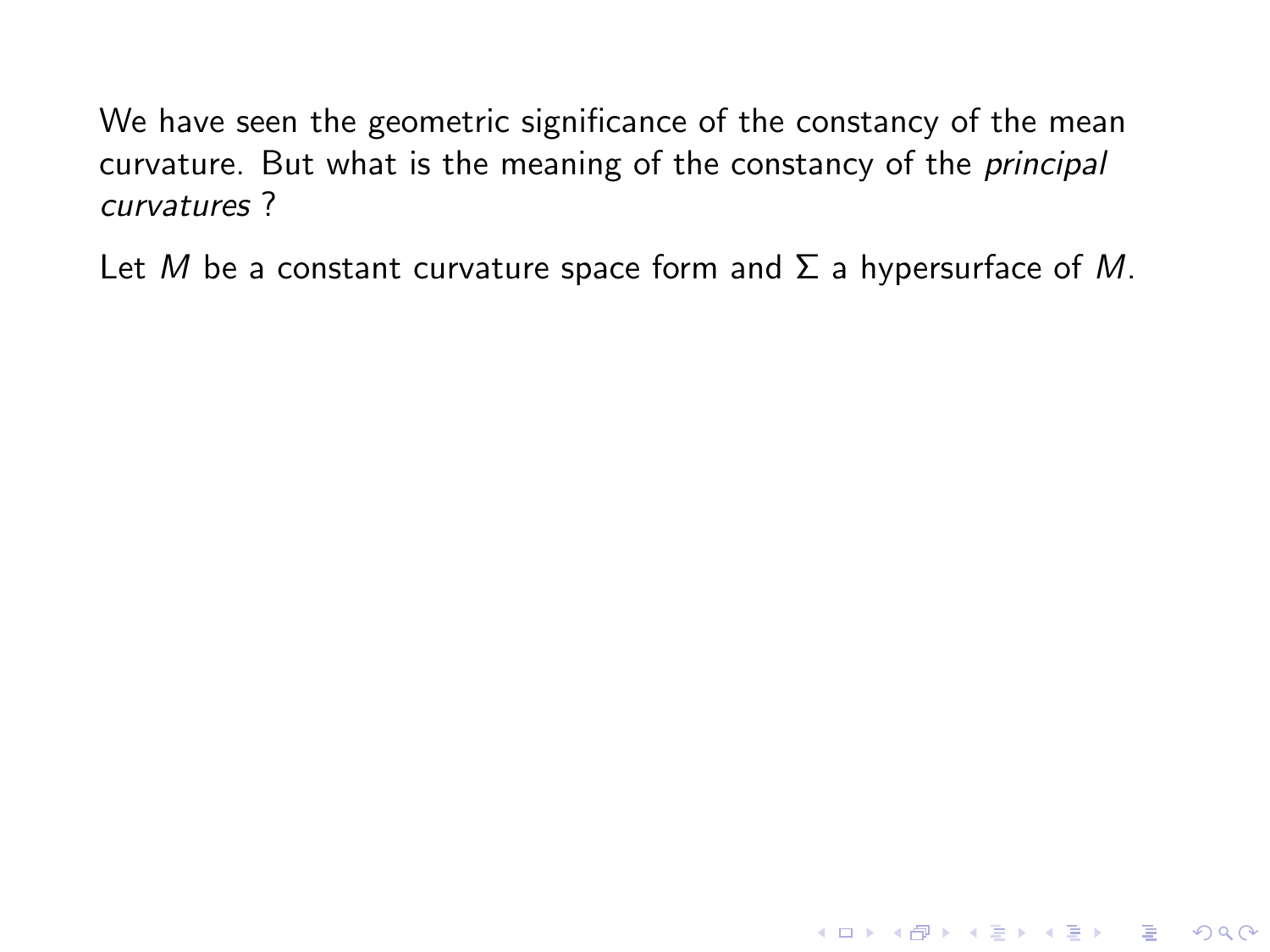Let M be a constant curvature space form and  $\Sigma$  a hypersurface of M.

**KORK STRATER STRAKES**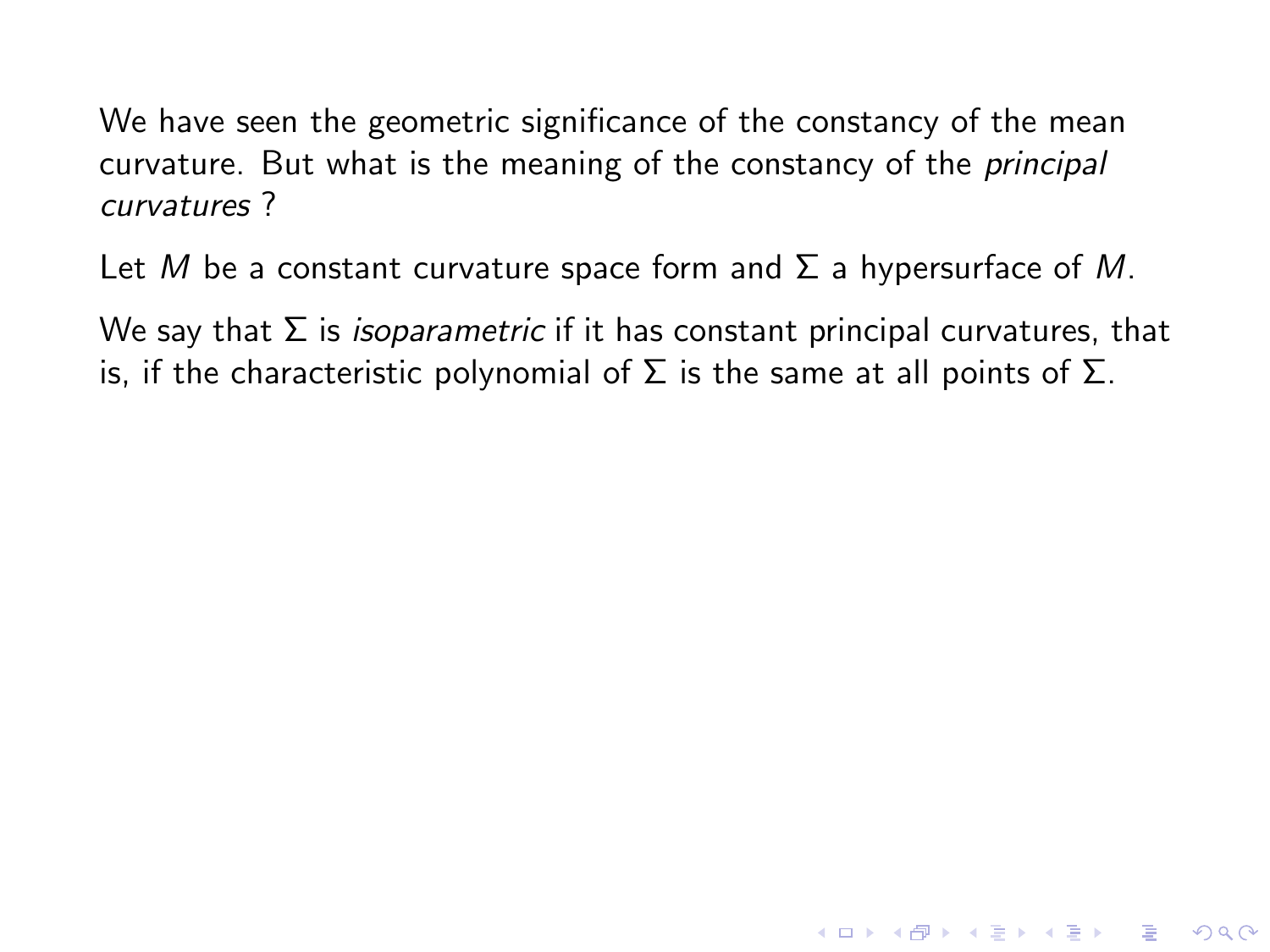Let M be a constant curvature space form and  $\Sigma$  a hypersurface of M.

We say that  $\Sigma$  is *isoparametric* if it has constant principal curvatures, that is, if the characteristic polynomial of  $\Sigma$  is the same at all points of  $\Sigma$ .

**KORKA SERKER ORA**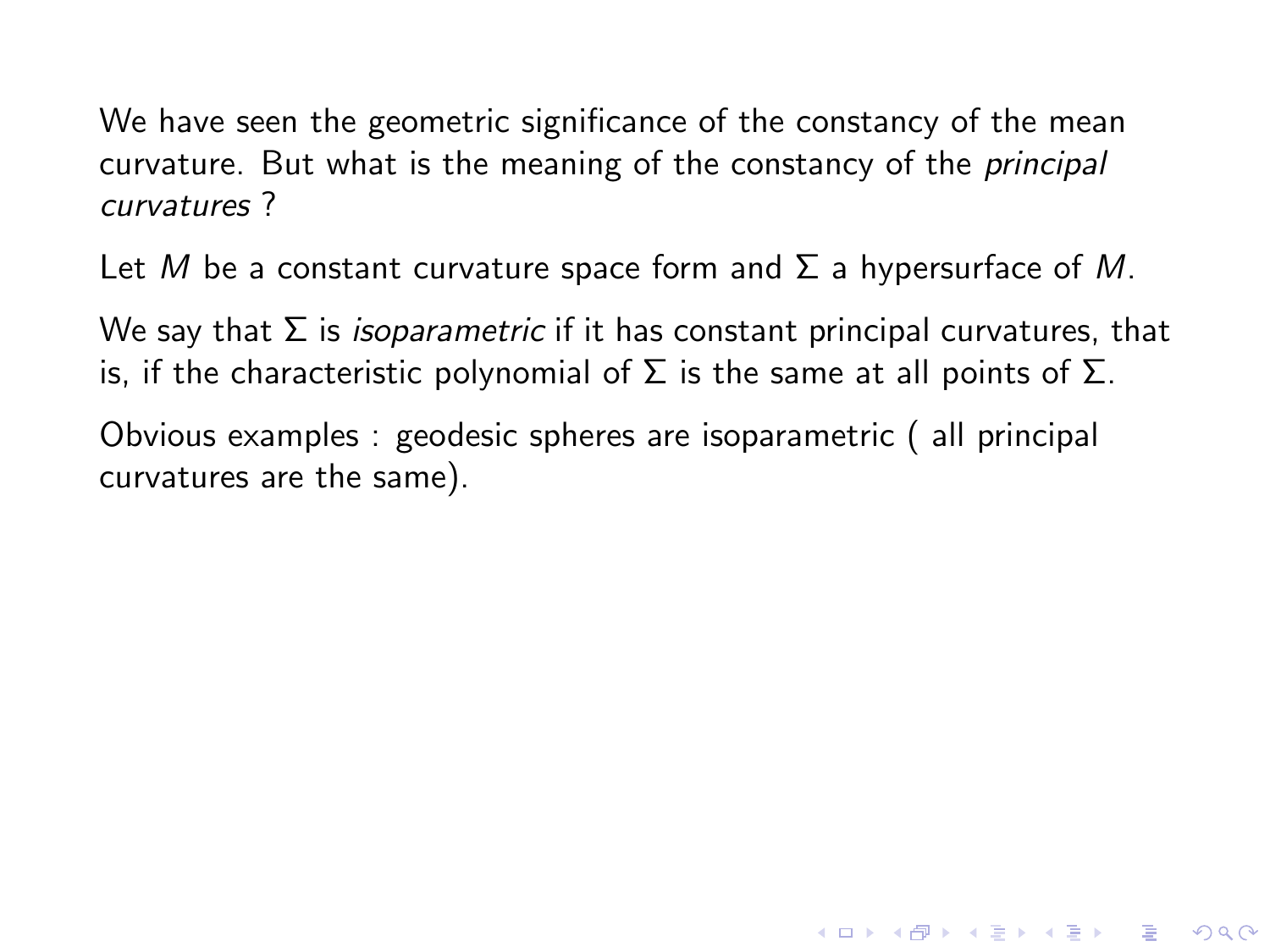Let M be a constant curvature space form and  $\Sigma$  a hypersurface of M.

We say that  $\Sigma$  is *isoparametric* if it has constant principal curvatures, that is, if the characteristic polynomial of  $\Sigma$  is the same at all points of  $\Sigma$ .

**KORKA SERKER ORA** 

Obvious examples : geodesic spheres are isoparametric ( all principal curvatures are the same).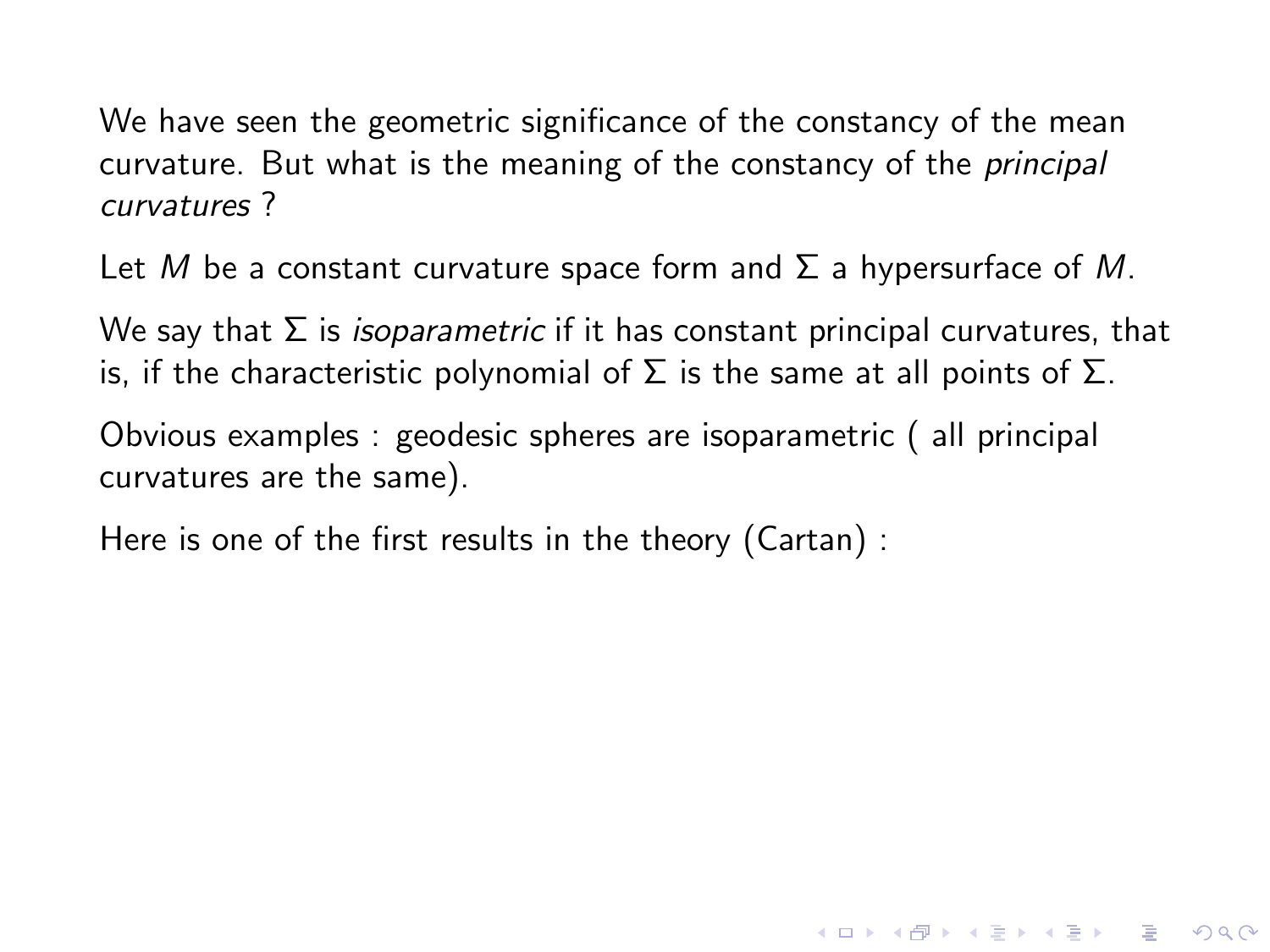Let M be a constant curvature space form and  $\Sigma$  a hypersurface of M.

We say that  $\Sigma$  is *isoparametric* if it has constant principal curvatures, that is, if the characteristic polynomial of  $\Sigma$  is the same at all points of  $\Sigma$ .

**KORKA SERKER ORA** 

Obvious examples : geodesic spheres are isoparametric ( all principal curvatures are the same).

Here is one of the first results in the theory (Cartan) :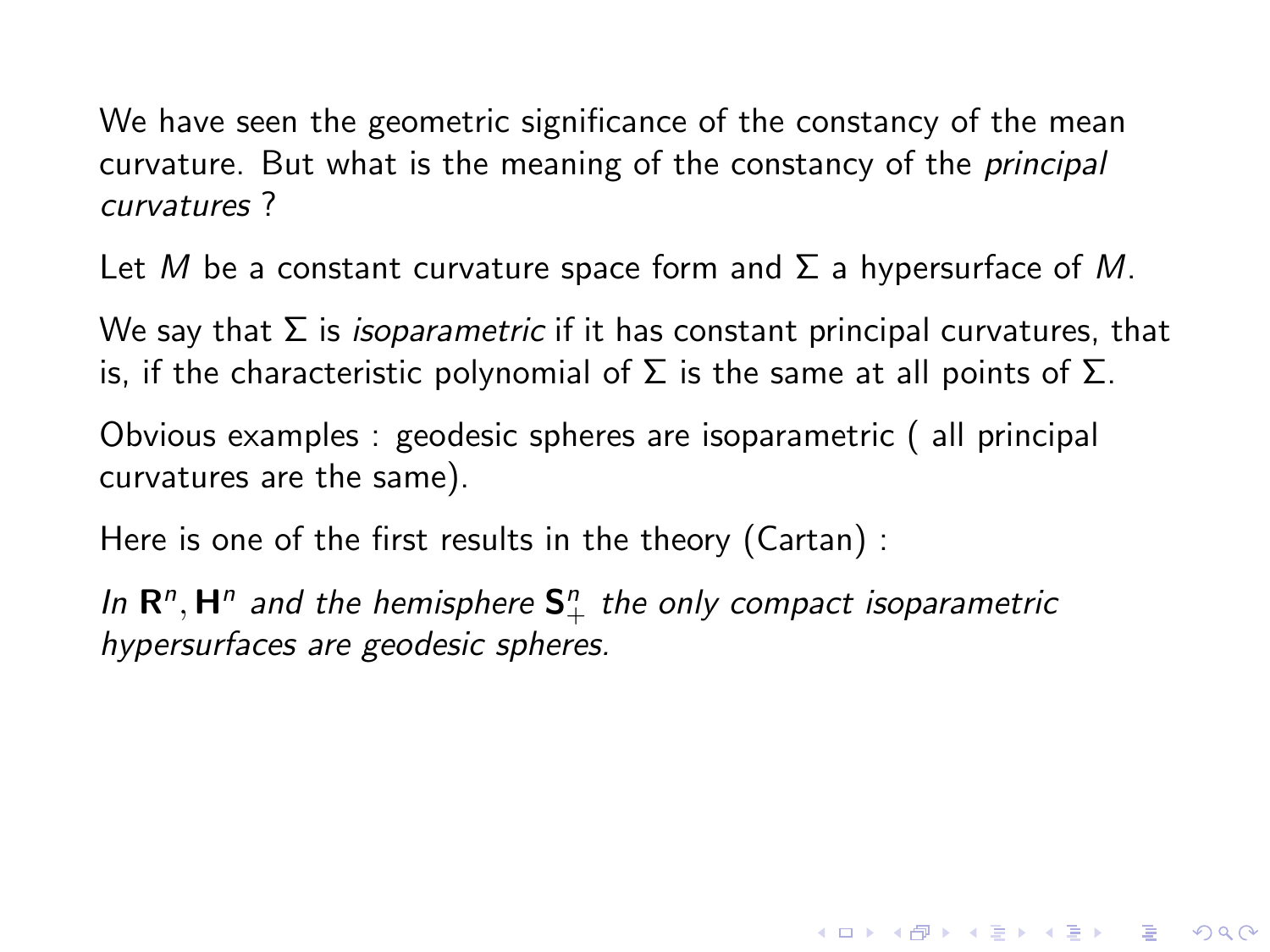Let M be a constant curvature space form and  $\Sigma$  a hypersurface of M.

We say that  $\Sigma$  is *isoparametric* if it has constant principal curvatures, that is, if the characteristic polynomial of  $\Sigma$  is the same at all points of  $\Sigma$ .

Obvious examples : geodesic spheres are isoparametric ( all principal curvatures are the same).

Here is one of the first results in the theory (Cartan) :

In  $\mathbf{R}^n$ ,  $\mathbf{H}^n$  and the hemisphere  $\mathbf{S}^n_+$  the only compact isoparametric hypersurfaces are geodesic spheres.

**KORKA SERKER ORA**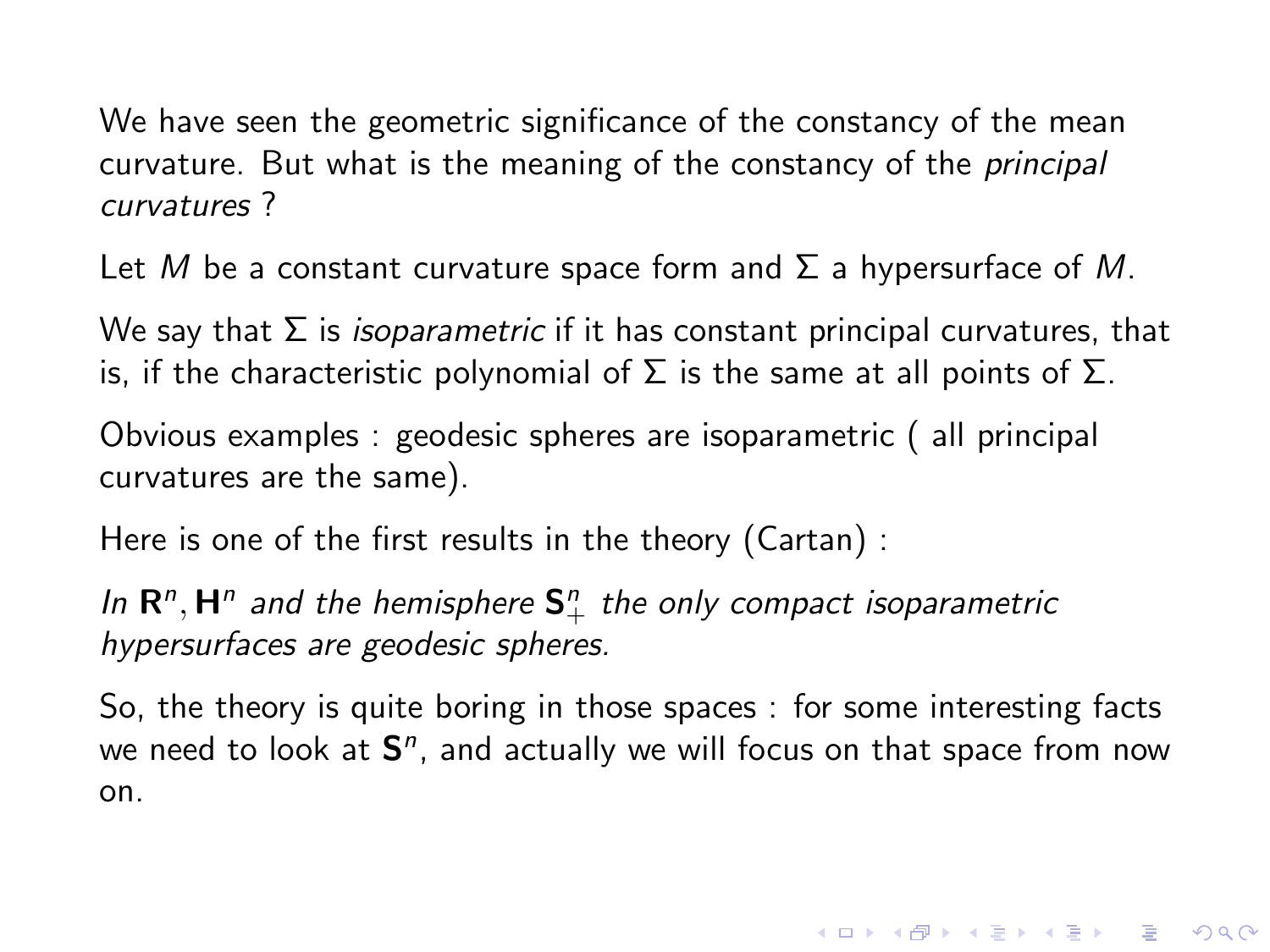Let M be a constant curvature space form and  $\Sigma$  a hypersurface of M.

We say that  $\Sigma$  is *isoparametric* if it has constant principal curvatures, that is, if the characteristic polynomial of  $\Sigma$  is the same at all points of  $\Sigma$ .

Obvious examples : geodesic spheres are isoparametric ( all principal curvatures are the same).

Here is one of the first results in the theory (Cartan) :

In  $\mathbf{R}^n$ ,  $\mathbf{H}^n$  and the hemisphere  $\mathbf{S}^n_+$  the only compact isoparametric hypersurfaces are geodesic spheres.

So, the theory is quite boring in those spaces : for some interesting facts we need to look at  $S<sup>n</sup>$ , and actually we will focus on that space from now on.

4 D > 4 P + 4 B + 4 B + B + 9 Q O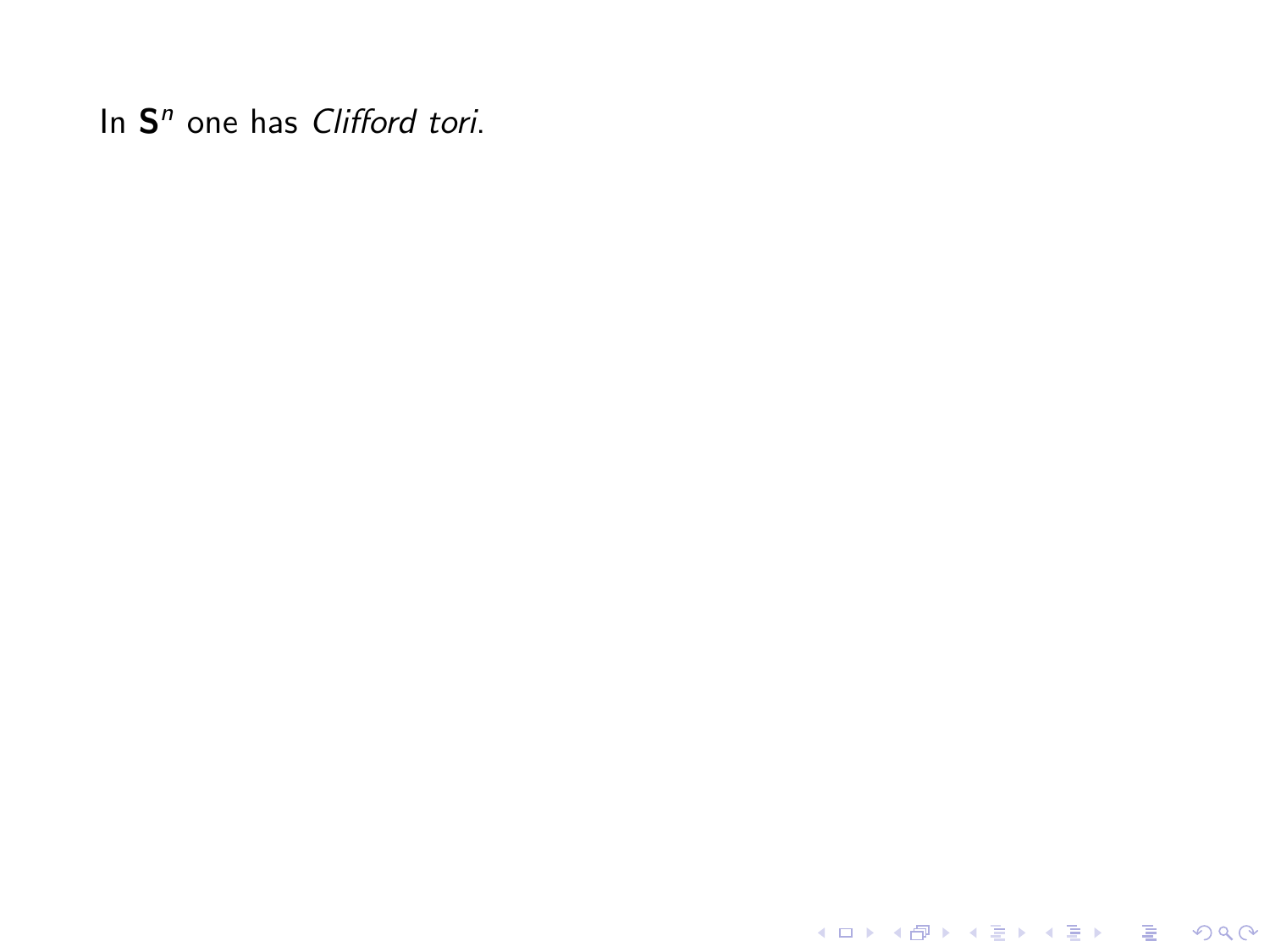K ロ X K 메 X K B X X B X X D X O Q Q O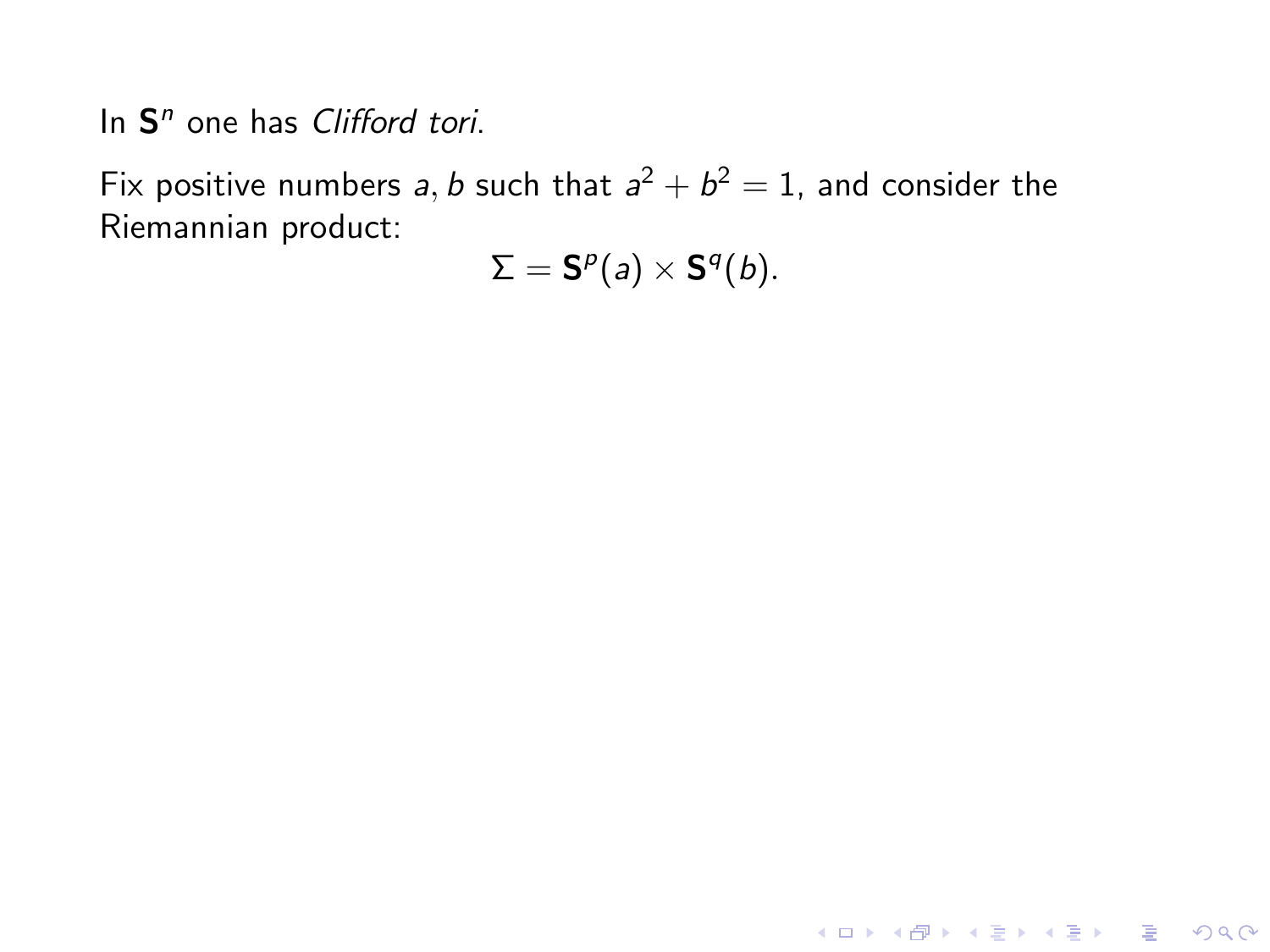Fix positive numbers a, b such that  $a^2 + b^2 = 1$ , and consider the Riemannian product:

 $\Sigma = \mathsf{S}^p(a) \times \mathsf{S}^q(b).$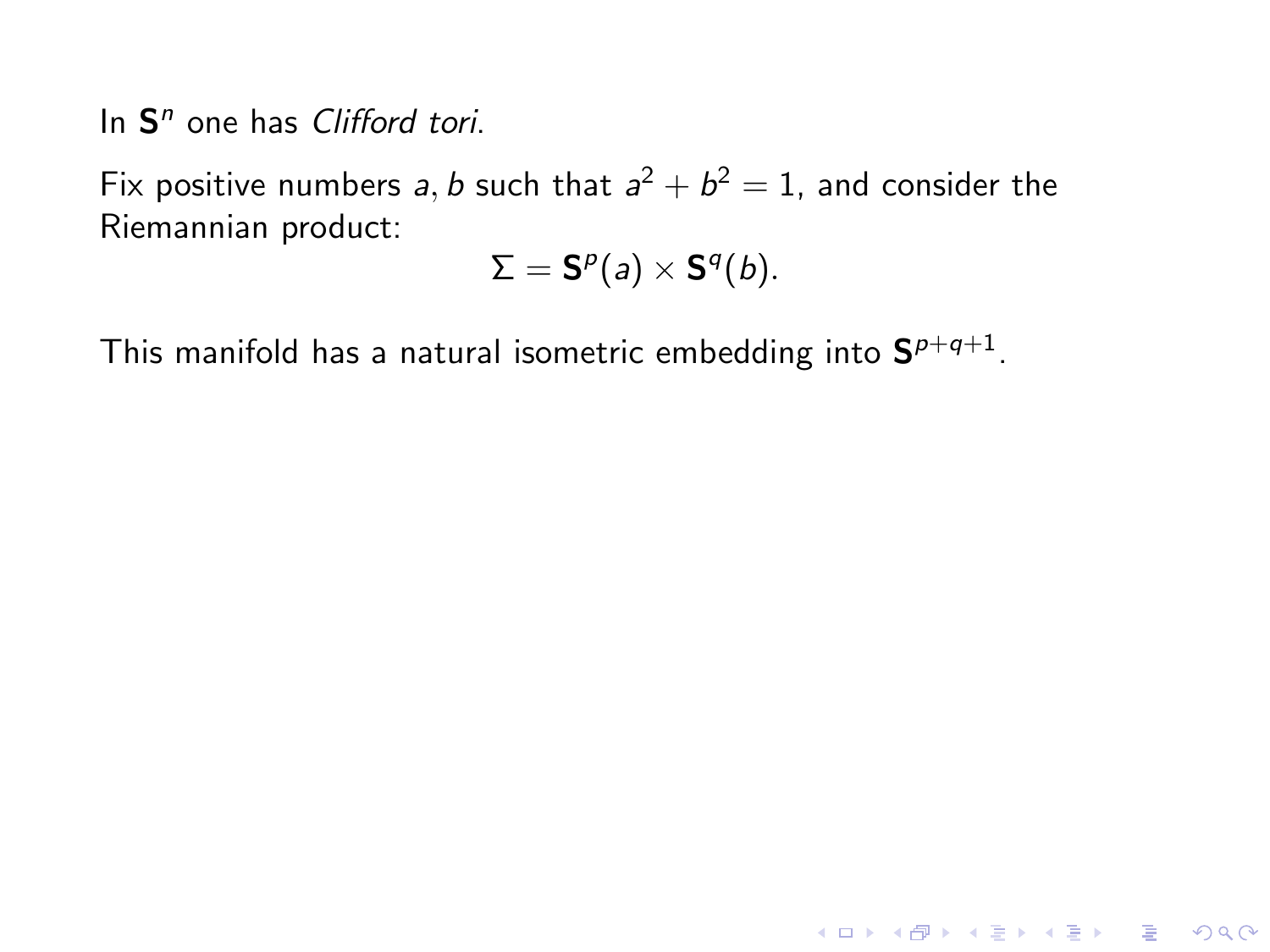Fix positive numbers a, b such that  $a^2 + b^2 = 1$ , and consider the Riemannian product:

$$
\Sigma = \mathbf{S}^p(a) \times \mathbf{S}^q(b).
$$

K ロ ▶ K @ ▶ K 할 ▶ K 할 ▶ | 할 | © 9 Q @

This manifold has a natural isometric embedding into  $\mathbf{S}^{p+q+1}.$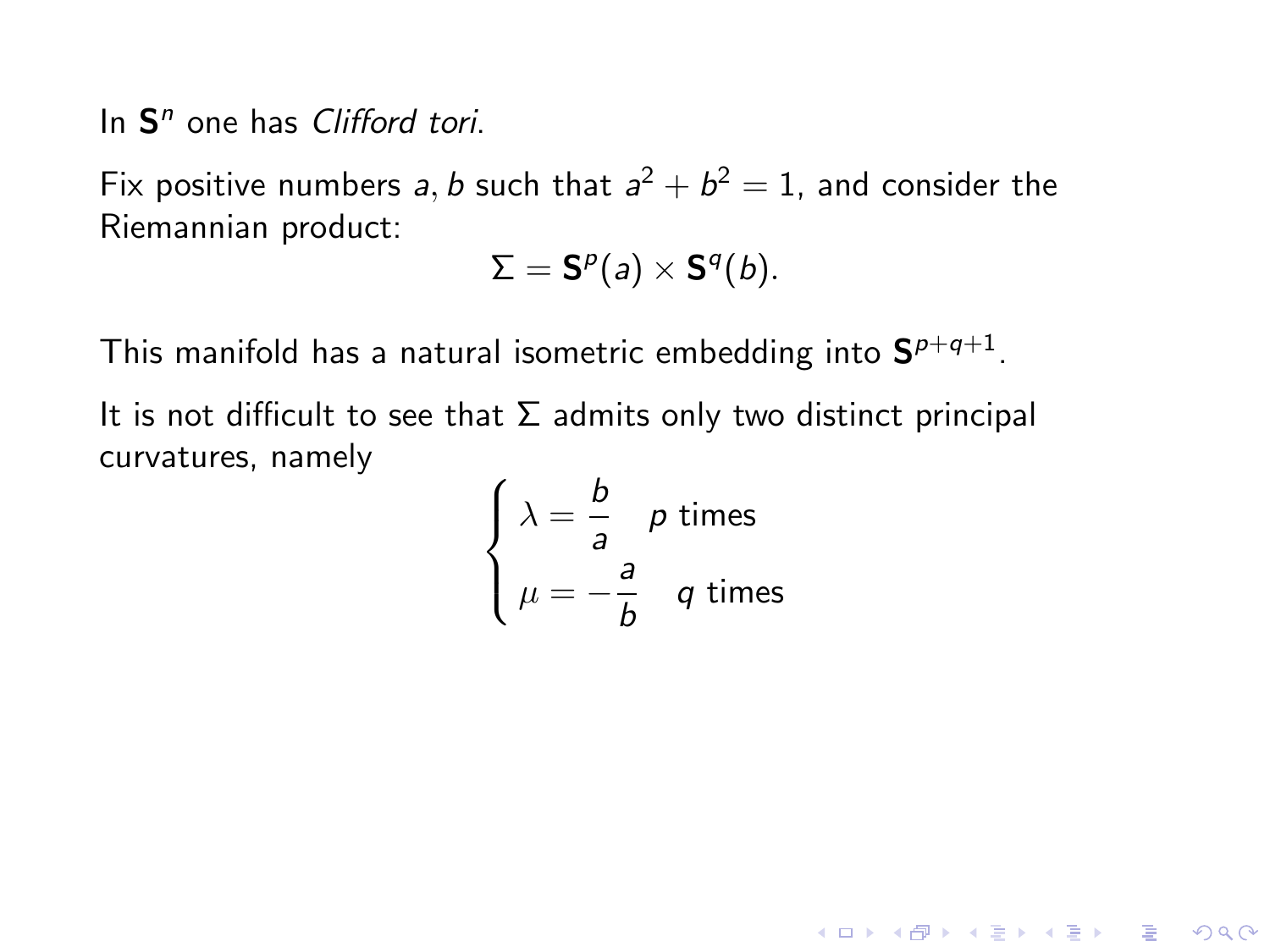Fix positive numbers a, b such that  $a^2 + b^2 = 1$ , and consider the Riemannian product:

$$
\Sigma = \mathbf{S}^p(a) \times \mathbf{S}^q(b).
$$

This manifold has a natural isometric embedding into  $\mathbf{S}^{p+q+1}.$ 

It is not difficult to see that  $\Sigma$  admits only two distinct principal curvatures, namely

$$
\begin{cases}\n\lambda = \frac{b}{a} & p \text{ times} \\
\mu = -\frac{a}{b} & q \text{ times}\n\end{cases}
$$

**KORK STRATER STRAKES**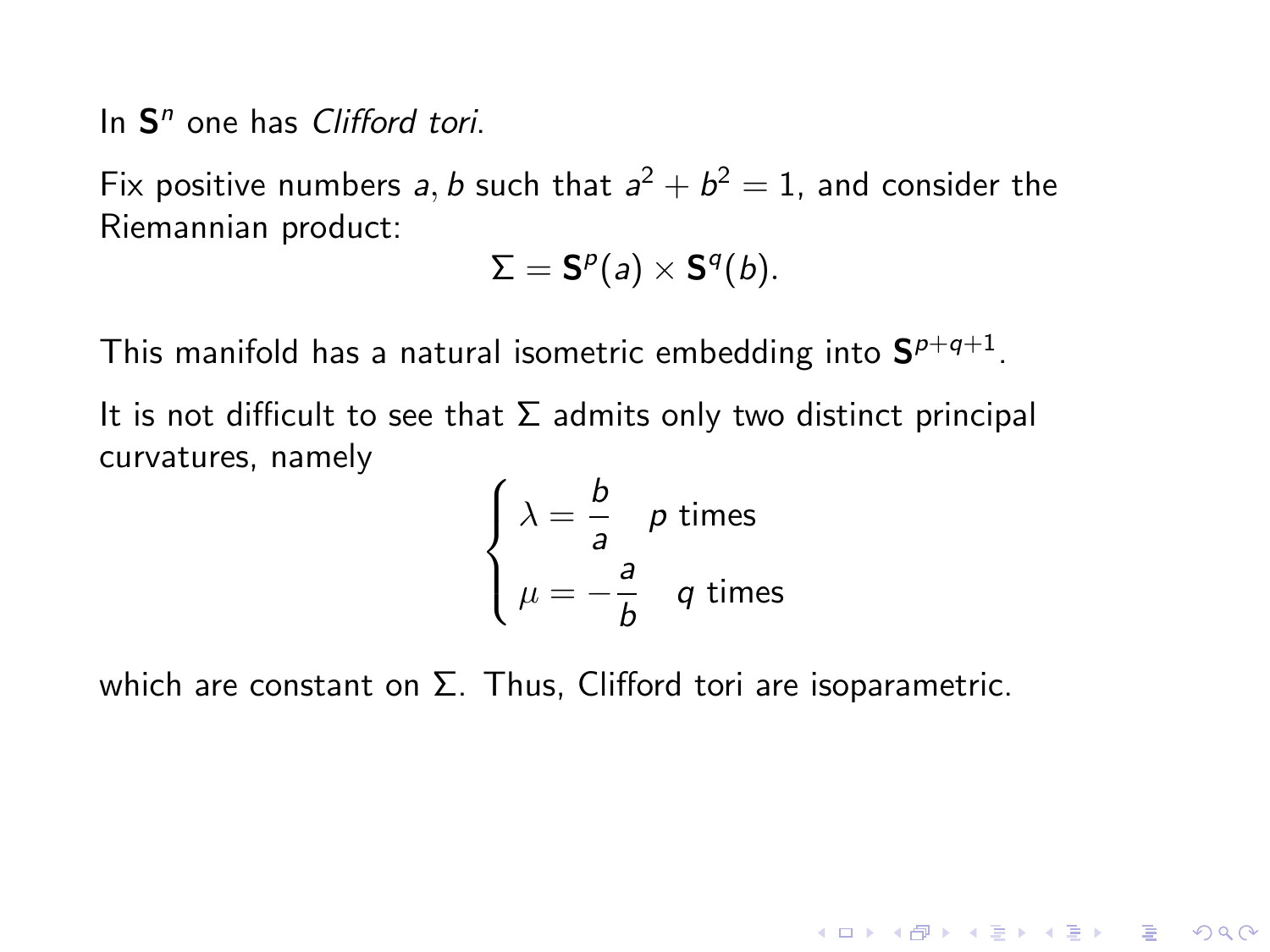Fix positive numbers a, b such that  $a^2 + b^2 = 1$ , and consider the Riemannian product:

$$
\Sigma = \mathbf{S}^p(a) \times \mathbf{S}^q(b).
$$

This manifold has a natural isometric embedding into  $\mathbf{S}^{p+q+1}.$ 

It is not difficult to see that  $\Sigma$  admits only two distinct principal curvatures, namely

$$
\begin{cases} \lambda = \frac{b}{a} & p \text{ times} \\ \mu = -\frac{a}{b} & q \text{ times} \end{cases}
$$

**KORK STRATER STRAKES** 

which are constant on  $\Sigma$ . Thus, Clifford tori are isoparametric.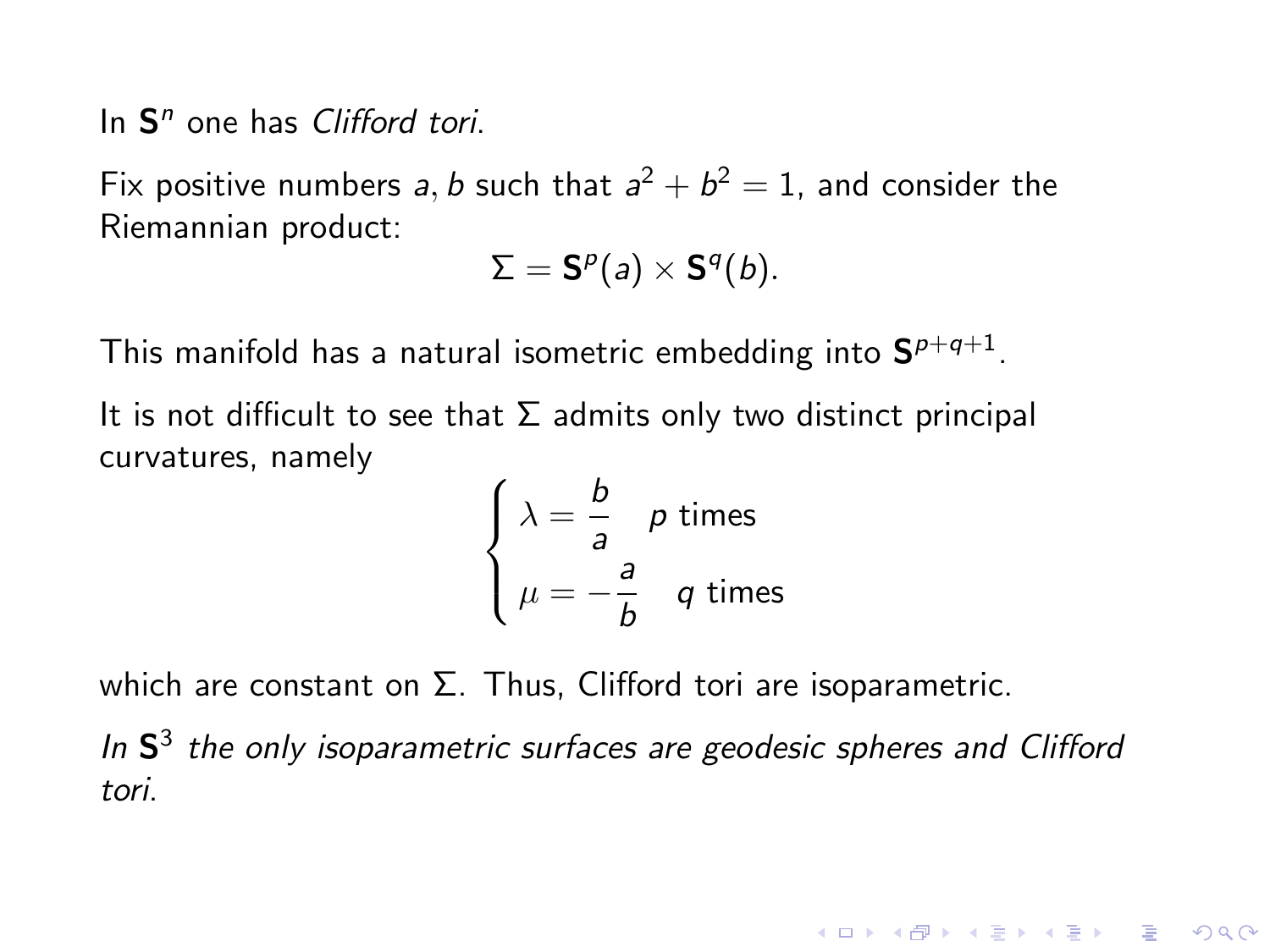Fix positive numbers a, b such that  $a^2 + b^2 = 1$ , and consider the Riemannian product:

$$
\Sigma = \mathbf{S}^p(a) \times \mathbf{S}^q(b).
$$

This manifold has a natural isometric embedding into  $\mathbf{S}^{p+q+1}.$ 

It is not difficult to see that  $\Sigma$  admits only two distinct principal curvatures, namely

$$
\begin{cases} \lambda = \frac{b}{a} & p \text{ times} \\ \mu = -\frac{a}{b} & q \text{ times} \end{cases}
$$

which are constant on  $\Sigma$ . Thus, Clifford tori are isoparametric.

In  $S<sup>3</sup>$  the only isoparametric surfaces are geodesic spheres and Clifford tori.

**KORK ERKER ADE YOUR**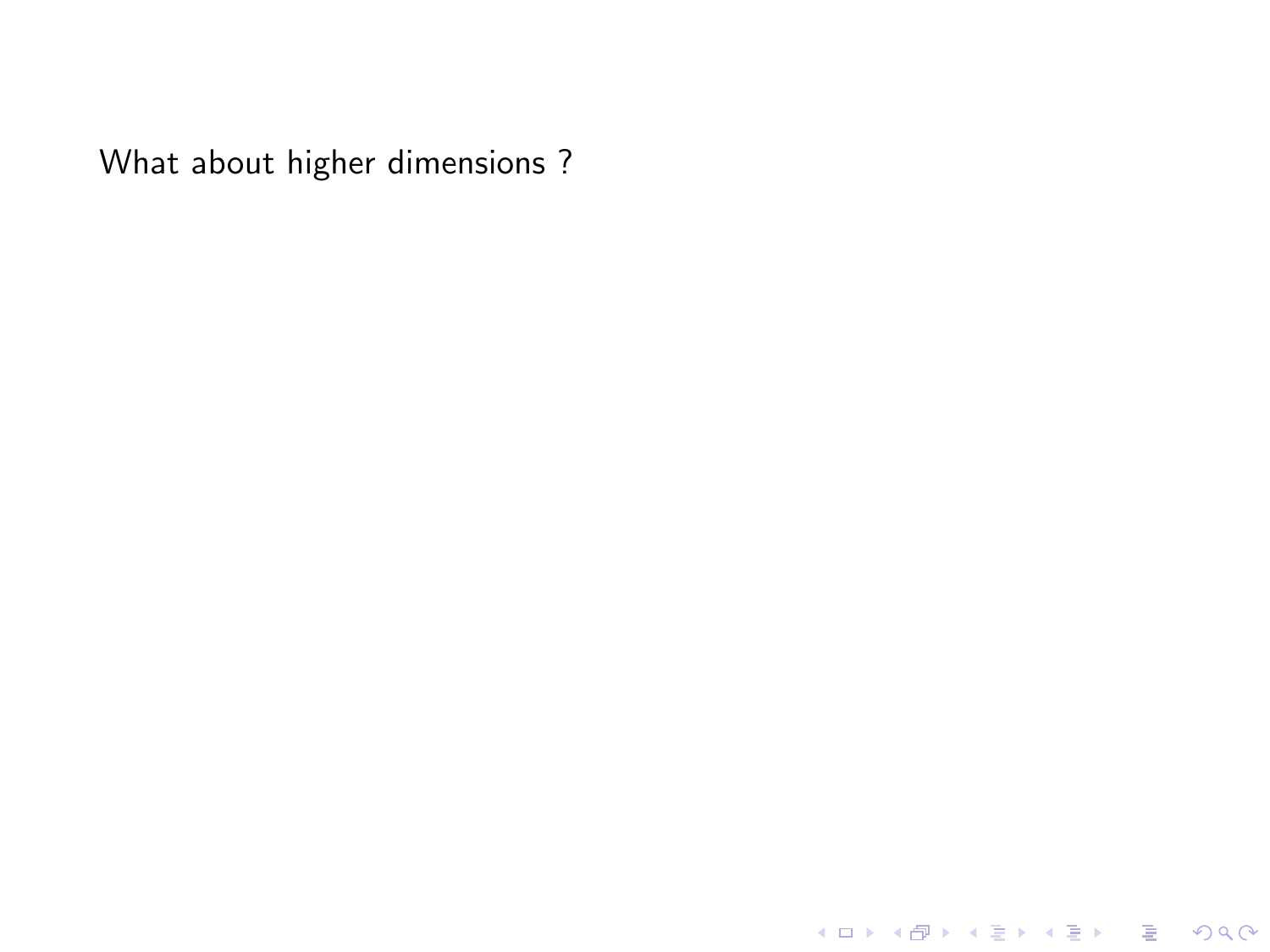K ロ X K 메 X K B X X B X X D X O Q Q O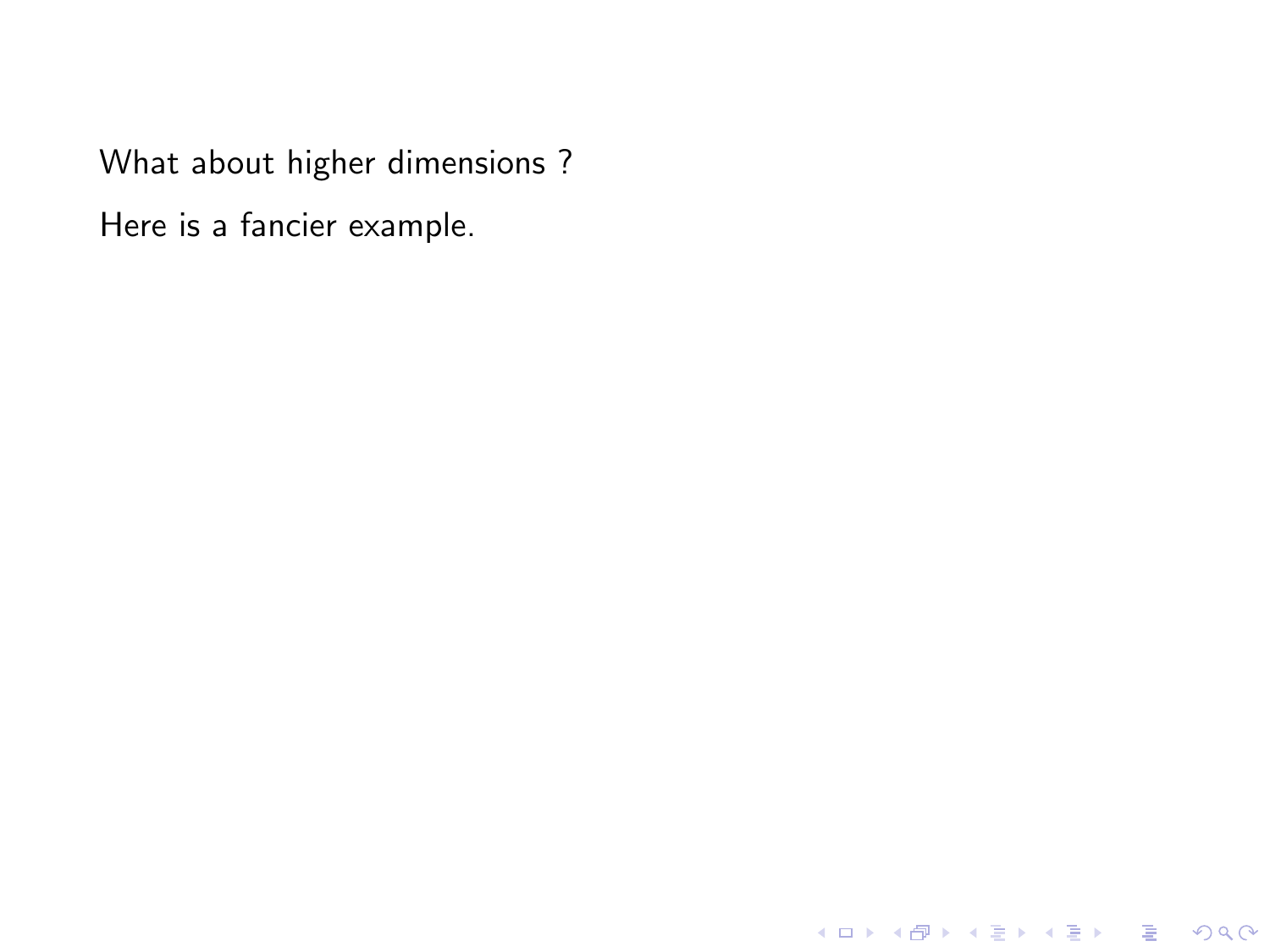Here is a fancier example.

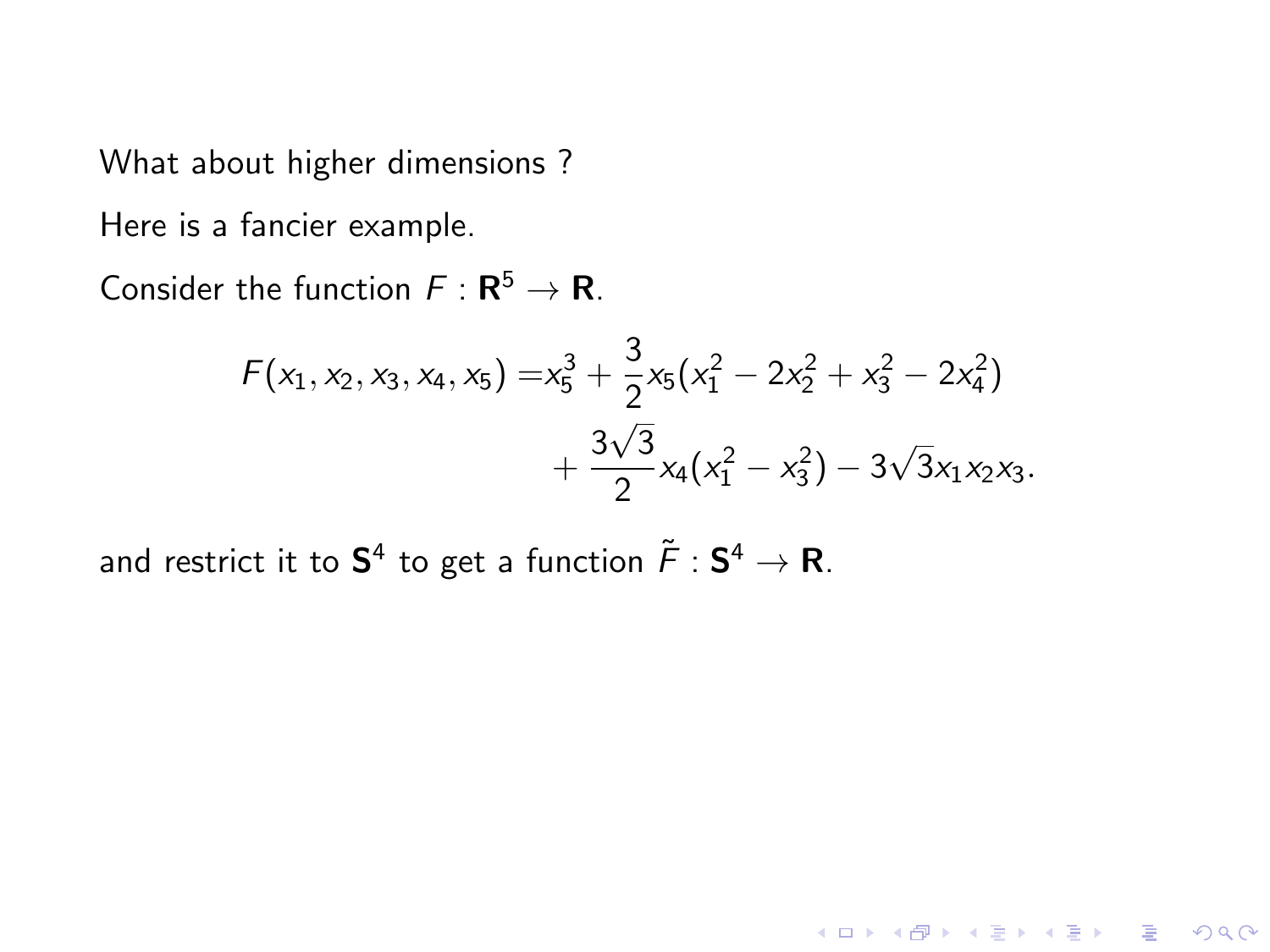Here is a fancier example.

Consider the function  $F : \mathbf{R}^5 \to \mathbf{R}$ .

$$
F(x_1, x_2, x_3, x_4, x_5) = x_5^3 + \frac{3}{2}x_5(x_1^2 - 2x_2^2 + x_3^2 - 2x_4^2) + \frac{3\sqrt{3}}{2}x_4(x_1^2 - x_3^2) - 3\sqrt{3}x_1x_2x_3.
$$

and restrict it to  $\mathsf{S}^4$  to get a function  $\tilde{\mathsf{F}}:\mathsf{S}^4\to\mathsf{R}.$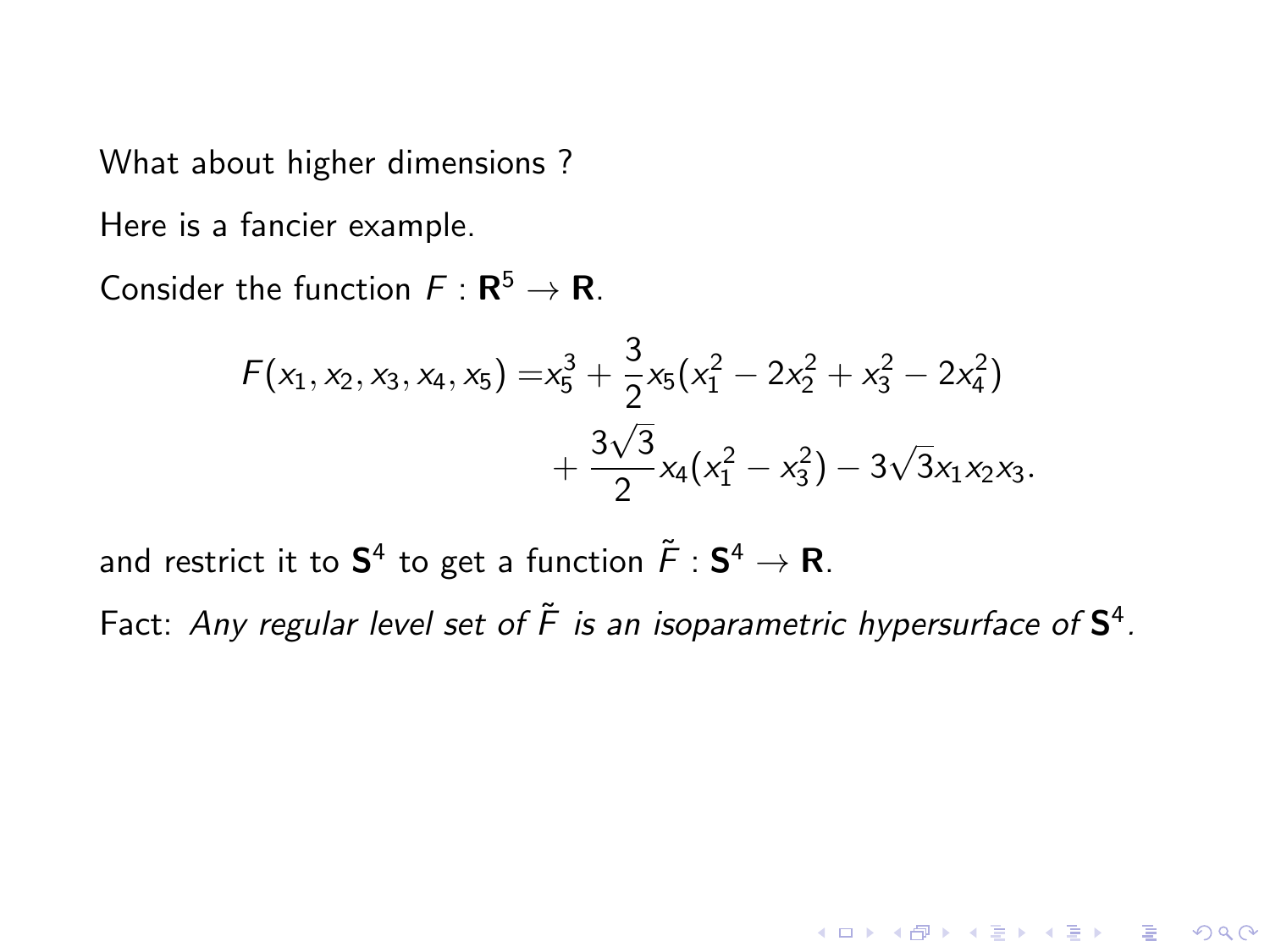Here is a fancier example.

Consider the function  $F : \mathbf{R}^5 \to \mathbf{R}$ .

$$
F(x_1, x_2, x_3, x_4, x_5) = x_5^3 + \frac{3}{2}x_5(x_1^2 - 2x_2^2 + x_3^2 - 2x_4^2) + \frac{3\sqrt{3}}{2}x_4(x_1^2 - x_3^2) - 3\sqrt{3}x_1x_2x_3.
$$

and restrict it to  $\mathsf{S}^4$  to get a function  $\tilde{\mathsf{F}}:\mathsf{S}^4\to\mathsf{R}.$ 

Fact: Any regular level set of  $\tilde{F}$  is an isoparametric hypersurface of  $\mathsf{S}^4$ .

**KORKA SERKER ORA**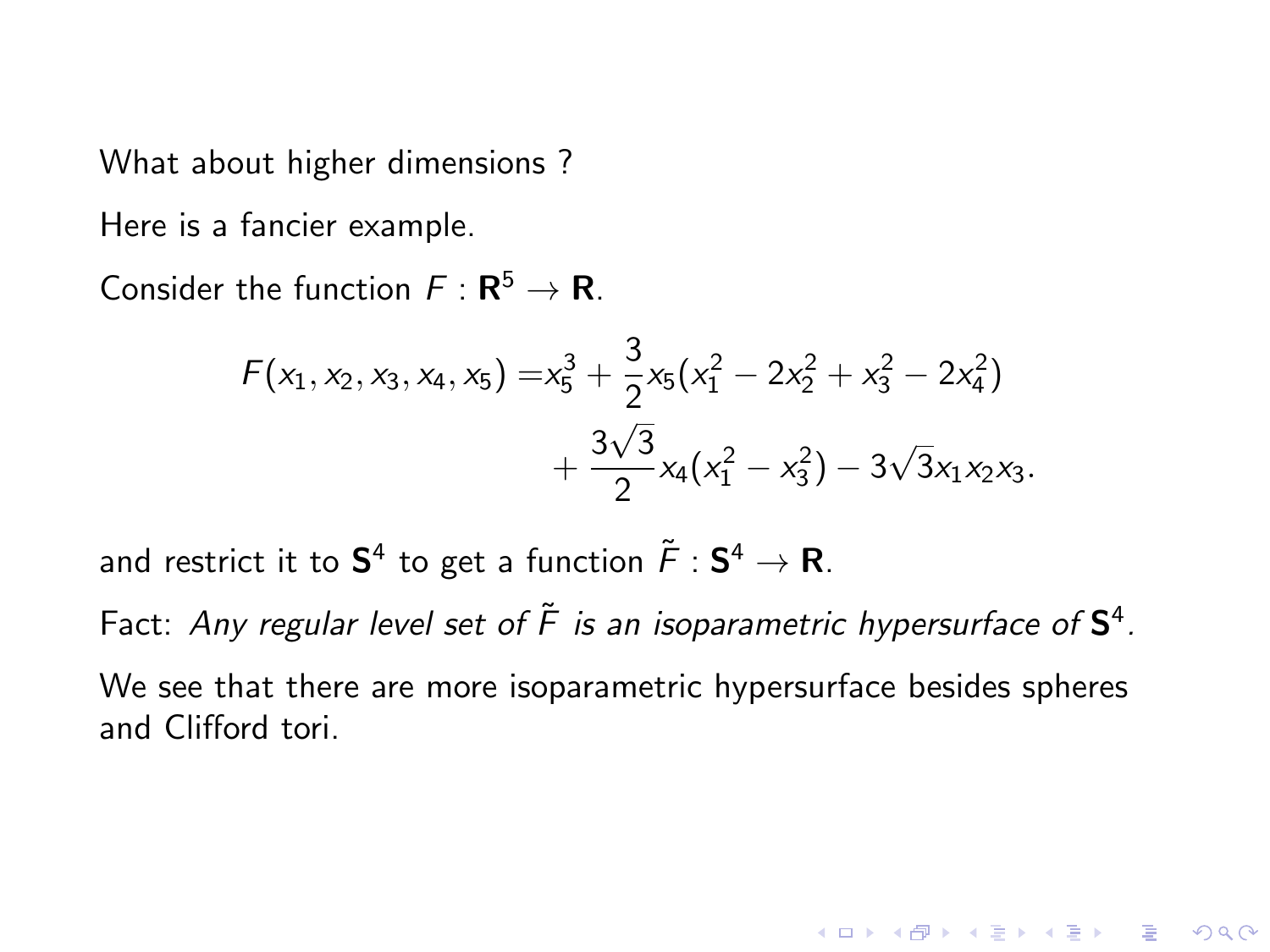What about higher dimensions ?

Here is a fancier example.

Consider the function  $F : \mathbf{R}^5 \to \mathbf{R}$ .

$$
F(x_1, x_2, x_3, x_4, x_5) = x_5^3 + \frac{3}{2}x_5(x_1^2 - 2x_2^2 + x_3^2 - 2x_4^2) + \frac{3\sqrt{3}}{2}x_4(x_1^2 - x_3^2) - 3\sqrt{3}x_1x_2x_3.
$$

and restrict it to  $\mathsf{S}^4$  to get a function  $\tilde{\mathsf{F}}:\mathsf{S}^4\to\mathsf{R}.$ 

Fact: Any regular level set of  $\tilde{F}$  is an isoparametric hypersurface of  $\mathsf{S}^4$ . We see that there are more isoparametric hypersurface besides spheres

and Clifford tori.

**KORK ERKER ADE YOUR**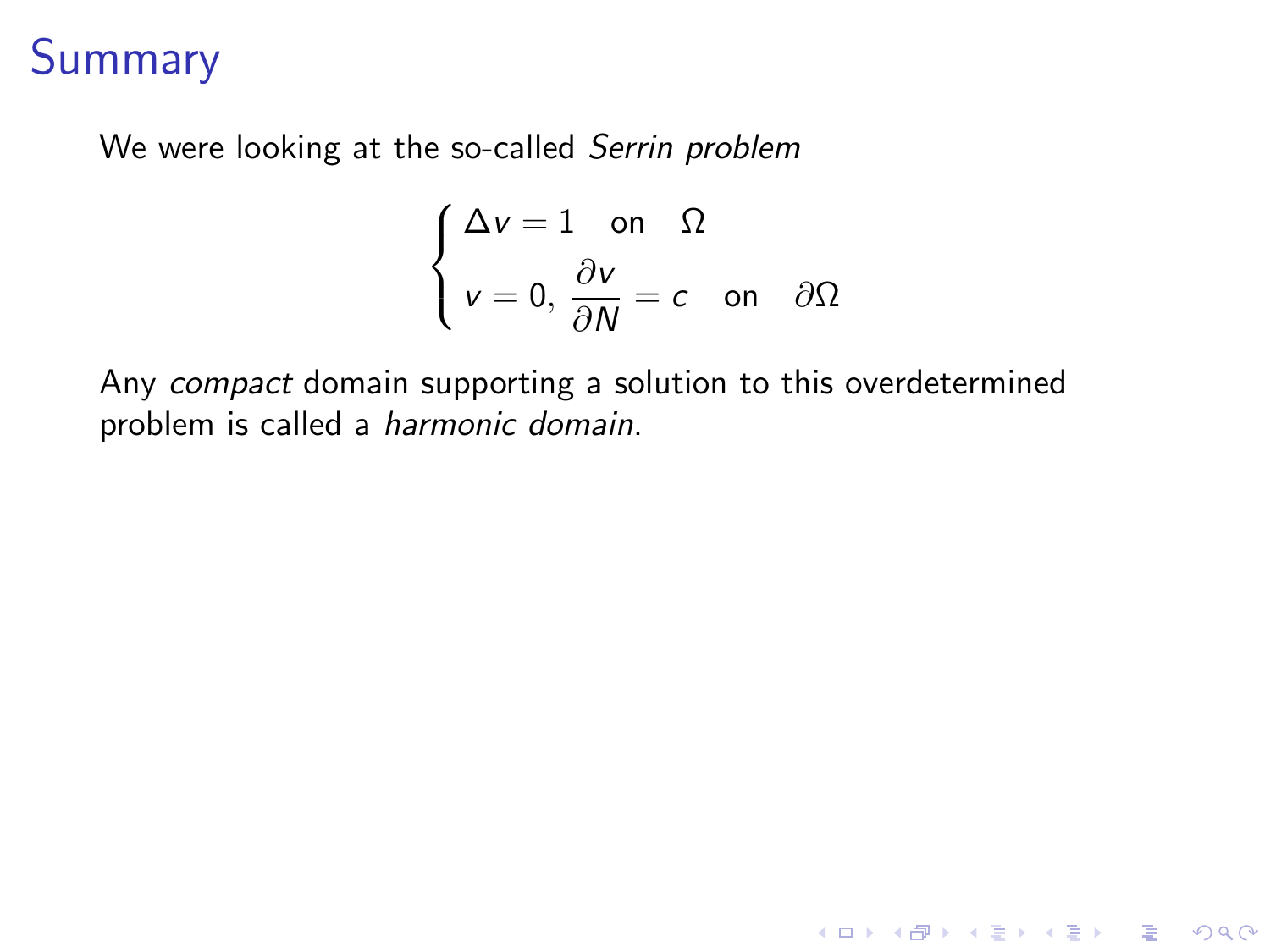We were looking at the so-called Serrin problem

$$
\begin{cases} \Delta v = 1 \quad \text{on} \quad \Omega \\ v = 0, \frac{\partial v}{\partial N} = c \quad \text{on} \quad \partial \Omega \end{cases}
$$

K ロ ▶ K @ ▶ K 할 ▶ K 할 ▶ | 할 | © 9 Q @

Any compact domain supporting a solution to this overdetermined problem is called a harmonic domain.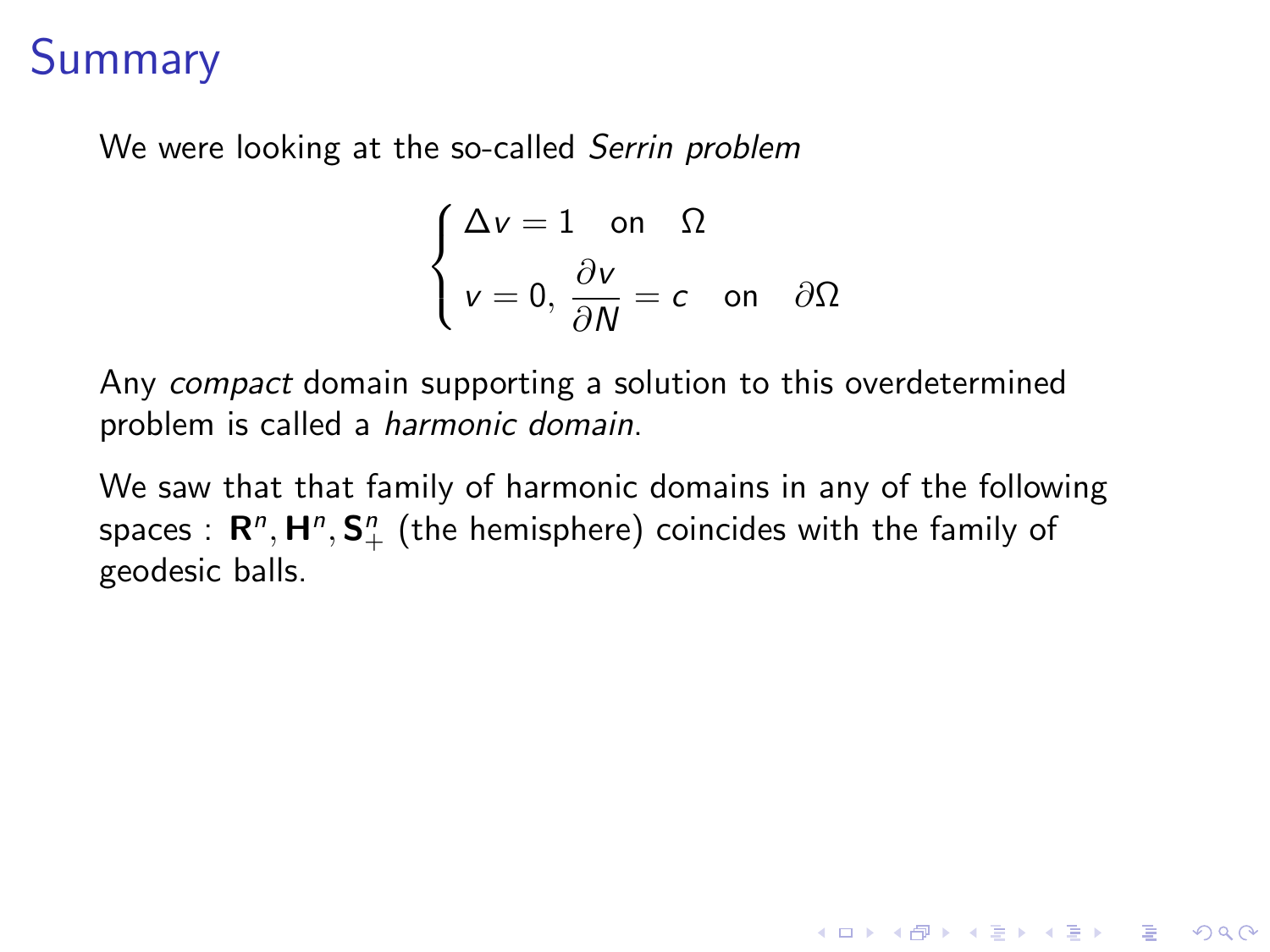We were looking at the so-called Serrin problem

$$
\begin{cases} \Delta v = 1 \quad \text{on} \quad \Omega \\ v = 0, \frac{\partial v}{\partial N} = c \quad \text{on} \quad \partial \Omega \end{cases}
$$

Any compact domain supporting a solution to this overdetermined problem is called a harmonic domain.

We saw that that family of harmonic domains in any of the following spaces  $: \, \mathbf{R}^n, \mathbf{H}^n, \mathbf{S}^n_+$  (the hemisphere) coincides with the family of geodesic balls.

**KORK ERKER ADE YOUR**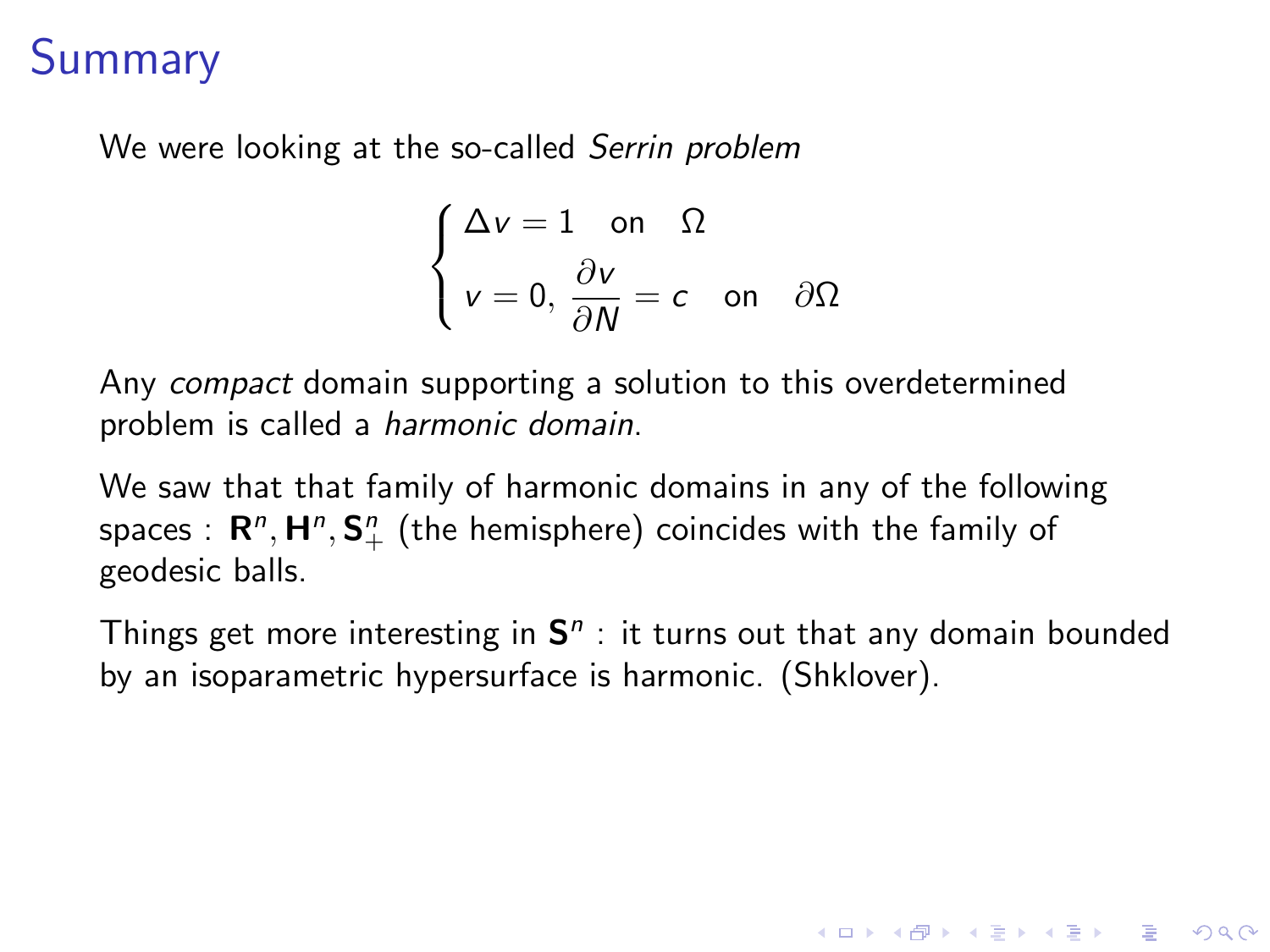We were looking at the so-called Serrin problem

$$
\begin{cases} \Delta v = 1 \quad \text{on} \quad \Omega \\ v = 0, \frac{\partial v}{\partial N} = c \quad \text{on} \quad \partial \Omega \end{cases}
$$

Any compact domain supporting a solution to this overdetermined problem is called a harmonic domain.

We saw that that family of harmonic domains in any of the following spaces  $: \, \mathbf{R}^n, \mathbf{H}^n, \mathbf{S}^n_+$  (the hemisphere) coincides with the family of geodesic balls.

Things get more interesting in  $S<sup>n</sup>$ : it turns out that any domain bounded by an isoparametric hypersurface is harmonic. (Shklover).

**KORK ERKER ADE YOUR**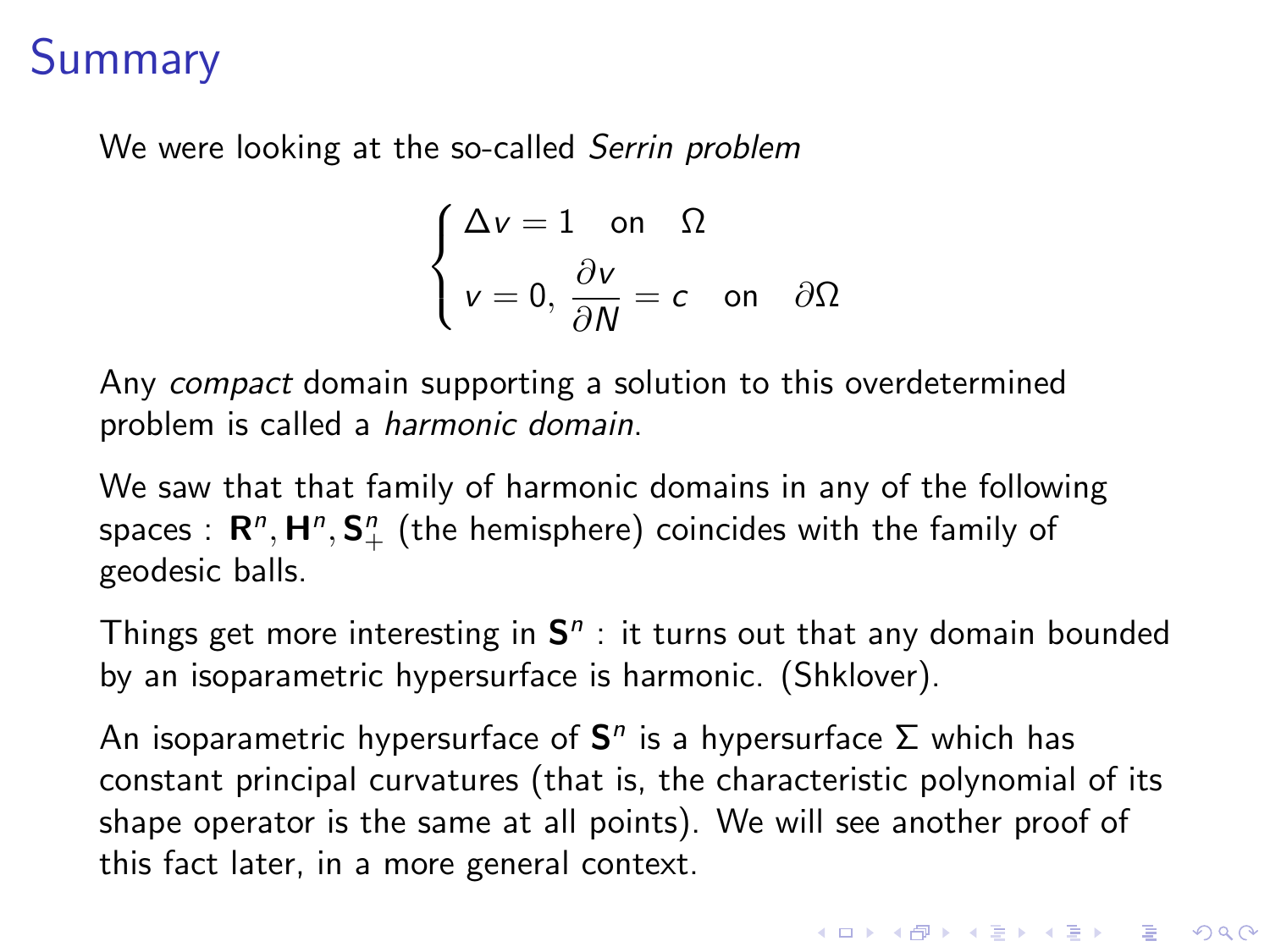We were looking at the so-called Serrin problem

$$
\begin{cases} \Delta v = 1 \quad \text{on} \quad \Omega \\ v = 0, \frac{\partial v}{\partial N} = c \quad \text{on} \quad \partial \Omega \end{cases}
$$

Any compact domain supporting a solution to this overdetermined problem is called a harmonic domain.

We saw that that family of harmonic domains in any of the following spaces  $: \, \mathbf{R}^n, \mathbf{H}^n, \mathbf{S}^n_+$  (the hemisphere) coincides with the family of geodesic balls.

Things get more interesting in  $S<sup>n</sup>$ : it turns out that any domain bounded by an isoparametric hypersurface is harmonic. (Shklover).

An isoparametric hypersurface of  $S<sup>n</sup>$  is a hypersurface  $\Sigma$  which has constant principal curvatures (that is, the characteristic polynomial of its shape operator is the same at all points). We will see another proof of this fact later, in a more general context.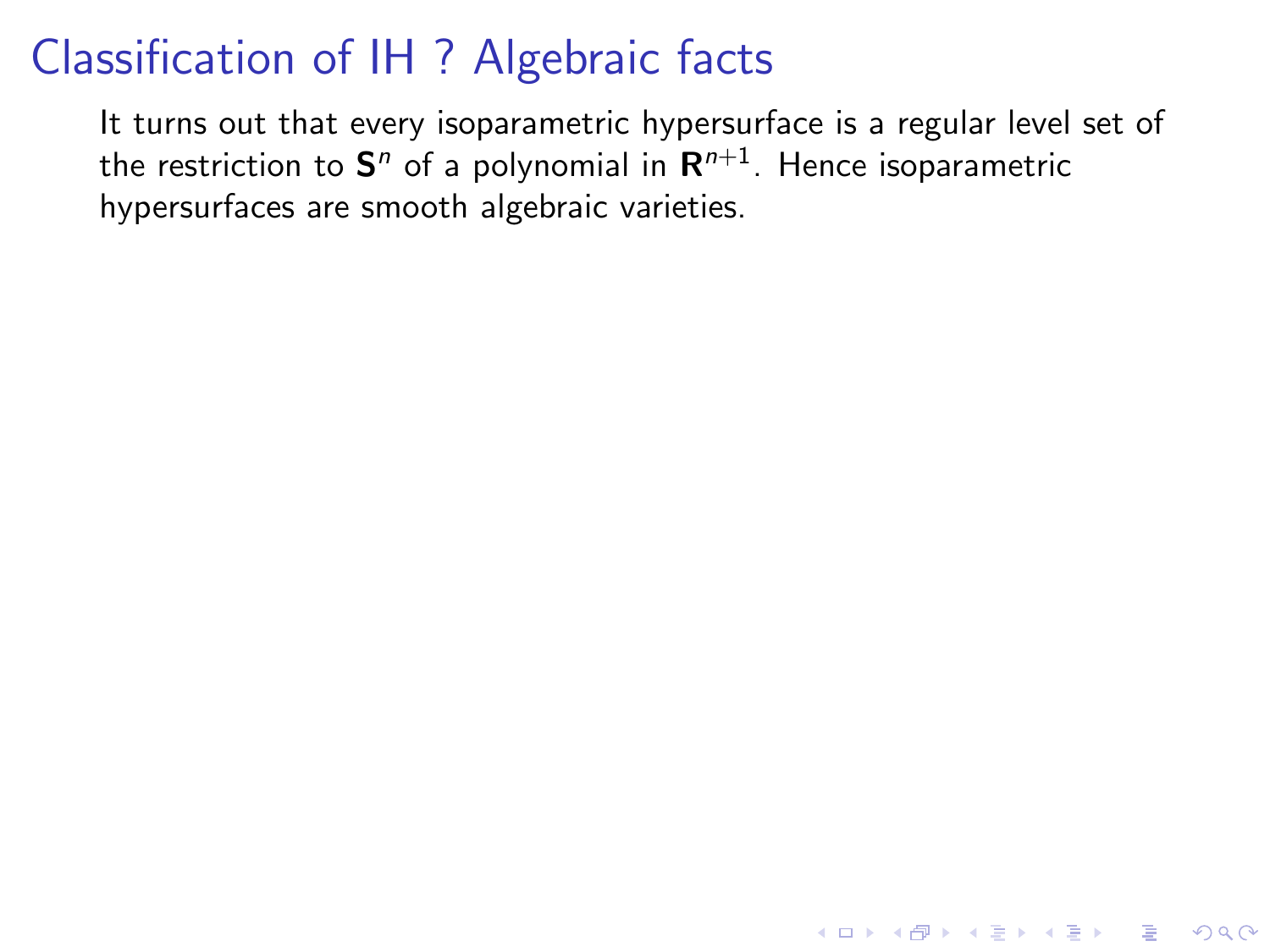It turns out that every isoparametric hypersurface is a regular level set of the restriction to  $\mathbf{S}^n$  of a polynomial in  $\mathsf{R}^{n+1}.$  Hence isoparametric hypersurfaces are smooth algebraic varieties.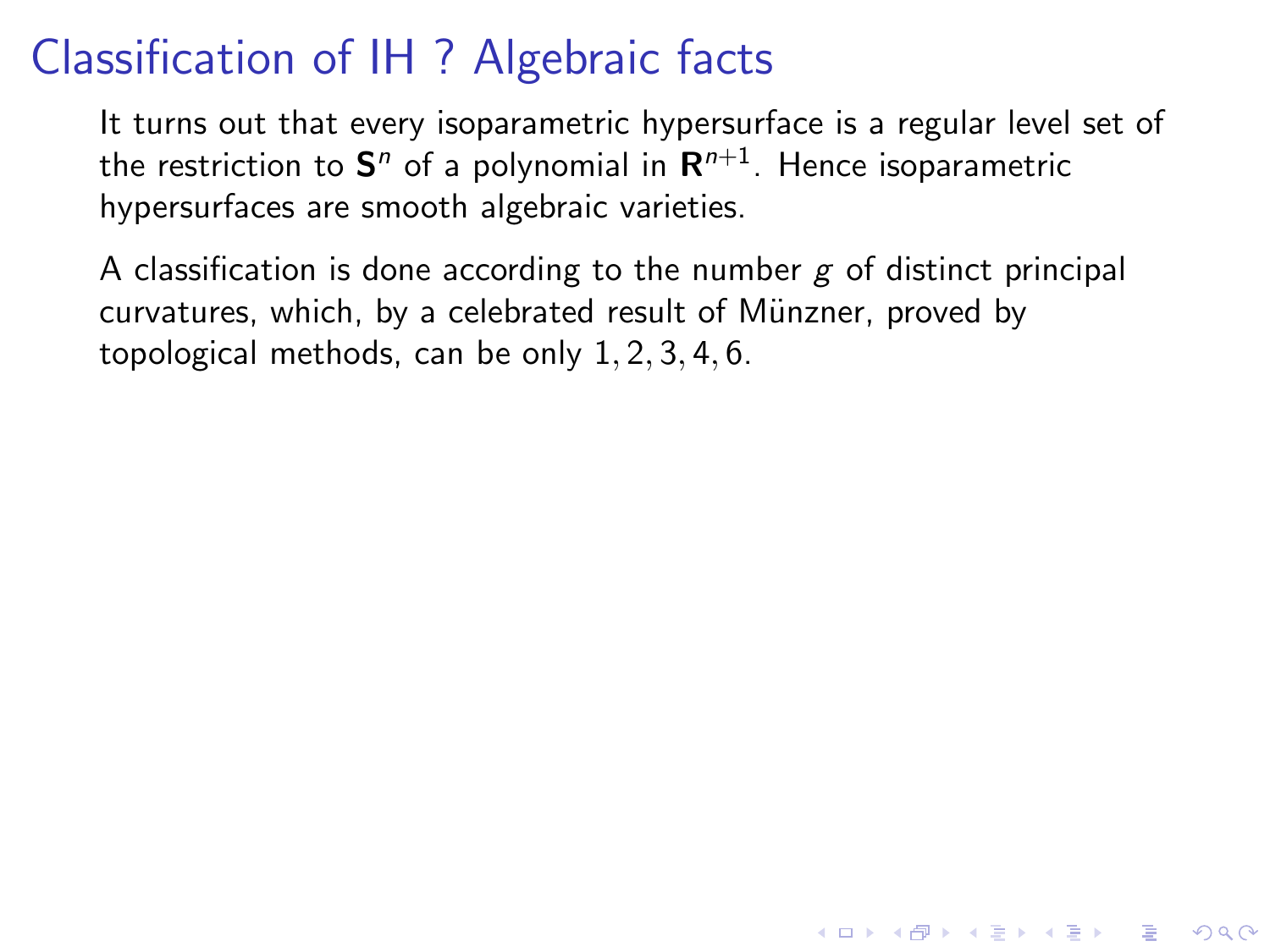It turns out that every isoparametric hypersurface is a regular level set of the restriction to  $\mathbf{S}^n$  of a polynomial in  $\mathsf{R}^{n+1}.$  Hence isoparametric hypersurfaces are smooth algebraic varieties.

A classification is done according to the number  $g$  of distinct principal curvatures, which, by a celebrated result of Münzner, proved by topological methods, can be only 1, 2, 3, 4, 6.

**KORKAR KERKER E VOOR**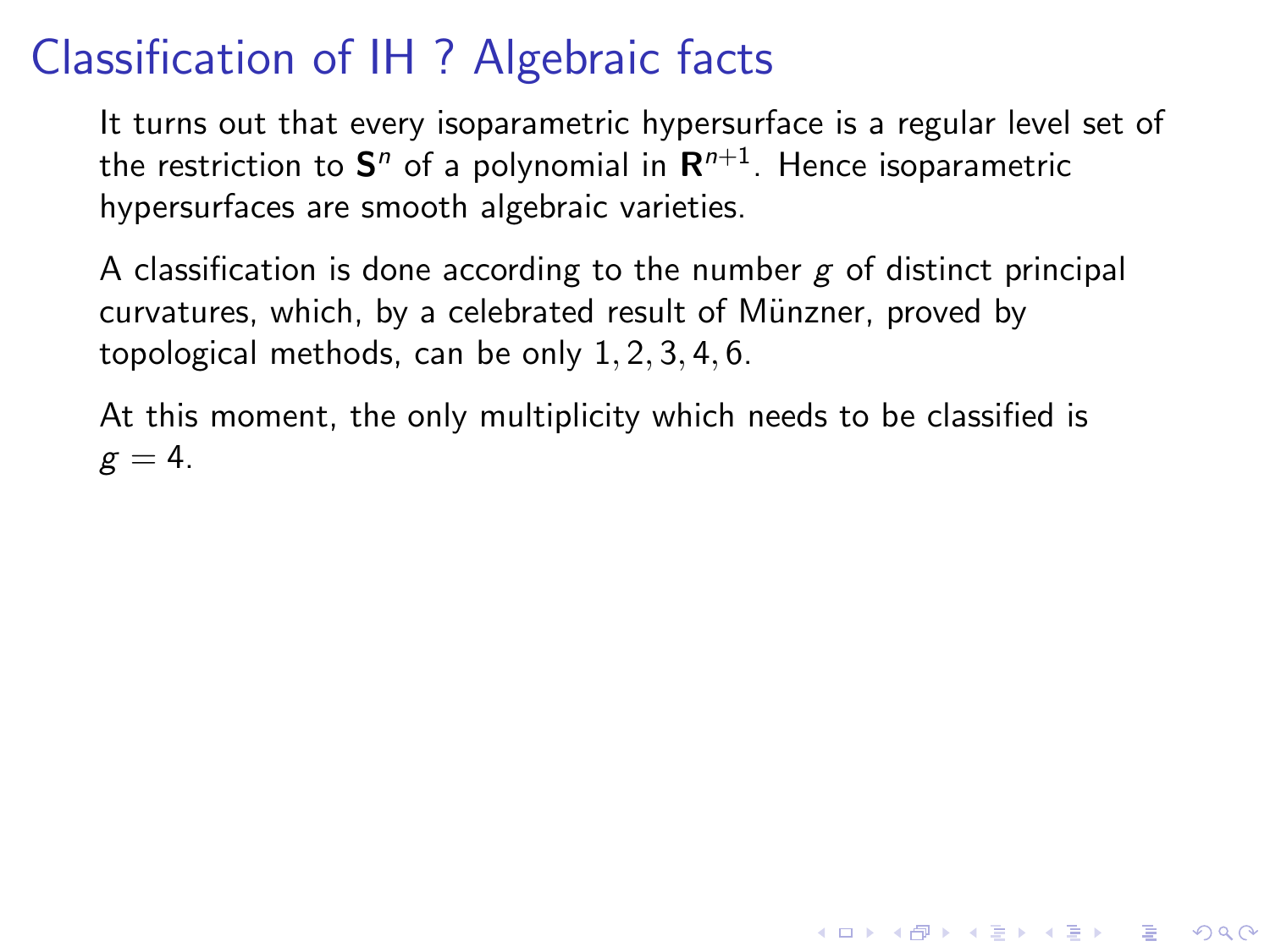It turns out that every isoparametric hypersurface is a regular level set of the restriction to  $\mathbf{S}^n$  of a polynomial in  $\mathsf{R}^{n+1}.$  Hence isoparametric hypersurfaces are smooth algebraic varieties.

A classification is done according to the number  $g$  of distinct principal curvatures, which, by a celebrated result of Münzner, proved by topological methods, can be only 1, 2, 3, 4, 6.

At this moment, the only multiplicity which needs to be classified is  $g = 4$ .

**KORKAR KERKER E VOOR**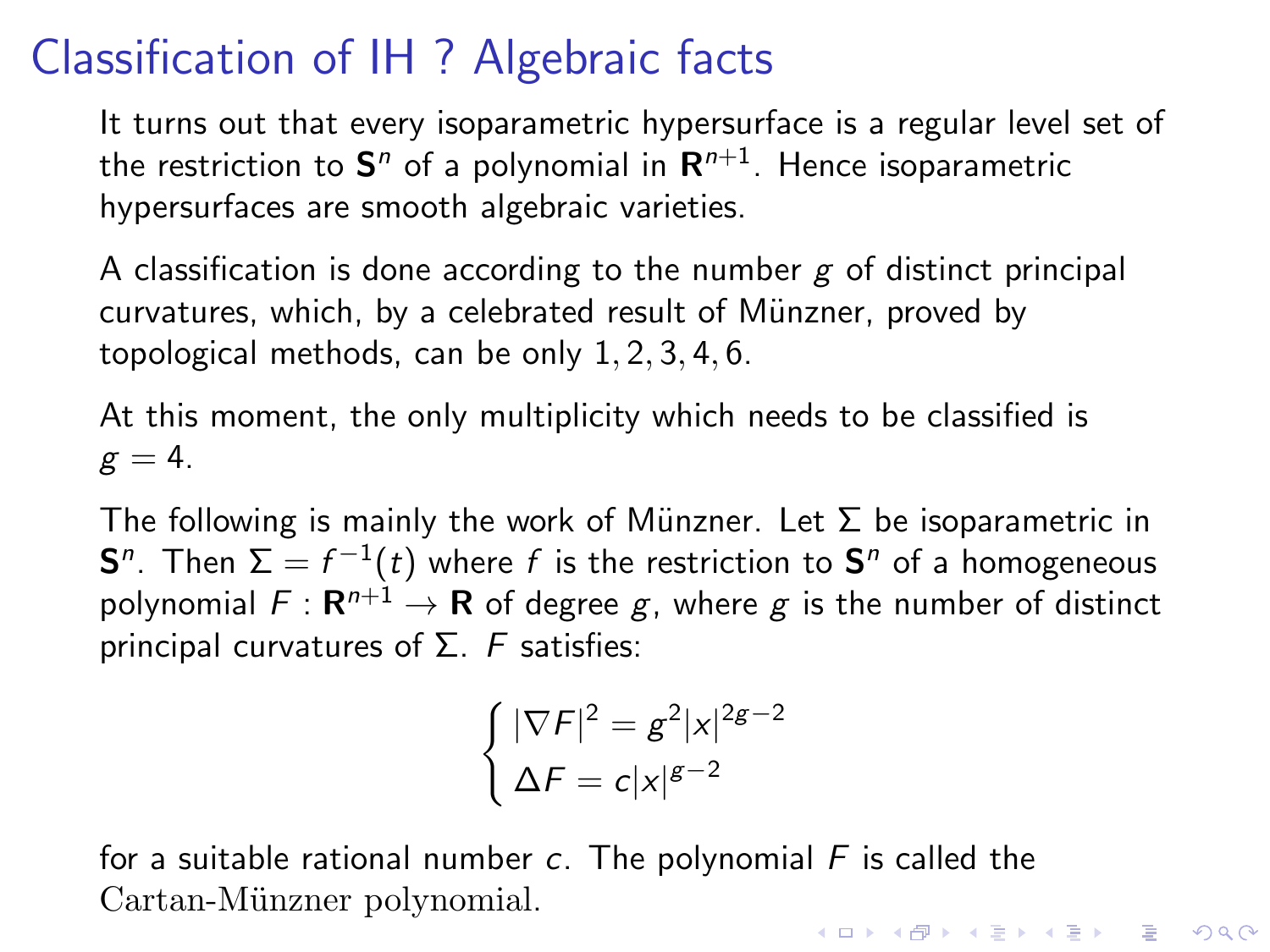It turns out that every isoparametric hypersurface is a regular level set of the restriction to  $\mathbf{S}^n$  of a polynomial in  $\mathsf{R}^{n+1}.$  Hence isoparametric hypersurfaces are smooth algebraic varieties.

A classification is done according to the number  $g$  of distinct principal curvatures, which, by a celebrated result of Münzner, proved by topological methods, can be only 1, 2, 3, 4, 6.

At this moment, the only multiplicity which needs to be classified is  $g = 4$ .

The following is mainly the work of Münzner. Let  $\Sigma$  be isoparametric in  ${\sf S}^n.$  Then  $\Sigma=f^{-1}(t)$  where  $f$  is the restriction to  ${\sf S}^n$  of a homogeneous polynomial  $F: \mathbf{R}^{n+1} \to \mathbf{R}$  of degree  $g$ , where  $g$  is the number of distinct principal curvatures of  $Σ.$  F satisfies:

$$
\begin{cases}\n|\nabla F|^2 = g^2 |x|^{2g-2} \\
\Delta F = c |x|^{g-2}\n\end{cases}
$$

for a suitable rational number c. The polynomial  $F$  is called the Cartan-Münzner polynomial. **KORKAR KERKER E VOOR**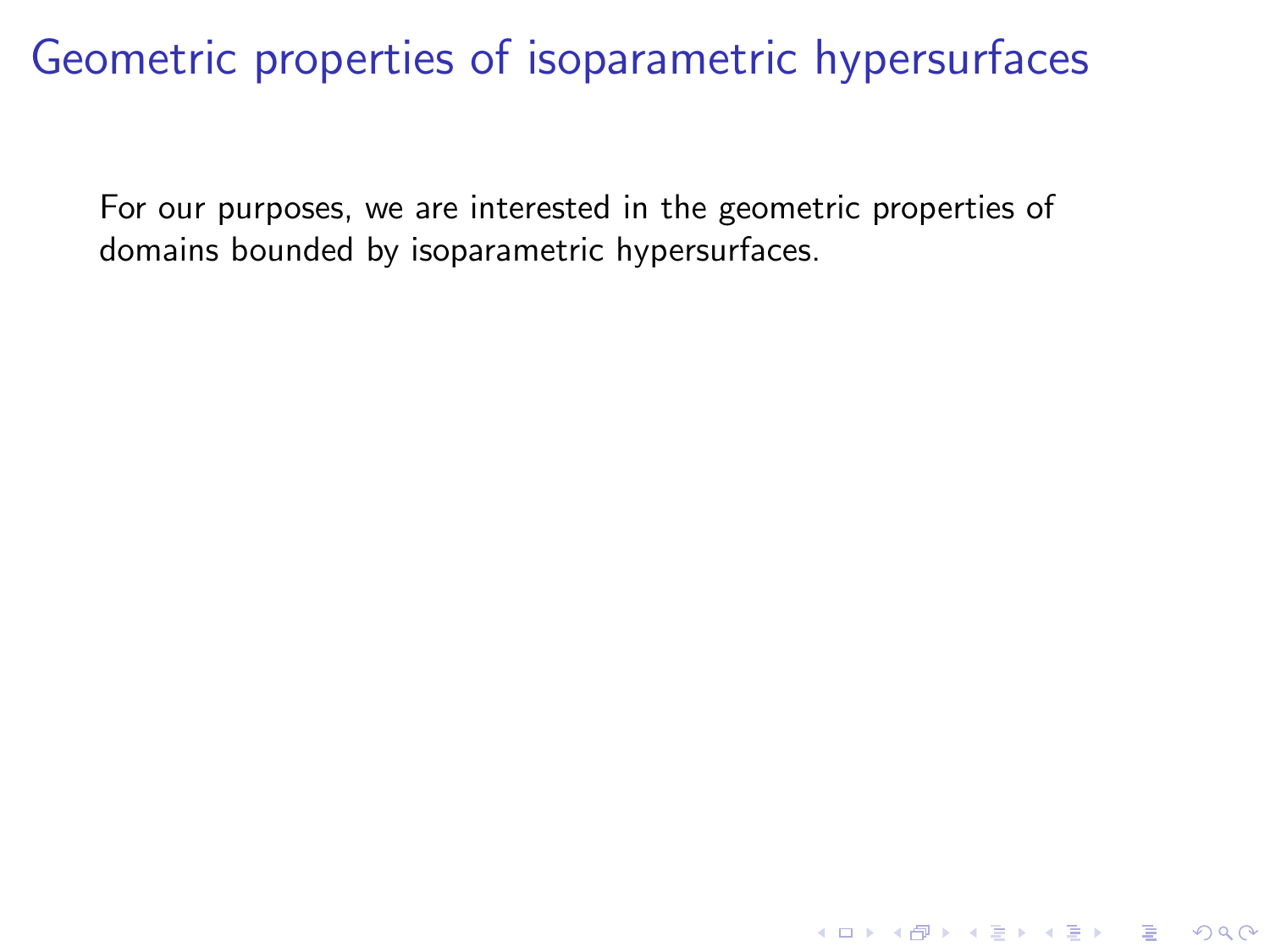For our purposes, we are interested in the geometric properties of domains bounded by isoparametric hypersurfaces.

K ロ ▶ K @ ▶ K 할 > K 할 > 1 할 > 1 이익어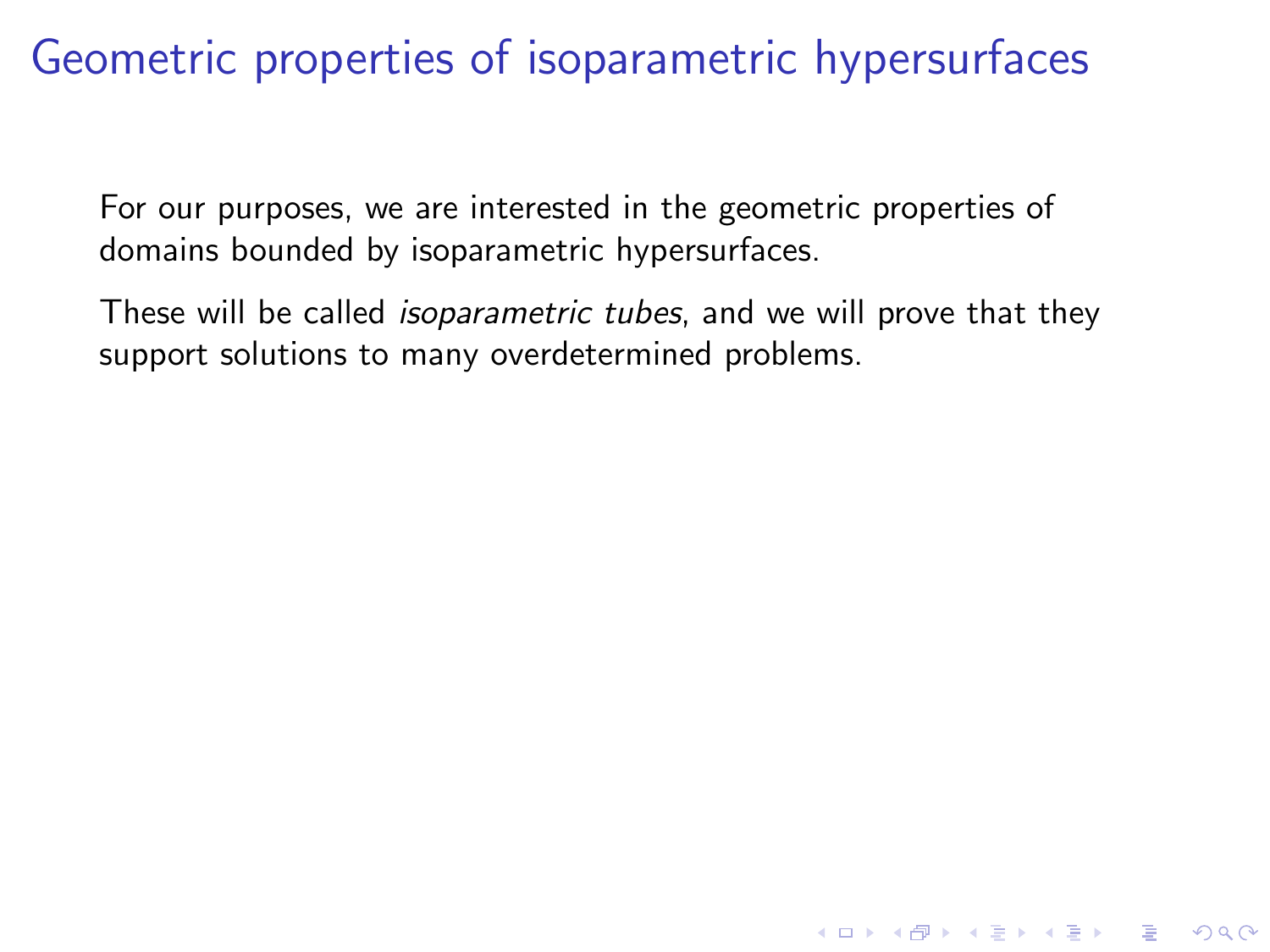For our purposes, we are interested in the geometric properties of domains bounded by isoparametric hypersurfaces.

These will be called *isoparametric tubes*, and we will prove that they support solutions to many overdetermined problems.

**KORK STRATER STRAKER**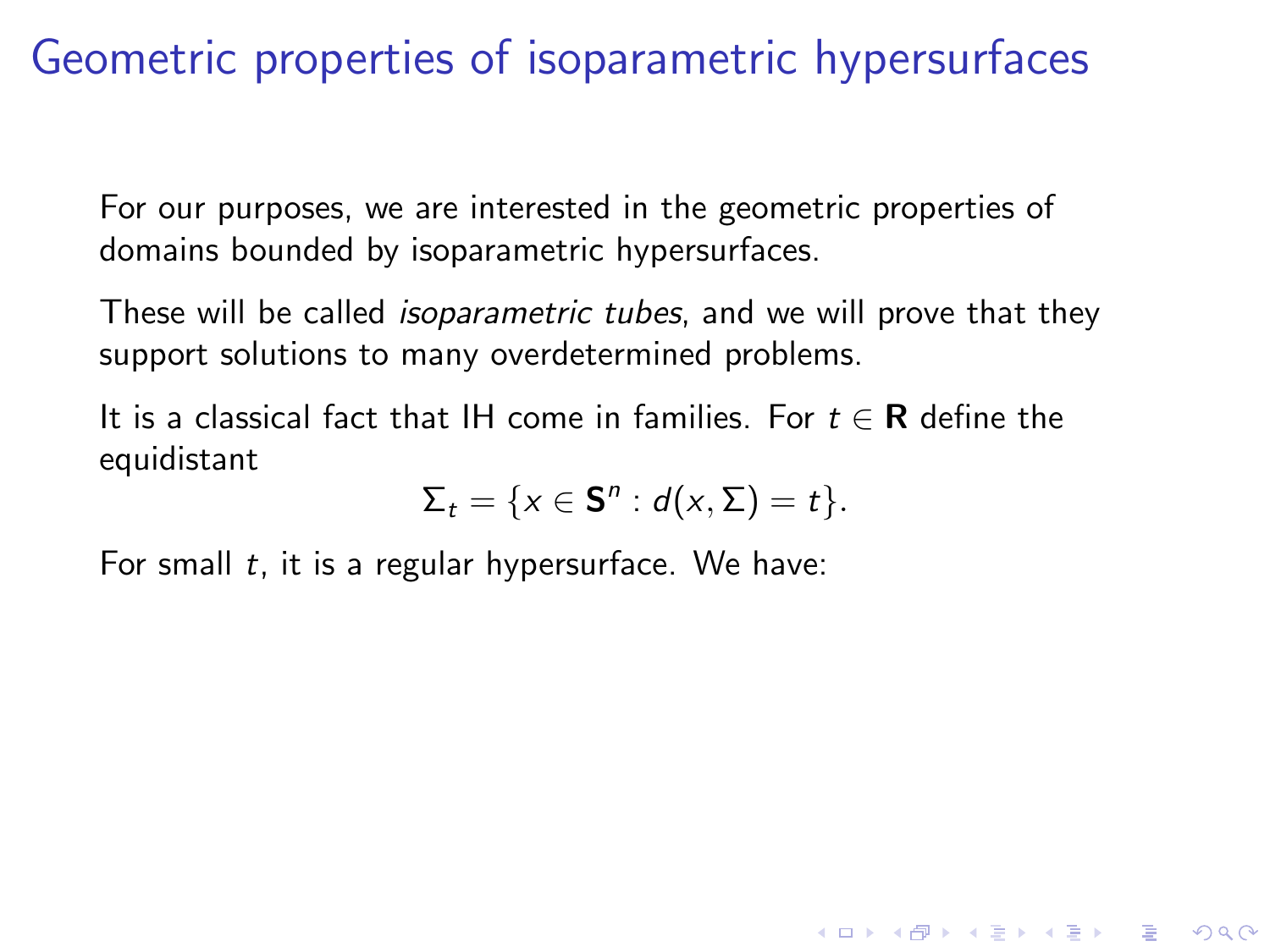For our purposes, we are interested in the geometric properties of domains bounded by isoparametric hypersurfaces.

These will be called *isoparametric tubes*, and we will prove that they support solutions to many overdetermined problems.

It is a classical fact that IH come in families. For  $t \in \mathbb{R}$  define the equidistant

$$
\Sigma_t = \{x \in \mathbf{S}^n : d(x, \Sigma) = t\}.
$$

**KORK STRATER STRAKER** 

For small  $t$ , it is a regular hypersurface. We have: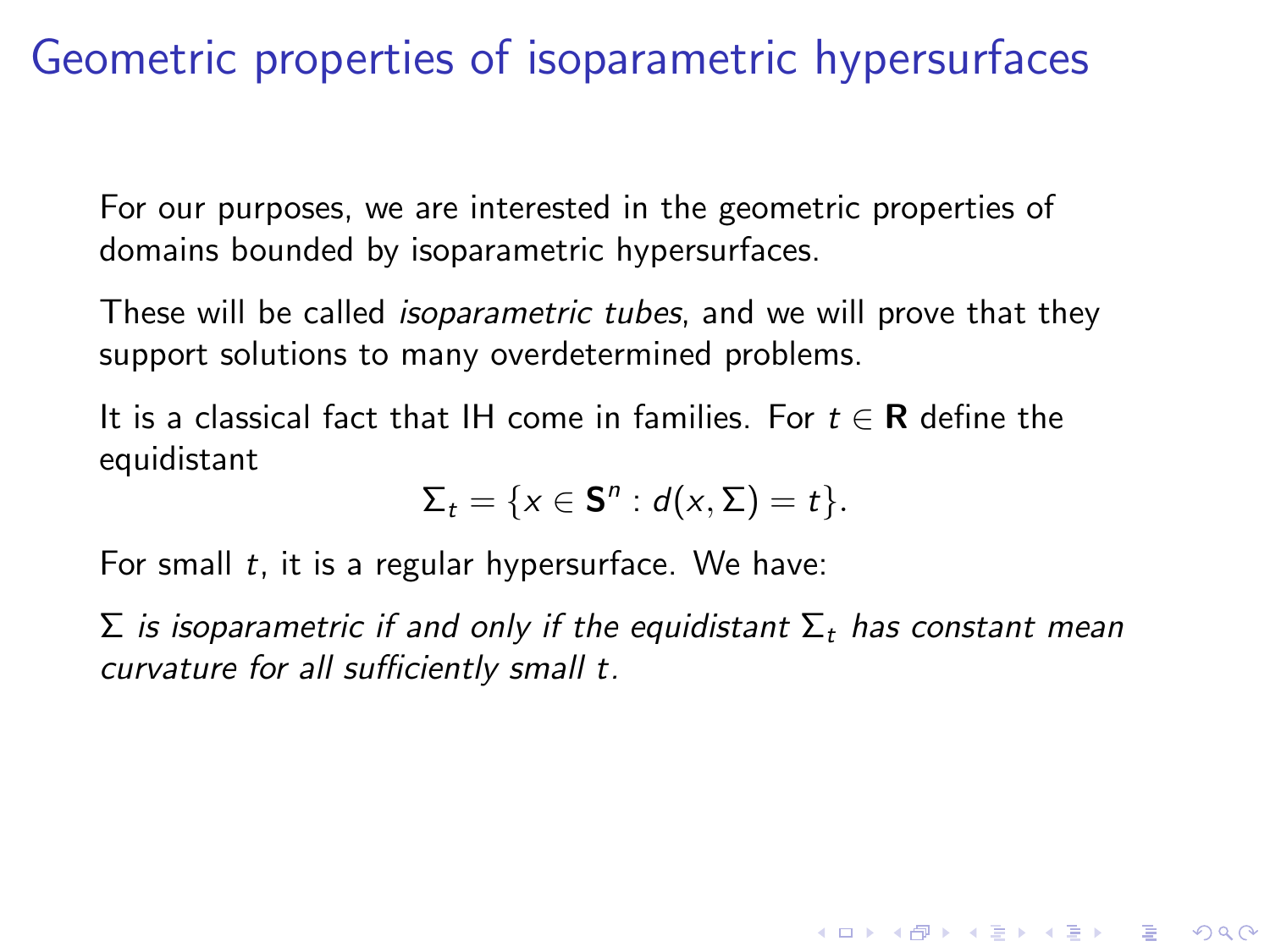For our purposes, we are interested in the geometric properties of domains bounded by isoparametric hypersurfaces.

These will be called *isoparametric tubes*, and we will prove that they support solutions to many overdetermined problems.

It is a classical fact that IH come in families. For  $t \in \mathbb{R}$  define the equidistant

$$
\Sigma_t = \{x \in \mathbf{S}^n : d(x, \Sigma) = t\}.
$$

For small  $t$ , it is a regular hypersurface. We have:

 $\Sigma$  is isoparametric if and only if the equidistant  $\Sigma_t$  has constant mean curvature for all sufficiently small t.

**KORK STRATER STRAKER**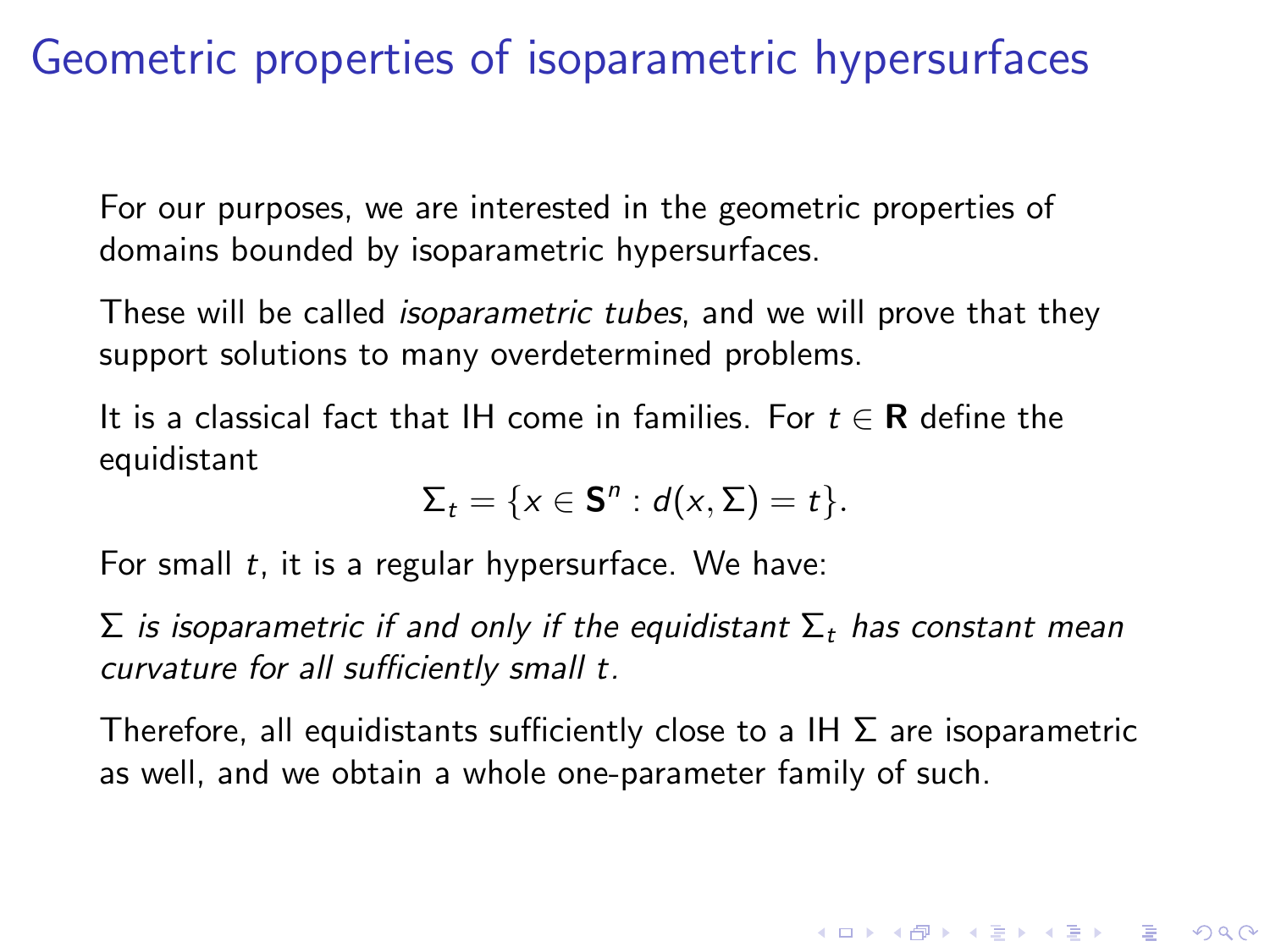For our purposes, we are interested in the geometric properties of domains bounded by isoparametric hypersurfaces.

These will be called *isoparametric tubes*, and we will prove that they support solutions to many overdetermined problems.

It is a classical fact that IH come in families. For  $t \in \mathbb{R}$  define the equidistant

$$
\Sigma_t = \{x \in \mathbf{S}^n : d(x, \Sigma) = t\}.
$$

For small  $t$ , it is a regular hypersurface. We have:

 $\Sigma$  is isoparametric if and only if the equidistant  $\Sigma_t$  has constant mean curvature for all sufficiently small t.

Therefore, all equidistants sufficiently close to a IH  $\Sigma$  are isoparametric as well, and we obtain a whole one-parameter family of such.

**KORKAR KERKER E VOOR**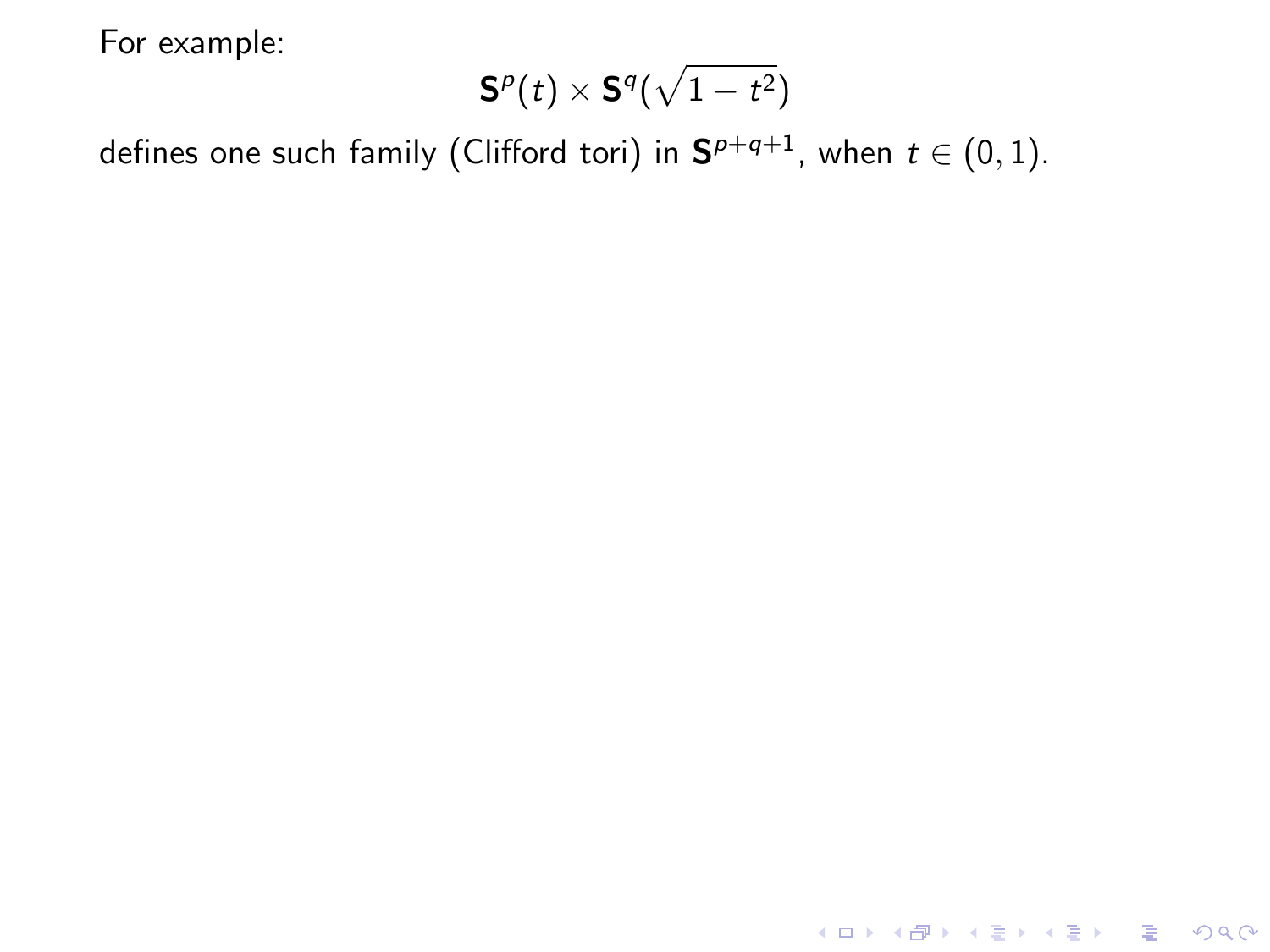$$
\mathbf{S}^p(t)\times\mathbf{S}^q(\sqrt{1-t^2})
$$

**K ロ ▶ K 레 ▶ K 로 ▶ K 로 ▶ - 로 - K 이 이 이 이** 

defines one such family (Clifford tori) in  $\mathbf{S}^{p+q+1}$ , when  $t\in(0,1).$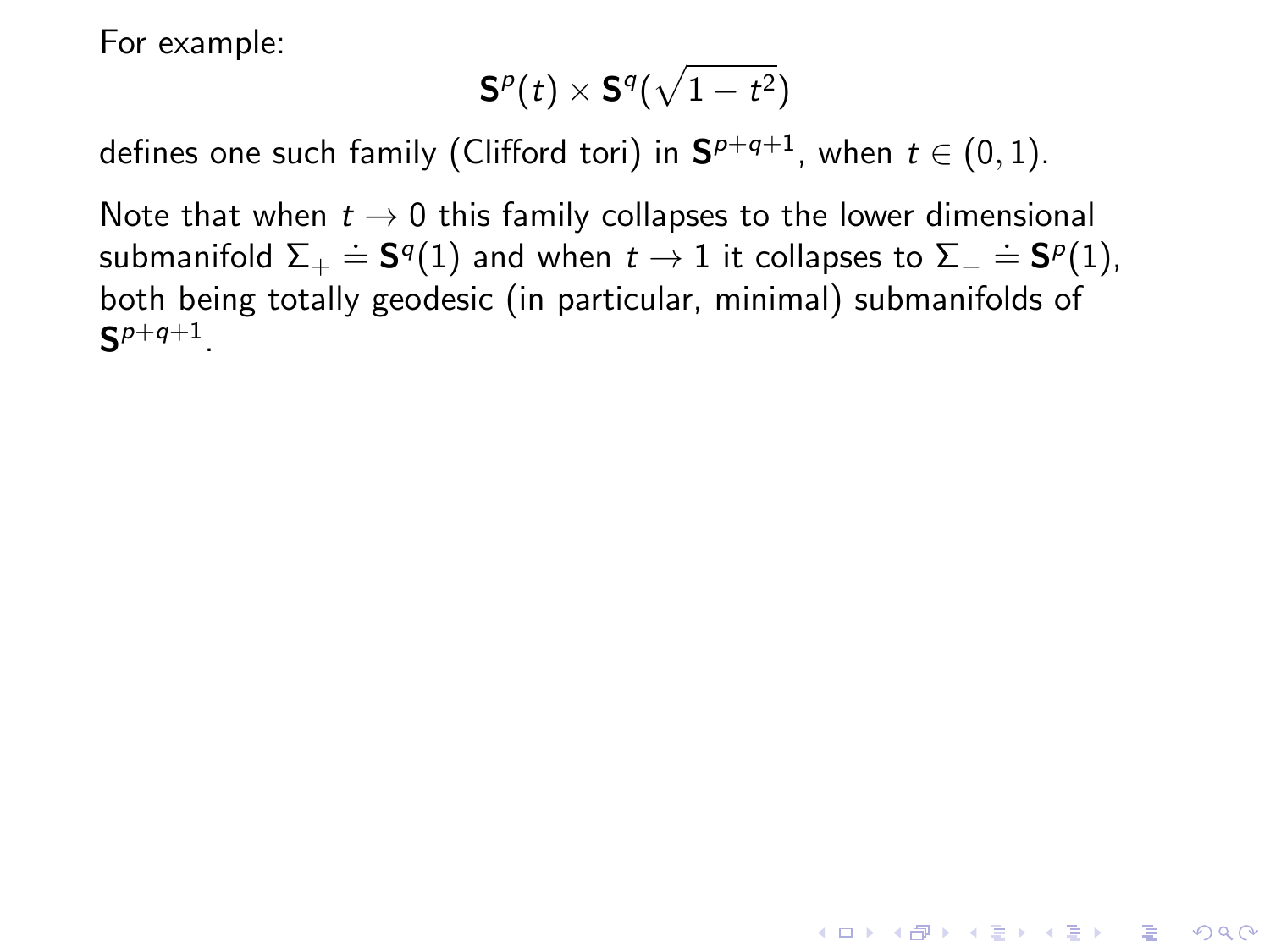$$
\mathbf{S}^p(t)\times\mathbf{S}^q(\sqrt{1-t^2})
$$

defines one such family (Clifford tori) in  $\mathbf{S}^{p+q+1}$ , when  $t\in(0,1).$ 

Note that when  $t \to 0$  this family collapses to the lower dimensional submanifold  $\Sigma_+ \doteq \mathbf{S}^q(1)$  and when  $t \to 1$  it collapses to  $\Sigma_- \doteq \mathbf{S}^p(1)$ , both being totally geodesic (in particular, minimal) submanifolds of  $\mathsf{S}^{p+q+1}.$ 

**KORK ERKER ADE YOUR**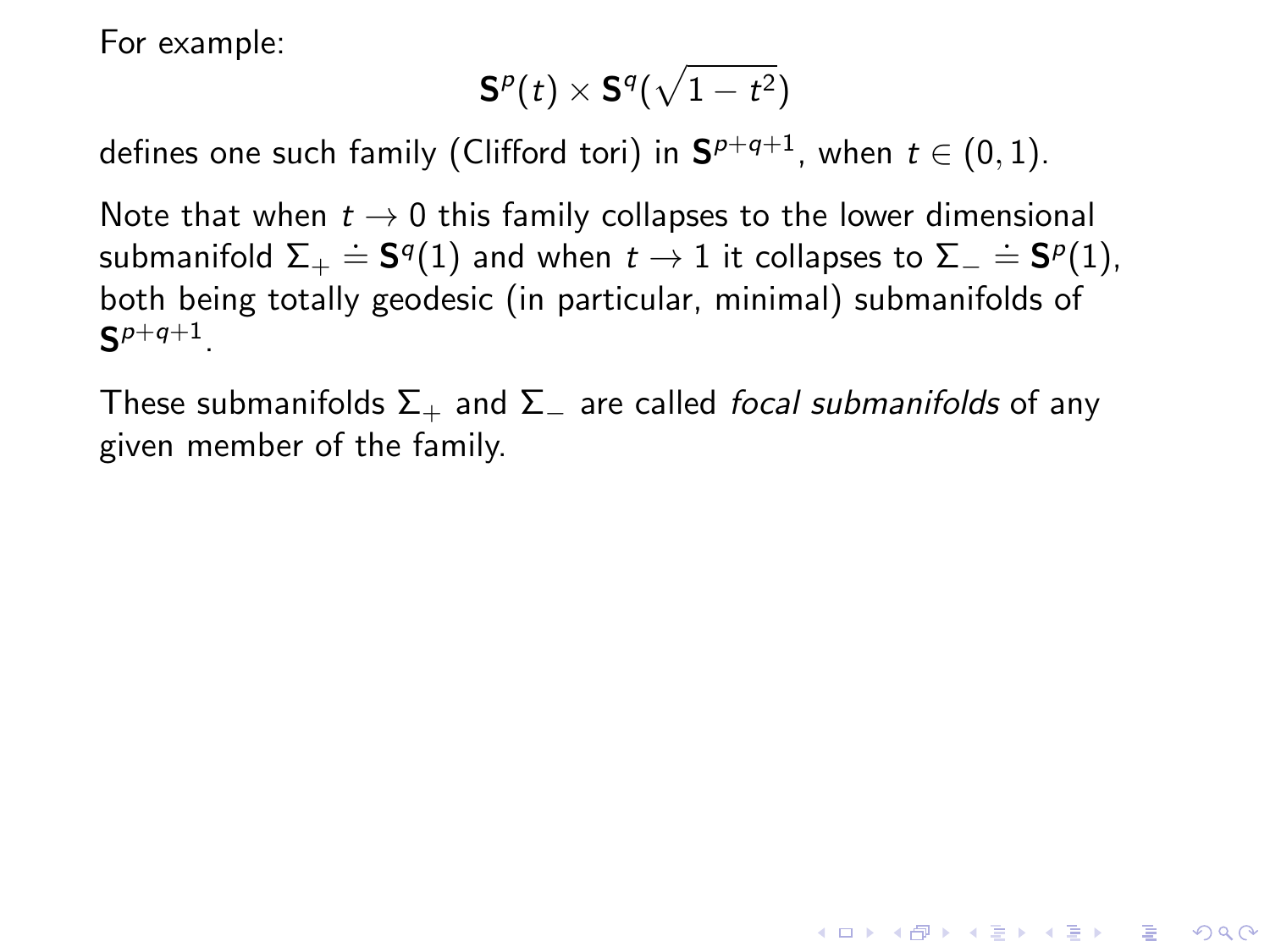$$
\mathbf{S}^p(t)\times\mathbf{S}^q(\sqrt{1-t^2})
$$

defines one such family (Clifford tori) in  $\mathbf{S}^{p+q+1}$ , when  $t\in(0,1).$ 

Note that when  $t \to 0$  this family collapses to the lower dimensional submanifold  $\Sigma_+ \doteq \mathbf{S}^q(1)$  and when  $t \to 1$  it collapses to  $\Sigma_- \doteq \mathbf{S}^p(1)$ , both being totally geodesic (in particular, minimal) submanifolds of  $\mathsf{S}^{p+q+1}.$ 

These submanifolds  $\Sigma_+$  and  $\Sigma_-$  are called *focal submanifolds* of any given member of the family.

**KORK ERKER ADE YOUR**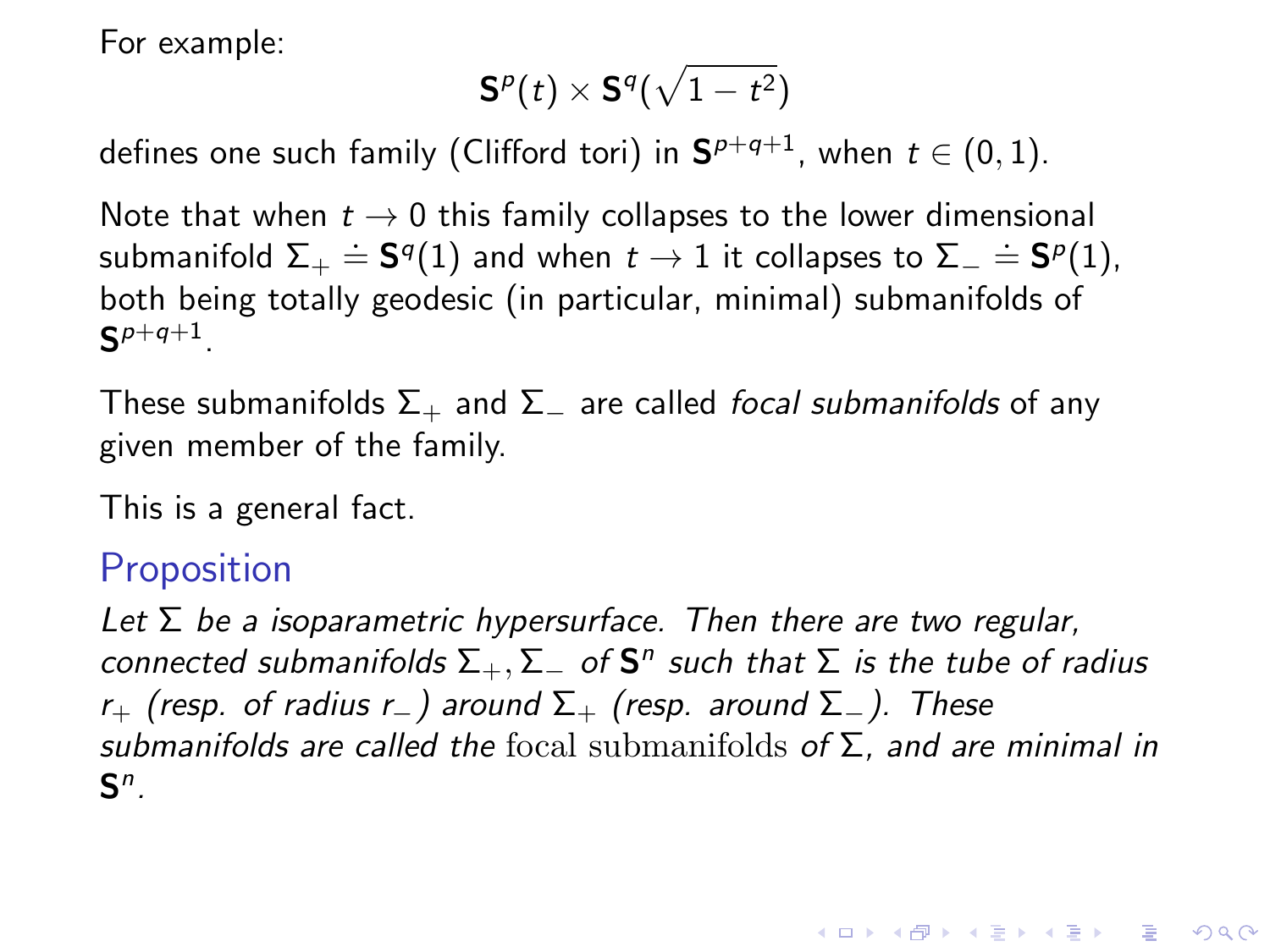$$
\mathbf{S}^p(t)\times\mathbf{S}^q(\sqrt{1-t^2})
$$

defines one such family (Clifford tori) in  $\mathbf{S}^{p+q+1}$ , when  $t\in(0,1).$ 

Note that when  $t \to 0$  this family collapses to the lower dimensional submanifold  $\Sigma_+ \doteq \mathbf{S}^q(1)$  and when  $t \to 1$  it collapses to  $\Sigma_- \doteq \mathbf{S}^p(1)$ , both being totally geodesic (in particular, minimal) submanifolds of  $\mathsf{S}^{p+q+1}.$ 

These submanifolds  $\Sigma_+$  and  $\Sigma_-$  are called *focal submanifolds* of any given member of the family.

This is a general fact.

### **Proposition**

Let  $\Sigma$  be a isoparametric hypersurface. Then there are two regular, connected submanifolds  $\Sigma_+,\Sigma_-$  of  $\mathsf{S}^n$  such that  $\Sigma$  is the tube of radius r<sub>+</sub> (resp. of radius r<sub>−</sub>) around  $\Sigma_+$  (resp. around  $\Sigma_-$ ). These submanifolds are called the focal submanifolds of  $\Sigma$ , and are minimal in  $\mathsf{S}^n$ .

**KORKAR KERKER E VOOR**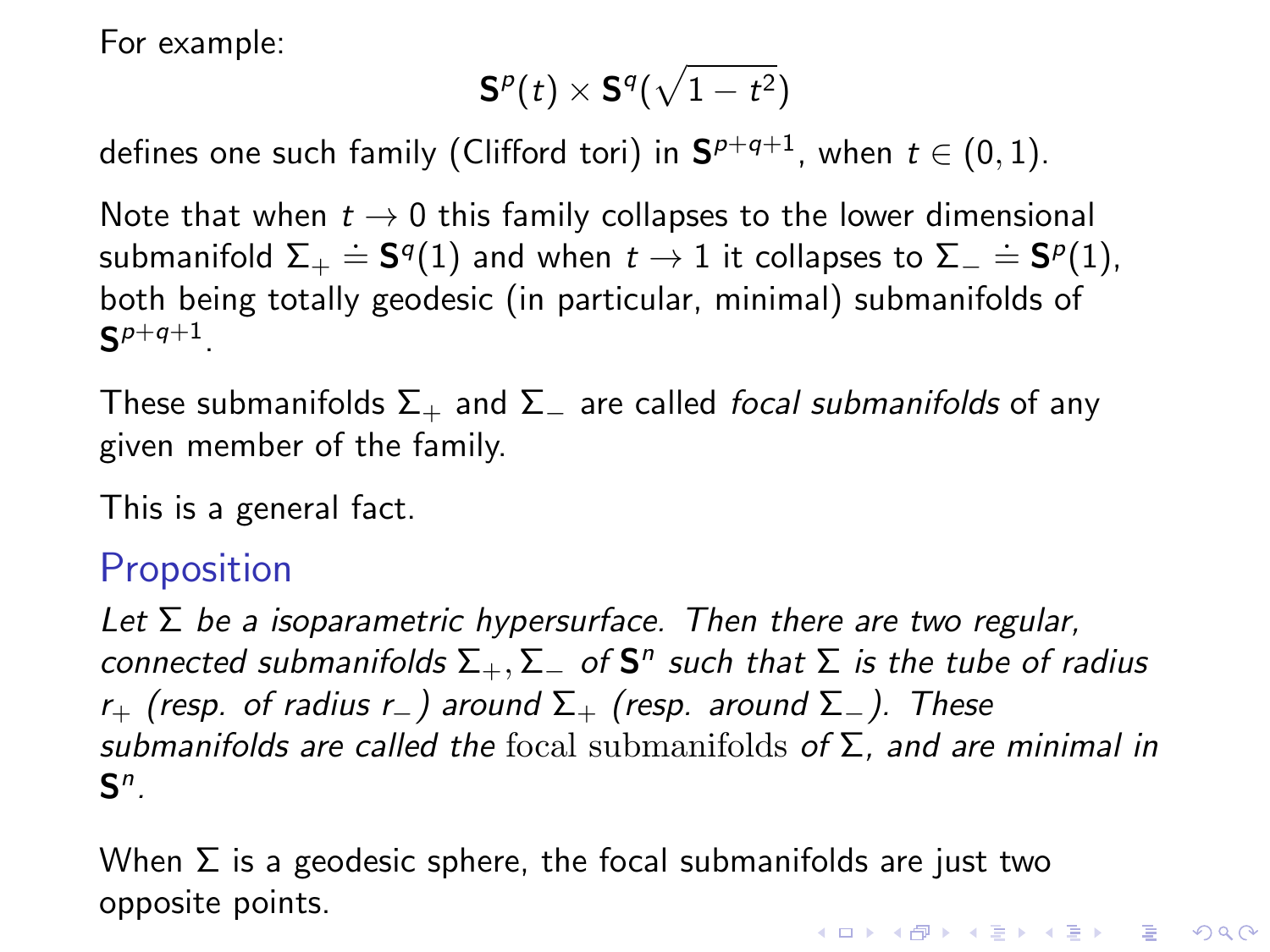$$
\mathbf{S}^p(t)\times\mathbf{S}^q(\sqrt{1-t^2})
$$

defines one such family (Clifford tori) in  $\mathbf{S}^{p+q+1}$ , when  $t\in(0,1).$ 

Note that when  $t \to 0$  this family collapses to the lower dimensional submanifold  $\Sigma_+ \doteq \mathbf{S}^q(1)$  and when  $t \to 1$  it collapses to  $\Sigma_- \doteq \mathbf{S}^p(1)$ , both being totally geodesic (in particular, minimal) submanifolds of  $\mathsf{S}^{p+q+1}.$ 

These submanifolds  $\Sigma_+$  and  $\Sigma_-$  are called *focal submanifolds* of any given member of the family.

This is a general fact.

#### **Proposition**

Let  $\Sigma$  be a isoparametric hypersurface. Then there are two regular, connected submanifolds  $\Sigma_+,\Sigma_-$  of  $\mathsf{S}^n$  such that  $\Sigma$  is the tube of radius r<sub>+</sub> (resp. of radius r<sub>-</sub>) around  $\Sigma_+$  (resp. around  $\Sigma_-$ ). These submanifolds are called the focal submanifolds of  $\Sigma$ , and are minimal in  $\mathsf{S}^n$ .

When  $\Sigma$  is a geodesic sphere, the focal submanifolds are just two opposite points.**KORKAR KERKER E VOOR**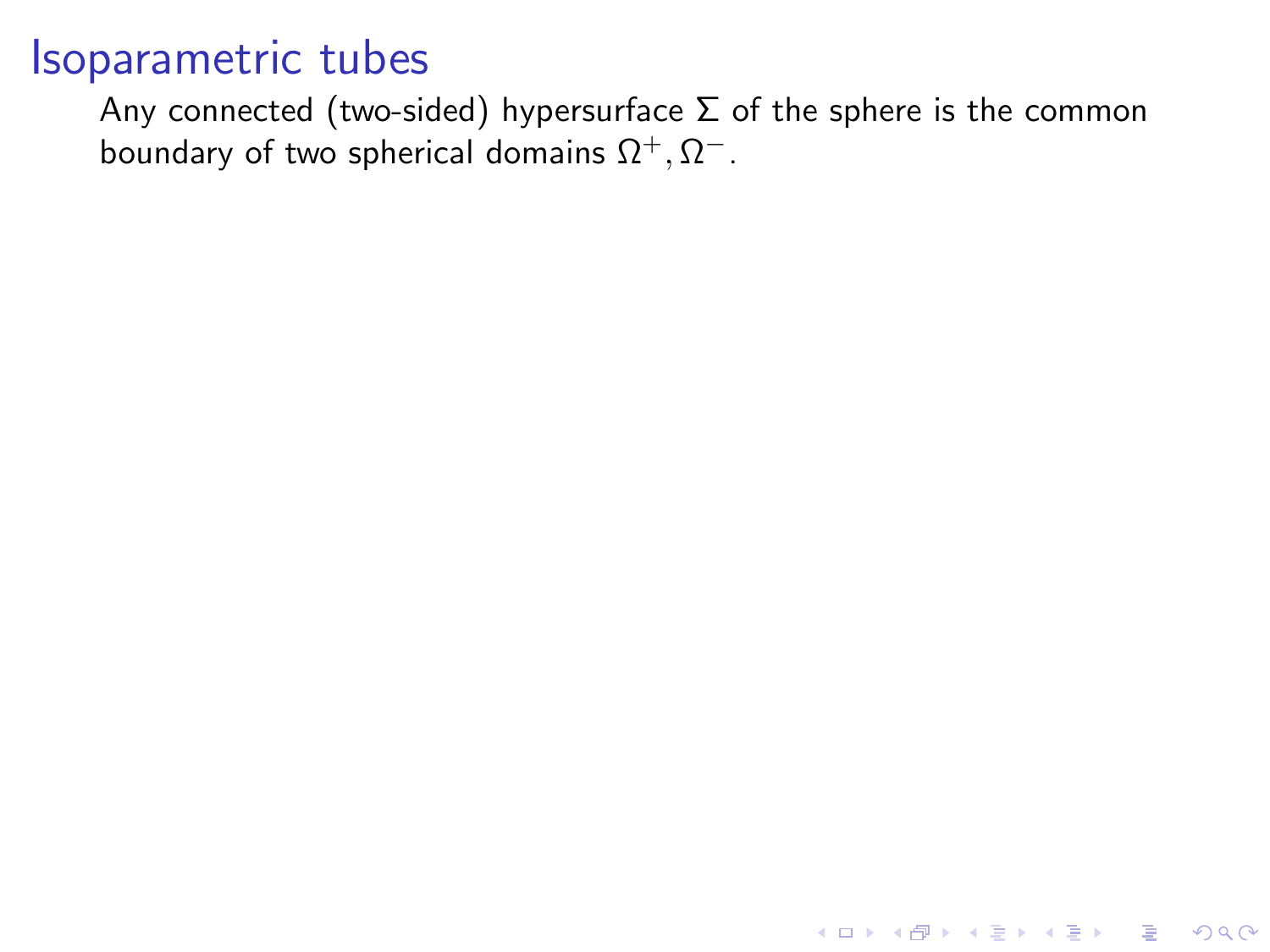Any connected (two-sided) hypersurface  $\Sigma$  of the sphere is the common boundary of two spherical domains  $\Omega^+, \Omega^-.$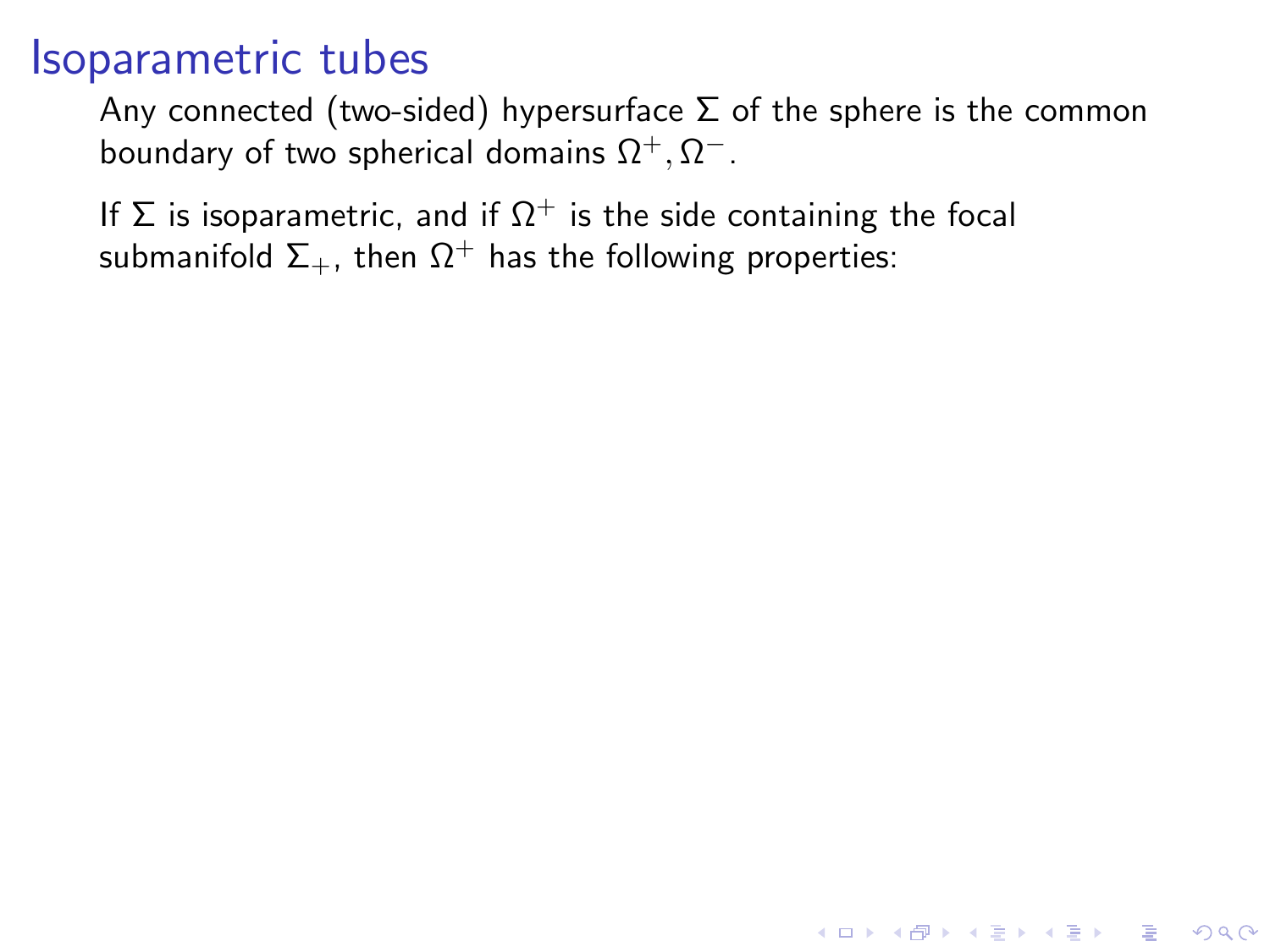Any connected (two-sided) hypersurface  $\Sigma$  of the sphere is the common boundary of two spherical domains  $\Omega^+, \Omega^-.$ 

**KORKAR KERKER E VOOR** 

If  $\Sigma$  is isoparametric, and if  $\Omega^+$  is the side containing the focal submanifold  $\Sigma_{+}$ , then  $\Omega^{+}$  has the following properties: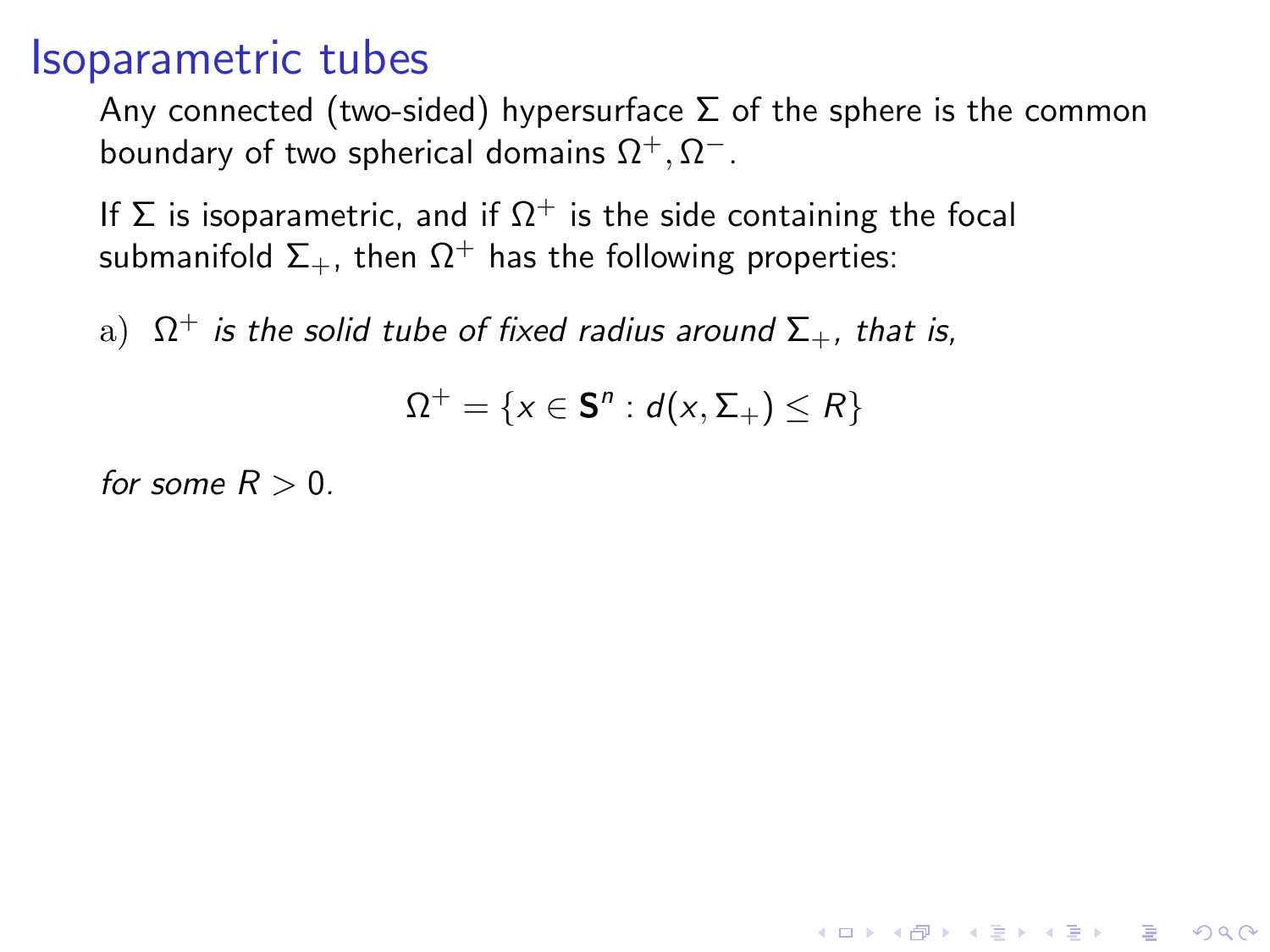Any connected (two-sided) hypersurface  $\Sigma$  of the sphere is the common boundary of two spherical domains  $\Omega^+, \Omega^-.$ 

If  $\Sigma$  is isoparametric, and if  $\Omega^+$  is the side containing the focal submanifold  $\Sigma_{+}$ , then  $\Omega^{+}$  has the following properties:

 $\mathrm{a)}$   $\ \Omega^{+}$  is the solid tube of fixed radius around  $\Sigma_{+}$ , that is,

$$
\Omega^+=\{x\in\mathbf{S}^n:d(x,\Sigma_+)\leq R\}
$$

**KORKAR KERKER E VOOR** 

for some  $R > 0$ .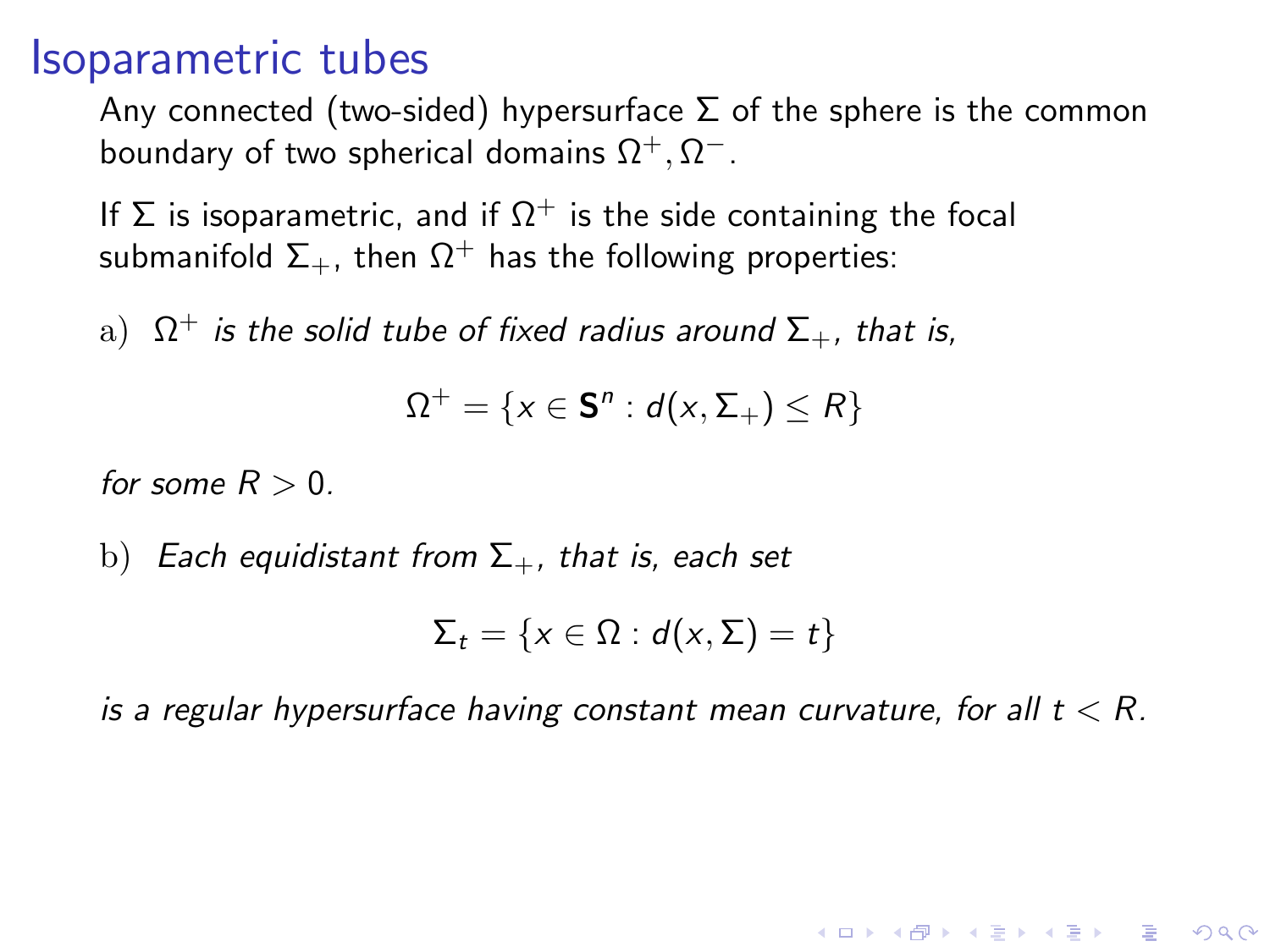Any connected (two-sided) hypersurface  $\Sigma$  of the sphere is the common boundary of two spherical domains  $\Omega^+, \Omega^-.$ 

If  $\Sigma$  is isoparametric, and if  $\Omega^+$  is the side containing the focal submanifold  $\Sigma_{+}$ , then  $\Omega^{+}$  has the following properties:

 $\mathrm{a)}$   $\ \Omega^{+}$  is the solid tube of fixed radius around  $\Sigma_{+}$ , that is,

$$
\Omega^+ = \{x \in \mathbf{S}^n : d(x, \Sigma_+) \le R\}
$$

for some  $R > 0$ .

b) Each equidistant from  $\Sigma_{+}$ , that is, each set

$$
\Sigma_t = \{x \in \Omega : d(x, \Sigma) = t\}
$$

is a regular hypersurface having constant mean curvature, for all  $t < R$ .

**KORKAR KERKER EL VOLO**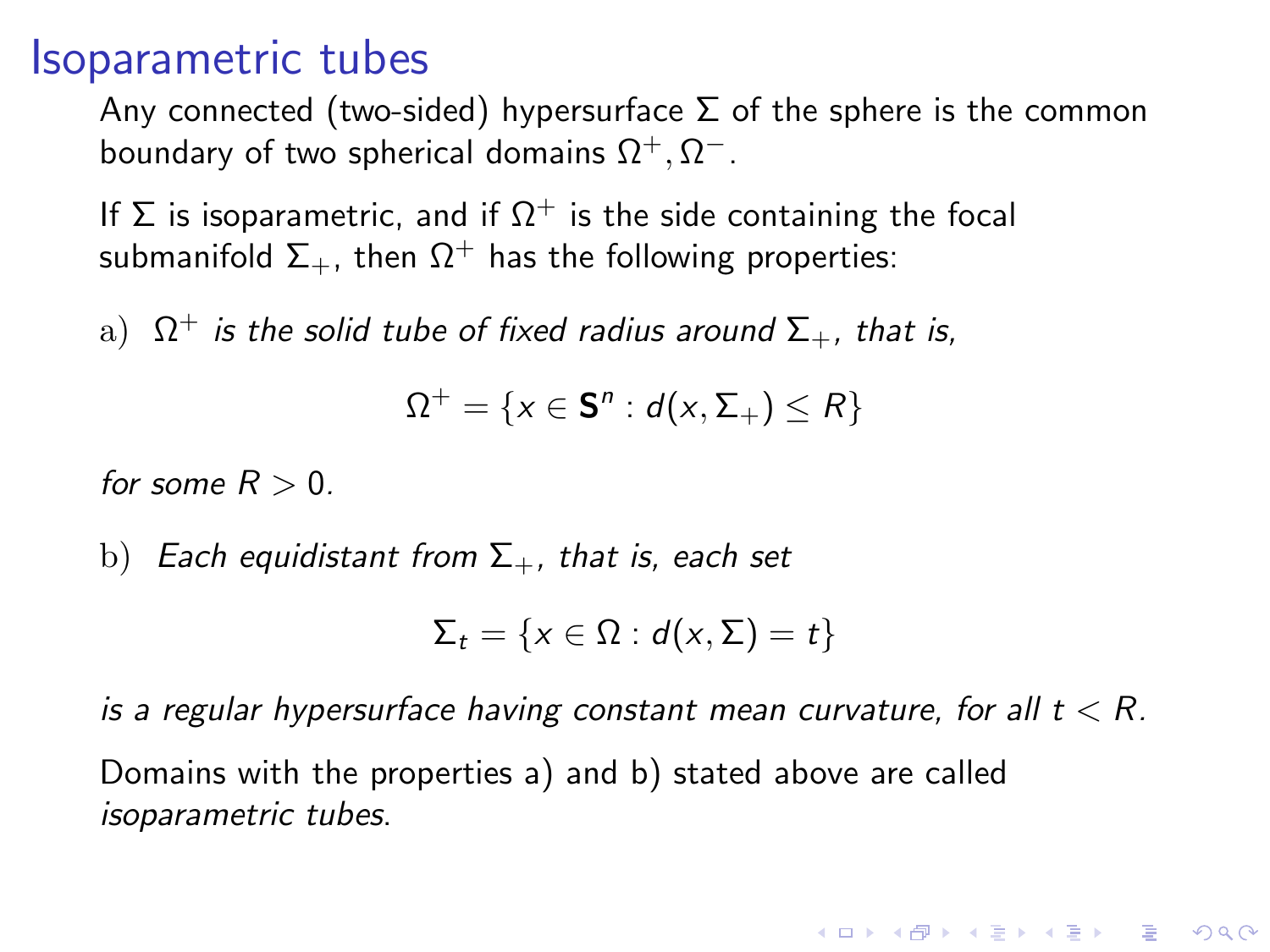Any connected (two-sided) hypersurface  $\Sigma$  of the sphere is the common boundary of two spherical domains  $\Omega^+, \Omega^-.$ 

If  $\Sigma$  is isoparametric, and if  $\Omega^+$  is the side containing the focal submanifold  $\Sigma_{+}$ , then  $\Omega^{+}$  has the following properties:

 $\mathrm{a)}$   $\ \Omega^{+}$  is the solid tube of fixed radius around  $\Sigma_{+}$ , that is,

$$
\Omega^+ = \{x \in \mathbf{S}^n : d(x, \Sigma_+) \le R\}
$$

for some  $R > 0$ .

b) Each equidistant from  $\Sigma_{+}$ , that is, each set

$$
\Sigma_t = \{x \in \Omega : d(x, \Sigma) = t\}
$$

is a regular hypersurface having constant mean curvature, for all  $t < R$ . Domains with the properties a) and b) stated above are called isoparametric tubes.

**K ロ ▶ K @ ▶ K 할 X X 할 X 및 할 X X Q Q O**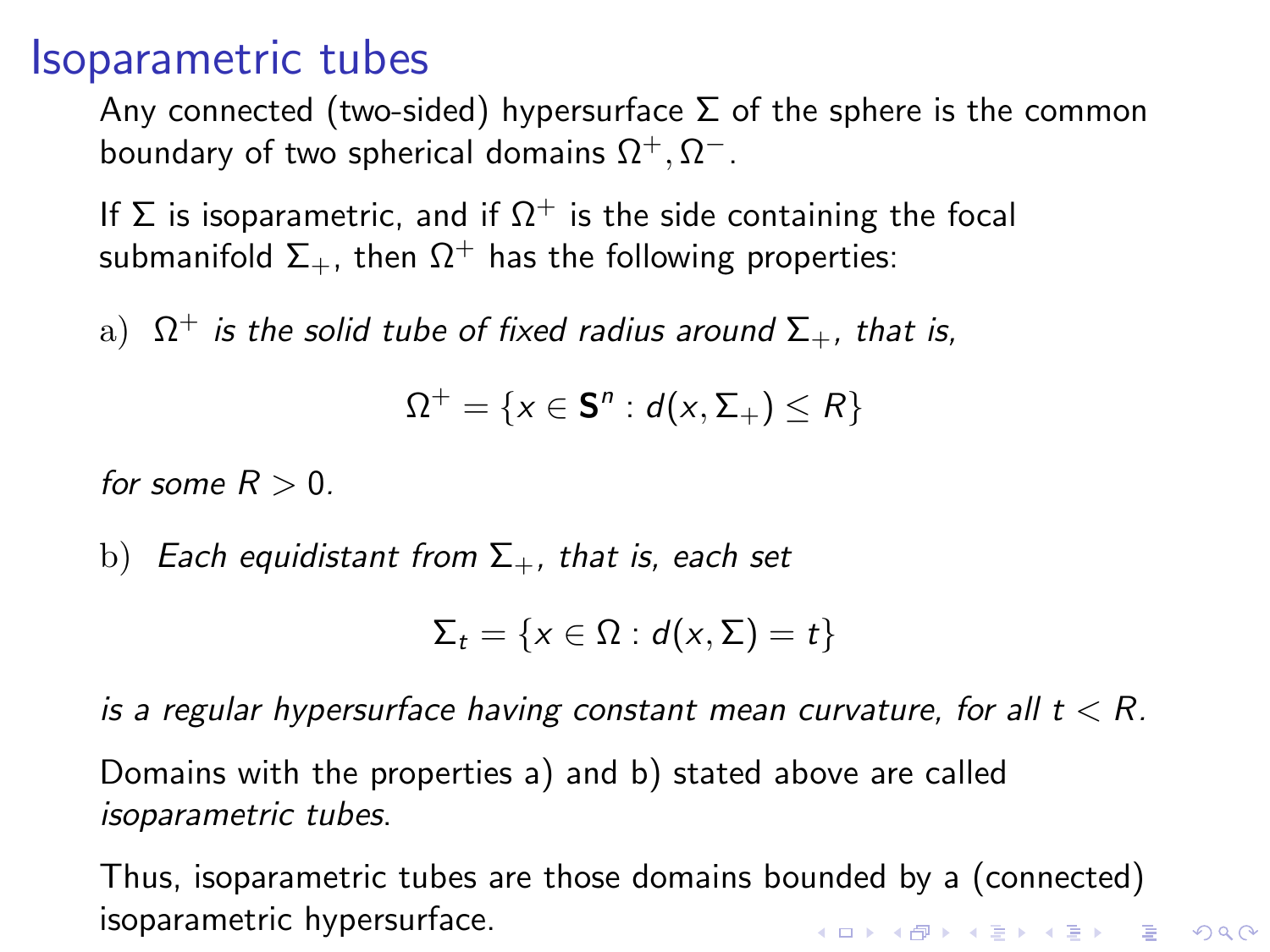Any connected (two-sided) hypersurface  $\Sigma$  of the sphere is the common boundary of two spherical domains  $\Omega^+, \Omega^-.$ 

If  $\Sigma$  is isoparametric, and if  $\Omega^+$  is the side containing the focal submanifold  $\Sigma_{+}$ , then  $\Omega^{+}$  has the following properties:

 $\mathrm{a)}$   $\ \Omega^{+}$  is the solid tube of fixed radius around  $\Sigma_{+}$ , that is,

$$
\Omega^+ = \{x \in \mathbf{S}^n : d(x, \Sigma_+) \le R\}
$$

for some  $R > 0$ .

b) Each equidistant from  $\Sigma_{+}$ , that is, each set

$$
\Sigma_t = \{x \in \Omega : d(x, \Sigma) = t\}
$$

is a regular hypersurface having constant mean curvature, for all  $t < R$ .

Domains with the properties a) and b) stated above are called isoparametric tubes.

Thus, isoparametric tubes are those domains bounded by a (connected) isoparametric hypersurface.**KORKAR KERKER E VOOR**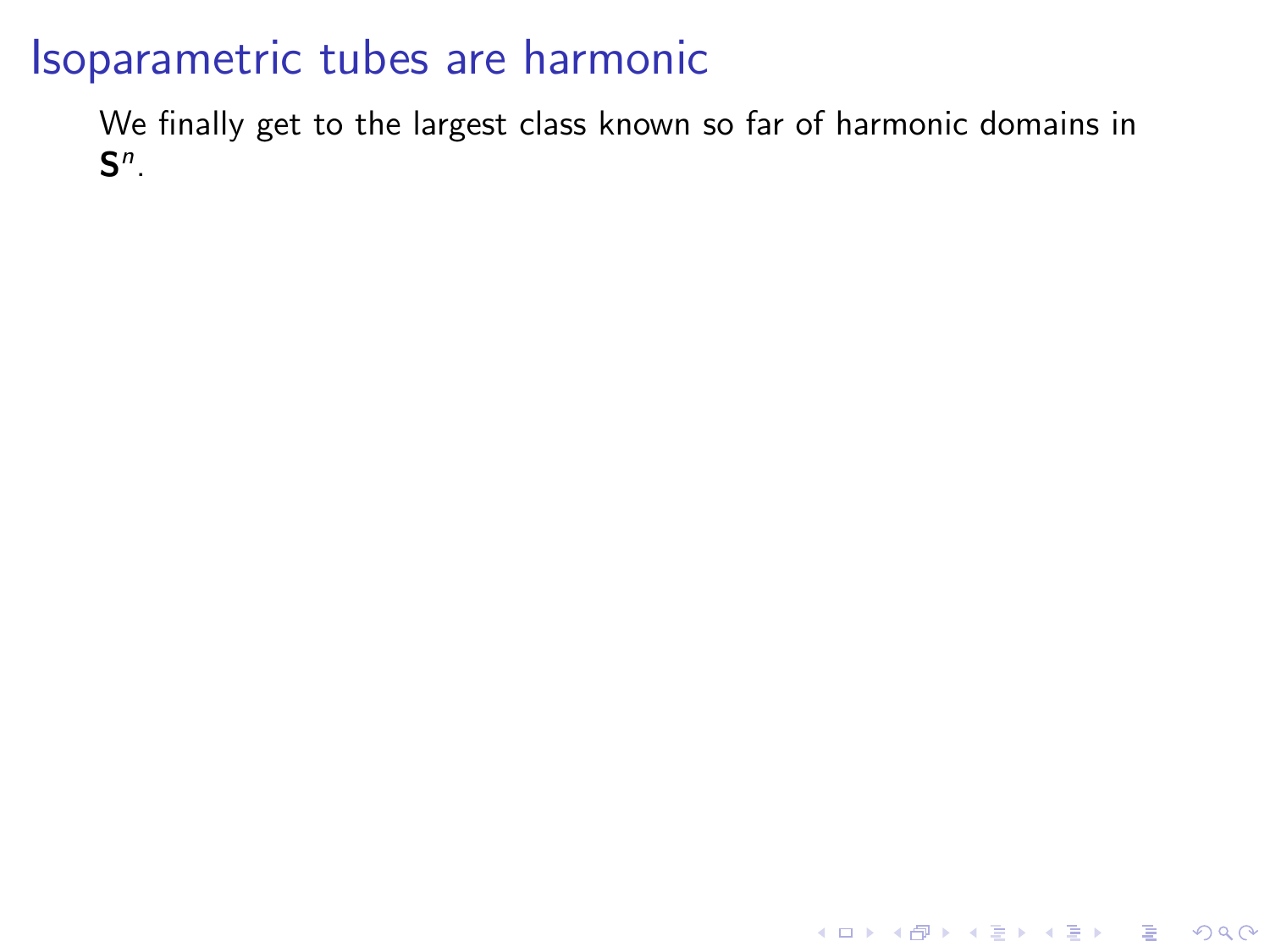### Isoparametric tubes are harmonic

We finally get to the largest class known so far of harmonic domains in  $\mathsf{S}^n$ .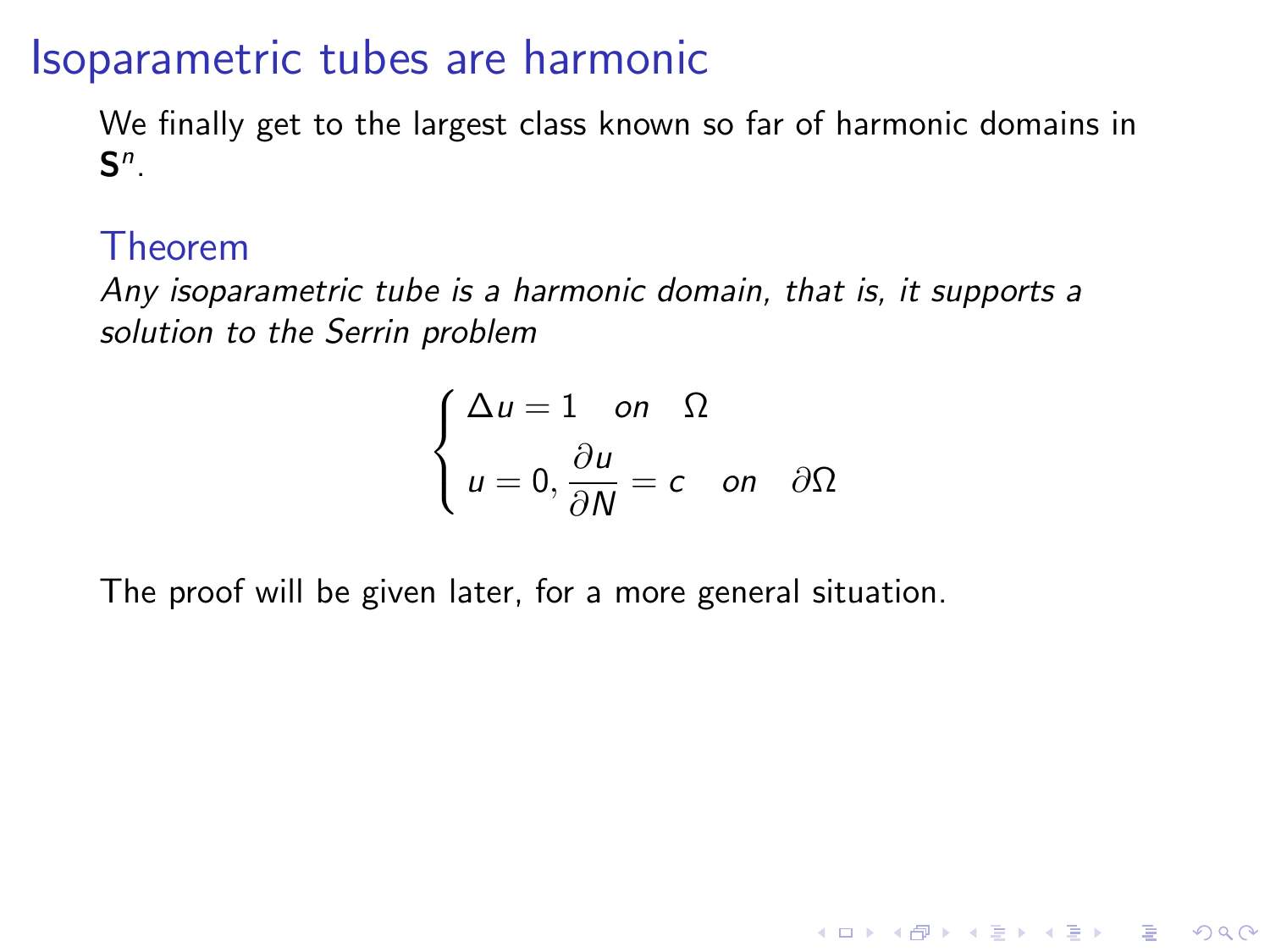### Isoparametric tubes are harmonic

We finally get to the largest class known so far of harmonic domains in  $\mathsf{S}^n$ .

#### Theorem

Any isoparametric tube is a harmonic domain, that is, it supports a solution to the Serrin problem

$$
\begin{cases} \Delta u = 1 & \text{on } \ \Omega \\ u = 0, \frac{\partial u}{\partial N} = c & \text{on } \ \partial \Omega \end{cases}
$$

**KORK ERKER ADE YOUR** 

The proof will be given later, for a more general situation.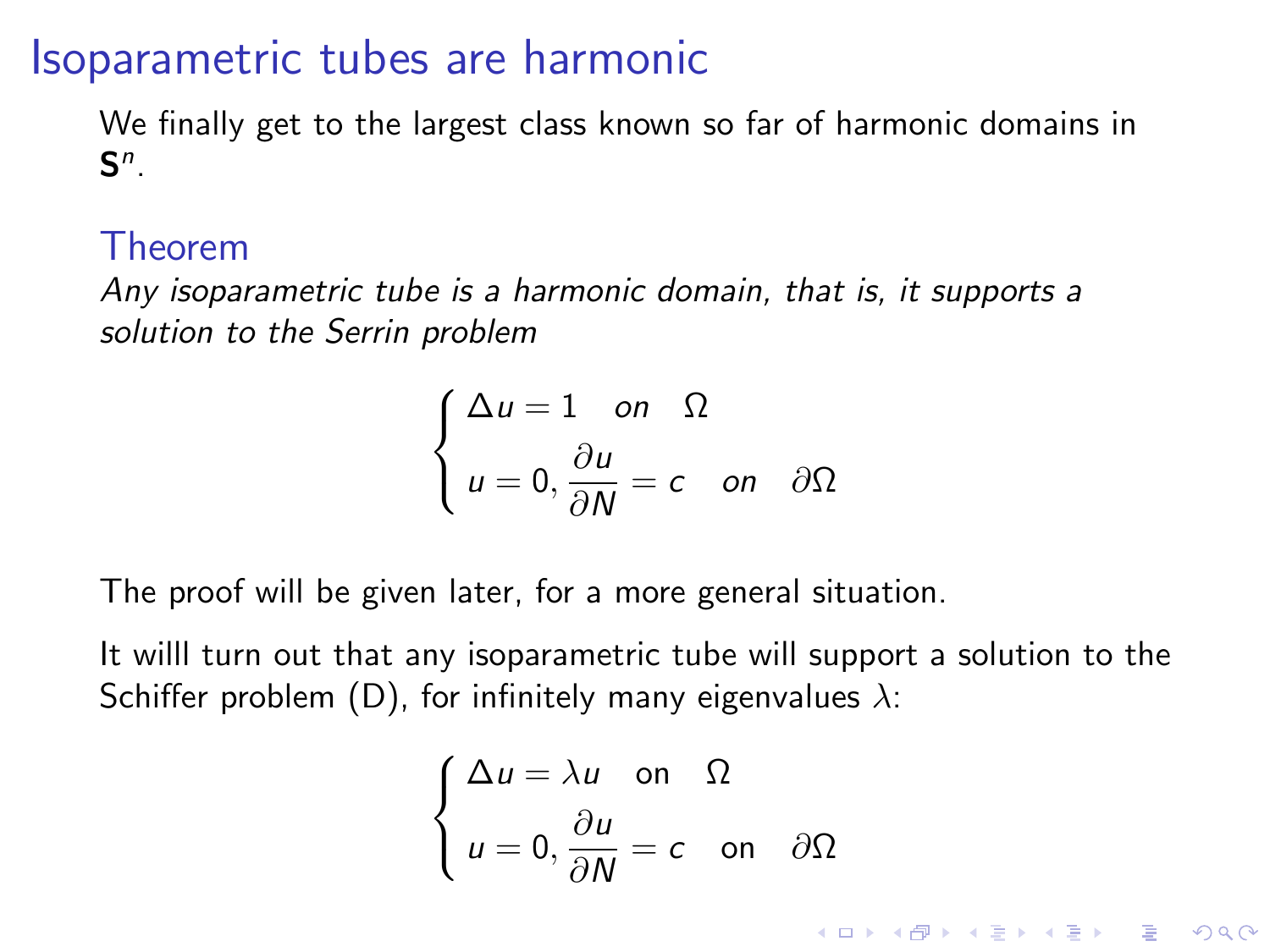### Isoparametric tubes are harmonic

We finally get to the largest class known so far of harmonic domains in  $\mathsf{S}^n$ .

#### Theorem

Any isoparametric tube is a harmonic domain, that is, it supports a solution to the Serrin problem

$$
\begin{cases} \Delta u = 1 & \text{on } \ \Omega \\ u = 0, \frac{\partial u}{\partial N} = c & \text{on } \ \partial \Omega \end{cases}
$$

The proof will be given later, for a more general situation.

It willl turn out that any isoparametric tube will support a solution to the Schiffer problem (D), for infinitely many eigenvalues  $\lambda$ :

$$
\begin{cases} \Delta u = \lambda u & \text{on } \Omega \\ u = 0, \frac{\partial u}{\partial N} = c & \text{on } \partial \Omega \end{cases}
$$

**KORK ERKER ADE YOUR**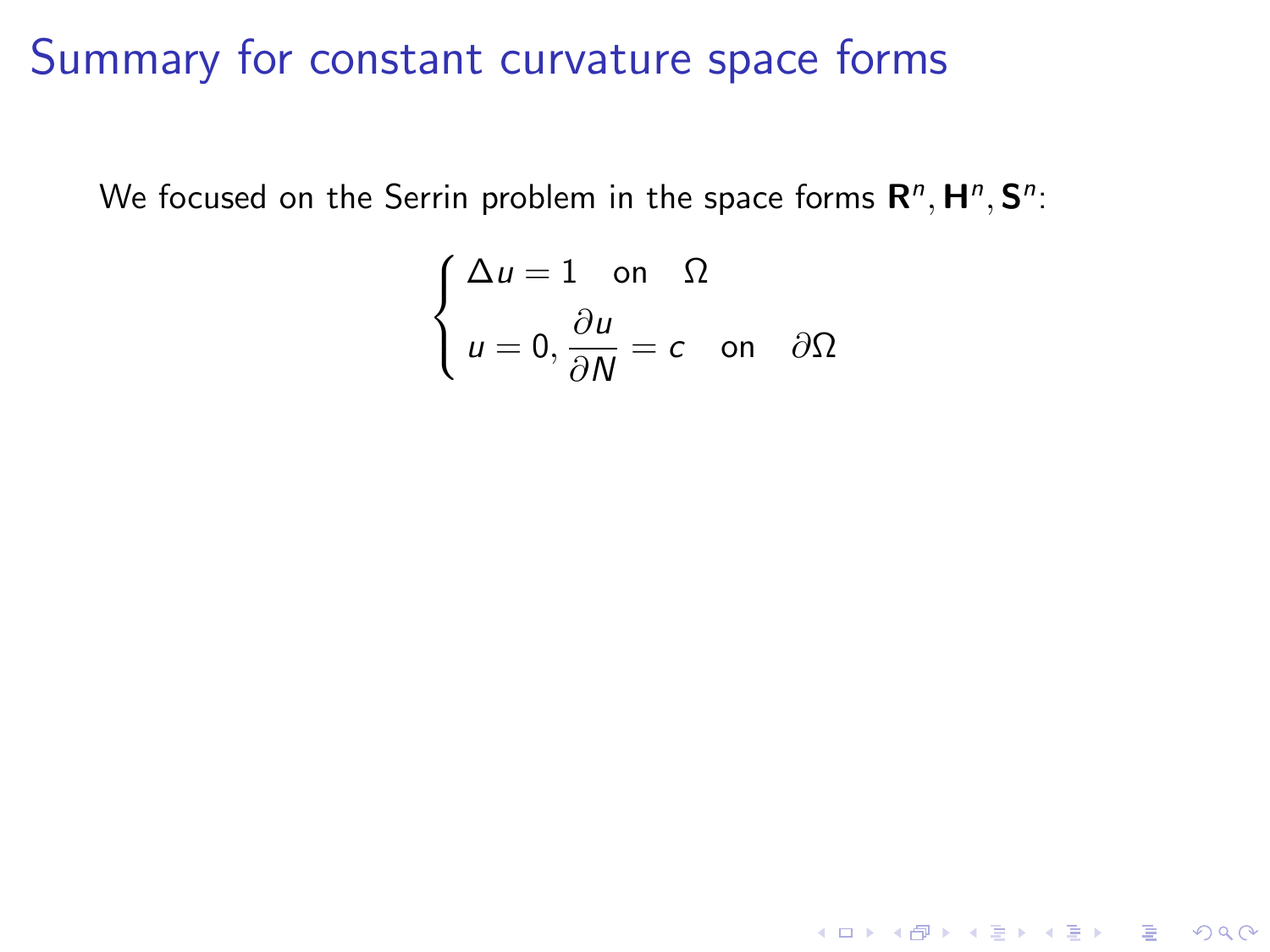We focused on the Serrin problem in the space forms  $\mathsf{R}^n, \mathsf{H}^n, \mathsf{S}^n$ :

$$
\begin{cases} \Delta u = 1 \quad \text{on} \quad \Omega \\ u = 0, \frac{\partial u}{\partial N} = c \quad \text{on} \quad \partial \Omega \end{cases}
$$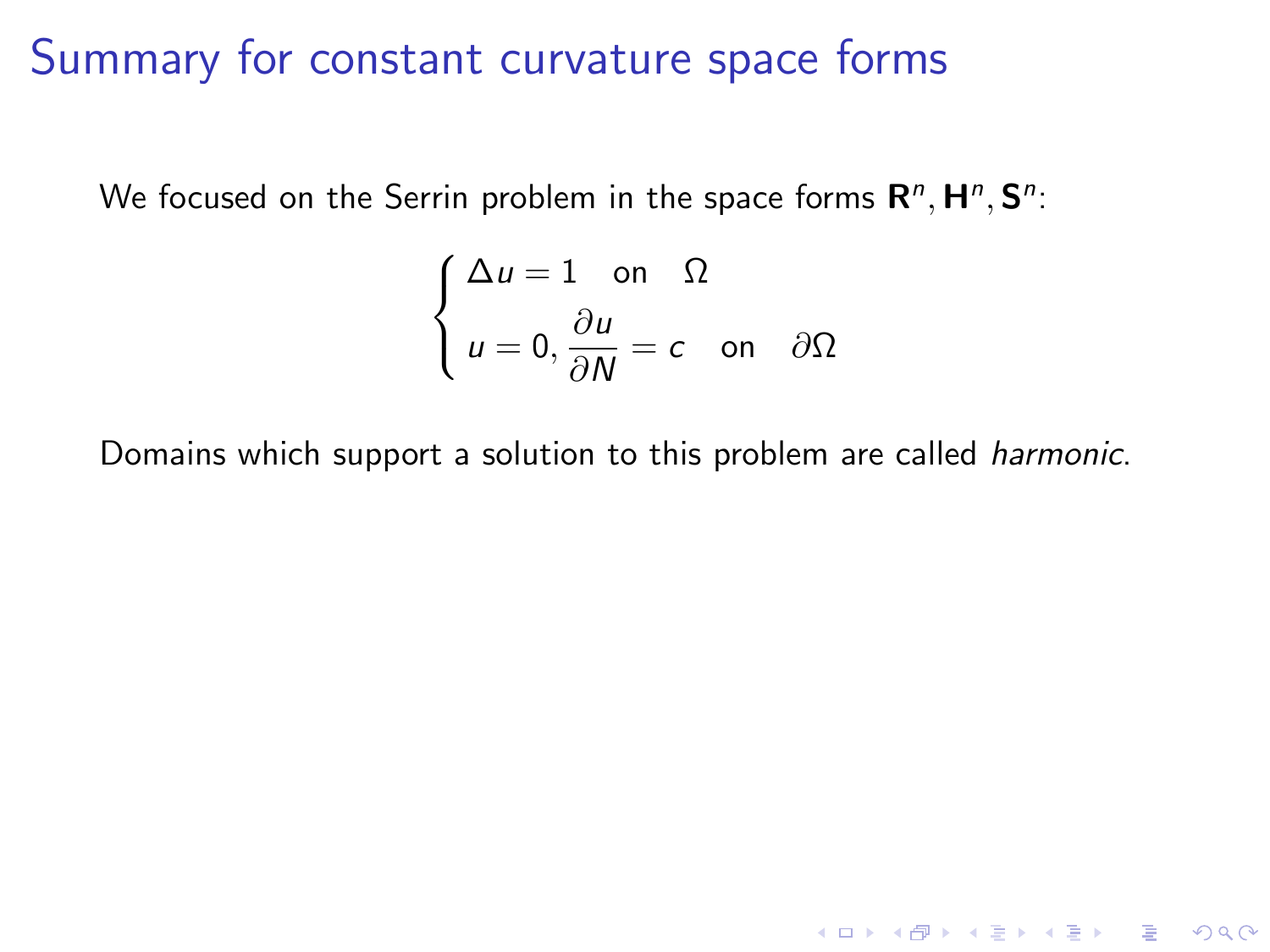We focused on the Serrin problem in the space forms  $\mathsf{R}^n, \mathsf{H}^n, \mathsf{S}^n$ :

$$
\begin{cases} \Delta u = 1 \quad \text{on} \quad \Omega \\ u = 0, \frac{\partial u}{\partial N} = c \quad \text{on} \quad \partial \Omega \end{cases}
$$

Domains which support a solution to this problem are called harmonic.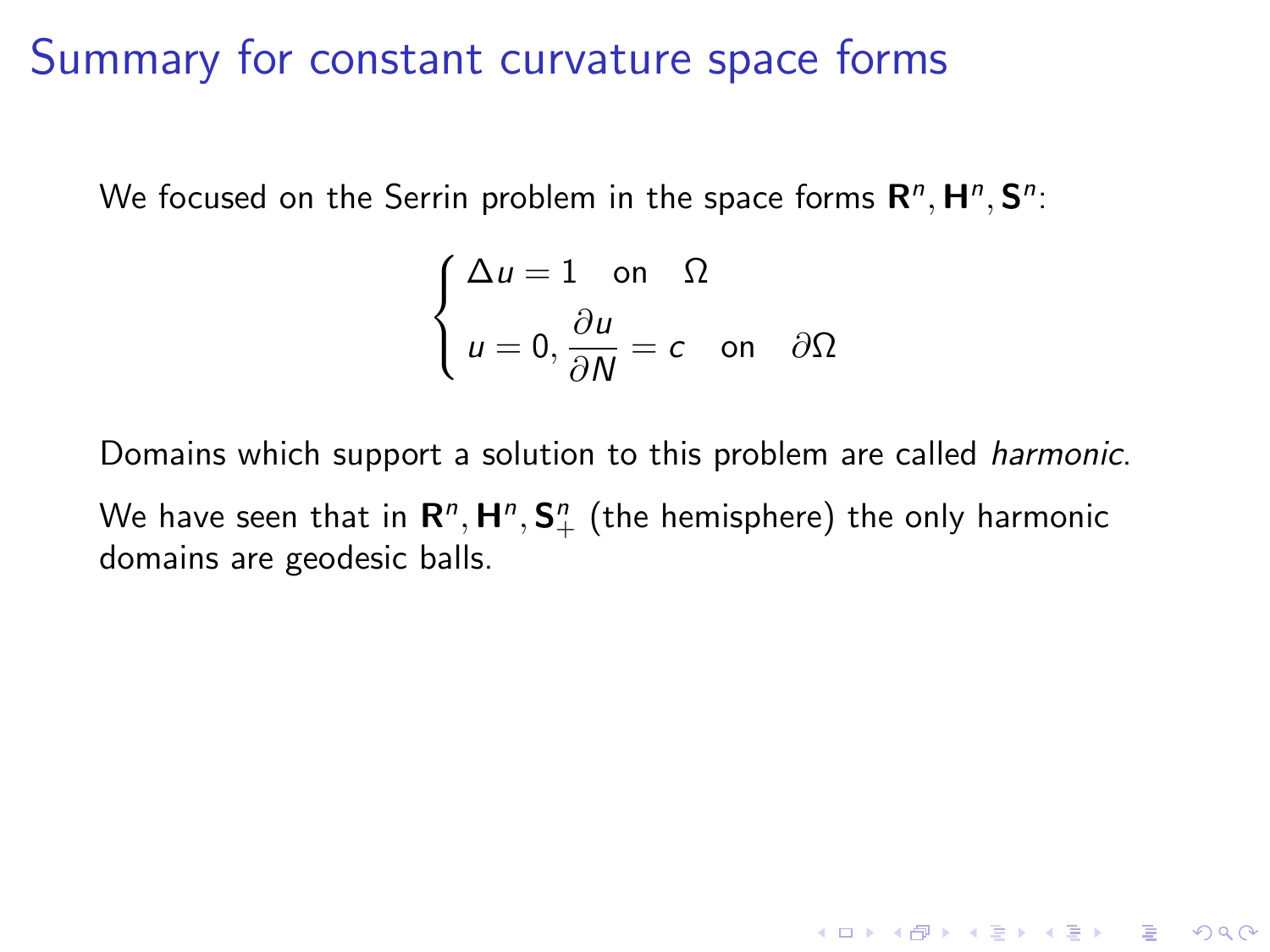We focused on the Serrin problem in the space forms  $\mathsf{R}^n, \mathsf{H}^n, \mathsf{S}^n$ :

$$
\begin{cases} \Delta u = 1 \quad \text{on} \quad \Omega \\ u = 0, \frac{\partial u}{\partial N} = c \quad \text{on} \quad \partial \Omega \end{cases}
$$

Domains which support a solution to this problem are called harmonic.

We have seen that in  ${\sf R}^n, {\sf H}^n, {\sf S}^n_+$  (the hemisphere) the only harmonic domains are geodesic balls.

K ロ ▶ K @ ▶ K 할 > K 할 > 1 할 > 1 이익어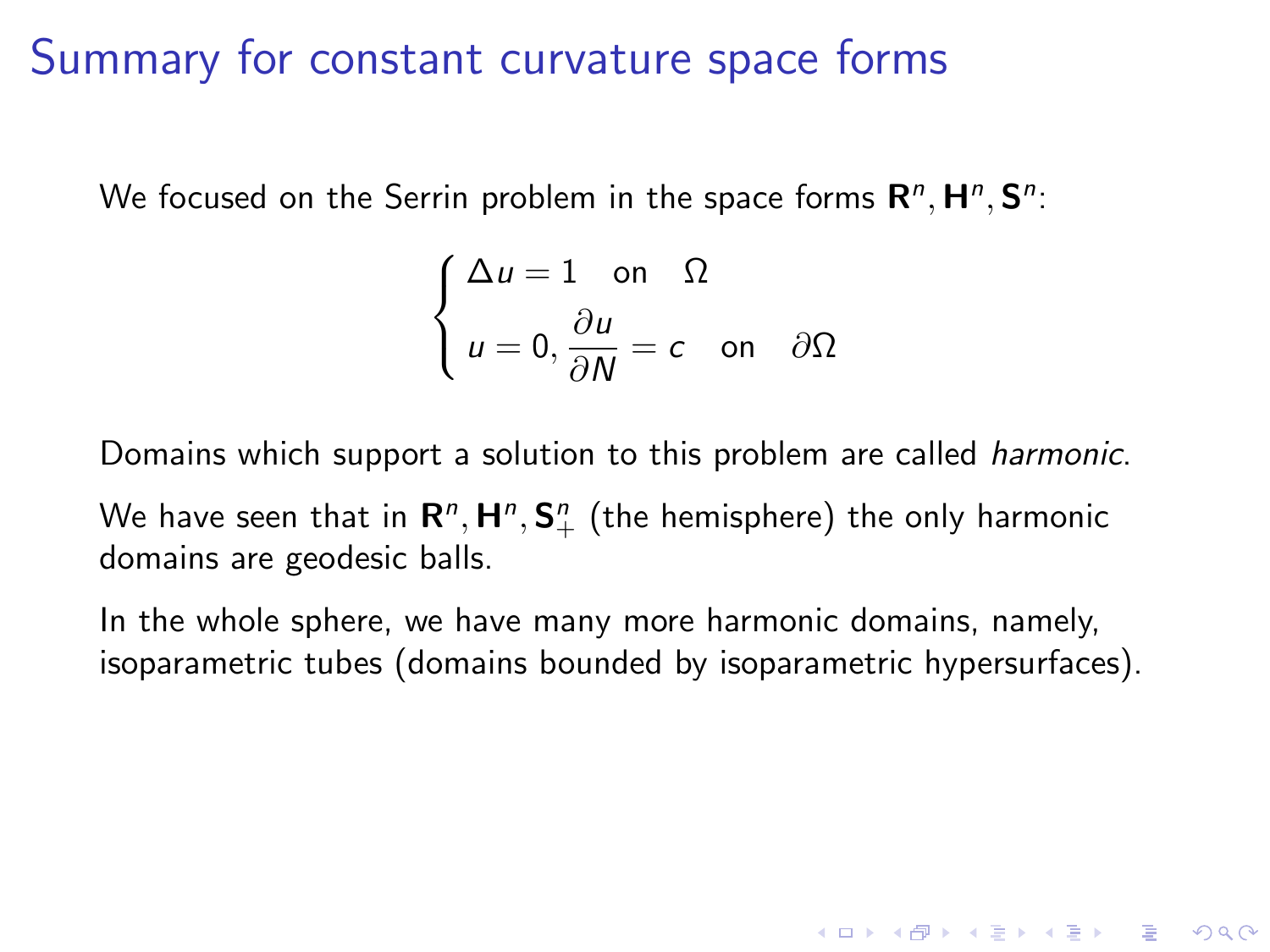We focused on the Serrin problem in the space forms  $\mathsf{R}^n, \mathsf{H}^n, \mathsf{S}^n$ :

$$
\begin{cases} \Delta u = 1 \quad \text{on} \quad \Omega \\ u = 0, \frac{\partial u}{\partial N} = c \quad \text{on} \quad \partial \Omega \end{cases}
$$

Domains which support a solution to this problem are called harmonic.

We have seen that in  ${\sf R}^n, {\sf H}^n, {\sf S}^n_+$  (the hemisphere) the only harmonic domains are geodesic balls.

In the whole sphere, we have many more harmonic domains, namely, isoparametric tubes (domains bounded by isoparametric hypersurfaces).

4 D > 4 P + 4 B + 4 B + B + 9 Q O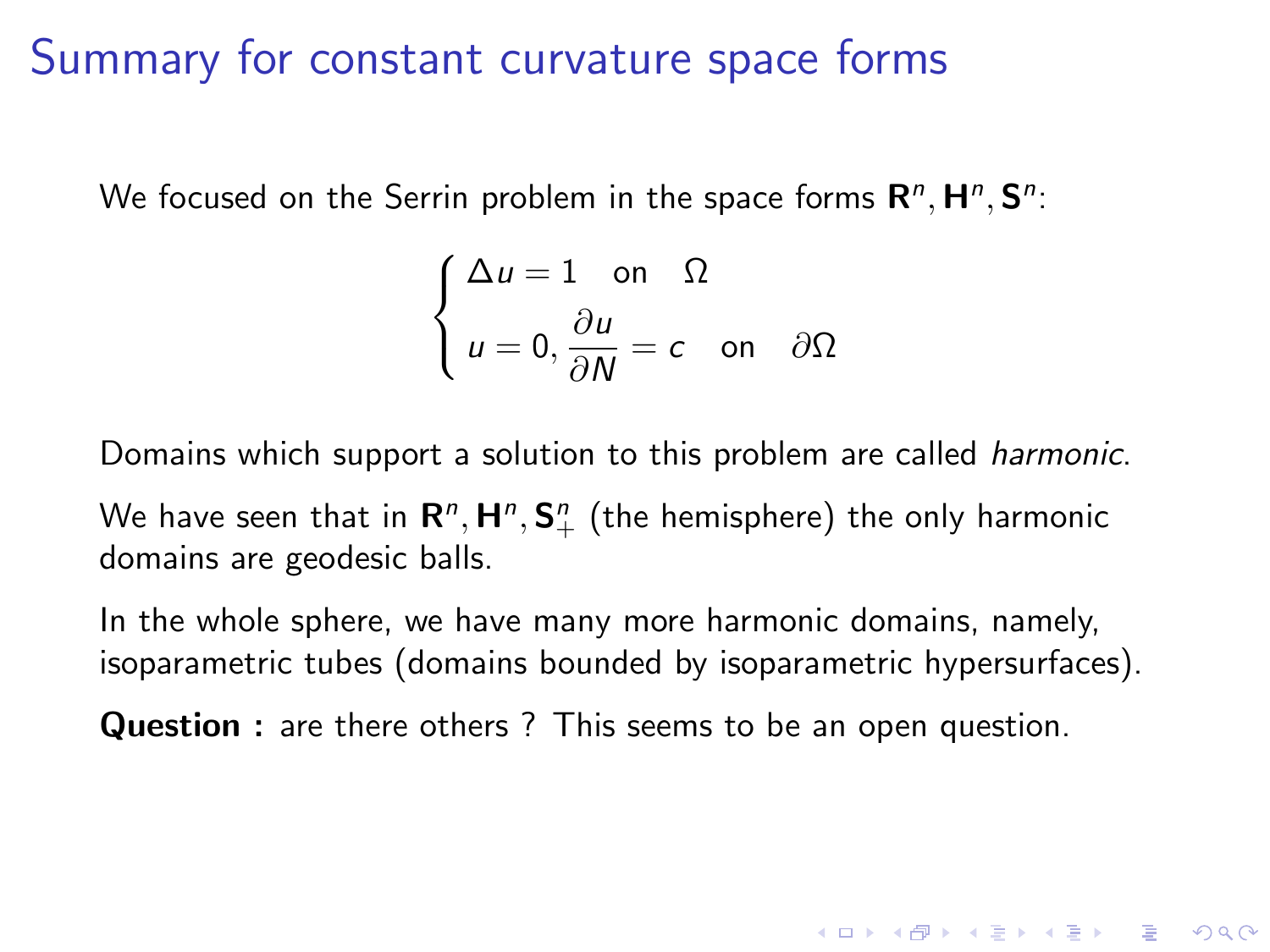We focused on the Serrin problem in the space forms  $\mathsf{R}^n, \mathsf{H}^n, \mathsf{S}^n$ :

$$
\begin{cases} \Delta u = 1 \quad \text{on} \quad \Omega \\ u = 0, \frac{\partial u}{\partial N} = c \quad \text{on} \quad \partial \Omega \end{cases}
$$

Domains which support a solution to this problem are called harmonic.

We have seen that in  ${\sf R}^n, {\sf H}^n, {\sf S}^n_+$  (the hemisphere) the only harmonic domains are geodesic balls.

In the whole sphere, we have many more harmonic domains, namely, isoparametric tubes (domains bounded by isoparametric hypersurfaces).

4 D > 4 P + 4 B + 4 B + B + 9 Q O

Question : are there others ? This seems to be an open question.